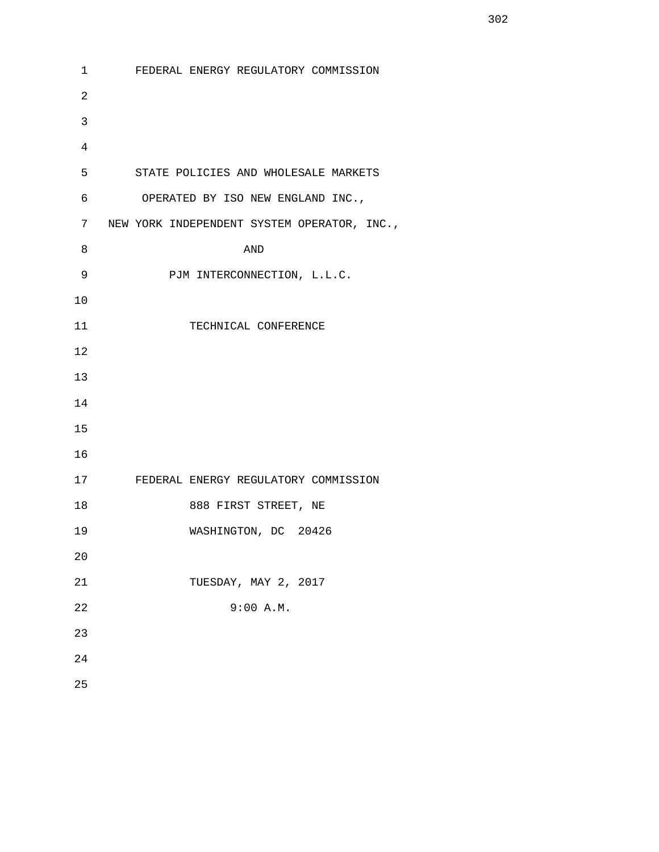1 FEDERAL ENERGY REGULATORY COMMISSION 2 3 4 5 STATE POLICIES AND WHOLESALE MARKETS 6 OPERATED BY ISO NEW ENGLAND INC., 7 NEW YORK INDEPENDENT SYSTEM OPERATOR, INC., 8 AND 9 PJM INTERCONNECTION, L.L.C. 10 11 TECHNICAL CONFERENCE 12 13 14 15 16 17 FEDERAL ENERGY REGULATORY COMMISSION 18 888 FIRST STREET, NE 19 WASHINGTON, DC 20426 20 21 TUESDAY, MAY 2, 2017 22 9:00 A.M. 23 24 25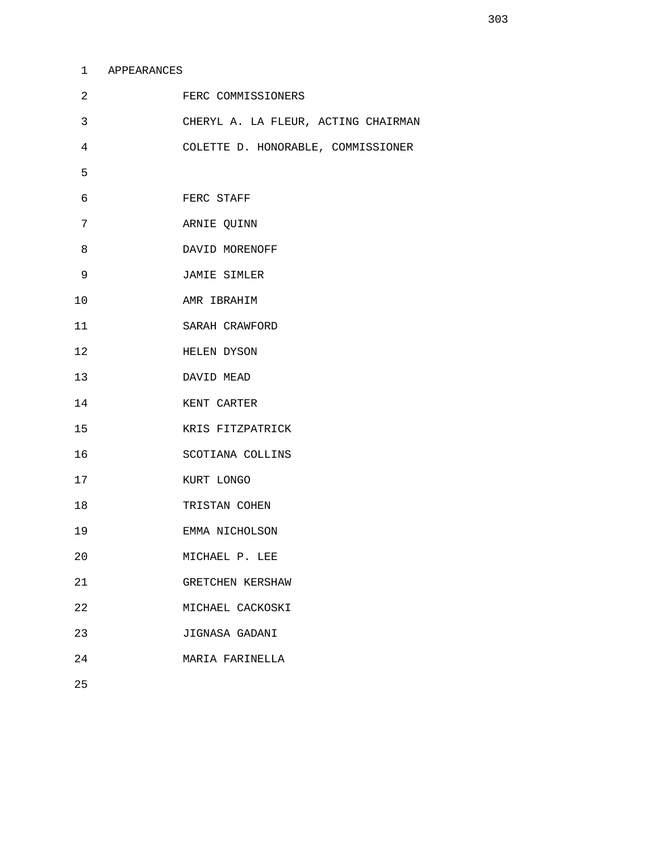## 1 APPEARANCES

| 2  | FERC COMMISSIONERS                  |
|----|-------------------------------------|
| 3  | CHERYL A. LA FLEUR, ACTING CHAIRMAN |
| 4  | COLETTE D. HONORABLE, COMMISSIONER  |
| 5  |                                     |
| 6  | FERC STAFF                          |
| 7  | ARNIE QUINN                         |
| 8  | DAVID MORENOFF                      |
| 9  | JAMIE SIMLER                        |
| 10 | AMR IBRAHIM                         |
| 11 | SARAH CRAWFORD                      |
| 12 | HELEN DYSON                         |
| 13 | DAVID MEAD                          |
| 14 | KENT CARTER                         |
| 15 | KRIS FITZPATRICK                    |
| 16 | SCOTIANA COLLINS                    |
| 17 | KURT LONGO                          |
| 18 | TRISTAN COHEN                       |
| 19 | EMMA NICHOLSON                      |
| 20 | MICHAEL P. LEE                      |
| 21 | GRETCHEN KERSHAW                    |
| 22 | MICHAEL CACKOSKI                    |
| 23 | JIGNASA GADANI                      |
| 24 | MARIA FARINELLA                     |
|    |                                     |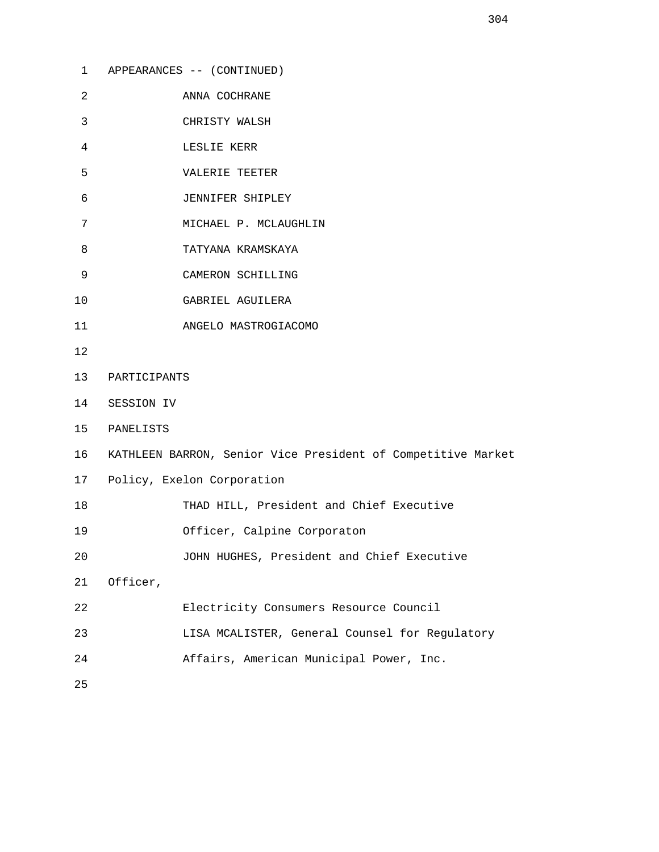| $\mathbf{1}$ | APPEARANCES -- (CONTINUED)                                   |  |
|--------------|--------------------------------------------------------------|--|
| 2            | ANNA COCHRANE                                                |  |
| 3            | CHRISTY WALSH                                                |  |
| 4            | LESLIE KERR                                                  |  |
| 5            | VALERIE TEETER                                               |  |
| 6            | JENNIFER SHIPLEY                                             |  |
| 7            | MICHAEL P. MCLAUGHLIN                                        |  |
| 8            | TATYANA KRAMSKAYA                                            |  |
| 9            | CAMERON SCHILLING                                            |  |
| $10$         | GABRIEL AGUILERA                                             |  |
| 11           | ANGELO MASTROGIACOMO                                         |  |
| 12           |                                                              |  |
| 13           | PARTICIPANTS                                                 |  |
| 14           | SESSION IV                                                   |  |
| 15           | PANELISTS                                                    |  |
| 16           | KATHLEEN BARRON, Senior Vice President of Competitive Market |  |
| 17           | Policy, Exelon Corporation                                   |  |
| 18           | THAD HILL, President and Chief Executive                     |  |
| 19           | Officer, Calpine Corporaton                                  |  |
| 20           | JOHN HUGHES, President and Chief Executive                   |  |
| 21           | Officer,                                                     |  |
| 22           | Electricity Consumers Resource Council                       |  |
| 23           | LISA MCALISTER, General Counsel for Regulatory               |  |
| 24           | Affairs, American Municipal Power, Inc.                      |  |
| 25           |                                                              |  |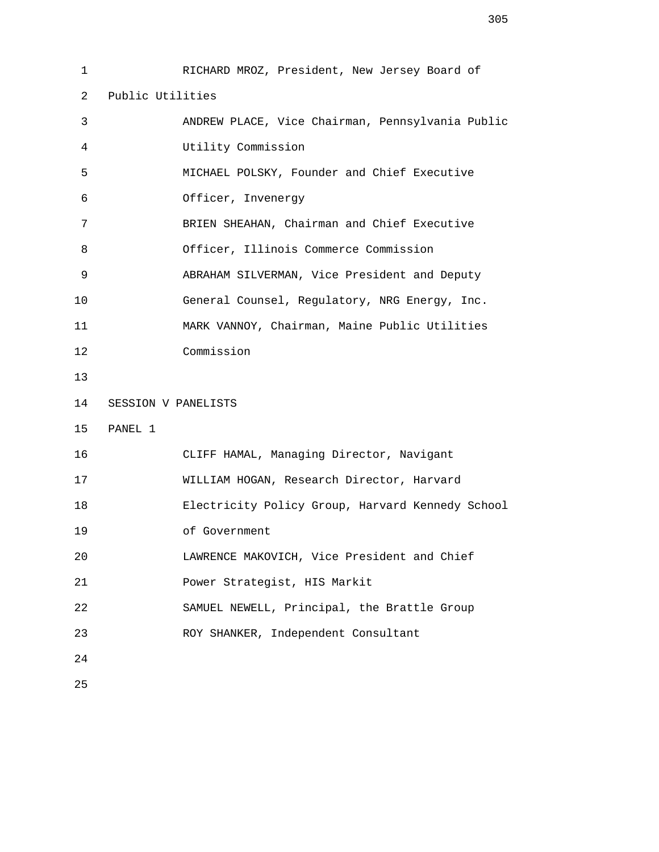1 RICHARD MROZ, President, New Jersey Board of 2 Public Utilities 3 ANDREW PLACE, Vice Chairman, Pennsylvania Public 4 Utility Commission 5 MICHAEL POLSKY, Founder and Chief Executive 6 Officer, Invenergy 7 BRIEN SHEAHAN, Chairman and Chief Executive 8 Officer, Illinois Commerce Commission 9 ABRAHAM SILVERMAN, Vice President and Deputy 10 General Counsel, Regulatory, NRG Energy, Inc. 11 MARK VANNOY, Chairman, Maine Public Utilities 12 Commission 13 14 SESSION V PANELISTS 15 PANEL 1 16 CLIFF HAMAL, Managing Director, Navigant 17 WILLIAM HOGAN, Research Director, Harvard 18 Electricity Policy Group, Harvard Kennedy School 19 of Government 20 LAWRENCE MAKOVICH, Vice President and Chief 21 Power Strategist, HIS Markit 22 SAMUEL NEWELL, Principal, the Brattle Group 23 ROY SHANKER, Independent Consultant 24 25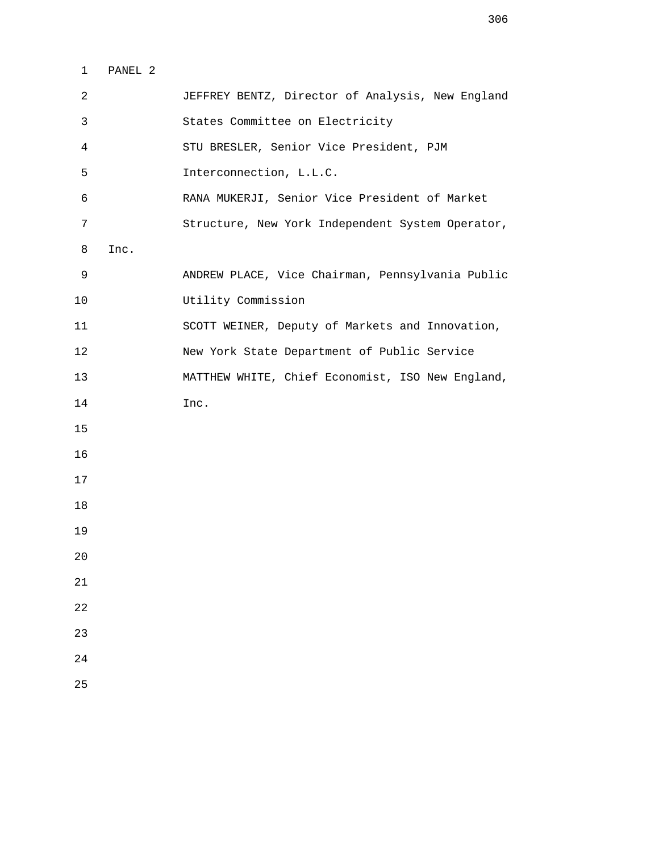1 PANEL 2

| $\overline{2}$ |      | JEFFREY BENTZ, Director of Analysis, New England |
|----------------|------|--------------------------------------------------|
| 3              |      | States Committee on Electricity                  |
| 4              |      | STU BRESLER, Senior Vice President, PJM          |
| 5              |      | Interconnection, L.L.C.                          |
| 6              |      | RANA MUKERJI, Senior Vice President of Market    |
| 7              |      | Structure, New York Independent System Operator, |
| 8              | Inc. |                                                  |
| 9              |      | ANDREW PLACE, Vice Chairman, Pennsylvania Public |
| 10             |      | Utility Commission                               |
| 11             |      | SCOTT WEINER, Deputy of Markets and Innovation,  |
| 12             |      | New York State Department of Public Service      |
| 13             |      | MATTHEW WHITE, Chief Economist, ISO New England, |
| 14             |      | Inc.                                             |
| 15             |      |                                                  |
| 16             |      |                                                  |
| 17             |      |                                                  |
| 18             |      |                                                  |
| 19             |      |                                                  |
| 20             |      |                                                  |
| $2\sqrt{1}$    |      |                                                  |
| 22             |      |                                                  |
| 23             |      |                                                  |
| 24             |      |                                                  |
| 25             |      |                                                  |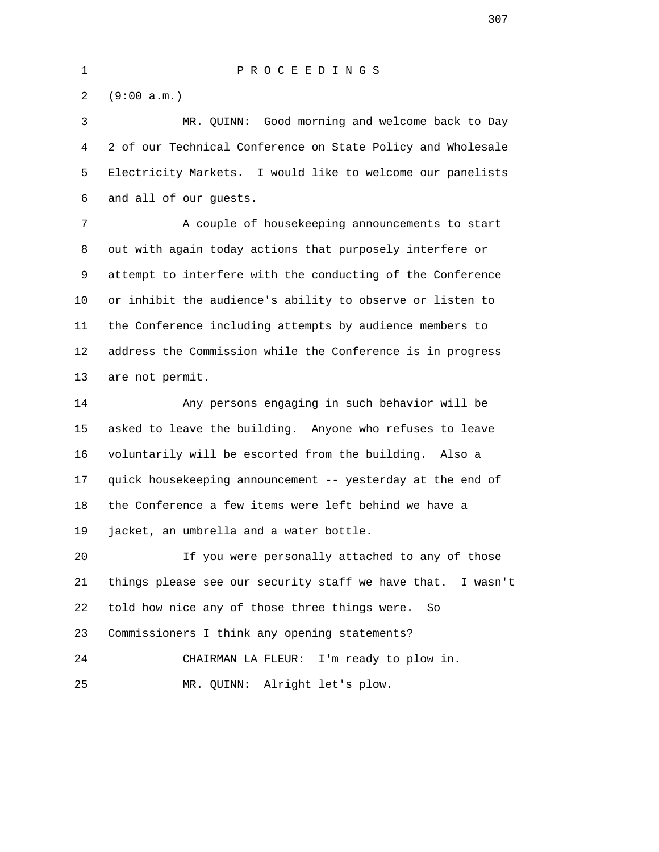2 (9:00 a.m.)

 3 MR. QUINN: Good morning and welcome back to Day 4 2 of our Technical Conference on State Policy and Wholesale 5 Electricity Markets. I would like to welcome our panelists 6 and all of our guests.

 7 A couple of housekeeping announcements to start 8 out with again today actions that purposely interfere or 9 attempt to interfere with the conducting of the Conference 10 or inhibit the audience's ability to observe or listen to 11 the Conference including attempts by audience members to 12 address the Commission while the Conference is in progress 13 are not permit.

 14 Any persons engaging in such behavior will be 15 asked to leave the building. Anyone who refuses to leave 16 voluntarily will be escorted from the building. Also a 17 quick housekeeping announcement -- yesterday at the end of 18 the Conference a few items were left behind we have a 19 jacket, an umbrella and a water bottle.

 20 If you were personally attached to any of those 21 things please see our security staff we have that. I wasn't 22 told how nice any of those three things were. So 23 Commissioners I think any opening statements? 24 CHAIRMAN LA FLEUR: I'm ready to plow in.

25 MR. QUINN: Alright let's plow.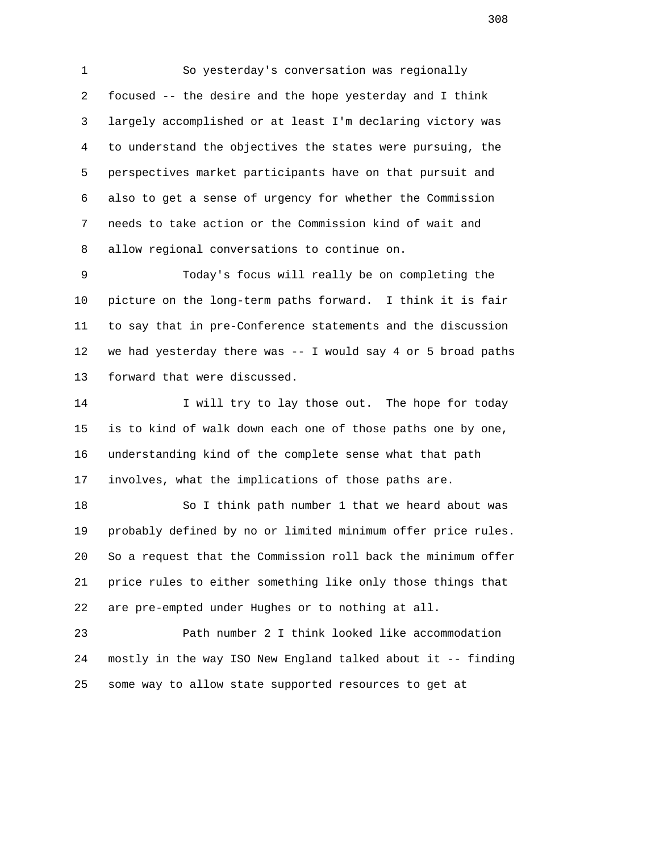1 So yesterday's conversation was regionally 2 focused -- the desire and the hope yesterday and I think 3 largely accomplished or at least I'm declaring victory was 4 to understand the objectives the states were pursuing, the 5 perspectives market participants have on that pursuit and 6 also to get a sense of urgency for whether the Commission 7 needs to take action or the Commission kind of wait and 8 allow regional conversations to continue on.

 9 Today's focus will really be on completing the 10 picture on the long-term paths forward. I think it is fair 11 to say that in pre-Conference statements and the discussion 12 we had yesterday there was -- I would say 4 or 5 broad paths 13 forward that were discussed.

14 I will try to lay those out. The hope for today 15 is to kind of walk down each one of those paths one by one, 16 understanding kind of the complete sense what that path 17 involves, what the implications of those paths are.

 18 So I think path number 1 that we heard about was 19 probably defined by no or limited minimum offer price rules. 20 So a request that the Commission roll back the minimum offer 21 price rules to either something like only those things that 22 are pre-empted under Hughes or to nothing at all.

 23 Path number 2 I think looked like accommodation 24 mostly in the way ISO New England talked about it -- finding 25 some way to allow state supported resources to get at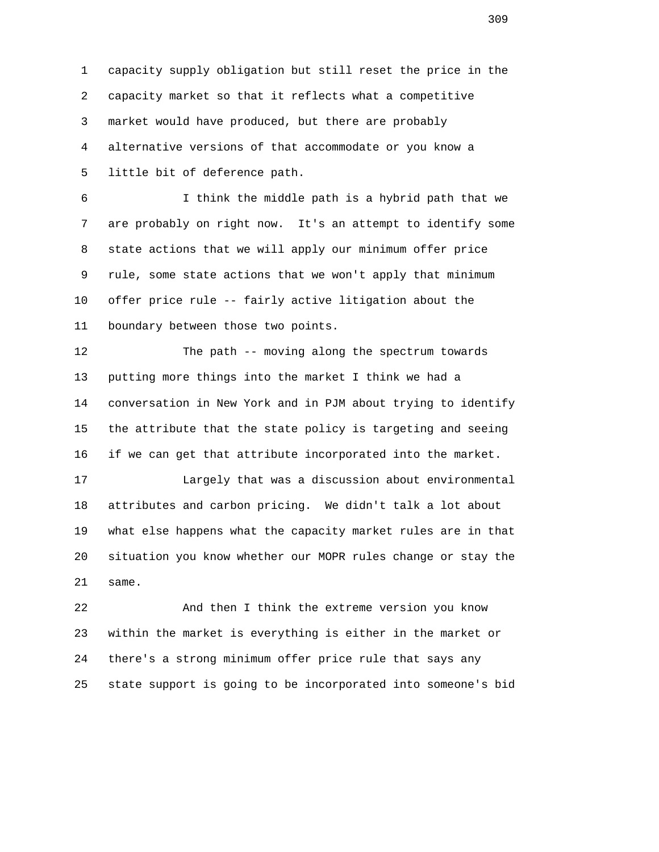1 capacity supply obligation but still reset the price in the 2 capacity market so that it reflects what a competitive 3 market would have produced, but there are probably 4 alternative versions of that accommodate or you know a 5 little bit of deference path.

 6 I think the middle path is a hybrid path that we 7 are probably on right now. It's an attempt to identify some 8 state actions that we will apply our minimum offer price 9 rule, some state actions that we won't apply that minimum 10 offer price rule -- fairly active litigation about the 11 boundary between those two points.

 12 The path -- moving along the spectrum towards 13 putting more things into the market I think we had a 14 conversation in New York and in PJM about trying to identify 15 the attribute that the state policy is targeting and seeing 16 if we can get that attribute incorporated into the market.

 17 Largely that was a discussion about environmental 18 attributes and carbon pricing. We didn't talk a lot about 19 what else happens what the capacity market rules are in that 20 situation you know whether our MOPR rules change or stay the 21 same.

 22 And then I think the extreme version you know 23 within the market is everything is either in the market or 24 there's a strong minimum offer price rule that says any 25 state support is going to be incorporated into someone's bid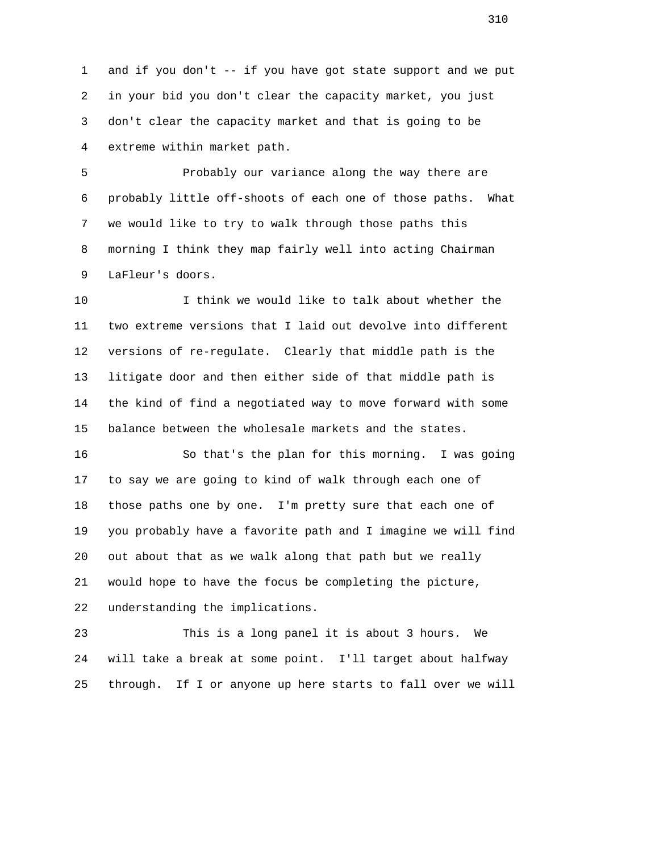1 and if you don't -- if you have got state support and we put 2 in your bid you don't clear the capacity market, you just 3 don't clear the capacity market and that is going to be 4 extreme within market path.

 5 Probably our variance along the way there are 6 probably little off-shoots of each one of those paths. What 7 we would like to try to walk through those paths this 8 morning I think they map fairly well into acting Chairman 9 LaFleur's doors.

 10 I think we would like to talk about whether the 11 two extreme versions that I laid out devolve into different 12 versions of re-regulate. Clearly that middle path is the 13 litigate door and then either side of that middle path is 14 the kind of find a negotiated way to move forward with some 15 balance between the wholesale markets and the states.

 16 So that's the plan for this morning. I was going 17 to say we are going to kind of walk through each one of 18 those paths one by one. I'm pretty sure that each one of 19 you probably have a favorite path and I imagine we will find 20 out about that as we walk along that path but we really 21 would hope to have the focus be completing the picture, 22 understanding the implications.

 23 This is a long panel it is about 3 hours. We 24 will take a break at some point. I'll target about halfway 25 through. If I or anyone up here starts to fall over we will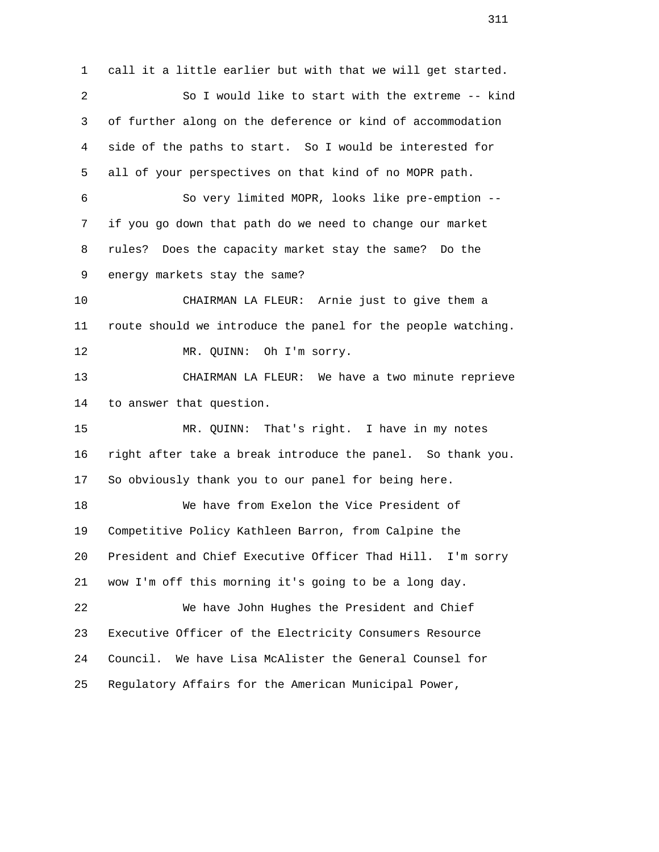1 call it a little earlier but with that we will get started. 2 So I would like to start with the extreme -- kind 3 of further along on the deference or kind of accommodation 4 side of the paths to start. So I would be interested for 5 all of your perspectives on that kind of no MOPR path. 6 So very limited MOPR, looks like pre-emption -- 7 if you go down that path do we need to change our market 8 rules? Does the capacity market stay the same? Do the 9 energy markets stay the same? 10 CHAIRMAN LA FLEUR: Arnie just to give them a 11 route should we introduce the panel for the people watching. 12 MR. QUINN: Oh I'm sorry. 13 CHAIRMAN LA FLEUR: We have a two minute reprieve 14 to answer that question. 15 MR. QUINN: That's right. I have in my notes 16 right after take a break introduce the panel. So thank you. 17 So obviously thank you to our panel for being here. 18 We have from Exelon the Vice President of 19 Competitive Policy Kathleen Barron, from Calpine the 20 President and Chief Executive Officer Thad Hill. I'm sorry 21 wow I'm off this morning it's going to be a long day. 22 We have John Hughes the President and Chief 23 Executive Officer of the Electricity Consumers Resource 24 Council. We have Lisa McAlister the General Counsel for 25 Regulatory Affairs for the American Municipal Power,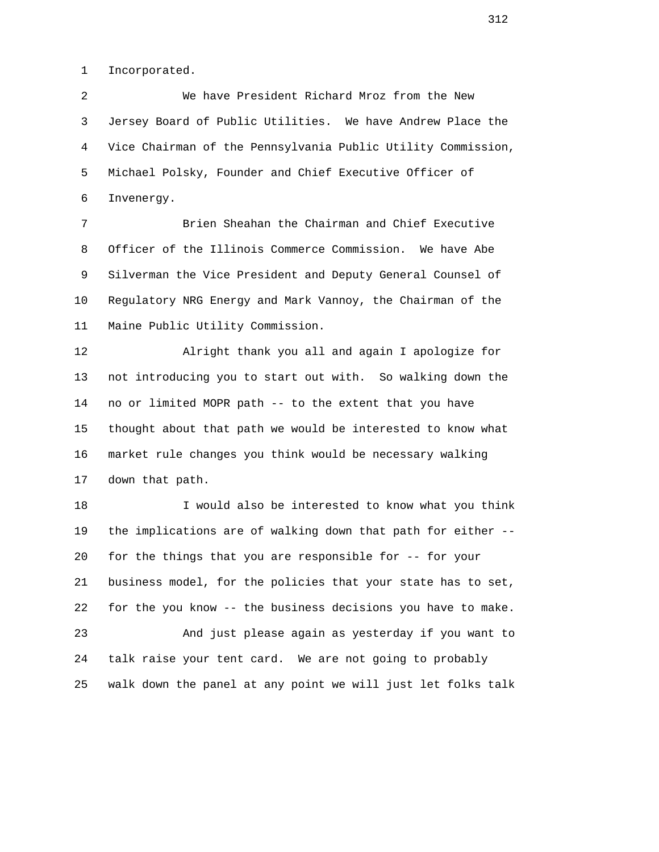1 Incorporated.

 2 We have President Richard Mroz from the New 3 Jersey Board of Public Utilities. We have Andrew Place the 4 Vice Chairman of the Pennsylvania Public Utility Commission, 5 Michael Polsky, Founder and Chief Executive Officer of 6 Invenergy.

 7 Brien Sheahan the Chairman and Chief Executive 8 Officer of the Illinois Commerce Commission. We have Abe 9 Silverman the Vice President and Deputy General Counsel of 10 Regulatory NRG Energy and Mark Vannoy, the Chairman of the 11 Maine Public Utility Commission.

 12 Alright thank you all and again I apologize for 13 not introducing you to start out with. So walking down the 14 no or limited MOPR path -- to the extent that you have 15 thought about that path we would be interested to know what 16 market rule changes you think would be necessary walking 17 down that path.

 18 I would also be interested to know what you think 19 the implications are of walking down that path for either -- 20 for the things that you are responsible for -- for your 21 business model, for the policies that your state has to set, 22 for the you know -- the business decisions you have to make. 23 And just please again as yesterday if you want to 24 talk raise your tent card. We are not going to probably 25 walk down the panel at any point we will just let folks talk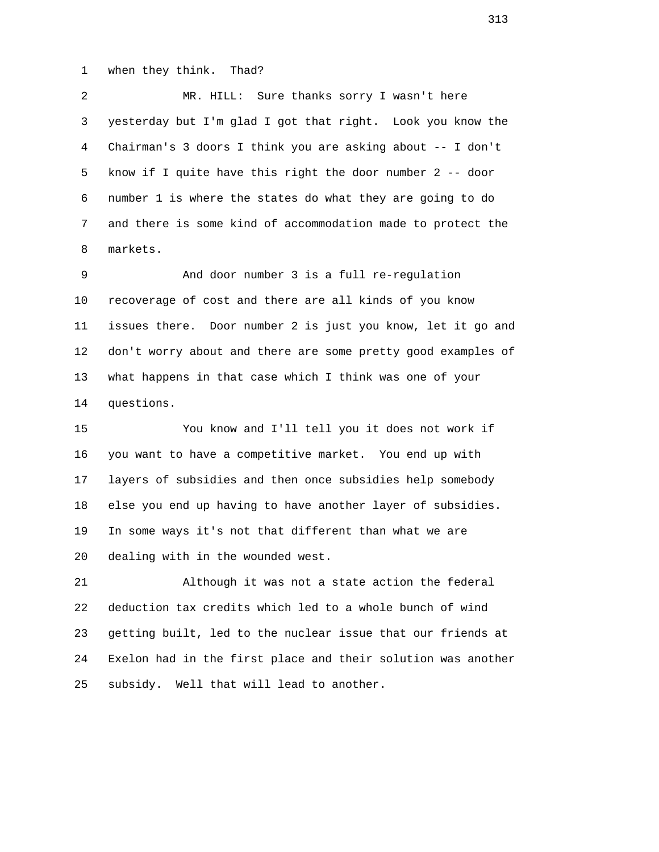1 when they think. Thad?

 2 MR. HILL: Sure thanks sorry I wasn't here 3 yesterday but I'm glad I got that right. Look you know the 4 Chairman's 3 doors I think you are asking about -- I don't 5 know if I quite have this right the door number 2 -- door 6 number 1 is where the states do what they are going to do 7 and there is some kind of accommodation made to protect the 8 markets.

 9 And door number 3 is a full re-regulation 10 recoverage of cost and there are all kinds of you know 11 issues there. Door number 2 is just you know, let it go and 12 don't worry about and there are some pretty good examples of 13 what happens in that case which I think was one of your 14 questions.

 15 You know and I'll tell you it does not work if 16 you want to have a competitive market. You end up with 17 layers of subsidies and then once subsidies help somebody 18 else you end up having to have another layer of subsidies. 19 In some ways it's not that different than what we are 20 dealing with in the wounded west.

 21 Although it was not a state action the federal 22 deduction tax credits which led to a whole bunch of wind 23 getting built, led to the nuclear issue that our friends at 24 Exelon had in the first place and their solution was another 25 subsidy. Well that will lead to another.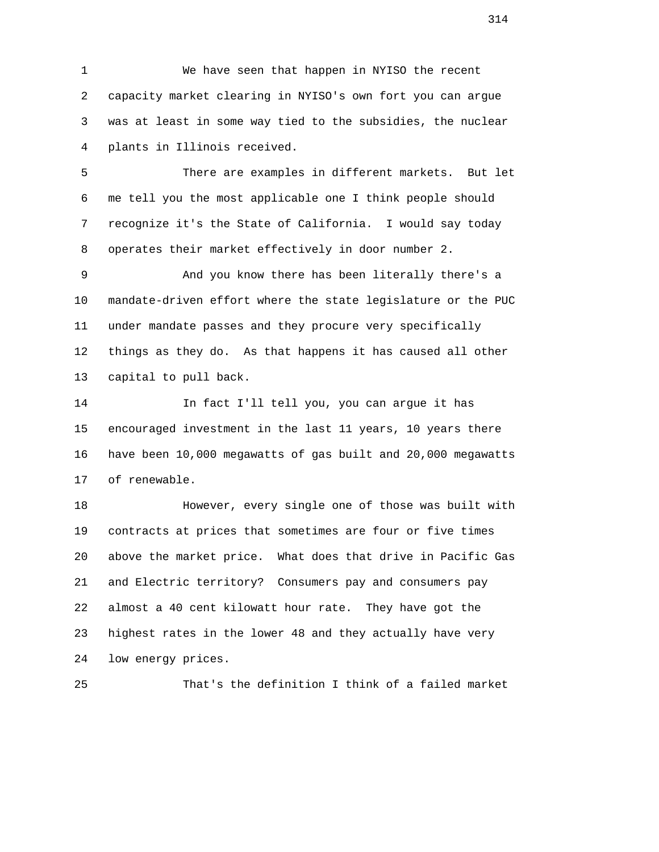1 We have seen that happen in NYISO the recent 2 capacity market clearing in NYISO's own fort you can argue 3 was at least in some way tied to the subsidies, the nuclear 4 plants in Illinois received.

 5 There are examples in different markets. But let 6 me tell you the most applicable one I think people should 7 recognize it's the State of California. I would say today 8 operates their market effectively in door number 2.

 9 And you know there has been literally there's a 10 mandate-driven effort where the state legislature or the PUC 11 under mandate passes and they procure very specifically 12 things as they do. As that happens it has caused all other 13 capital to pull back.

 14 In fact I'll tell you, you can argue it has 15 encouraged investment in the last 11 years, 10 years there 16 have been 10,000 megawatts of gas built and 20,000 megawatts 17 of renewable.

 18 However, every single one of those was built with 19 contracts at prices that sometimes are four or five times 20 above the market price. What does that drive in Pacific Gas 21 and Electric territory? Consumers pay and consumers pay 22 almost a 40 cent kilowatt hour rate. They have got the 23 highest rates in the lower 48 and they actually have very 24 low energy prices.

25 That's the definition I think of a failed market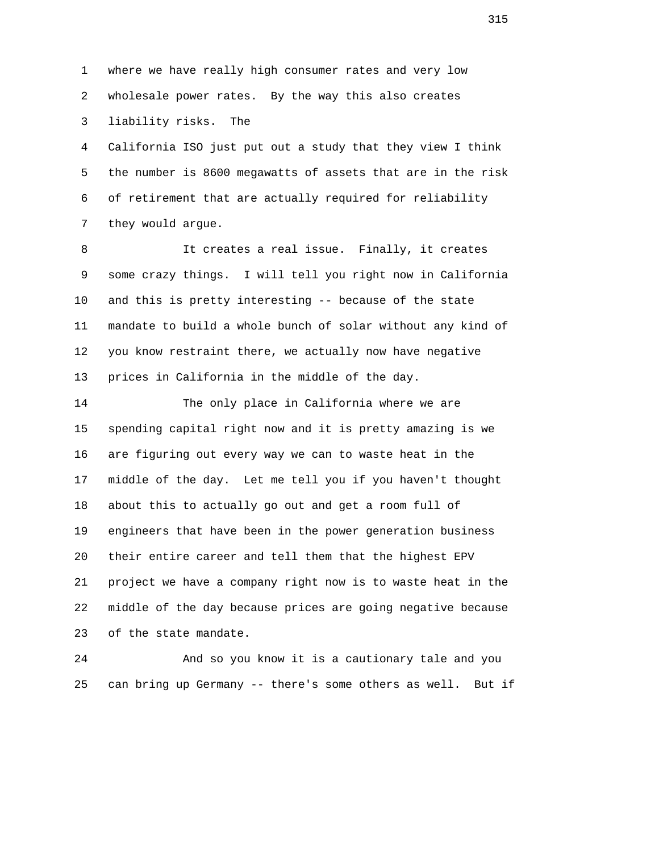1 where we have really high consumer rates and very low 2 wholesale power rates. By the way this also creates 3 liability risks. The

 4 California ISO just put out a study that they view I think 5 the number is 8600 megawatts of assets that are in the risk 6 of retirement that are actually required for reliability 7 they would argue.

 8 It creates a real issue. Finally, it creates 9 some crazy things. I will tell you right now in California 10 and this is pretty interesting -- because of the state 11 mandate to build a whole bunch of solar without any kind of 12 you know restraint there, we actually now have negative 13 prices in California in the middle of the day.

 14 The only place in California where we are 15 spending capital right now and it is pretty amazing is we 16 are figuring out every way we can to waste heat in the 17 middle of the day. Let me tell you if you haven't thought 18 about this to actually go out and get a room full of 19 engineers that have been in the power generation business 20 their entire career and tell them that the highest EPV 21 project we have a company right now is to waste heat in the 22 middle of the day because prices are going negative because 23 of the state mandate.

 24 And so you know it is a cautionary tale and you 25 can bring up Germany -- there's some others as well. But if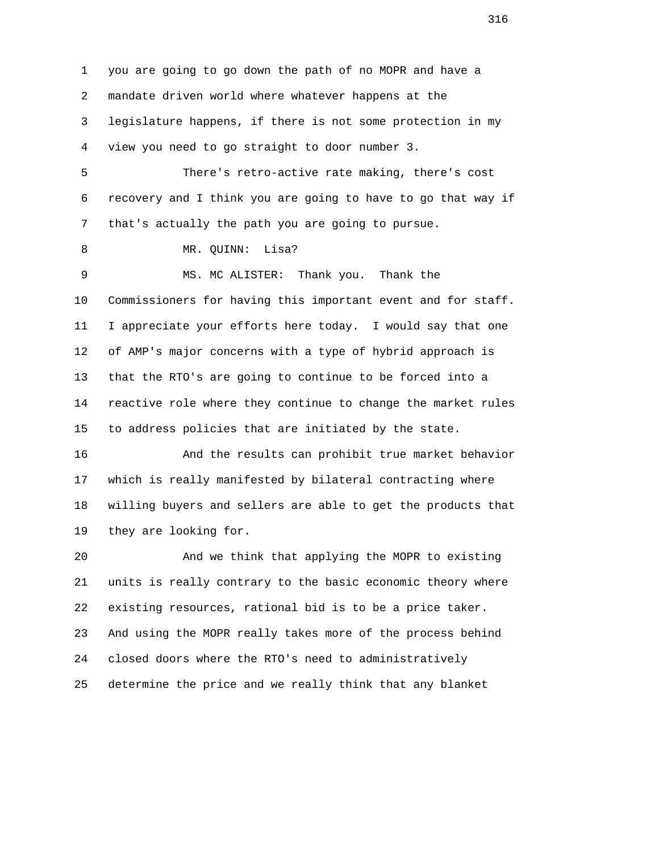1 you are going to go down the path of no MOPR and have a 2 mandate driven world where whatever happens at the 3 legislature happens, if there is not some protection in my 4 view you need to go straight to door number 3.

 5 There's retro-active rate making, there's cost 6 recovery and I think you are going to have to go that way if 7 that's actually the path you are going to pursue.

8 MR. QUINN: Lisa?

 9 MS. MC ALISTER: Thank you. Thank the 10 Commissioners for having this important event and for staff. 11 I appreciate your efforts here today. I would say that one 12 of AMP's major concerns with a type of hybrid approach is 13 that the RTO's are going to continue to be forced into a 14 reactive role where they continue to change the market rules 15 to address policies that are initiated by the state.

 16 And the results can prohibit true market behavior 17 which is really manifested by bilateral contracting where 18 willing buyers and sellers are able to get the products that 19 they are looking for.

 20 And we think that applying the MOPR to existing 21 units is really contrary to the basic economic theory where 22 existing resources, rational bid is to be a price taker. 23 And using the MOPR really takes more of the process behind 24 closed doors where the RTO's need to administratively 25 determine the price and we really think that any blanket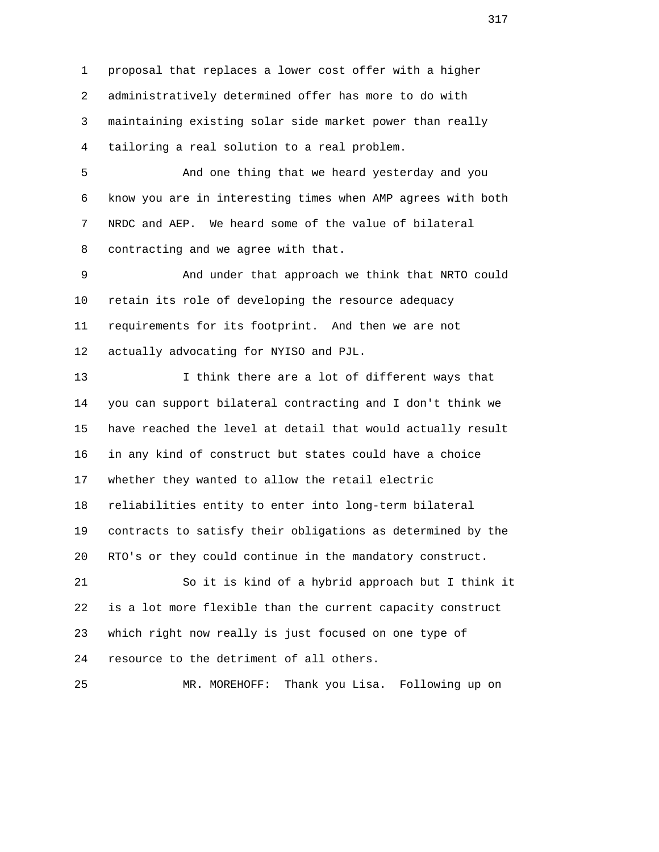1 proposal that replaces a lower cost offer with a higher 2 administratively determined offer has more to do with 3 maintaining existing solar side market power than really 4 tailoring a real solution to a real problem.

 5 And one thing that we heard yesterday and you 6 know you are in interesting times when AMP agrees with both 7 NRDC and AEP. We heard some of the value of bilateral 8 contracting and we agree with that.

 9 And under that approach we think that NRTO could 10 retain its role of developing the resource adequacy 11 requirements for its footprint. And then we are not 12 actually advocating for NYISO and PJL.

 13 I think there are a lot of different ways that 14 you can support bilateral contracting and I don't think we 15 have reached the level at detail that would actually result 16 in any kind of construct but states could have a choice 17 whether they wanted to allow the retail electric 18 reliabilities entity to enter into long-term bilateral 19 contracts to satisfy their obligations as determined by the 20 RTO's or they could continue in the mandatory construct. 21 So it is kind of a hybrid approach but I think it 22 is a lot more flexible than the current capacity construct 23 which right now really is just focused on one type of 24 resource to the detriment of all others.

25 MR. MOREHOFF: Thank you Lisa. Following up on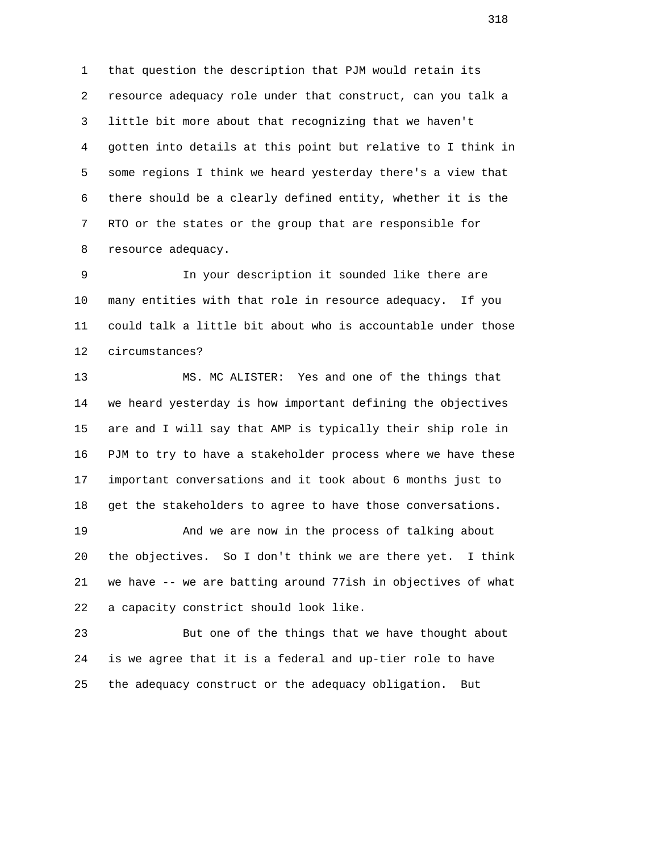1 that question the description that PJM would retain its 2 resource adequacy role under that construct, can you talk a 3 little bit more about that recognizing that we haven't 4 gotten into details at this point but relative to I think in 5 some regions I think we heard yesterday there's a view that 6 there should be a clearly defined entity, whether it is the 7 RTO or the states or the group that are responsible for 8 resource adequacy.

 9 In your description it sounded like there are 10 many entities with that role in resource adequacy. If you 11 could talk a little bit about who is accountable under those 12 circumstances?

 13 MS. MC ALISTER: Yes and one of the things that 14 we heard yesterday is how important defining the objectives 15 are and I will say that AMP is typically their ship role in 16 PJM to try to have a stakeholder process where we have these 17 important conversations and it took about 6 months just to 18 get the stakeholders to agree to have those conversations.

 19 And we are now in the process of talking about 20 the objectives. So I don't think we are there yet. I think 21 we have -- we are batting around 77ish in objectives of what 22 a capacity constrict should look like.

 23 But one of the things that we have thought about 24 is we agree that it is a federal and up-tier role to have 25 the adequacy construct or the adequacy obligation. But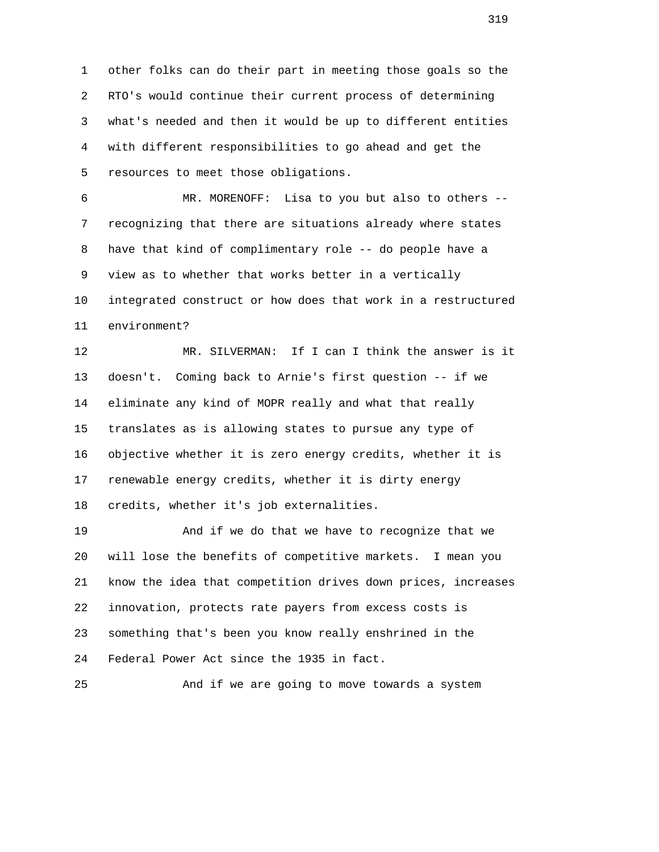1 other folks can do their part in meeting those goals so the 2 RTO's would continue their current process of determining 3 what's needed and then it would be up to different entities 4 with different responsibilities to go ahead and get the 5 resources to meet those obligations.

 6 MR. MORENOFF: Lisa to you but also to others -- 7 recognizing that there are situations already where states 8 have that kind of complimentary role -- do people have a 9 view as to whether that works better in a vertically 10 integrated construct or how does that work in a restructured 11 environment?

 12 MR. SILVERMAN: If I can I think the answer is it 13 doesn't. Coming back to Arnie's first question -- if we 14 eliminate any kind of MOPR really and what that really 15 translates as is allowing states to pursue any type of 16 objective whether it is zero energy credits, whether it is 17 renewable energy credits, whether it is dirty energy 18 credits, whether it's job externalities.

 19 And if we do that we have to recognize that we 20 will lose the benefits of competitive markets. I mean you 21 know the idea that competition drives down prices, increases 22 innovation, protects rate payers from excess costs is 23 something that's been you know really enshrined in the 24 Federal Power Act since the 1935 in fact.

25 And if we are going to move towards a system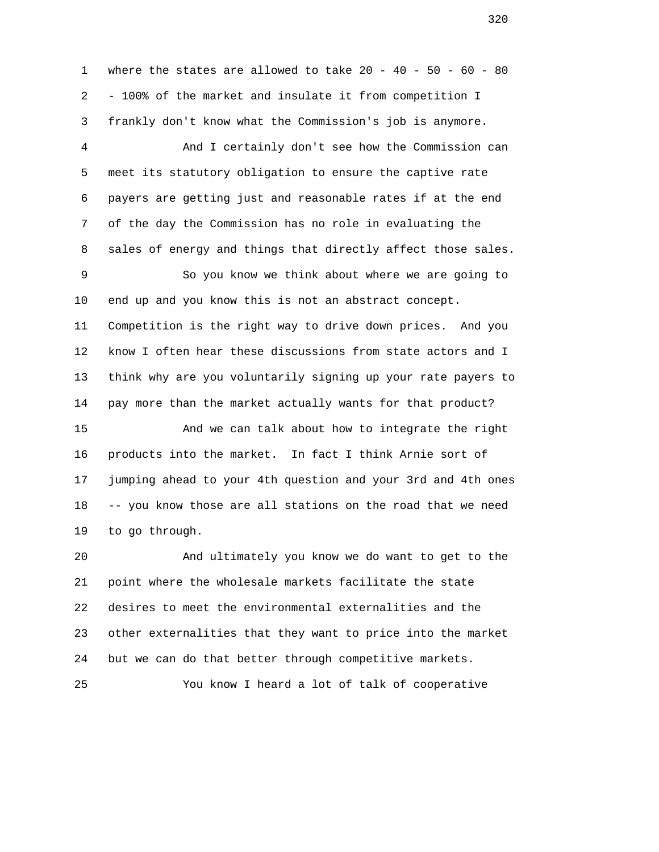1 where the states are allowed to take 20 - 40 - 50 - 60 - 80 2 - 100% of the market and insulate it from competition I 3 frankly don't know what the Commission's job is anymore.

 4 And I certainly don't see how the Commission can 5 meet its statutory obligation to ensure the captive rate 6 payers are getting just and reasonable rates if at the end 7 of the day the Commission has no role in evaluating the 8 sales of energy and things that directly affect those sales.

 9 So you know we think about where we are going to 10 end up and you know this is not an abstract concept. 11 Competition is the right way to drive down prices. And you 12 know I often hear these discussions from state actors and I 13 think why are you voluntarily signing up your rate payers to 14 pay more than the market actually wants for that product?

 15 And we can talk about how to integrate the right 16 products into the market. In fact I think Arnie sort of 17 jumping ahead to your 4th question and your 3rd and 4th ones 18 -- you know those are all stations on the road that we need 19 to go through.

 20 And ultimately you know we do want to get to the 21 point where the wholesale markets facilitate the state 22 desires to meet the environmental externalities and the 23 other externalities that they want to price into the market 24 but we can do that better through competitive markets.

25 You know I heard a lot of talk of cooperative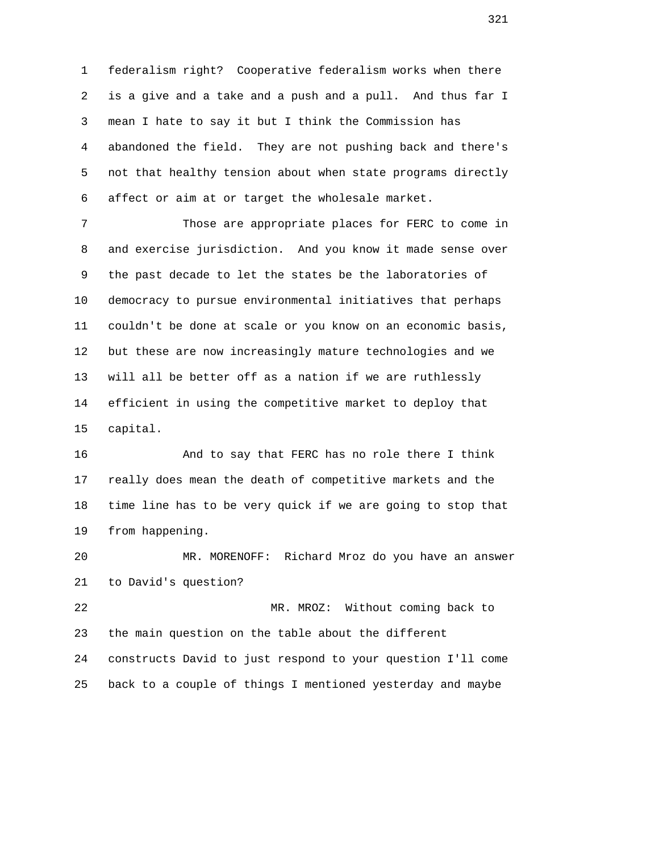1 federalism right? Cooperative federalism works when there 2 is a give and a take and a push and a pull. And thus far I 3 mean I hate to say it but I think the Commission has 4 abandoned the field. They are not pushing back and there's 5 not that healthy tension about when state programs directly 6 affect or aim at or target the wholesale market.

 7 Those are appropriate places for FERC to come in 8 and exercise jurisdiction. And you know it made sense over 9 the past decade to let the states be the laboratories of 10 democracy to pursue environmental initiatives that perhaps 11 couldn't be done at scale or you know on an economic basis, 12 but these are now increasingly mature technologies and we 13 will all be better off as a nation if we are ruthlessly 14 efficient in using the competitive market to deploy that 15 capital.

 16 And to say that FERC has no role there I think 17 really does mean the death of competitive markets and the 18 time line has to be very quick if we are going to stop that 19 from happening.

 20 MR. MORENOFF: Richard Mroz do you have an answer 21 to David's question?

 22 MR. MROZ: Without coming back to 23 the main question on the table about the different 24 constructs David to just respond to your question I'll come 25 back to a couple of things I mentioned yesterday and maybe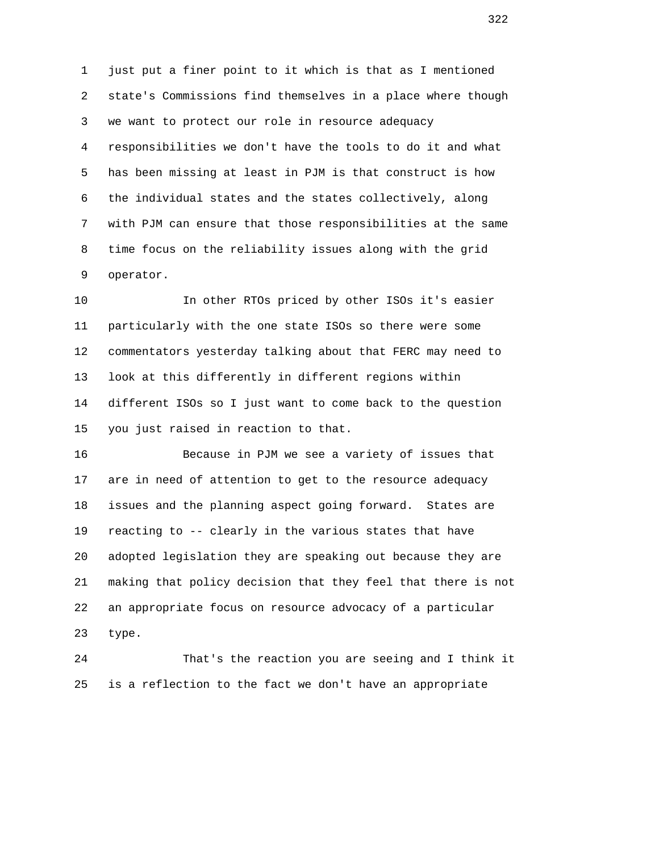1 just put a finer point to it which is that as I mentioned 2 state's Commissions find themselves in a place where though 3 we want to protect our role in resource adequacy 4 responsibilities we don't have the tools to do it and what 5 has been missing at least in PJM is that construct is how 6 the individual states and the states collectively, along 7 with PJM can ensure that those responsibilities at the same 8 time focus on the reliability issues along with the grid 9 operator.

 10 In other RTOs priced by other ISOs it's easier 11 particularly with the one state ISOs so there were some 12 commentators yesterday talking about that FERC may need to 13 look at this differently in different regions within 14 different ISOs so I just want to come back to the question 15 you just raised in reaction to that.

 16 Because in PJM we see a variety of issues that 17 are in need of attention to get to the resource adequacy 18 issues and the planning aspect going forward. States are 19 reacting to -- clearly in the various states that have 20 adopted legislation they are speaking out because they are 21 making that policy decision that they feel that there is not 22 an appropriate focus on resource advocacy of a particular 23 type.

 24 That's the reaction you are seeing and I think it 25 is a reflection to the fact we don't have an appropriate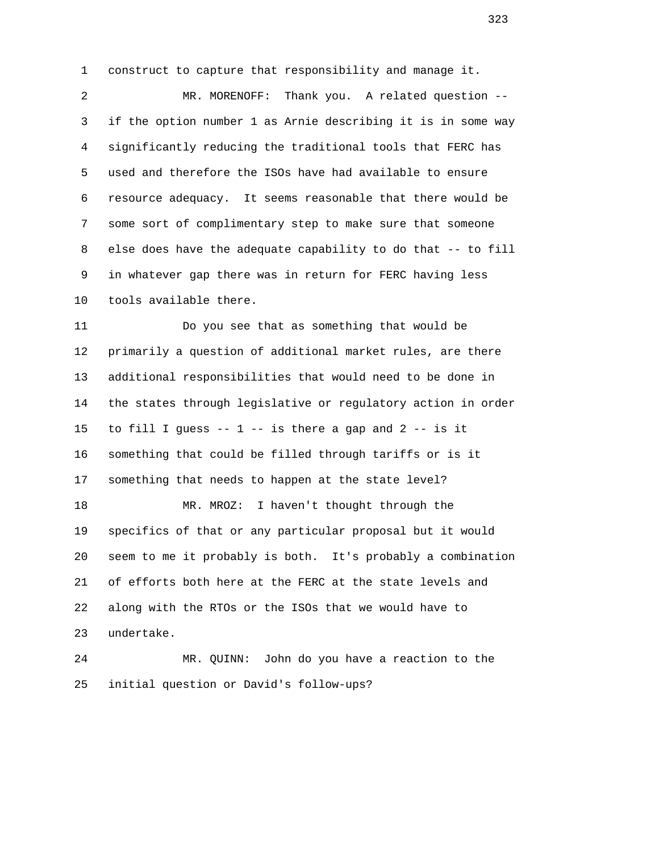1 construct to capture that responsibility and manage it.

 2 MR. MORENOFF: Thank you. A related question -- 3 if the option number 1 as Arnie describing it is in some way 4 significantly reducing the traditional tools that FERC has 5 used and therefore the ISOs have had available to ensure 6 resource adequacy. It seems reasonable that there would be 7 some sort of complimentary step to make sure that someone 8 else does have the adequate capability to do that -- to fill 9 in whatever gap there was in return for FERC having less 10 tools available there.

 11 Do you see that as something that would be 12 primarily a question of additional market rules, are there 13 additional responsibilities that would need to be done in 14 the states through legislative or regulatory action in order 15 to fill I quess  $- - 1 - -$  is there a gap and 2  $- -$  is it 16 something that could be filled through tariffs or is it 17 something that needs to happen at the state level? 18 MR. MROZ: I haven't thought through the 19 specifics of that or any particular proposal but it would 20 seem to me it probably is both. It's probably a combination 21 of efforts both here at the FERC at the state levels and 22 along with the RTOs or the ISOs that we would have to 23 undertake.

 24 MR. QUINN: John do you have a reaction to the 25 initial question or David's follow-ups?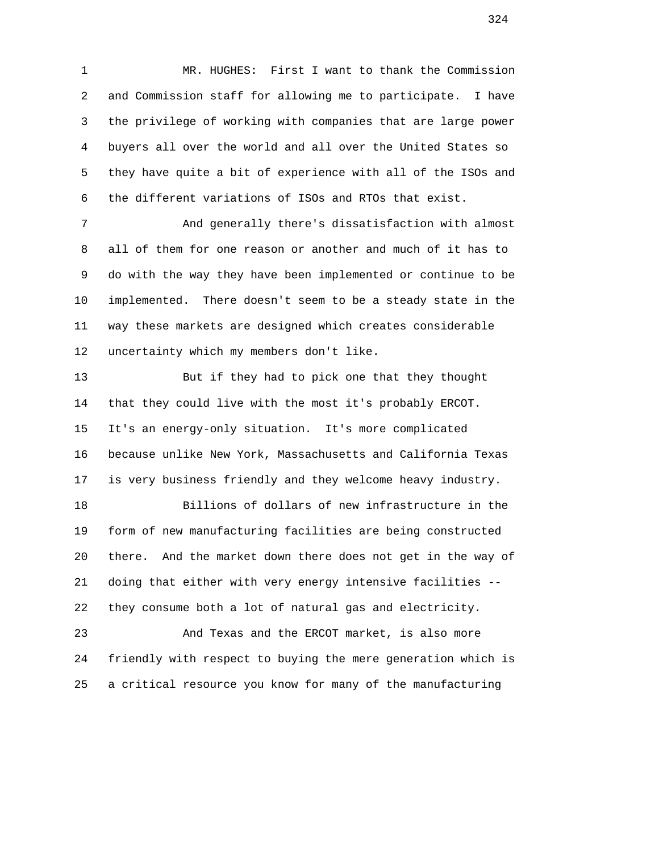1 MR. HUGHES: First I want to thank the Commission 2 and Commission staff for allowing me to participate. I have 3 the privilege of working with companies that are large power 4 buyers all over the world and all over the United States so 5 they have quite a bit of experience with all of the ISOs and 6 the different variations of ISOs and RTOs that exist.

 7 And generally there's dissatisfaction with almost 8 all of them for one reason or another and much of it has to 9 do with the way they have been implemented or continue to be 10 implemented. There doesn't seem to be a steady state in the 11 way these markets are designed which creates considerable 12 uncertainty which my members don't like.

 13 But if they had to pick one that they thought 14 that they could live with the most it's probably ERCOT. 15 It's an energy-only situation. It's more complicated 16 because unlike New York, Massachusetts and California Texas 17 is very business friendly and they welcome heavy industry.

 18 Billions of dollars of new infrastructure in the 19 form of new manufacturing facilities are being constructed 20 there. And the market down there does not get in the way of 21 doing that either with very energy intensive facilities -- 22 they consume both a lot of natural gas and electricity.

 23 And Texas and the ERCOT market, is also more 24 friendly with respect to buying the mere generation which is 25 a critical resource you know for many of the manufacturing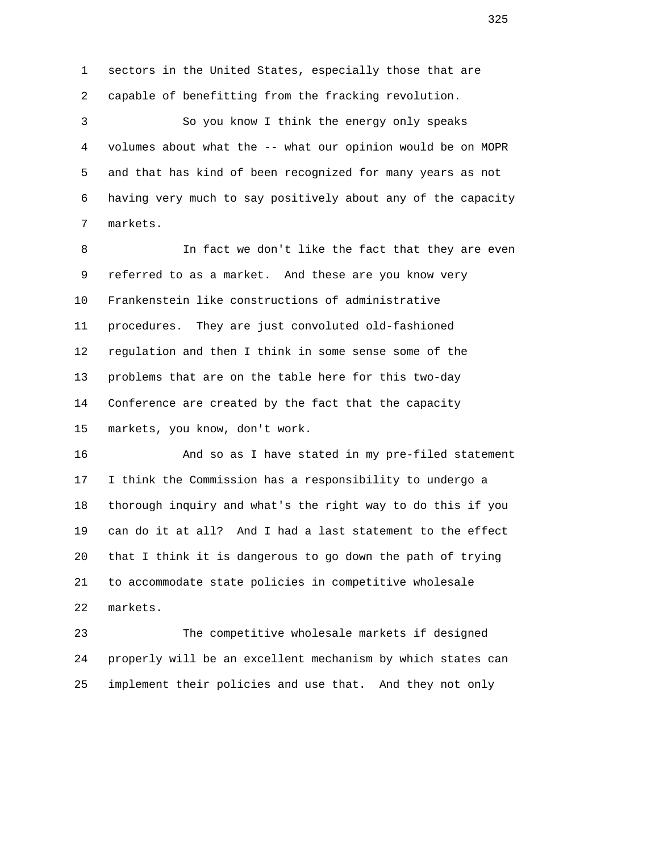1 sectors in the United States, especially those that are 2 capable of benefitting from the fracking revolution. 3 So you know I think the energy only speaks 4 volumes about what the -- what our opinion would be on MOPR 5 and that has kind of been recognized for many years as not

 6 having very much to say positively about any of the capacity 7 markets.

 8 In fact we don't like the fact that they are even 9 referred to as a market. And these are you know very 10 Frankenstein like constructions of administrative 11 procedures. They are just convoluted old-fashioned 12 regulation and then I think in some sense some of the 13 problems that are on the table here for this two-day 14 Conference are created by the fact that the capacity 15 markets, you know, don't work.

 16 And so as I have stated in my pre-filed statement 17 I think the Commission has a responsibility to undergo a 18 thorough inquiry and what's the right way to do this if you 19 can do it at all? And I had a last statement to the effect 20 that I think it is dangerous to go down the path of trying 21 to accommodate state policies in competitive wholesale 22 markets.

 23 The competitive wholesale markets if designed 24 properly will be an excellent mechanism by which states can 25 implement their policies and use that. And they not only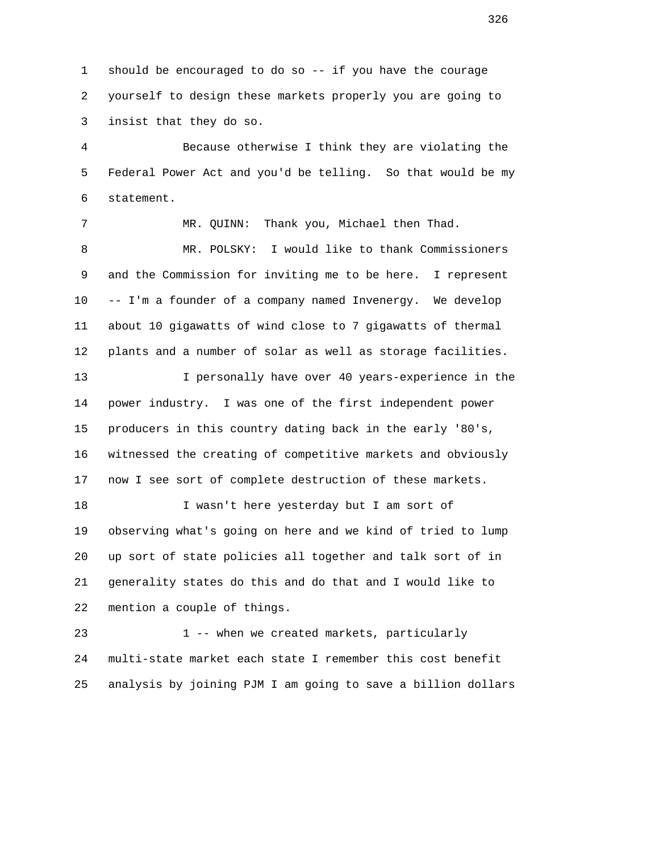1 should be encouraged to do so -- if you have the courage 2 yourself to design these markets properly you are going to 3 insist that they do so.

 4 Because otherwise I think they are violating the 5 Federal Power Act and you'd be telling. So that would be my 6 statement.

 7 MR. QUINN: Thank you, Michael then Thad. 8 MR. POLSKY: I would like to thank Commissioners 9 and the Commission for inviting me to be here. I represent 10 -- I'm a founder of a company named Invenergy. We develop 11 about 10 gigawatts of wind close to 7 gigawatts of thermal 12 plants and a number of solar as well as storage facilities. 13 I personally have over 40 years-experience in the 14 power industry. I was one of the first independent power 15 producers in this country dating back in the early '80's, 16 witnessed the creating of competitive markets and obviously

17 now I see sort of complete destruction of these markets.

 18 I wasn't here yesterday but I am sort of 19 observing what's going on here and we kind of tried to lump 20 up sort of state policies all together and talk sort of in 21 generality states do this and do that and I would like to 22 mention a couple of things.

23 1 -- when we created markets, particularly 24 multi-state market each state I remember this cost benefit 25 analysis by joining PJM I am going to save a billion dollars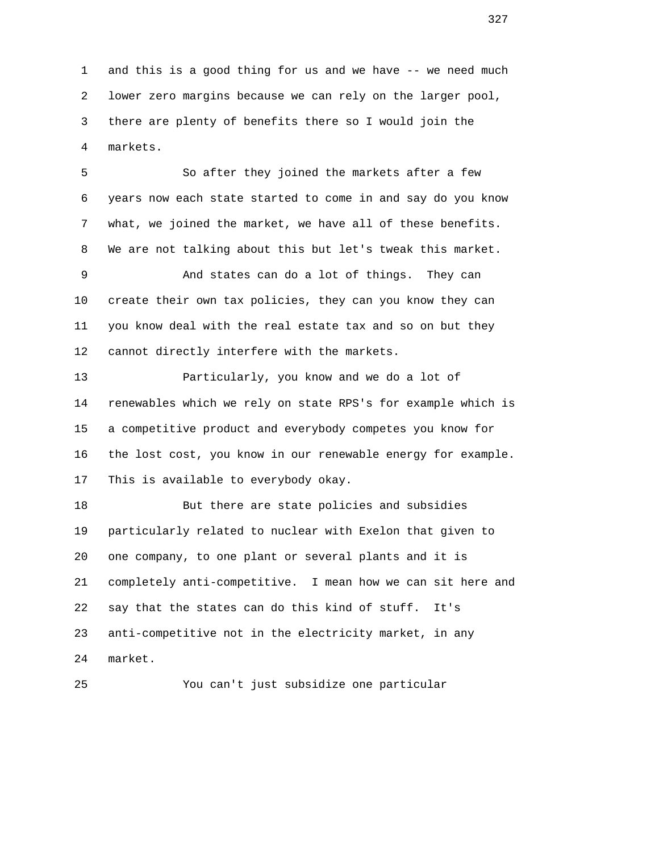1 and this is a good thing for us and we have -- we need much 2 lower zero margins because we can rely on the larger pool, 3 there are plenty of benefits there so I would join the 4 markets.

 5 So after they joined the markets after a few 6 years now each state started to come in and say do you know 7 what, we joined the market, we have all of these benefits. 8 We are not talking about this but let's tweak this market.

 9 And states can do a lot of things. They can 10 create their own tax policies, they can you know they can 11 you know deal with the real estate tax and so on but they 12 cannot directly interfere with the markets.

 13 Particularly, you know and we do a lot of 14 renewables which we rely on state RPS's for example which is 15 a competitive product and everybody competes you know for 16 the lost cost, you know in our renewable energy for example. 17 This is available to everybody okay.

 18 But there are state policies and subsidies 19 particularly related to nuclear with Exelon that given to 20 one company, to one plant or several plants and it is 21 completely anti-competitive. I mean how we can sit here and 22 say that the states can do this kind of stuff. It's 23 anti-competitive not in the electricity market, in any 24 market.

25 You can't just subsidize one particular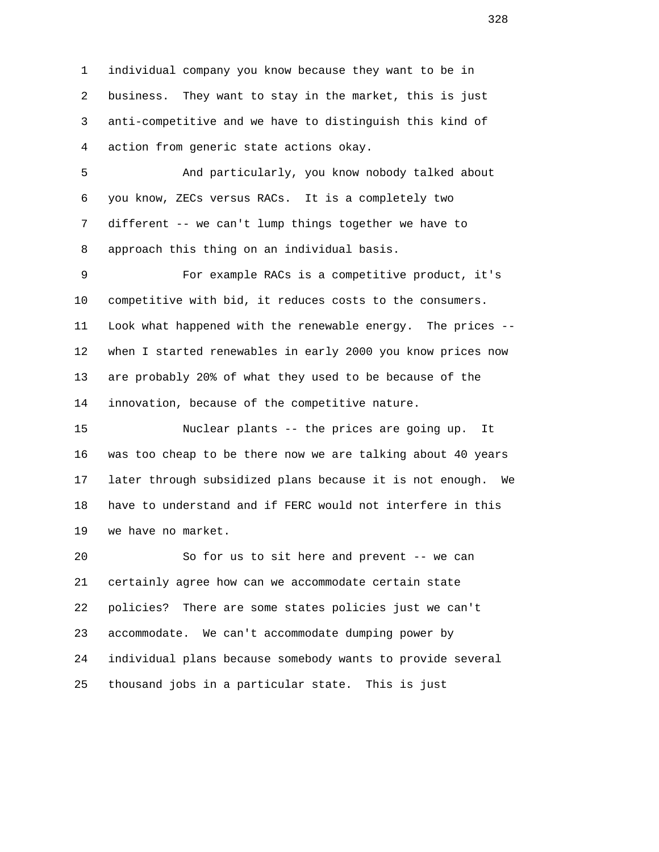1 individual company you know because they want to be in 2 business. They want to stay in the market, this is just 3 anti-competitive and we have to distinguish this kind of 4 action from generic state actions okay.

 5 And particularly, you know nobody talked about 6 you know, ZECs versus RACs. It is a completely two 7 different -- we can't lump things together we have to 8 approach this thing on an individual basis.

 9 For example RACs is a competitive product, it's 10 competitive with bid, it reduces costs to the consumers. 11 Look what happened with the renewable energy. The prices -- 12 when I started renewables in early 2000 you know prices now 13 are probably 20% of what they used to be because of the 14 innovation, because of the competitive nature.

 15 Nuclear plants -- the prices are going up. It 16 was too cheap to be there now we are talking about 40 years 17 later through subsidized plans because it is not enough. We 18 have to understand and if FERC would not interfere in this 19 we have no market.

 20 So for us to sit here and prevent -- we can 21 certainly agree how can we accommodate certain state 22 policies? There are some states policies just we can't 23 accommodate. We can't accommodate dumping power by 24 individual plans because somebody wants to provide several 25 thousand jobs in a particular state. This is just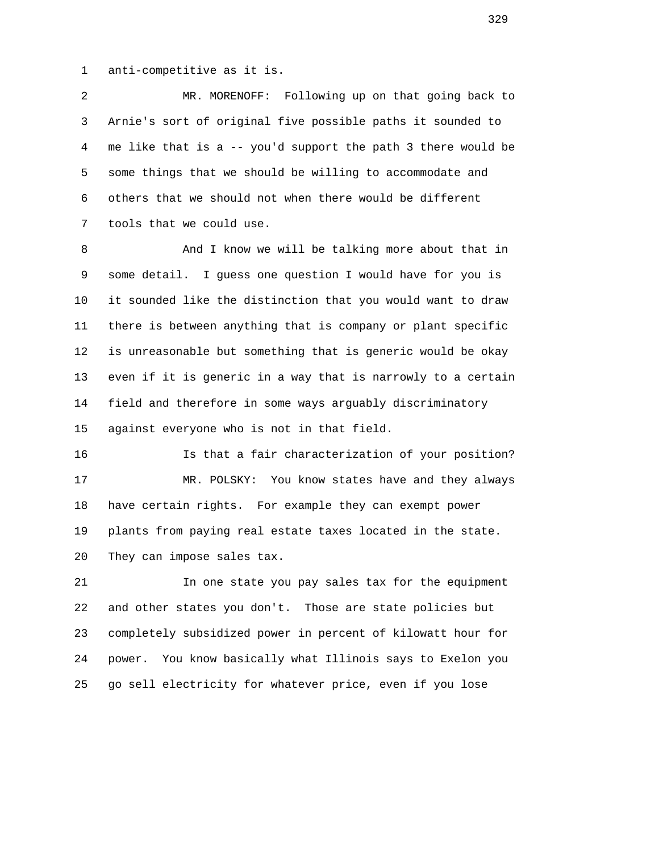1 anti-competitive as it is.

 2 MR. MORENOFF: Following up on that going back to 3 Arnie's sort of original five possible paths it sounded to 4 me like that is a -- you'd support the path 3 there would be 5 some things that we should be willing to accommodate and 6 others that we should not when there would be different 7 tools that we could use.

8 And I know we will be talking more about that in 9 some detail. I guess one question I would have for you is 10 it sounded like the distinction that you would want to draw 11 there is between anything that is company or plant specific 12 is unreasonable but something that is generic would be okay 13 even if it is generic in a way that is narrowly to a certain 14 field and therefore in some ways arguably discriminatory 15 against everyone who is not in that field.

 16 Is that a fair characterization of your position? 17 MR. POLSKY: You know states have and they always 18 have certain rights. For example they can exempt power 19 plants from paying real estate taxes located in the state. 20 They can impose sales tax.

 21 In one state you pay sales tax for the equipment 22 and other states you don't. Those are state policies but 23 completely subsidized power in percent of kilowatt hour for 24 power. You know basically what Illinois says to Exelon you 25 go sell electricity for whatever price, even if you lose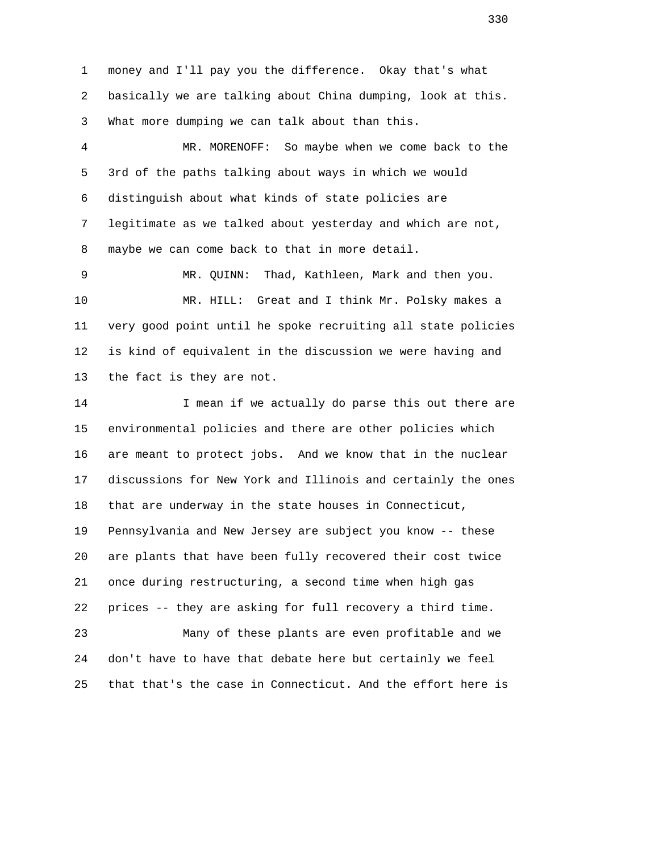1 money and I'll pay you the difference. Okay that's what 2 basically we are talking about China dumping, look at this. 3 What more dumping we can talk about than this.

 4 MR. MORENOFF: So maybe when we come back to the 5 3rd of the paths talking about ways in which we would 6 distinguish about what kinds of state policies are 7 legitimate as we talked about yesterday and which are not, 8 maybe we can come back to that in more detail.

 9 MR. QUINN: Thad, Kathleen, Mark and then you. 10 MR. HILL: Great and I think Mr. Polsky makes a 11 very good point until he spoke recruiting all state policies 12 is kind of equivalent in the discussion we were having and 13 the fact is they are not.

14 **I mean if we actually do parse this out there are**  15 environmental policies and there are other policies which 16 are meant to protect jobs. And we know that in the nuclear 17 discussions for New York and Illinois and certainly the ones 18 that are underway in the state houses in Connecticut, 19 Pennsylvania and New Jersey are subject you know -- these 20 are plants that have been fully recovered their cost twice 21 once during restructuring, a second time when high gas 22 prices -- they are asking for full recovery a third time. 23 Many of these plants are even profitable and we 24 don't have to have that debate here but certainly we feel 25 that that's the case in Connecticut. And the effort here is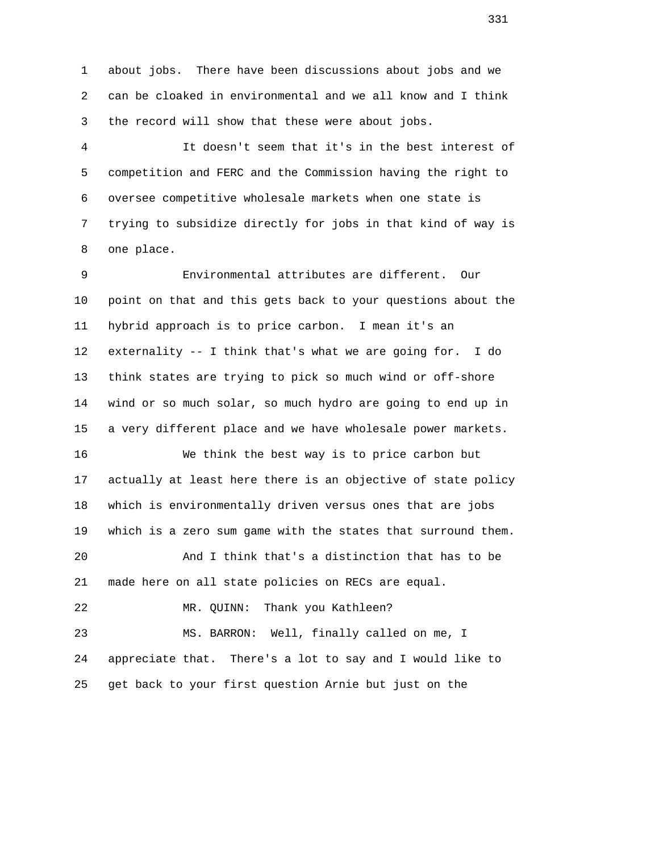1 about jobs. There have been discussions about jobs and we 2 can be cloaked in environmental and we all know and I think 3 the record will show that these were about jobs.

 4 It doesn't seem that it's in the best interest of 5 competition and FERC and the Commission having the right to 6 oversee competitive wholesale markets when one state is 7 trying to subsidize directly for jobs in that kind of way is 8 one place.

 9 Environmental attributes are different. Our 10 point on that and this gets back to your questions about the 11 hybrid approach is to price carbon. I mean it's an 12 externality -- I think that's what we are going for. I do 13 think states are trying to pick so much wind or off-shore 14 wind or so much solar, so much hydro are going to end up in 15 a very different place and we have wholesale power markets.

 16 We think the best way is to price carbon but 17 actually at least here there is an objective of state policy 18 which is environmentally driven versus ones that are jobs 19 which is a zero sum game with the states that surround them.

 20 And I think that's a distinction that has to be 21 made here on all state policies on RECs are equal.

22 MR. QUINN: Thank you Kathleen?

 23 MS. BARRON: Well, finally called on me, I 24 appreciate that. There's a lot to say and I would like to 25 get back to your first question Arnie but just on the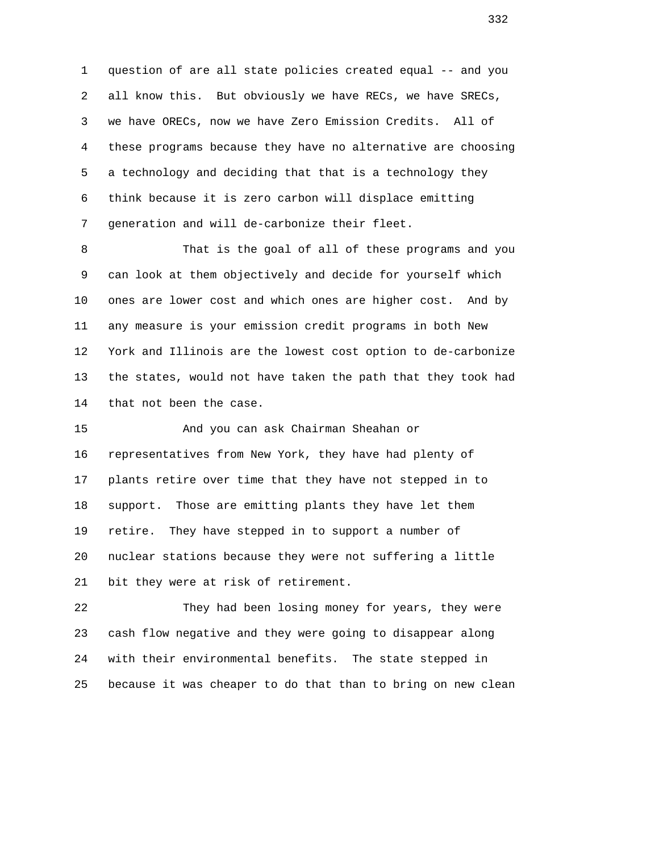1 question of are all state policies created equal -- and you 2 all know this. But obviously we have RECs, we have SRECs, 3 we have ORECs, now we have Zero Emission Credits. All of 4 these programs because they have no alternative are choosing 5 a technology and deciding that that is a technology they 6 think because it is zero carbon will displace emitting 7 generation and will de-carbonize their fleet.

 8 That is the goal of all of these programs and you 9 can look at them objectively and decide for yourself which 10 ones are lower cost and which ones are higher cost. And by 11 any measure is your emission credit programs in both New 12 York and Illinois are the lowest cost option to de-carbonize 13 the states, would not have taken the path that they took had 14 that not been the case.

 15 And you can ask Chairman Sheahan or 16 representatives from New York, they have had plenty of 17 plants retire over time that they have not stepped in to 18 support. Those are emitting plants they have let them 19 retire. They have stepped in to support a number of 20 nuclear stations because they were not suffering a little 21 bit they were at risk of retirement.

 22 They had been losing money for years, they were 23 cash flow negative and they were going to disappear along 24 with their environmental benefits. The state stepped in 25 because it was cheaper to do that than to bring on new clean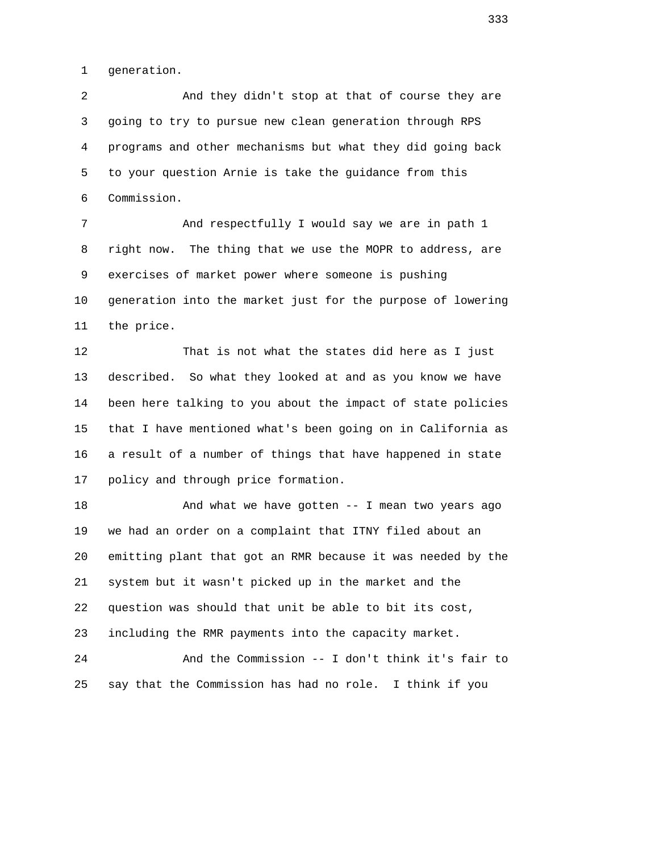1 generation.

 2 And they didn't stop at that of course they are 3 going to try to pursue new clean generation through RPS 4 programs and other mechanisms but what they did going back 5 to your question Arnie is take the guidance from this 6 Commission.

 7 And respectfully I would say we are in path 1 8 right now. The thing that we use the MOPR to address, are 9 exercises of market power where someone is pushing 10 generation into the market just for the purpose of lowering 11 the price.

 12 That is not what the states did here as I just 13 described. So what they looked at and as you know we have 14 been here talking to you about the impact of state policies 15 that I have mentioned what's been going on in California as 16 a result of a number of things that have happened in state 17 policy and through price formation.

18 And what we have gotten -- I mean two years ago 19 we had an order on a complaint that ITNY filed about an 20 emitting plant that got an RMR because it was needed by the 21 system but it wasn't picked up in the market and the 22 question was should that unit be able to bit its cost, 23 including the RMR payments into the capacity market.

 24 And the Commission -- I don't think it's fair to 25 say that the Commission has had no role. I think if you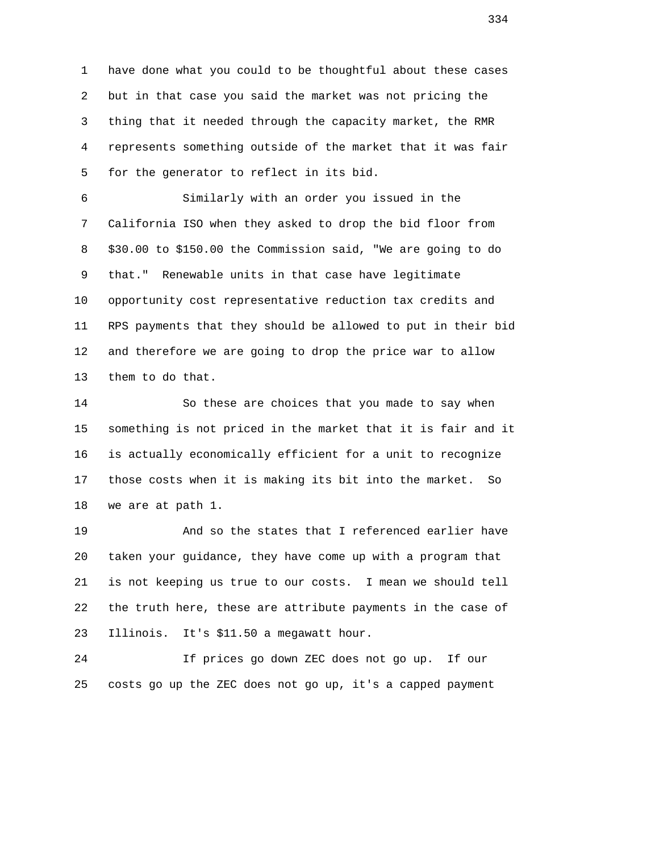1 have done what you could to be thoughtful about these cases 2 but in that case you said the market was not pricing the 3 thing that it needed through the capacity market, the RMR 4 represents something outside of the market that it was fair 5 for the generator to reflect in its bid.

 6 Similarly with an order you issued in the 7 California ISO when they asked to drop the bid floor from 8 \$30.00 to \$150.00 the Commission said, "We are going to do 9 that." Renewable units in that case have legitimate 10 opportunity cost representative reduction tax credits and 11 RPS payments that they should be allowed to put in their bid 12 and therefore we are going to drop the price war to allow 13 them to do that.

 14 So these are choices that you made to say when 15 something is not priced in the market that it is fair and it 16 is actually economically efficient for a unit to recognize 17 those costs when it is making its bit into the market. So 18 we are at path 1.

 19 And so the states that I referenced earlier have 20 taken your guidance, they have come up with a program that 21 is not keeping us true to our costs. I mean we should tell 22 the truth here, these are attribute payments in the case of 23 Illinois. It's \$11.50 a megawatt hour.

 24 If prices go down ZEC does not go up. If our 25 costs go up the ZEC does not go up, it's a capped payment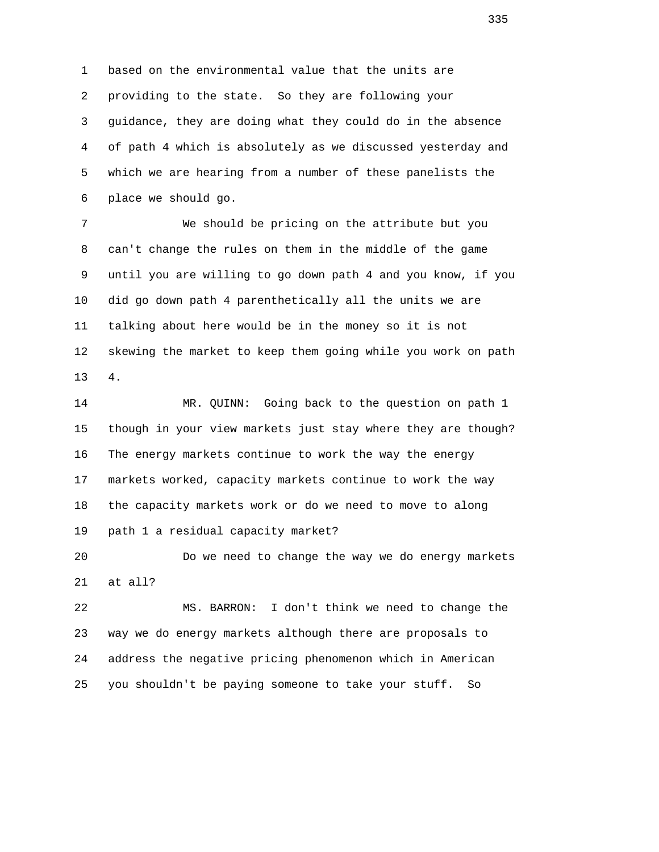1 based on the environmental value that the units are 2 providing to the state. So they are following your 3 guidance, they are doing what they could do in the absence 4 of path 4 which is absolutely as we discussed yesterday and 5 which we are hearing from a number of these panelists the 6 place we should go.

 7 We should be pricing on the attribute but you 8 can't change the rules on them in the middle of the game 9 until you are willing to go down path 4 and you know, if you 10 did go down path 4 parenthetically all the units we are 11 talking about here would be in the money so it is not 12 skewing the market to keep them going while you work on path 13 4.

 14 MR. QUINN: Going back to the question on path 1 15 though in your view markets just stay where they are though? 16 The energy markets continue to work the way the energy 17 markets worked, capacity markets continue to work the way 18 the capacity markets work or do we need to move to along 19 path 1 a residual capacity market?

 20 Do we need to change the way we do energy markets 21 at all?

 22 MS. BARRON: I don't think we need to change the 23 way we do energy markets although there are proposals to 24 address the negative pricing phenomenon which in American 25 you shouldn't be paying someone to take your stuff. So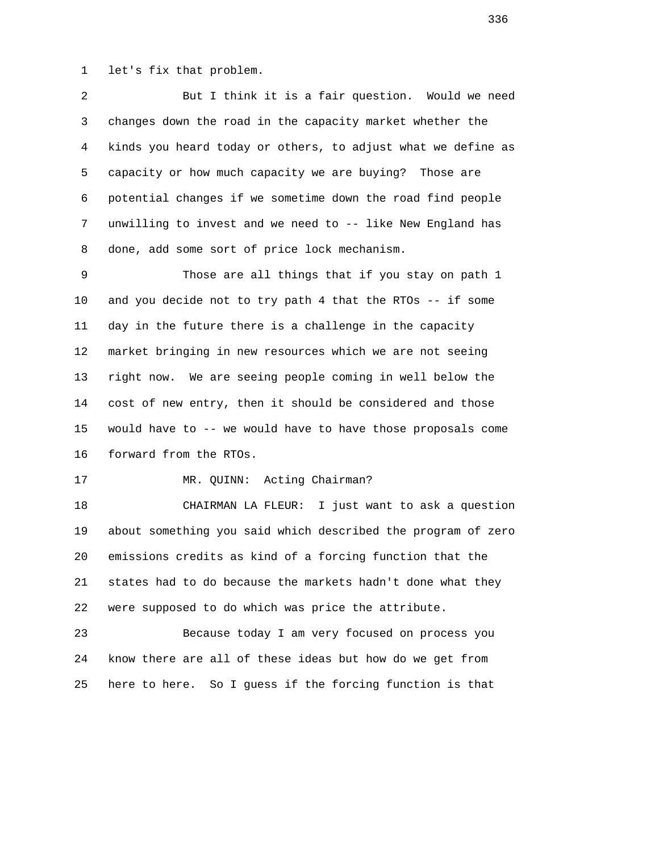1 let's fix that problem.

 2 But I think it is a fair question. Would we need 3 changes down the road in the capacity market whether the 4 kinds you heard today or others, to adjust what we define as 5 capacity or how much capacity we are buying? Those are 6 potential changes if we sometime down the road find people 7 unwilling to invest and we need to -- like New England has 8 done, add some sort of price lock mechanism.

 9 Those are all things that if you stay on path 1 10 and you decide not to try path 4 that the RTOs -- if some 11 day in the future there is a challenge in the capacity 12 market bringing in new resources which we are not seeing 13 right now. We are seeing people coming in well below the 14 cost of new entry, then it should be considered and those 15 would have to -- we would have to have those proposals come 16 forward from the RTOs.

## 17 MR. QUINN: Acting Chairman?

 18 CHAIRMAN LA FLEUR: I just want to ask a question 19 about something you said which described the program of zero 20 emissions credits as kind of a forcing function that the 21 states had to do because the markets hadn't done what they 22 were supposed to do which was price the attribute.

 23 Because today I am very focused on process you 24 know there are all of these ideas but how do we get from 25 here to here. So I guess if the forcing function is that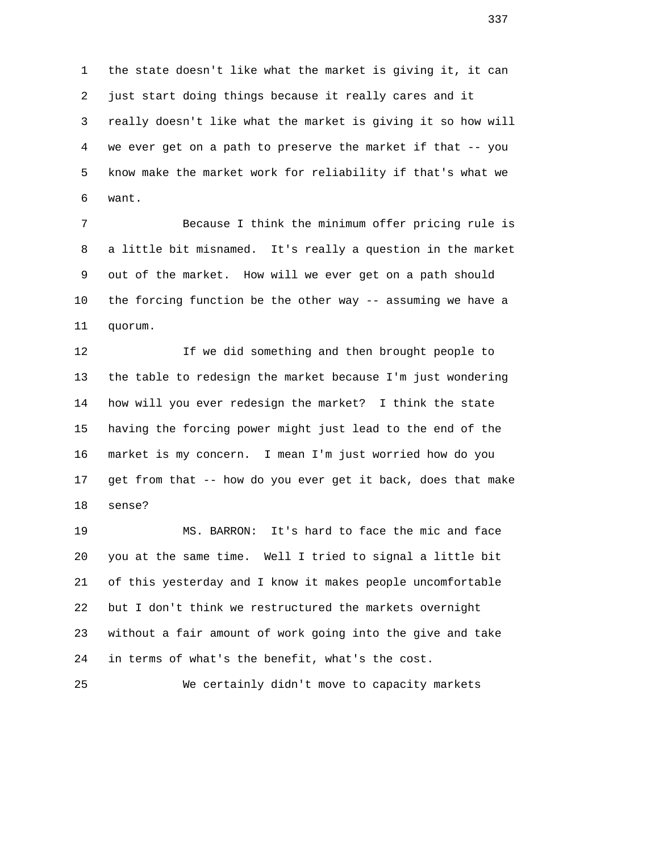1 the state doesn't like what the market is giving it, it can 2 just start doing things because it really cares and it 3 really doesn't like what the market is giving it so how will 4 we ever get on a path to preserve the market if that -- you 5 know make the market work for reliability if that's what we 6 want.

 7 Because I think the minimum offer pricing rule is 8 a little bit misnamed. It's really a question in the market 9 out of the market. How will we ever get on a path should 10 the forcing function be the other way -- assuming we have a 11 quorum.

 12 If we did something and then brought people to 13 the table to redesign the market because I'm just wondering 14 how will you ever redesign the market? I think the state 15 having the forcing power might just lead to the end of the 16 market is my concern. I mean I'm just worried how do you 17 get from that -- how do you ever get it back, does that make 18 sense?

 19 MS. BARRON: It's hard to face the mic and face 20 you at the same time. Well I tried to signal a little bit 21 of this yesterday and I know it makes people uncomfortable 22 but I don't think we restructured the markets overnight 23 without a fair amount of work going into the give and take 24 in terms of what's the benefit, what's the cost.

25 We certainly didn't move to capacity markets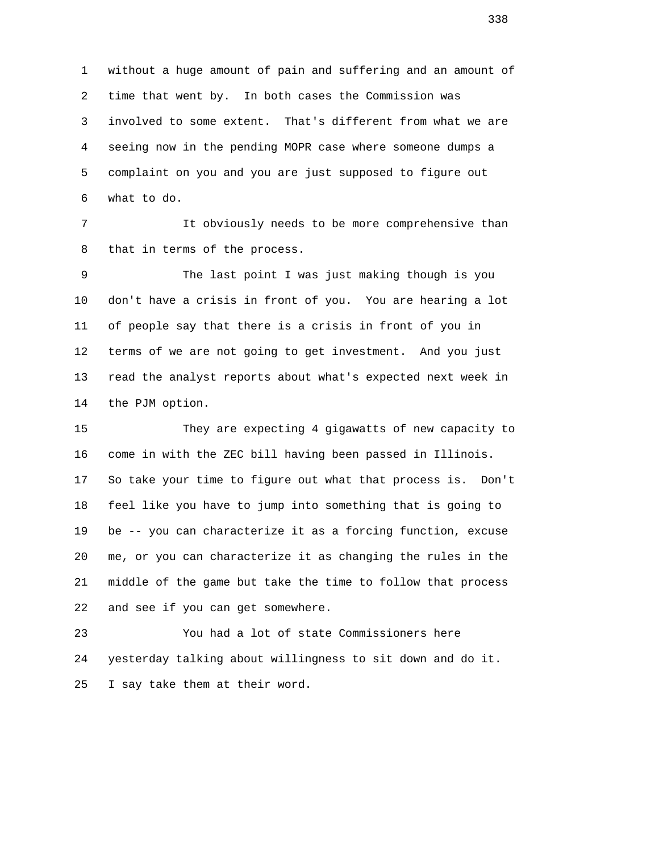1 without a huge amount of pain and suffering and an amount of 2 time that went by. In both cases the Commission was 3 involved to some extent. That's different from what we are 4 seeing now in the pending MOPR case where someone dumps a 5 complaint on you and you are just supposed to figure out 6 what to do.

 7 It obviously needs to be more comprehensive than 8 that in terms of the process.

 9 The last point I was just making though is you 10 don't have a crisis in front of you. You are hearing a lot 11 of people say that there is a crisis in front of you in 12 terms of we are not going to get investment. And you just 13 read the analyst reports about what's expected next week in 14 the PJM option.

 15 They are expecting 4 gigawatts of new capacity to 16 come in with the ZEC bill having been passed in Illinois. 17 So take your time to figure out what that process is. Don't 18 feel like you have to jump into something that is going to 19 be -- you can characterize it as a forcing function, excuse 20 me, or you can characterize it as changing the rules in the 21 middle of the game but take the time to follow that process 22 and see if you can get somewhere.

 23 You had a lot of state Commissioners here 24 yesterday talking about willingness to sit down and do it. 25 I say take them at their word.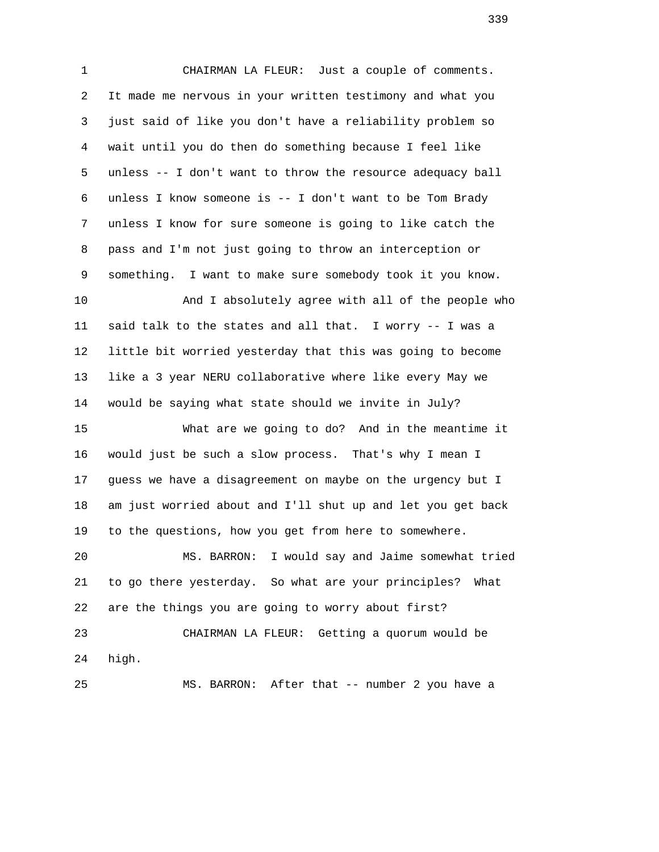1 CHAIRMAN LA FLEUR: Just a couple of comments. 2 It made me nervous in your written testimony and what you 3 just said of like you don't have a reliability problem so 4 wait until you do then do something because I feel like 5 unless -- I don't want to throw the resource adequacy ball 6 unless I know someone is -- I don't want to be Tom Brady 7 unless I know for sure someone is going to like catch the 8 pass and I'm not just going to throw an interception or 9 something. I want to make sure somebody took it you know. 10 And I absolutely agree with all of the people who 11 said talk to the states and all that. I worry -- I was a 12 little bit worried yesterday that this was going to become 13 like a 3 year NERU collaborative where like every May we 14 would be saying what state should we invite in July? 15 What are we going to do? And in the meantime it 16 would just be such a slow process. That's why I mean I 17 guess we have a disagreement on maybe on the urgency but I 18 am just worried about and I'll shut up and let you get back

19 to the questions, how you get from here to somewhere.

 20 MS. BARRON: I would say and Jaime somewhat tried 21 to go there yesterday. So what are your principles? What 22 are the things you are going to worry about first?

 23 CHAIRMAN LA FLEUR: Getting a quorum would be 24 high.

25 MS. BARRON: After that -- number 2 you have a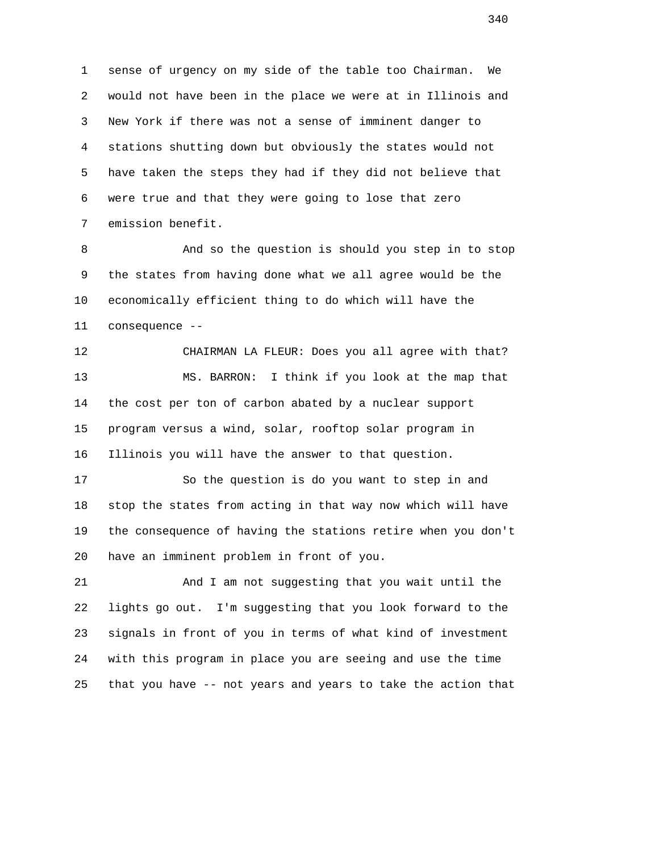1 sense of urgency on my side of the table too Chairman. We 2 would not have been in the place we were at in Illinois and 3 New York if there was not a sense of imminent danger to 4 stations shutting down but obviously the states would not 5 have taken the steps they had if they did not believe that 6 were true and that they were going to lose that zero 7 emission benefit.

 8 And so the question is should you step in to stop 9 the states from having done what we all agree would be the 10 economically efficient thing to do which will have the 11 consequence --

 12 CHAIRMAN LA FLEUR: Does you all agree with that? 13 MS. BARRON: I think if you look at the map that 14 the cost per ton of carbon abated by a nuclear support 15 program versus a wind, solar, rooftop solar program in 16 Illinois you will have the answer to that question.

 17 So the question is do you want to step in and 18 stop the states from acting in that way now which will have 19 the consequence of having the stations retire when you don't 20 have an imminent problem in front of you.

 21 And I am not suggesting that you wait until the 22 lights go out. I'm suggesting that you look forward to the 23 signals in front of you in terms of what kind of investment 24 with this program in place you are seeing and use the time 25 that you have -- not years and years to take the action that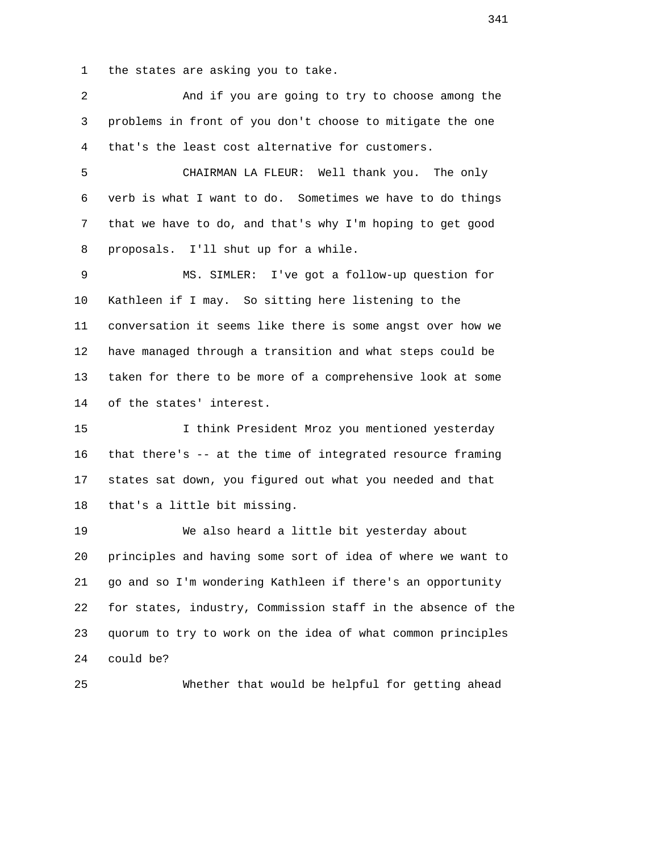1 the states are asking you to take.

 2 And if you are going to try to choose among the 3 problems in front of you don't choose to mitigate the one 4 that's the least cost alternative for customers. 5 CHAIRMAN LA FLEUR: Well thank you. The only 6 verb is what I want to do. Sometimes we have to do things 7 that we have to do, and that's why I'm hoping to get good 8 proposals. I'll shut up for a while. 9 MS. SIMLER: I've got a follow-up question for 10 Kathleen if I may. So sitting here listening to the 11 conversation it seems like there is some angst over how we 12 have managed through a transition and what steps could be 13 taken for there to be more of a comprehensive look at some 14 of the states' interest. 15 I think President Mroz you mentioned yesterday 16 that there's -- at the time of integrated resource framing 17 states sat down, you figured out what you needed and that 18 that's a little bit missing. 19 We also heard a little bit yesterday about 20 principles and having some sort of idea of where we want to 21 go and so I'm wondering Kathleen if there's an opportunity 22 for states, industry, Commission staff in the absence of the 23 quorum to try to work on the idea of what common principles 24 could be? 25 Whether that would be helpful for getting ahead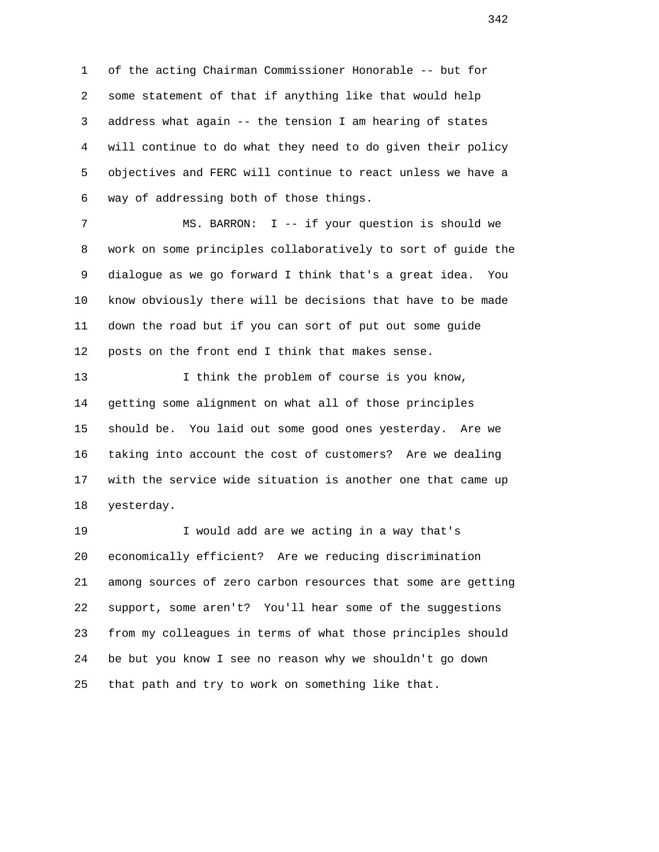1 of the acting Chairman Commissioner Honorable -- but for 2 some statement of that if anything like that would help 3 address what again -- the tension I am hearing of states 4 will continue to do what they need to do given their policy 5 objectives and FERC will continue to react unless we have a 6 way of addressing both of those things.

 7 MS. BARRON: I -- if your question is should we 8 work on some principles collaboratively to sort of guide the 9 dialogue as we go forward I think that's a great idea. You 10 know obviously there will be decisions that have to be made 11 down the road but if you can sort of put out some guide 12 posts on the front end I think that makes sense.

 13 I think the problem of course is you know, 14 getting some alignment on what all of those principles 15 should be. You laid out some good ones yesterday. Are we 16 taking into account the cost of customers? Are we dealing 17 with the service wide situation is another one that came up 18 yesterday.

 19 I would add are we acting in a way that's 20 economically efficient? Are we reducing discrimination 21 among sources of zero carbon resources that some are getting 22 support, some aren't? You'll hear some of the suggestions 23 from my colleagues in terms of what those principles should 24 be but you know I see no reason why we shouldn't go down 25 that path and try to work on something like that.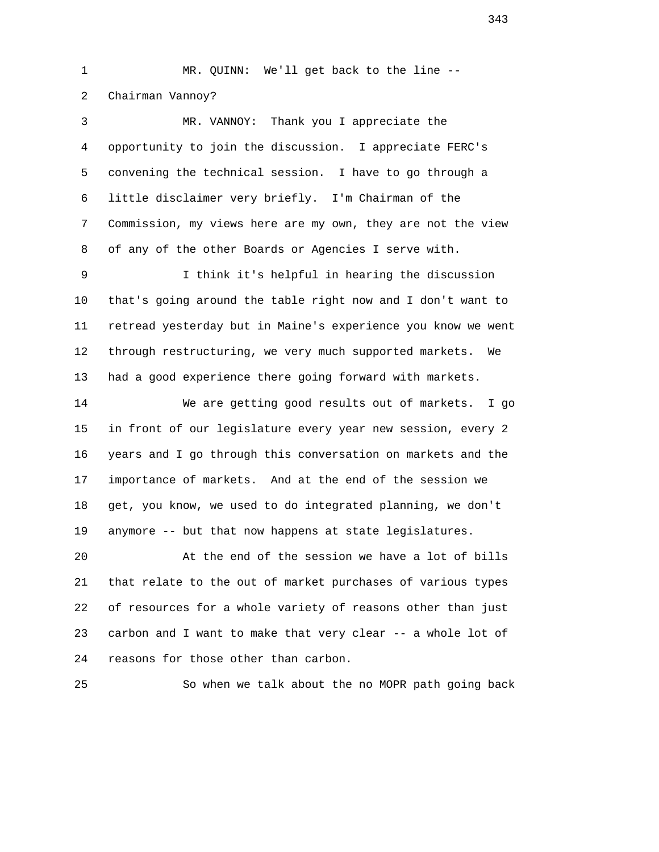1 MR. QUINN: We'll get back to the line -- 2 Chairman Vannoy?

 3 MR. VANNOY: Thank you I appreciate the 4 opportunity to join the discussion. I appreciate FERC's 5 convening the technical session. I have to go through a 6 little disclaimer very briefly. I'm Chairman of the 7 Commission, my views here are my own, they are not the view 8 of any of the other Boards or Agencies I serve with.

 9 I think it's helpful in hearing the discussion 10 that's going around the table right now and I don't want to 11 retread yesterday but in Maine's experience you know we went 12 through restructuring, we very much supported markets. We 13 had a good experience there going forward with markets.

 14 We are getting good results out of markets. I go 15 in front of our legislature every year new session, every 2 16 years and I go through this conversation on markets and the 17 importance of markets. And at the end of the session we 18 get, you know, we used to do integrated planning, we don't 19 anymore -- but that now happens at state legislatures.

 20 At the end of the session we have a lot of bills 21 that relate to the out of market purchases of various types 22 of resources for a whole variety of reasons other than just 23 carbon and I want to make that very clear -- a whole lot of 24 reasons for those other than carbon.

25 So when we talk about the no MOPR path going back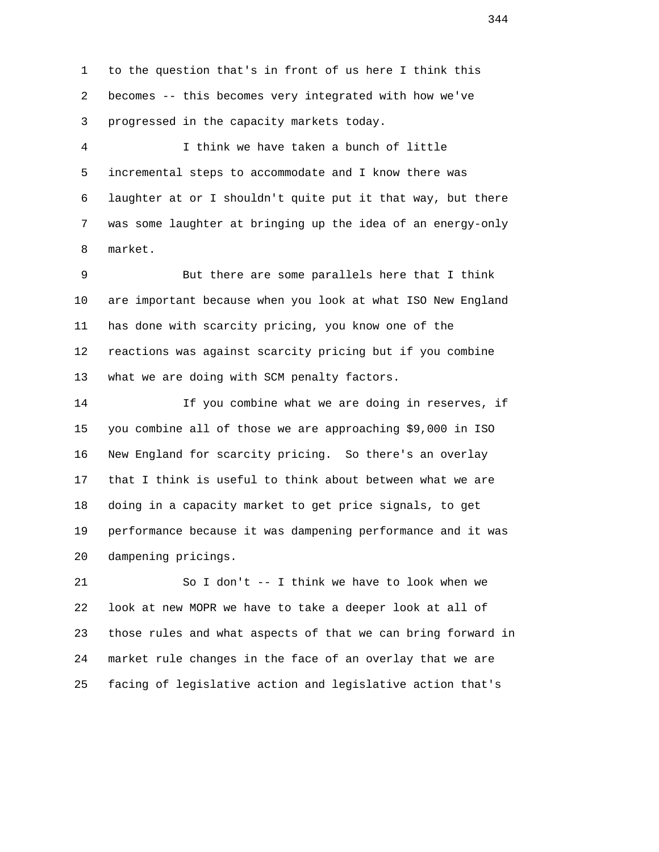1 to the question that's in front of us here I think this 2 becomes -- this becomes very integrated with how we've 3 progressed in the capacity markets today.

 4 I think we have taken a bunch of little 5 incremental steps to accommodate and I know there was 6 laughter at or I shouldn't quite put it that way, but there 7 was some laughter at bringing up the idea of an energy-only 8 market.

 9 But there are some parallels here that I think 10 are important because when you look at what ISO New England 11 has done with scarcity pricing, you know one of the 12 reactions was against scarcity pricing but if you combine 13 what we are doing with SCM penalty factors.

 14 If you combine what we are doing in reserves, if 15 you combine all of those we are approaching \$9,000 in ISO 16 New England for scarcity pricing. So there's an overlay 17 that I think is useful to think about between what we are 18 doing in a capacity market to get price signals, to get 19 performance because it was dampening performance and it was 20 dampening pricings.

 21 So I don't -- I think we have to look when we 22 look at new MOPR we have to take a deeper look at all of 23 those rules and what aspects of that we can bring forward in 24 market rule changes in the face of an overlay that we are 25 facing of legislative action and legislative action that's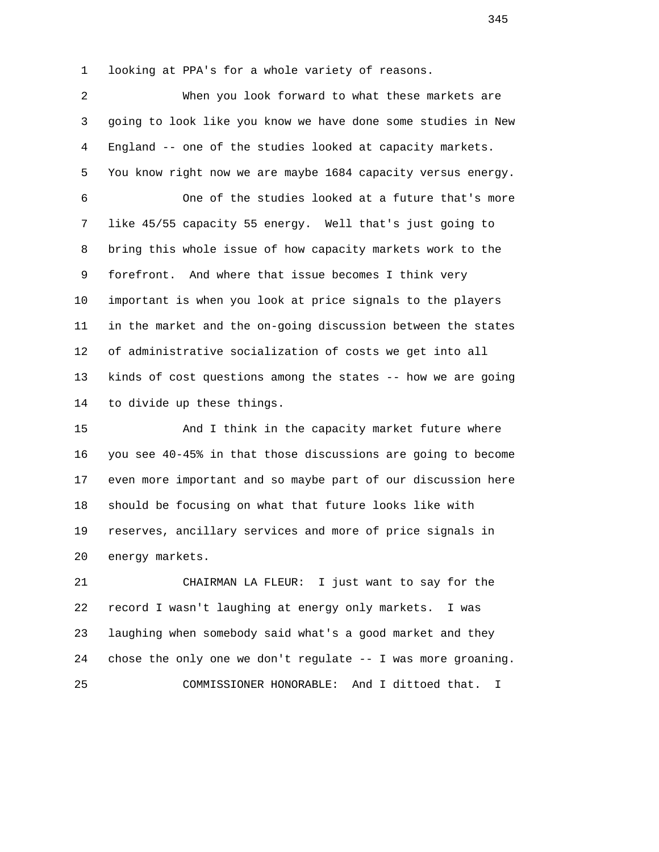1 looking at PPA's for a whole variety of reasons.

 2 When you look forward to what these markets are 3 going to look like you know we have done some studies in New 4 England -- one of the studies looked at capacity markets. 5 You know right now we are maybe 1684 capacity versus energy. 6 One of the studies looked at a future that's more 7 like 45/55 capacity 55 energy. Well that's just going to 8 bring this whole issue of how capacity markets work to the 9 forefront. And where that issue becomes I think very 10 important is when you look at price signals to the players 11 in the market and the on-going discussion between the states 12 of administrative socialization of costs we get into all 13 kinds of cost questions among the states -- how we are going 14 to divide up these things.

 15 And I think in the capacity market future where 16 you see 40-45% in that those discussions are going to become 17 even more important and so maybe part of our discussion here 18 should be focusing on what that future looks like with 19 reserves, ancillary services and more of price signals in 20 energy markets.

 21 CHAIRMAN LA FLEUR: I just want to say for the 22 record I wasn't laughing at energy only markets. I was 23 laughing when somebody said what's a good market and they 24 chose the only one we don't regulate -- I was more groaning. 25 COMMISSIONER HONORABLE: And I dittoed that. I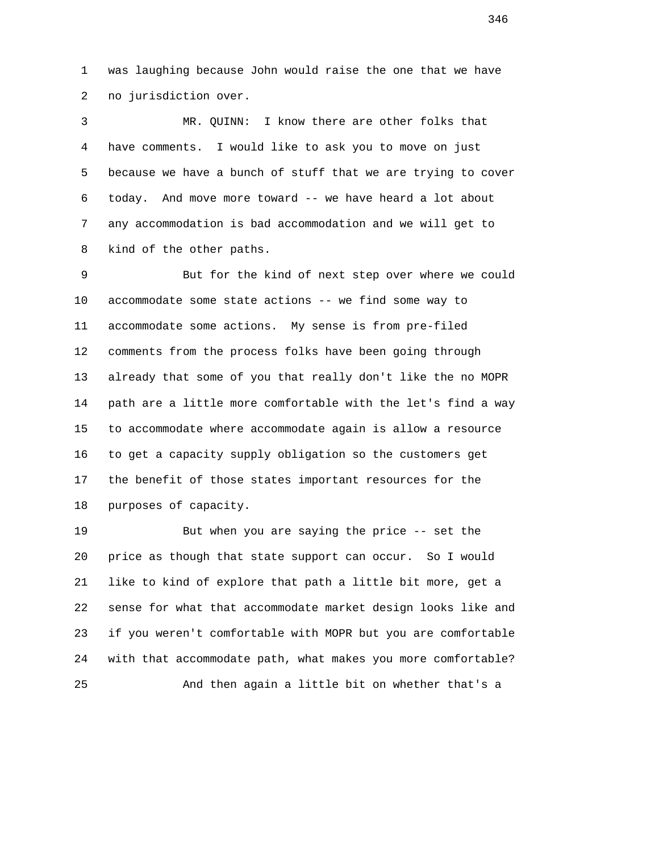1 was laughing because John would raise the one that we have 2 no jurisdiction over.

 3 MR. QUINN: I know there are other folks that 4 have comments. I would like to ask you to move on just 5 because we have a bunch of stuff that we are trying to cover 6 today. And move more toward -- we have heard a lot about 7 any accommodation is bad accommodation and we will get to 8 kind of the other paths.

 9 But for the kind of next step over where we could 10 accommodate some state actions -- we find some way to 11 accommodate some actions. My sense is from pre-filed 12 comments from the process folks have been going through 13 already that some of you that really don't like the no MOPR 14 path are a little more comfortable with the let's find a way 15 to accommodate where accommodate again is allow a resource 16 to get a capacity supply obligation so the customers get 17 the benefit of those states important resources for the 18 purposes of capacity.

 19 But when you are saying the price -- set the 20 price as though that state support can occur. So I would 21 like to kind of explore that path a little bit more, get a 22 sense for what that accommodate market design looks like and 23 if you weren't comfortable with MOPR but you are comfortable 24 with that accommodate path, what makes you more comfortable? 25 And then again a little bit on whether that's a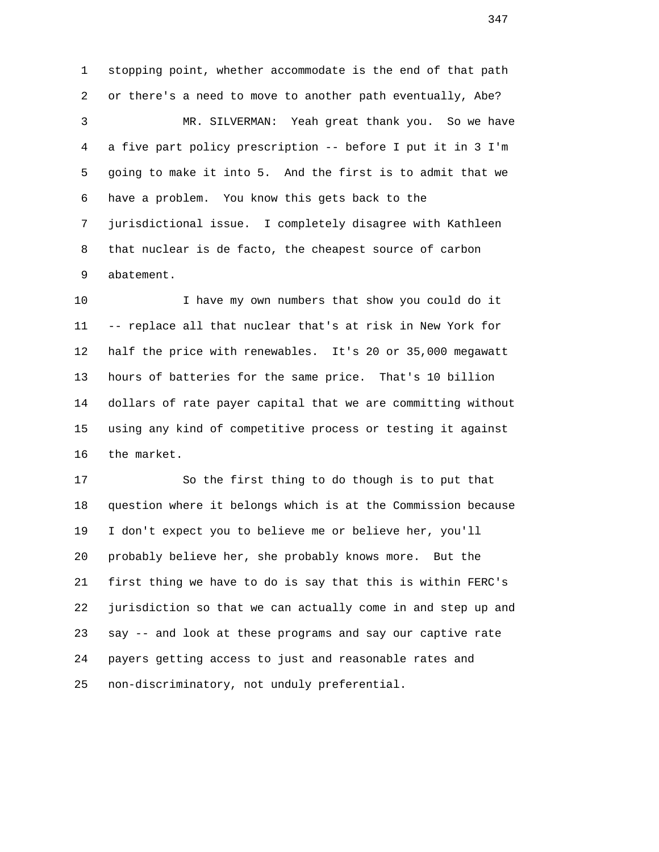1 stopping point, whether accommodate is the end of that path 2 or there's a need to move to another path eventually, Abe? 3 MR. SILVERMAN: Yeah great thank you. So we have 4 a five part policy prescription -- before I put it in 3 I'm 5 going to make it into 5. And the first is to admit that we 6 have a problem. You know this gets back to the 7 jurisdictional issue. I completely disagree with Kathleen 8 that nuclear is de facto, the cheapest source of carbon 9 abatement.

 10 I have my own numbers that show you could do it 11 -- replace all that nuclear that's at risk in New York for 12 half the price with renewables. It's 20 or 35,000 megawatt 13 hours of batteries for the same price. That's 10 billion 14 dollars of rate payer capital that we are committing without 15 using any kind of competitive process or testing it against 16 the market.

 17 So the first thing to do though is to put that 18 question where it belongs which is at the Commission because 19 I don't expect you to believe me or believe her, you'll 20 probably believe her, she probably knows more. But the 21 first thing we have to do is say that this is within FERC's 22 jurisdiction so that we can actually come in and step up and 23 say -- and look at these programs and say our captive rate 24 payers getting access to just and reasonable rates and 25 non-discriminatory, not unduly preferential.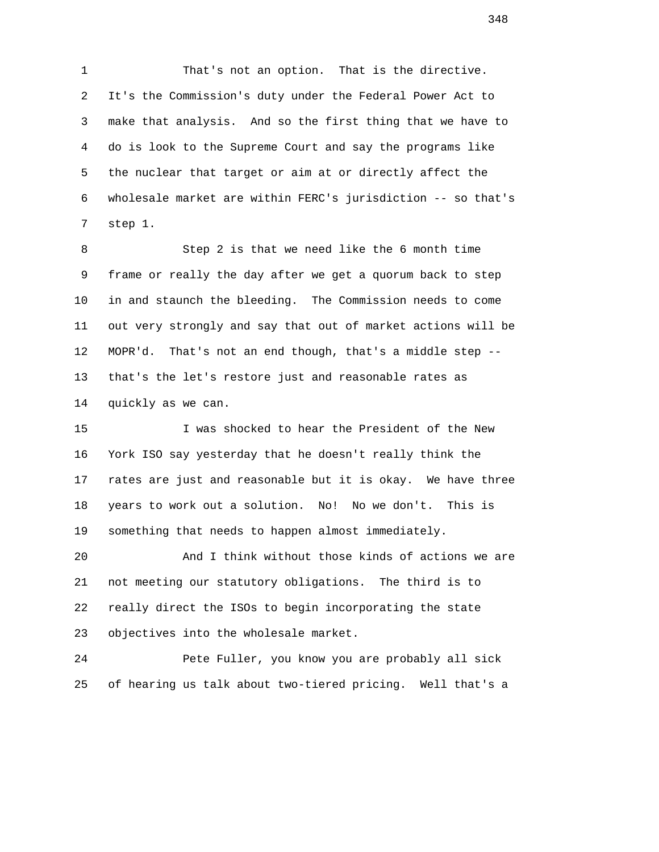1 That's not an option. That is the directive. 2 It's the Commission's duty under the Federal Power Act to 3 make that analysis. And so the first thing that we have to 4 do is look to the Supreme Court and say the programs like 5 the nuclear that target or aim at or directly affect the 6 wholesale market are within FERC's jurisdiction -- so that's 7 step 1.

 8 Step 2 is that we need like the 6 month time 9 frame or really the day after we get a quorum back to step 10 in and staunch the bleeding. The Commission needs to come 11 out very strongly and say that out of market actions will be 12 MOPR'd. That's not an end though, that's a middle step -- 13 that's the let's restore just and reasonable rates as 14 quickly as we can.

 15 I was shocked to hear the President of the New 16 York ISO say yesterday that he doesn't really think the 17 rates are just and reasonable but it is okay. We have three 18 years to work out a solution. No! No we don't. This is 19 something that needs to happen almost immediately.

 20 And I think without those kinds of actions we are 21 not meeting our statutory obligations. The third is to 22 really direct the ISOs to begin incorporating the state 23 objectives into the wholesale market.

 24 Pete Fuller, you know you are probably all sick 25 of hearing us talk about two-tiered pricing. Well that's a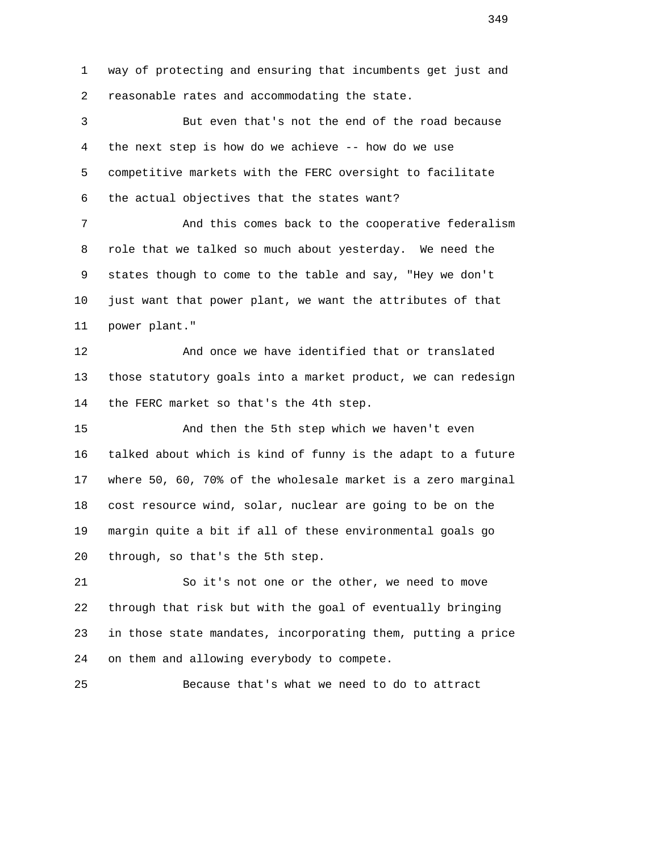1 way of protecting and ensuring that incumbents get just and 2 reasonable rates and accommodating the state.

 3 But even that's not the end of the road because 4 the next step is how do we achieve -- how do we use 5 competitive markets with the FERC oversight to facilitate 6 the actual objectives that the states want?

 7 And this comes back to the cooperative federalism 8 role that we talked so much about yesterday. We need the 9 states though to come to the table and say, "Hey we don't 10 just want that power plant, we want the attributes of that 11 power plant."

 12 And once we have identified that or translated 13 those statutory goals into a market product, we can redesign 14 the FERC market so that's the 4th step.

 15 And then the 5th step which we haven't even 16 talked about which is kind of funny is the adapt to a future 17 where 50, 60, 70% of the wholesale market is a zero marginal 18 cost resource wind, solar, nuclear are going to be on the 19 margin quite a bit if all of these environmental goals go 20 through, so that's the 5th step.

 21 So it's not one or the other, we need to move 22 through that risk but with the goal of eventually bringing 23 in those state mandates, incorporating them, putting a price 24 on them and allowing everybody to compete.

25 Because that's what we need to do to attract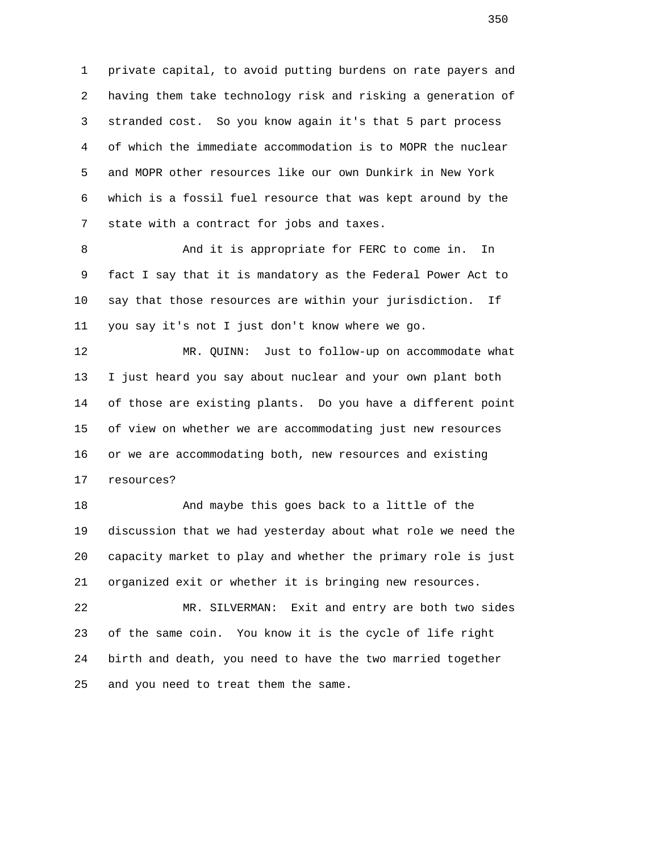1 private capital, to avoid putting burdens on rate payers and 2 having them take technology risk and risking a generation of 3 stranded cost. So you know again it's that 5 part process 4 of which the immediate accommodation is to MOPR the nuclear 5 and MOPR other resources like our own Dunkirk in New York 6 which is a fossil fuel resource that was kept around by the 7 state with a contract for jobs and taxes.

 8 And it is appropriate for FERC to come in. In 9 fact I say that it is mandatory as the Federal Power Act to 10 say that those resources are within your jurisdiction. If 11 you say it's not I just don't know where we go.

 12 MR. QUINN: Just to follow-up on accommodate what 13 I just heard you say about nuclear and your own plant both 14 of those are existing plants. Do you have a different point 15 of view on whether we are accommodating just new resources 16 or we are accommodating both, new resources and existing 17 resources?

18 And maybe this goes back to a little of the 19 discussion that we had yesterday about what role we need the 20 capacity market to play and whether the primary role is just 21 organized exit or whether it is bringing new resources.

 22 MR. SILVERMAN: Exit and entry are both two sides 23 of the same coin. You know it is the cycle of life right 24 birth and death, you need to have the two married together 25 and you need to treat them the same.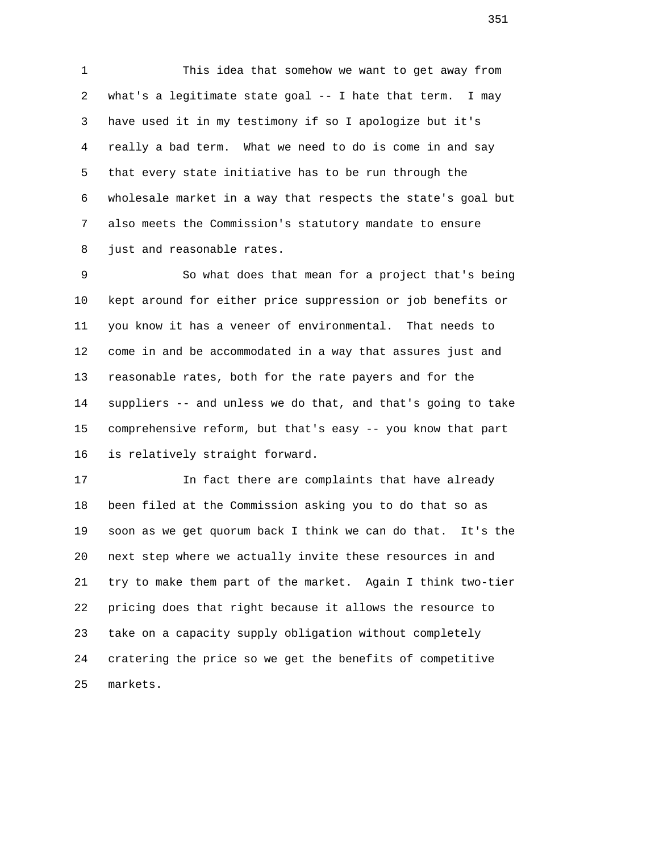1 This idea that somehow we want to get away from 2 what's a legitimate state goal -- I hate that term. I may 3 have used it in my testimony if so I apologize but it's 4 really a bad term. What we need to do is come in and say 5 that every state initiative has to be run through the 6 wholesale market in a way that respects the state's goal but 7 also meets the Commission's statutory mandate to ensure 8 just and reasonable rates.

 9 So what does that mean for a project that's being 10 kept around for either price suppression or job benefits or 11 you know it has a veneer of environmental. That needs to 12 come in and be accommodated in a way that assures just and 13 reasonable rates, both for the rate payers and for the 14 suppliers -- and unless we do that, and that's going to take 15 comprehensive reform, but that's easy -- you know that part 16 is relatively straight forward.

 17 In fact there are complaints that have already 18 been filed at the Commission asking you to do that so as 19 soon as we get quorum back I think we can do that. It's the 20 next step where we actually invite these resources in and 21 try to make them part of the market. Again I think two-tier 22 pricing does that right because it allows the resource to 23 take on a capacity supply obligation without completely 24 cratering the price so we get the benefits of competitive 25 markets.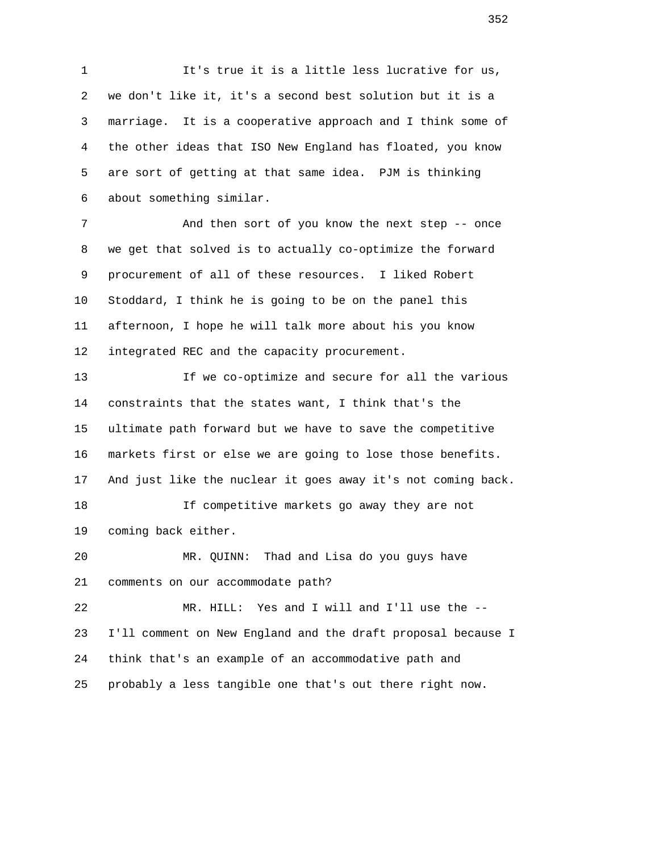1 It's true it is a little less lucrative for us, 2 we don't like it, it's a second best solution but it is a 3 marriage. It is a cooperative approach and I think some of 4 the other ideas that ISO New England has floated, you know 5 are sort of getting at that same idea. PJM is thinking 6 about something similar.

 7 And then sort of you know the next step -- once 8 we get that solved is to actually co-optimize the forward 9 procurement of all of these resources. I liked Robert 10 Stoddard, I think he is going to be on the panel this 11 afternoon, I hope he will talk more about his you know 12 integrated REC and the capacity procurement.

 13 If we co-optimize and secure for all the various 14 constraints that the states want, I think that's the 15 ultimate path forward but we have to save the competitive 16 markets first or else we are going to lose those benefits. 17 And just like the nuclear it goes away it's not coming back. 18 If competitive markets go away they are not 19 coming back either. 20 MR. QUINN: Thad and Lisa do you guys have 21 comments on our accommodate path? 22 MR. HILL: Yes and I will and I'll use the -- 23 I'll comment on New England and the draft proposal because I

 24 think that's an example of an accommodative path and 25 probably a less tangible one that's out there right now.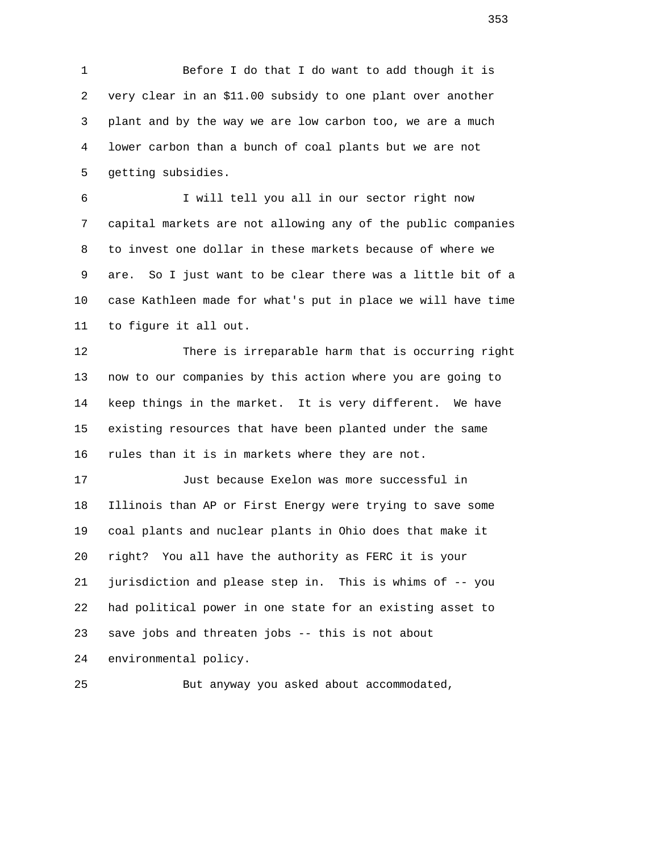1 Before I do that I do want to add though it is 2 very clear in an \$11.00 subsidy to one plant over another 3 plant and by the way we are low carbon too, we are a much 4 lower carbon than a bunch of coal plants but we are not 5 getting subsidies.

 6 I will tell you all in our sector right now 7 capital markets are not allowing any of the public companies 8 to invest one dollar in these markets because of where we 9 are. So I just want to be clear there was a little bit of a 10 case Kathleen made for what's put in place we will have time 11 to figure it all out.

 12 There is irreparable harm that is occurring right 13 now to our companies by this action where you are going to 14 keep things in the market. It is very different. We have 15 existing resources that have been planted under the same 16 rules than it is in markets where they are not.

 17 Just because Exelon was more successful in 18 Illinois than AP or First Energy were trying to save some 19 coal plants and nuclear plants in Ohio does that make it 20 right? You all have the authority as FERC it is your 21 jurisdiction and please step in. This is whims of -- you 22 had political power in one state for an existing asset to 23 save jobs and threaten jobs -- this is not about 24 environmental policy.

25 But anyway you asked about accommodated,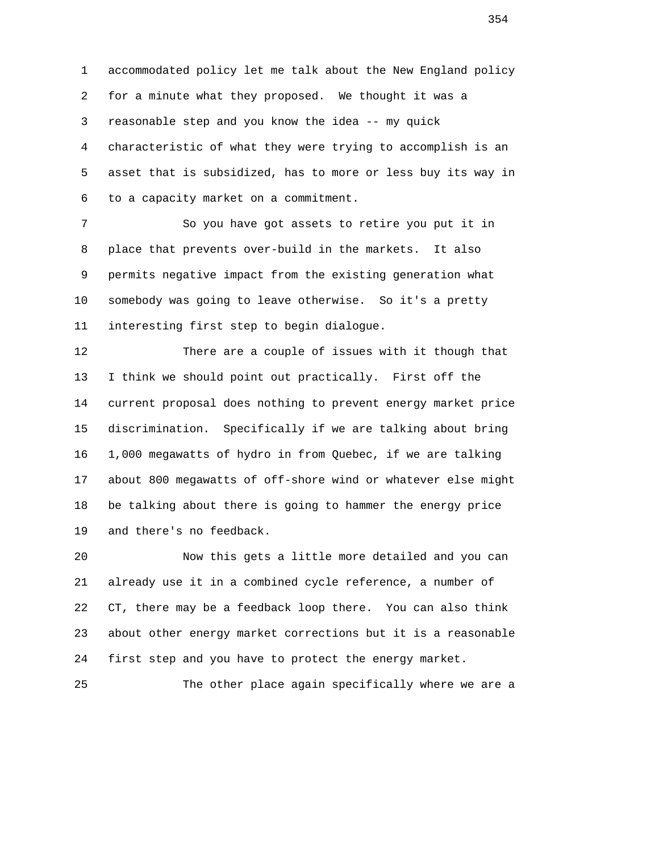1 accommodated policy let me talk about the New England policy 2 for a minute what they proposed. We thought it was a 3 reasonable step and you know the idea -- my quick 4 characteristic of what they were trying to accomplish is an 5 asset that is subsidized, has to more or less buy its way in 6 to a capacity market on a commitment.

 7 So you have got assets to retire you put it in 8 place that prevents over-build in the markets. It also 9 permits negative impact from the existing generation what 10 somebody was going to leave otherwise. So it's a pretty 11 interesting first step to begin dialogue.

 12 There are a couple of issues with it though that 13 I think we should point out practically. First off the 14 current proposal does nothing to prevent energy market price 15 discrimination. Specifically if we are talking about bring 16 1,000 megawatts of hydro in from Quebec, if we are talking 17 about 800 megawatts of off-shore wind or whatever else might 18 be talking about there is going to hammer the energy price 19 and there's no feedback.

 20 Now this gets a little more detailed and you can 21 already use it in a combined cycle reference, a number of 22 CT, there may be a feedback loop there. You can also think 23 about other energy market corrections but it is a reasonable 24 first step and you have to protect the energy market.

25 The other place again specifically where we are a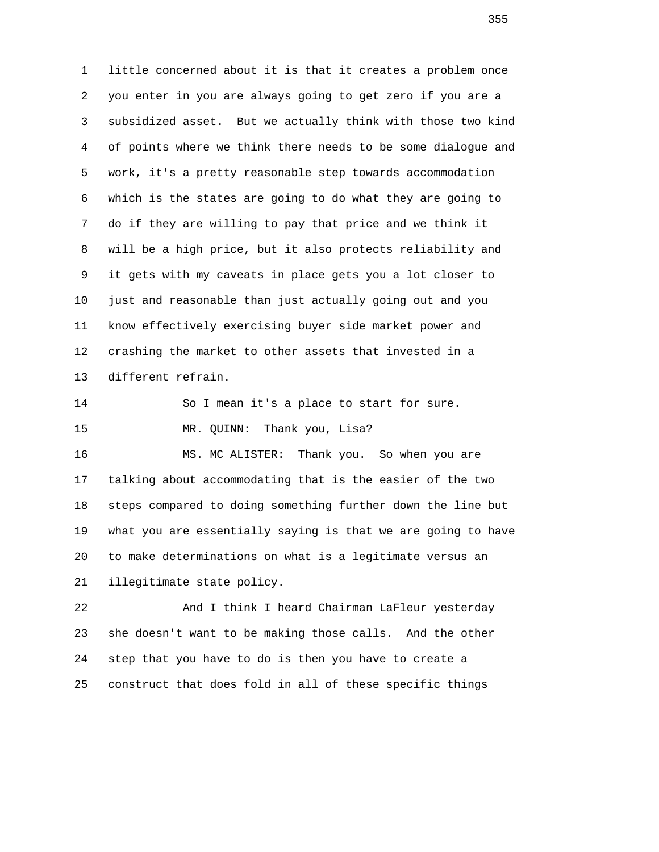1 little concerned about it is that it creates a problem once 2 you enter in you are always going to get zero if you are a 3 subsidized asset. But we actually think with those two kind 4 of points where we think there needs to be some dialogue and 5 work, it's a pretty reasonable step towards accommodation 6 which is the states are going to do what they are going to 7 do if they are willing to pay that price and we think it 8 will be a high price, but it also protects reliability and 9 it gets with my caveats in place gets you a lot closer to 10 just and reasonable than just actually going out and you 11 know effectively exercising buyer side market power and 12 crashing the market to other assets that invested in a 13 different refrain. 14 So I mean it's a place to start for sure. 15 MR. QUINN: Thank you, Lisa?

 16 MS. MC ALISTER: Thank you. So when you are 17 talking about accommodating that is the easier of the two 18 steps compared to doing something further down the line but 19 what you are essentially saying is that we are going to have 20 to make determinations on what is a legitimate versus an 21 illegitimate state policy.

 22 And I think I heard Chairman LaFleur yesterday 23 she doesn't want to be making those calls. And the other 24 step that you have to do is then you have to create a 25 construct that does fold in all of these specific things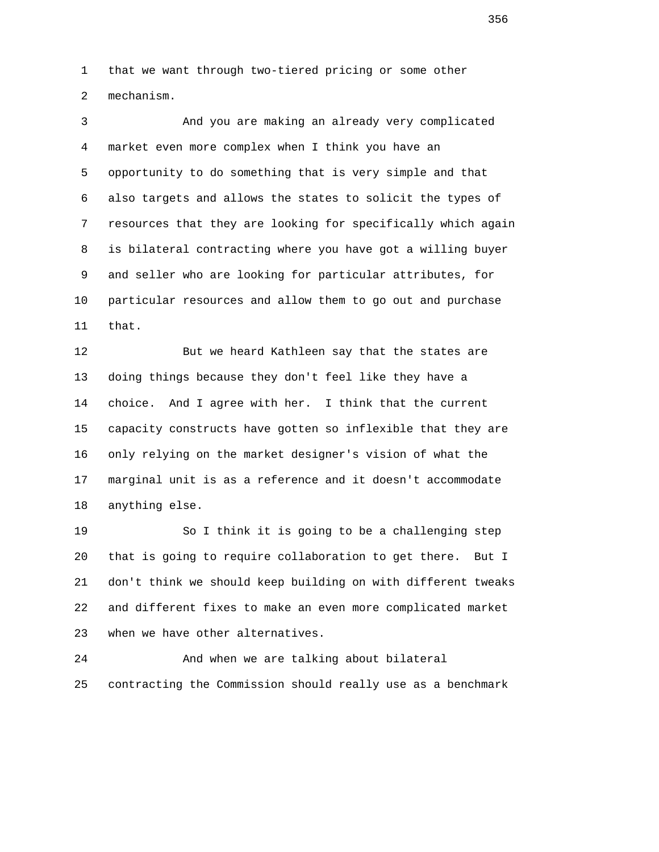1 that we want through two-tiered pricing or some other 2 mechanism.

 3 And you are making an already very complicated 4 market even more complex when I think you have an 5 opportunity to do something that is very simple and that 6 also targets and allows the states to solicit the types of 7 resources that they are looking for specifically which again 8 is bilateral contracting where you have got a willing buyer 9 and seller who are looking for particular attributes, for 10 particular resources and allow them to go out and purchase 11 that.

 12 But we heard Kathleen say that the states are 13 doing things because they don't feel like they have a 14 choice. And I agree with her. I think that the current 15 capacity constructs have gotten so inflexible that they are 16 only relying on the market designer's vision of what the 17 marginal unit is as a reference and it doesn't accommodate 18 anything else.

 19 So I think it is going to be a challenging step 20 that is going to require collaboration to get there. But I 21 don't think we should keep building on with different tweaks 22 and different fixes to make an even more complicated market 23 when we have other alternatives.

 24 And when we are talking about bilateral 25 contracting the Commission should really use as a benchmark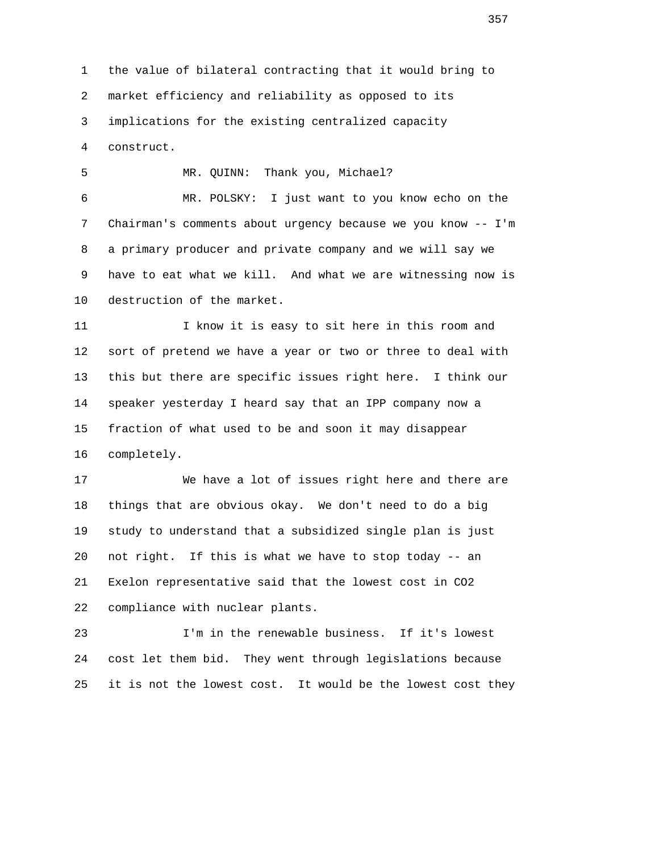1 the value of bilateral contracting that it would bring to 2 market efficiency and reliability as opposed to its 3 implications for the existing centralized capacity 4 construct.

 5 MR. QUINN: Thank you, Michael? 6 MR. POLSKY: I just want to you know echo on the 7 Chairman's comments about urgency because we you know -- I'm 8 a primary producer and private company and we will say we 9 have to eat what we kill. And what we are witnessing now is 10 destruction of the market.

 11 I know it is easy to sit here in this room and 12 sort of pretend we have a year or two or three to deal with 13 this but there are specific issues right here. I think our 14 speaker yesterday I heard say that an IPP company now a 15 fraction of what used to be and soon it may disappear 16 completely.

 17 We have a lot of issues right here and there are 18 things that are obvious okay. We don't need to do a big 19 study to understand that a subsidized single plan is just 20 not right. If this is what we have to stop today -- an 21 Exelon representative said that the lowest cost in CO2 22 compliance with nuclear plants.

 23 I'm in the renewable business. If it's lowest 24 cost let them bid. They went through legislations because 25 it is not the lowest cost. It would be the lowest cost they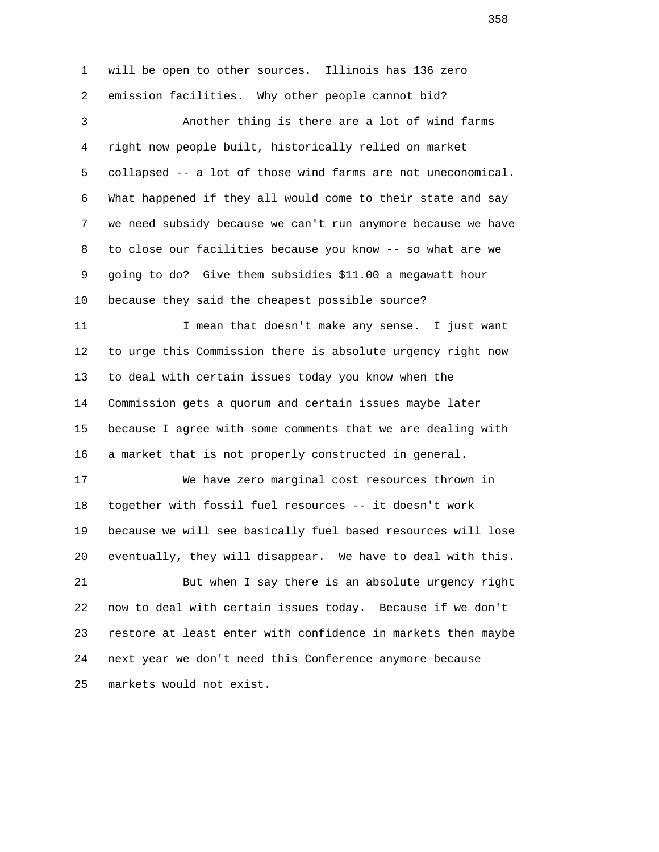1 will be open to other sources. Illinois has 136 zero 2 emission facilities. Why other people cannot bid? 3 Another thing is there are a lot of wind farms 4 right now people built, historically relied on market 5 collapsed -- a lot of those wind farms are not uneconomical. 6 What happened if they all would come to their state and say 7 we need subsidy because we can't run anymore because we have 8 to close our facilities because you know -- so what are we 9 going to do? Give them subsidies \$11.00 a megawatt hour 10 because they said the cheapest possible source? 11 I mean that doesn't make any sense. I just want 12 to urge this Commission there is absolute urgency right now 13 to deal with certain issues today you know when the 14 Commission gets a quorum and certain issues maybe later 15 because I agree with some comments that we are dealing with 16 a market that is not properly constructed in general. 17 We have zero marginal cost resources thrown in 18 together with fossil fuel resources -- it doesn't work 19 because we will see basically fuel based resources will lose 20 eventually, they will disappear. We have to deal with this. 21 But when I say there is an absolute urgency right 22 now to deal with certain issues today. Because if we don't 23 restore at least enter with confidence in markets then maybe 24 next year we don't need this Conference anymore because 25 markets would not exist.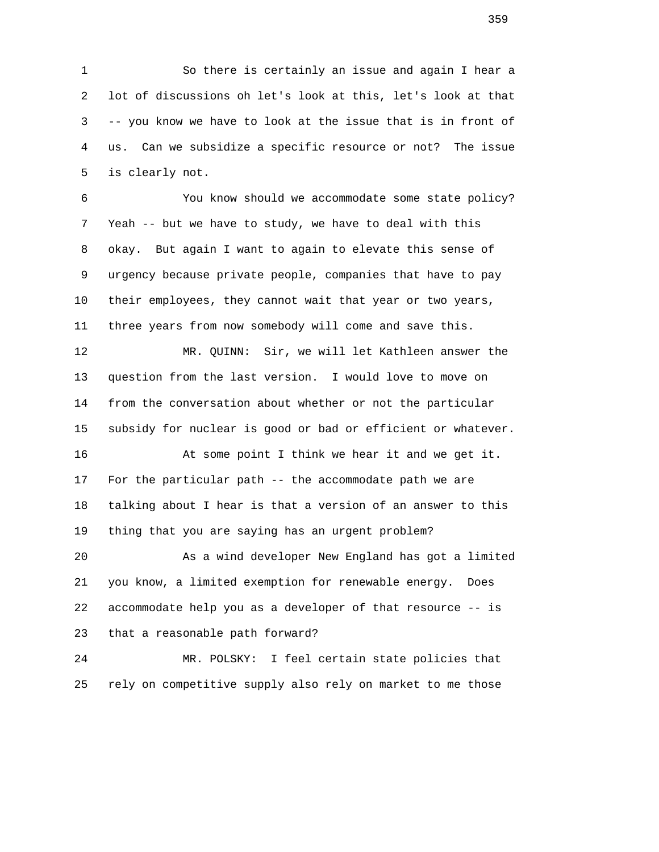1 So there is certainly an issue and again I hear a 2 lot of discussions oh let's look at this, let's look at that 3 -- you know we have to look at the issue that is in front of 4 us. Can we subsidize a specific resource or not? The issue 5 is clearly not.

 6 You know should we accommodate some state policy? 7 Yeah -- but we have to study, we have to deal with this 8 okay. But again I want to again to elevate this sense of 9 urgency because private people, companies that have to pay 10 their employees, they cannot wait that year or two years, 11 three years from now somebody will come and save this.

 12 MR. QUINN: Sir, we will let Kathleen answer the 13 question from the last version. I would love to move on 14 from the conversation about whether or not the particular 15 subsidy for nuclear is good or bad or efficient or whatever.

 16 At some point I think we hear it and we get it. 17 For the particular path -- the accommodate path we are 18 talking about I hear is that a version of an answer to this 19 thing that you are saying has an urgent problem?

 20 As a wind developer New England has got a limited 21 you know, a limited exemption for renewable energy. Does 22 accommodate help you as a developer of that resource -- is 23 that a reasonable path forward?

 24 MR. POLSKY: I feel certain state policies that 25 rely on competitive supply also rely on market to me those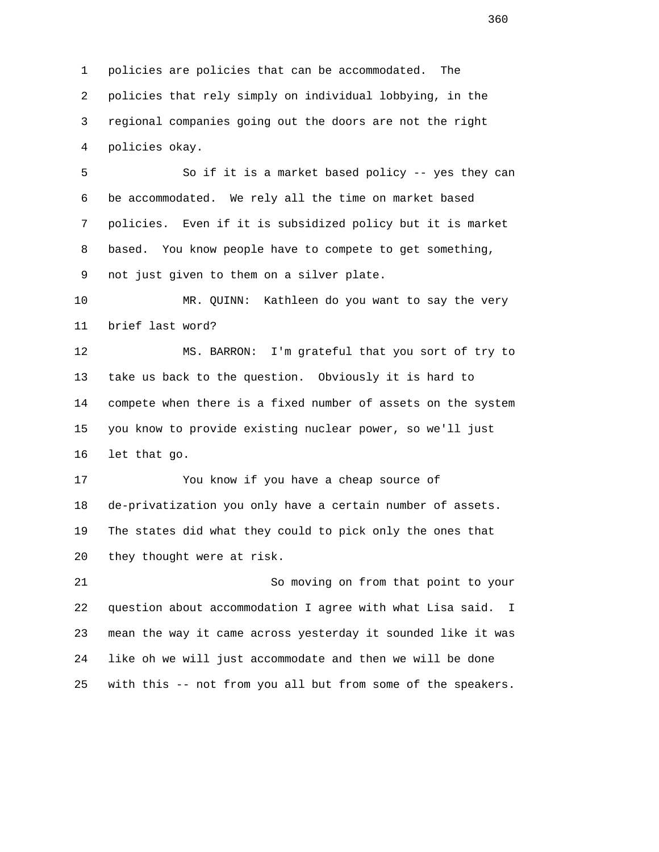1 policies are policies that can be accommodated. The 2 policies that rely simply on individual lobbying, in the 3 regional companies going out the doors are not the right 4 policies okay.

 5 So if it is a market based policy -- yes they can 6 be accommodated. We rely all the time on market based 7 policies. Even if it is subsidized policy but it is market 8 based. You know people have to compete to get something, 9 not just given to them on a silver plate.

 10 MR. QUINN: Kathleen do you want to say the very 11 brief last word?

 12 MS. BARRON: I'm grateful that you sort of try to 13 take us back to the question. Obviously it is hard to 14 compete when there is a fixed number of assets on the system 15 you know to provide existing nuclear power, so we'll just 16 let that go.

 17 You know if you have a cheap source of 18 de-privatization you only have a certain number of assets. 19 The states did what they could to pick only the ones that 20 they thought were at risk.

 21 So moving on from that point to your 22 question about accommodation I agree with what Lisa said. I 23 mean the way it came across yesterday it sounded like it was 24 like oh we will just accommodate and then we will be done 25 with this -- not from you all but from some of the speakers.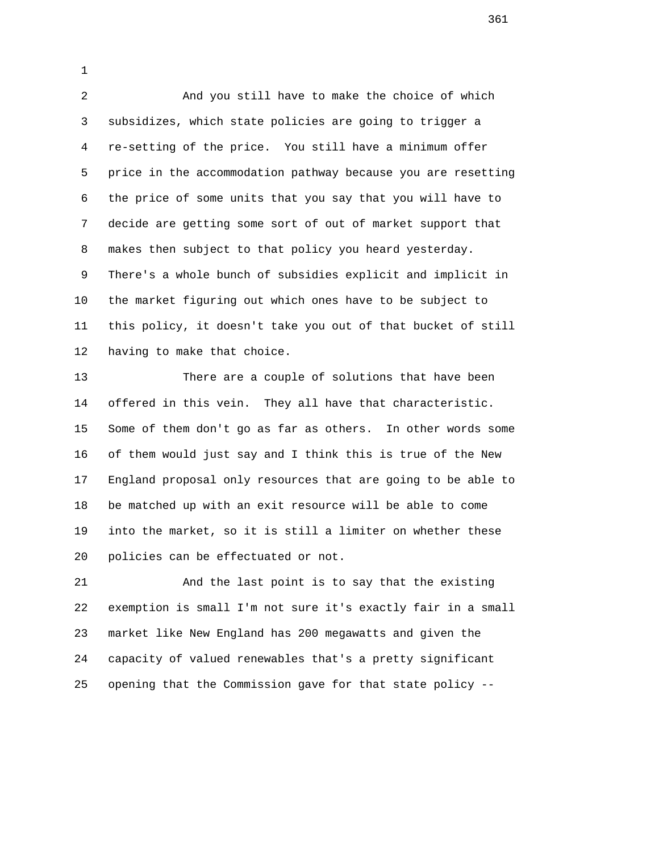2 And you still have to make the choice of which 3 subsidizes, which state policies are going to trigger a 4 re-setting of the price. You still have a minimum offer 5 price in the accommodation pathway because you are resetting 6 the price of some units that you say that you will have to 7 decide are getting some sort of out of market support that 8 makes then subject to that policy you heard yesterday. 9 There's a whole bunch of subsidies explicit and implicit in 10 the market figuring out which ones have to be subject to 11 this policy, it doesn't take you out of that bucket of still 12 having to make that choice.

1

 13 There are a couple of solutions that have been 14 offered in this vein. They all have that characteristic. 15 Some of them don't go as far as others. In other words some 16 of them would just say and I think this is true of the New 17 England proposal only resources that are going to be able to 18 be matched up with an exit resource will be able to come 19 into the market, so it is still a limiter on whether these 20 policies can be effectuated or not.

 21 And the last point is to say that the existing 22 exemption is small I'm not sure it's exactly fair in a small 23 market like New England has 200 megawatts and given the 24 capacity of valued renewables that's a pretty significant 25 opening that the Commission gave for that state policy --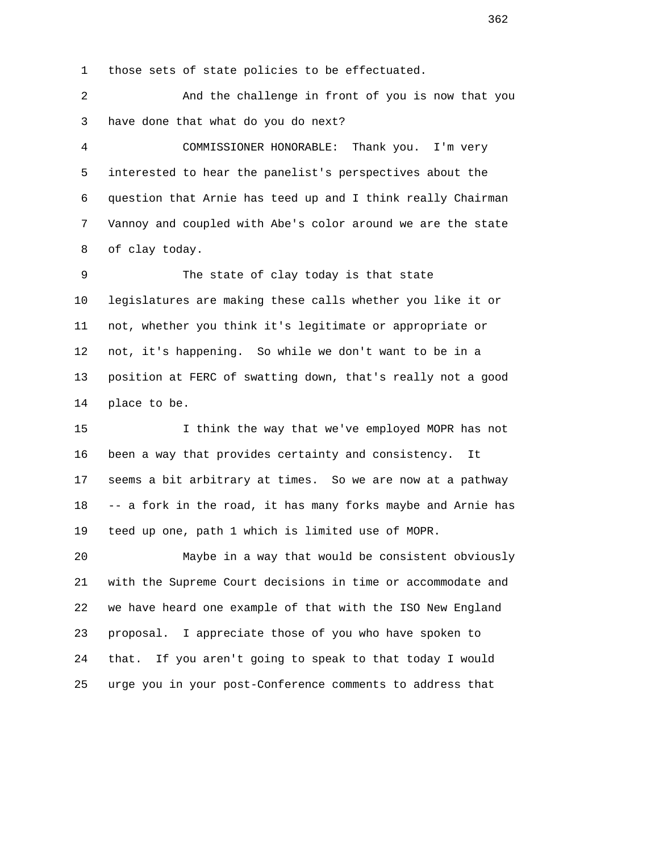1 those sets of state policies to be effectuated.

 2 And the challenge in front of you is now that you 3 have done that what do you do next?

 4 COMMISSIONER HONORABLE: Thank you. I'm very 5 interested to hear the panelist's perspectives about the 6 question that Arnie has teed up and I think really Chairman 7 Vannoy and coupled with Abe's color around we are the state 8 of clay today.

 9 The state of clay today is that state 10 legislatures are making these calls whether you like it or 11 not, whether you think it's legitimate or appropriate or 12 not, it's happening. So while we don't want to be in a 13 position at FERC of swatting down, that's really not a good 14 place to be.

 15 I think the way that we've employed MOPR has not 16 been a way that provides certainty and consistency. It 17 seems a bit arbitrary at times. So we are now at a pathway 18 -- a fork in the road, it has many forks maybe and Arnie has 19 teed up one, path 1 which is limited use of MOPR.

 20 Maybe in a way that would be consistent obviously 21 with the Supreme Court decisions in time or accommodate and 22 we have heard one example of that with the ISO New England 23 proposal. I appreciate those of you who have spoken to 24 that. If you aren't going to speak to that today I would 25 urge you in your post-Conference comments to address that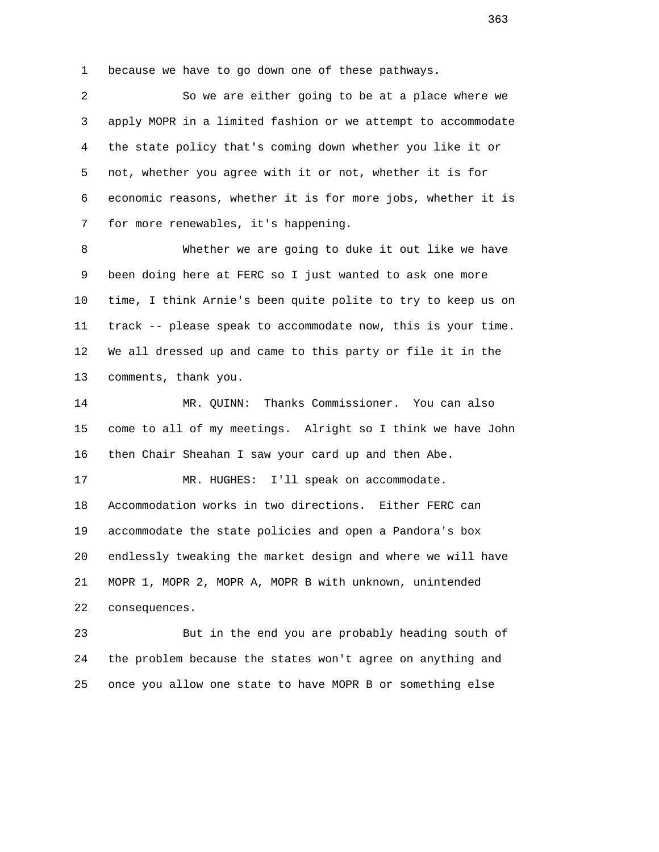1 because we have to go down one of these pathways.

 2 So we are either going to be at a place where we 3 apply MOPR in a limited fashion or we attempt to accommodate 4 the state policy that's coming down whether you like it or 5 not, whether you agree with it or not, whether it is for 6 economic reasons, whether it is for more jobs, whether it is 7 for more renewables, it's happening.

 8 Whether we are going to duke it out like we have 9 been doing here at FERC so I just wanted to ask one more 10 time, I think Arnie's been quite polite to try to keep us on 11 track -- please speak to accommodate now, this is your time. 12 We all dressed up and came to this party or file it in the 13 comments, thank you.

 14 MR. QUINN: Thanks Commissioner. You can also 15 come to all of my meetings. Alright so I think we have John 16 then Chair Sheahan I saw your card up and then Abe.

 17 MR. HUGHES: I'll speak on accommodate. 18 Accommodation works in two directions. Either FERC can 19 accommodate the state policies and open a Pandora's box 20 endlessly tweaking the market design and where we will have 21 MOPR 1, MOPR 2, MOPR A, MOPR B with unknown, unintended 22 consequences.

 23 But in the end you are probably heading south of 24 the problem because the states won't agree on anything and 25 once you allow one state to have MOPR B or something else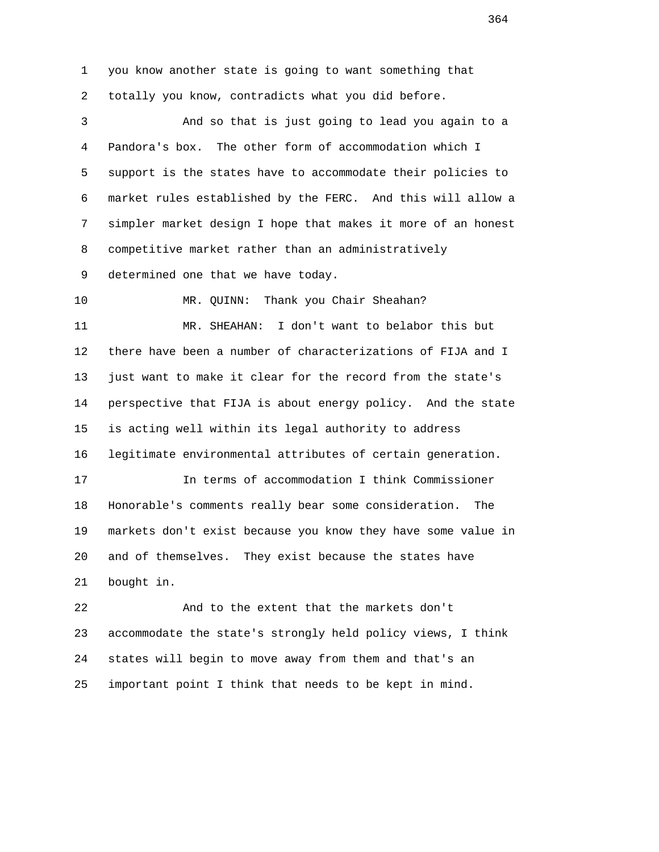1 you know another state is going to want something that 2 totally you know, contradicts what you did before. 3 And so that is just going to lead you again to a 4 Pandora's box. The other form of accommodation which I 5 support is the states have to accommodate their policies to 6 market rules established by the FERC. And this will allow a 7 simpler market design I hope that makes it more of an honest 8 competitive market rather than an administratively 9 determined one that we have today. 10 MR. QUINN: Thank you Chair Sheahan? 11 MR. SHEAHAN: I don't want to belabor this but 12 there have been a number of characterizations of FIJA and I 13 just want to make it clear for the record from the state's 14 perspective that FIJA is about energy policy. And the state 15 is acting well within its legal authority to address 16 legitimate environmental attributes of certain generation. 17 In terms of accommodation I think Commissioner 18 Honorable's comments really bear some consideration. The 19 markets don't exist because you know they have some value in 20 and of themselves. They exist because the states have 21 bought in. 22 And to the extent that the markets don't 23 accommodate the state's strongly held policy views, I think

 24 states will begin to move away from them and that's an 25 important point I think that needs to be kept in mind.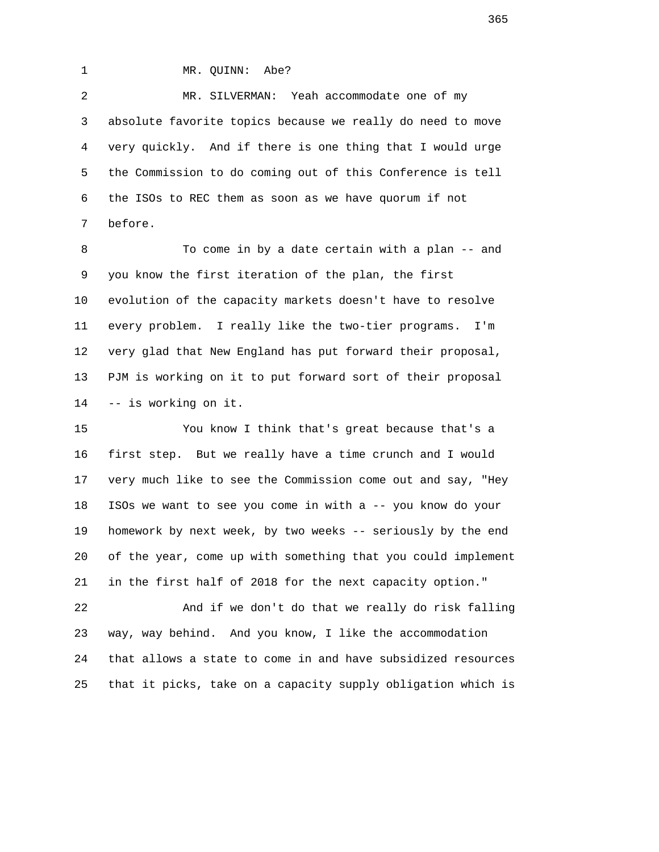1 MR. QUINN: Abe?

 2 MR. SILVERMAN: Yeah accommodate one of my 3 absolute favorite topics because we really do need to move 4 very quickly. And if there is one thing that I would urge 5 the Commission to do coming out of this Conference is tell 6 the ISOs to REC them as soon as we have quorum if not 7 before.

 8 To come in by a date certain with a plan -- and 9 you know the first iteration of the plan, the first 10 evolution of the capacity markets doesn't have to resolve 11 every problem. I really like the two-tier programs. I'm 12 very glad that New England has put forward their proposal, 13 PJM is working on it to put forward sort of their proposal 14 -- is working on it.

 15 You know I think that's great because that's a 16 first step. But we really have a time crunch and I would 17 very much like to see the Commission come out and say, "Hey 18 ISOs we want to see you come in with a -- you know do your 19 homework by next week, by two weeks -- seriously by the end 20 of the year, come up with something that you could implement 21 in the first half of 2018 for the next capacity option."

 22 And if we don't do that we really do risk falling 23 way, way behind. And you know, I like the accommodation 24 that allows a state to come in and have subsidized resources 25 that it picks, take on a capacity supply obligation which is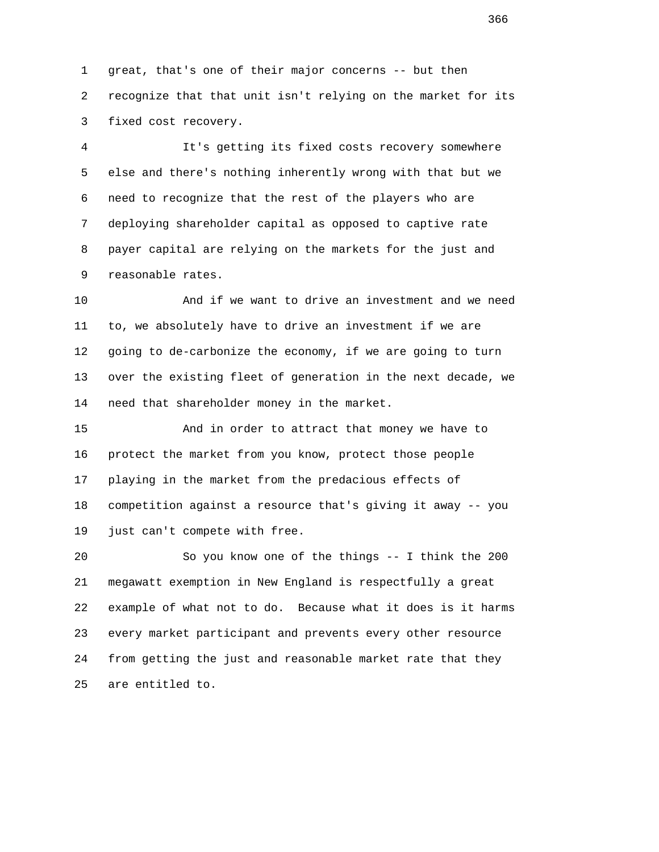1 great, that's one of their major concerns -- but then 2 recognize that that unit isn't relying on the market for its 3 fixed cost recovery.

 4 It's getting its fixed costs recovery somewhere 5 else and there's nothing inherently wrong with that but we 6 need to recognize that the rest of the players who are 7 deploying shareholder capital as opposed to captive rate 8 payer capital are relying on the markets for the just and 9 reasonable rates.

 10 And if we want to drive an investment and we need 11 to, we absolutely have to drive an investment if we are 12 going to de-carbonize the economy, if we are going to turn 13 over the existing fleet of generation in the next decade, we 14 need that shareholder money in the market.

 15 And in order to attract that money we have to 16 protect the market from you know, protect those people 17 playing in the market from the predacious effects of 18 competition against a resource that's giving it away -- you 19 just can't compete with free.

 20 So you know one of the things -- I think the 200 21 megawatt exemption in New England is respectfully a great 22 example of what not to do. Because what it does is it harms 23 every market participant and prevents every other resource 24 from getting the just and reasonable market rate that they 25 are entitled to.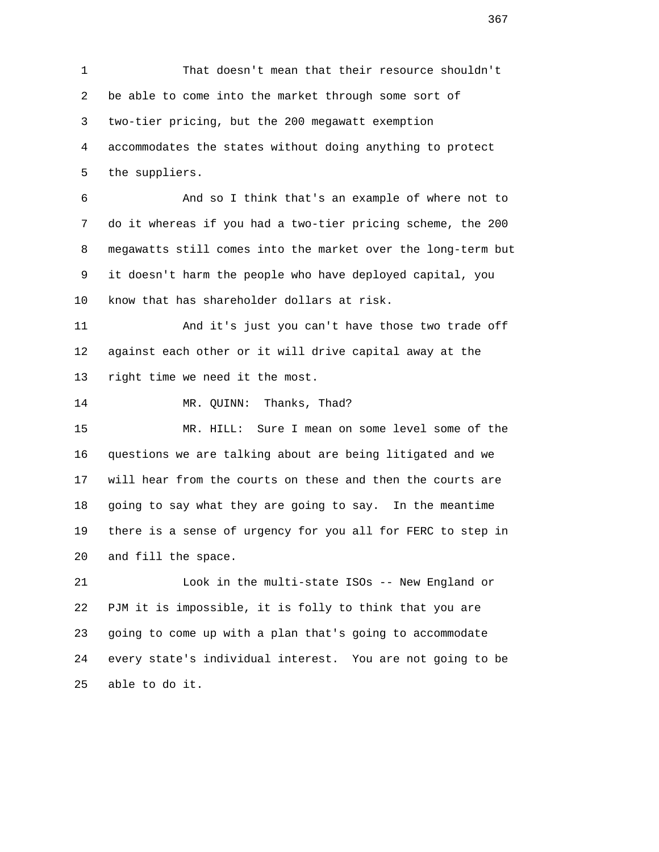1 That doesn't mean that their resource shouldn't 2 be able to come into the market through some sort of 3 two-tier pricing, but the 200 megawatt exemption 4 accommodates the states without doing anything to protect 5 the suppliers. 6 And so I think that's an example of where not to 7 do it whereas if you had a two-tier pricing scheme, the 200 8 megawatts still comes into the market over the long-term but 9 it doesn't harm the people who have deployed capital, you 10 know that has shareholder dollars at risk. 11 And it's just you can't have those two trade off 12 against each other or it will drive capital away at the 13 right time we need it the most. 14 MR. QUINN: Thanks, Thad? 15 MR. HILL: Sure I mean on some level some of the 16 questions we are talking about are being litigated and we 17 will hear from the courts on these and then the courts are 18 going to say what they are going to say. In the meantime 19 there is a sense of urgency for you all for FERC to step in 20 and fill the space. 21 Look in the multi-state ISOs -- New England or 22 PJM it is impossible, it is folly to think that you are 23 going to come up with a plan that's going to accommodate 24 every state's individual interest. You are not going to be 25 able to do it.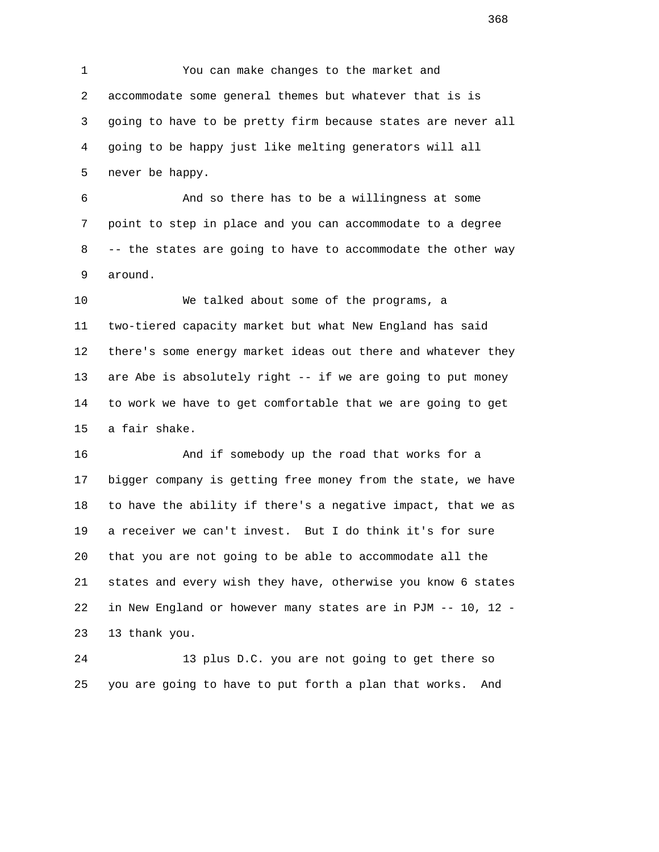1 You can make changes to the market and 2 accommodate some general themes but whatever that is is 3 going to have to be pretty firm because states are never all 4 going to be happy just like melting generators will all 5 never be happy.

 6 And so there has to be a willingness at some 7 point to step in place and you can accommodate to a degree 8 -- the states are going to have to accommodate the other way 9 around.

 10 We talked about some of the programs, a 11 two-tiered capacity market but what New England has said 12 there's some energy market ideas out there and whatever they 13 are Abe is absolutely right -- if we are going to put money 14 to work we have to get comfortable that we are going to get 15 a fair shake.

 16 And if somebody up the road that works for a 17 bigger company is getting free money from the state, we have 18 to have the ability if there's a negative impact, that we as 19 a receiver we can't invest. But I do think it's for sure 20 that you are not going to be able to accommodate all the 21 states and every wish they have, otherwise you know 6 states 22 in New England or however many states are in PJM -- 10, 12 - 23 13 thank you.

 24 13 plus D.C. you are not going to get there so 25 you are going to have to put forth a plan that works. And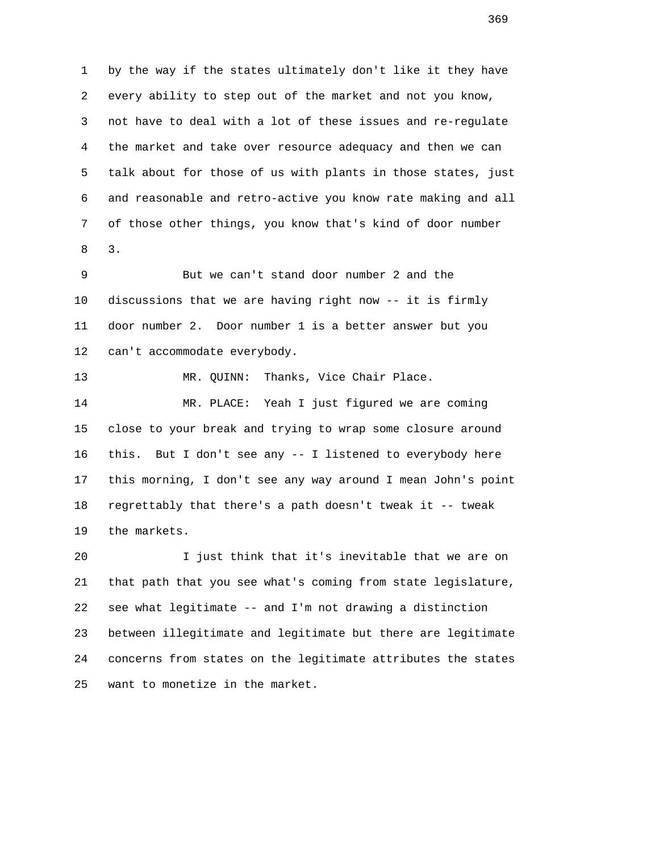1 by the way if the states ultimately don't like it they have 2 every ability to step out of the market and not you know, 3 not have to deal with a lot of these issues and re-regulate 4 the market and take over resource adequacy and then we can 5 talk about for those of us with plants in those states, just 6 and reasonable and retro-active you know rate making and all 7 of those other things, you know that's kind of door number 8 3.

> 9 But we can't stand door number 2 and the 10 discussions that we are having right now -- it is firmly 11 door number 2. Door number 1 is a better answer but you 12 can't accommodate everybody.

13 MR. QUINN: Thanks, Vice Chair Place.

 14 MR. PLACE: Yeah I just figured we are coming 15 close to your break and trying to wrap some closure around 16 this. But I don't see any -- I listened to everybody here 17 this morning, I don't see any way around I mean John's point 18 regrettably that there's a path doesn't tweak it -- tweak 19 the markets.

 20 I just think that it's inevitable that we are on 21 that path that you see what's coming from state legislature, 22 see what legitimate -- and I'm not drawing a distinction 23 between illegitimate and legitimate but there are legitimate 24 concerns from states on the legitimate attributes the states 25 want to monetize in the market.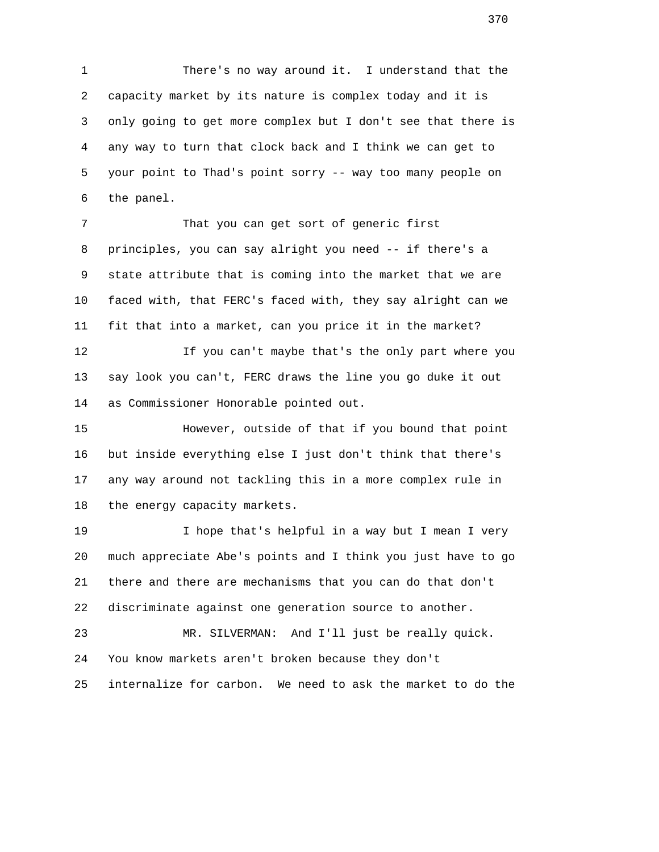1 There's no way around it. I understand that the 2 capacity market by its nature is complex today and it is 3 only going to get more complex but I don't see that there is 4 any way to turn that clock back and I think we can get to 5 your point to Thad's point sorry -- way too many people on 6 the panel.

 7 That you can get sort of generic first 8 principles, you can say alright you need -- if there's a 9 state attribute that is coming into the market that we are 10 faced with, that FERC's faced with, they say alright can we 11 fit that into a market, can you price it in the market?

 12 If you can't maybe that's the only part where you 13 say look you can't, FERC draws the line you go duke it out 14 as Commissioner Honorable pointed out.

 15 However, outside of that if you bound that point 16 but inside everything else I just don't think that there's 17 any way around not tackling this in a more complex rule in 18 the energy capacity markets.

 19 I hope that's helpful in a way but I mean I very 20 much appreciate Abe's points and I think you just have to go 21 there and there are mechanisms that you can do that don't 22 discriminate against one generation source to another.

 23 MR. SILVERMAN: And I'll just be really quick. 24 You know markets aren't broken because they don't 25 internalize for carbon. We need to ask the market to do the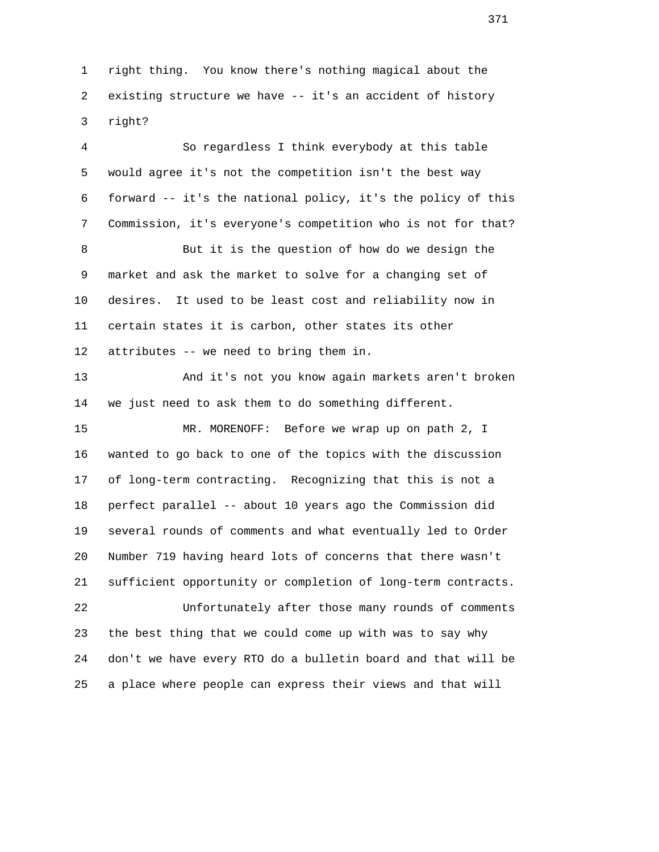1 right thing. You know there's nothing magical about the 2 existing structure we have -- it's an accident of history 3 right?

 4 So regardless I think everybody at this table 5 would agree it's not the competition isn't the best way 6 forward -- it's the national policy, it's the policy of this 7 Commission, it's everyone's competition who is not for that? 8 But it is the question of how do we design the 9 market and ask the market to solve for a changing set of 10 desires. It used to be least cost and reliability now in 11 certain states it is carbon, other states its other 12 attributes -- we need to bring them in. 13 And it's not you know again markets aren't broken 14 we just need to ask them to do something different. 15 MR. MORENOFF: Before we wrap up on path 2, I 16 wanted to go back to one of the topics with the discussion 17 of long-term contracting. Recognizing that this is not a 18 perfect parallel -- about 10 years ago the Commission did 19 several rounds of comments and what eventually led to Order 20 Number 719 having heard lots of concerns that there wasn't 21 sufficient opportunity or completion of long-term contracts. 22 Unfortunately after those many rounds of comments 23 the best thing that we could come up with was to say why 24 don't we have every RTO do a bulletin board and that will be 25 a place where people can express their views and that will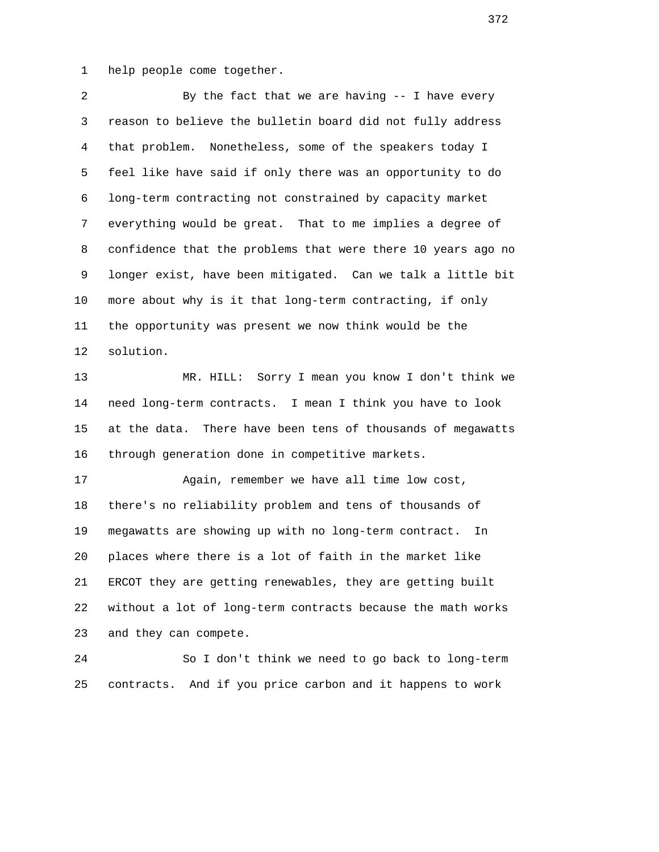1 help people come together.

 2 By the fact that we are having -- I have every 3 reason to believe the bulletin board did not fully address 4 that problem. Nonetheless, some of the speakers today I 5 feel like have said if only there was an opportunity to do 6 long-term contracting not constrained by capacity market 7 everything would be great. That to me implies a degree of 8 confidence that the problems that were there 10 years ago no 9 longer exist, have been mitigated. Can we talk a little bit 10 more about why is it that long-term contracting, if only 11 the opportunity was present we now think would be the 12 solution. 13 MR. HILL: Sorry I mean you know I don't think we 14 need long-term contracts. I mean I think you have to look 15 at the data. There have been tens of thousands of megawatts 16 through generation done in competitive markets. 17 Again, remember we have all time low cost, 18 there's no reliability problem and tens of thousands of 19 megawatts are showing up with no long-term contract. In 20 places where there is a lot of faith in the market like 21 ERCOT they are getting renewables, they are getting built 22 without a lot of long-term contracts because the math works 23 and they can compete. 24 So I don't think we need to go back to long-term 25 contracts. And if you price carbon and it happens to work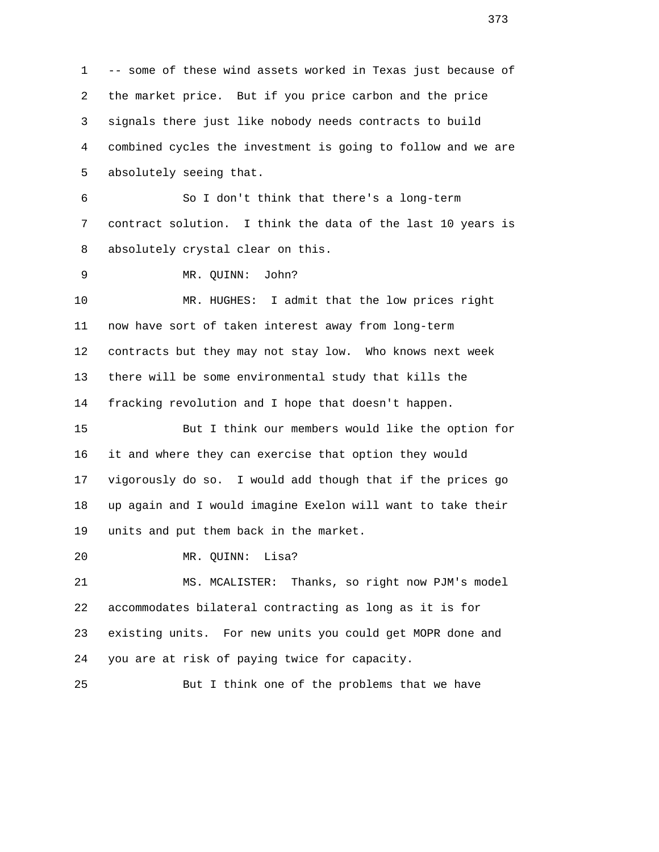1 -- some of these wind assets worked in Texas just because of 2 the market price. But if you price carbon and the price 3 signals there just like nobody needs contracts to build 4 combined cycles the investment is going to follow and we are 5 absolutely seeing that. 6 So I don't think that there's a long-term 7 contract solution. I think the data of the last 10 years is 8 absolutely crystal clear on this. 9 MR. QUINN: John? 10 MR. HUGHES: I admit that the low prices right 11 now have sort of taken interest away from long-term 12 contracts but they may not stay low. Who knows next week 13 there will be some environmental study that kills the 14 fracking revolution and I hope that doesn't happen. 15 But I think our members would like the option for 16 it and where they can exercise that option they would 17 vigorously do so. I would add though that if the prices go 18 up again and I would imagine Exelon will want to take their 19 units and put them back in the market. 20 MR. QUINN: Lisa? 21 MS. MCALISTER: Thanks, so right now PJM's model 22 accommodates bilateral contracting as long as it is for 23 existing units. For new units you could get MOPR done and 24 you are at risk of paying twice for capacity. 25 But I think one of the problems that we have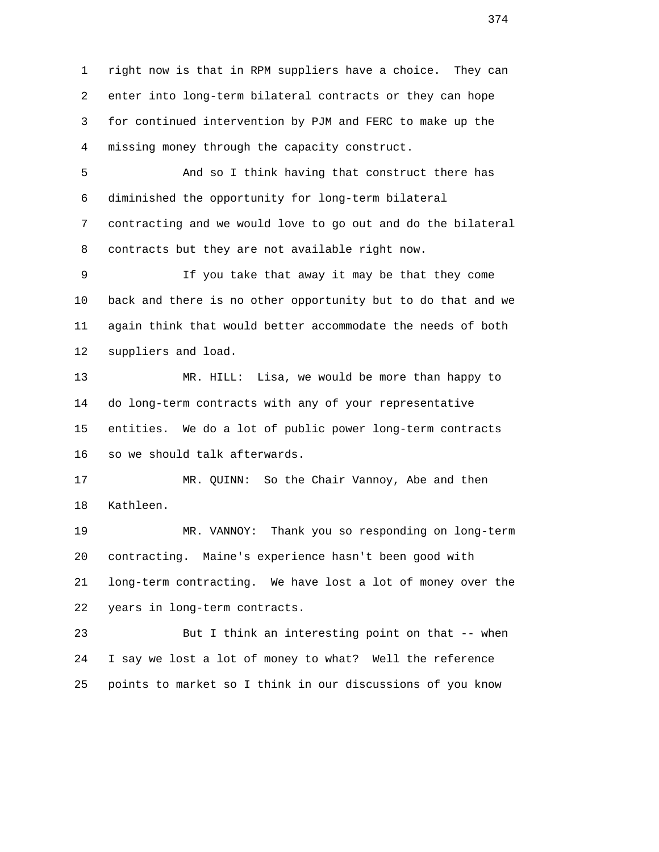1 right now is that in RPM suppliers have a choice. They can 2 enter into long-term bilateral contracts or they can hope 3 for continued intervention by PJM and FERC to make up the 4 missing money through the capacity construct.

 5 And so I think having that construct there has 6 diminished the opportunity for long-term bilateral 7 contracting and we would love to go out and do the bilateral 8 contracts but they are not available right now.

 9 If you take that away it may be that they come 10 back and there is no other opportunity but to do that and we 11 again think that would better accommodate the needs of both 12 suppliers and load.

 13 MR. HILL: Lisa, we would be more than happy to 14 do long-term contracts with any of your representative 15 entities. We do a lot of public power long-term contracts 16 so we should talk afterwards.

 17 MR. QUINN: So the Chair Vannoy, Abe and then 18 Kathleen.

 19 MR. VANNOY: Thank you so responding on long-term 20 contracting. Maine's experience hasn't been good with 21 long-term contracting. We have lost a lot of money over the 22 years in long-term contracts.

 23 But I think an interesting point on that -- when 24 I say we lost a lot of money to what? Well the reference 25 points to market so I think in our discussions of you know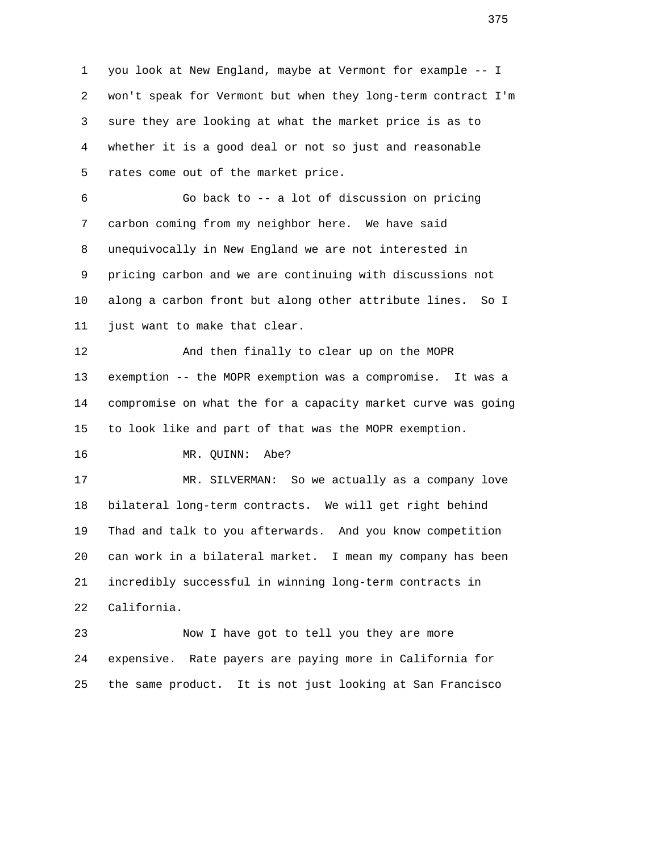1 you look at New England, maybe at Vermont for example -- I 2 won't speak for Vermont but when they long-term contract I'm 3 sure they are looking at what the market price is as to 4 whether it is a good deal or not so just and reasonable 5 rates come out of the market price. 6 Go back to -- a lot of discussion on pricing 7 carbon coming from my neighbor here. We have said 8 unequivocally in New England we are not interested in 9 pricing carbon and we are continuing with discussions not 10 along a carbon front but along other attribute lines. So I 11 just want to make that clear. 12 And then finally to clear up on the MOPR 13 exemption -- the MOPR exemption was a compromise. It was a 14 compromise on what the for a capacity market curve was going 15 to look like and part of that was the MOPR exemption. 16 MR. QUINN: Abe? 17 MR. SILVERMAN: So we actually as a company love 18 bilateral long-term contracts. We will get right behind 19 Thad and talk to you afterwards. And you know competition 20 can work in a bilateral market. I mean my company has been 21 incredibly successful in winning long-term contracts in 22 California.

 23 Now I have got to tell you they are more 24 expensive. Rate payers are paying more in California for 25 the same product. It is not just looking at San Francisco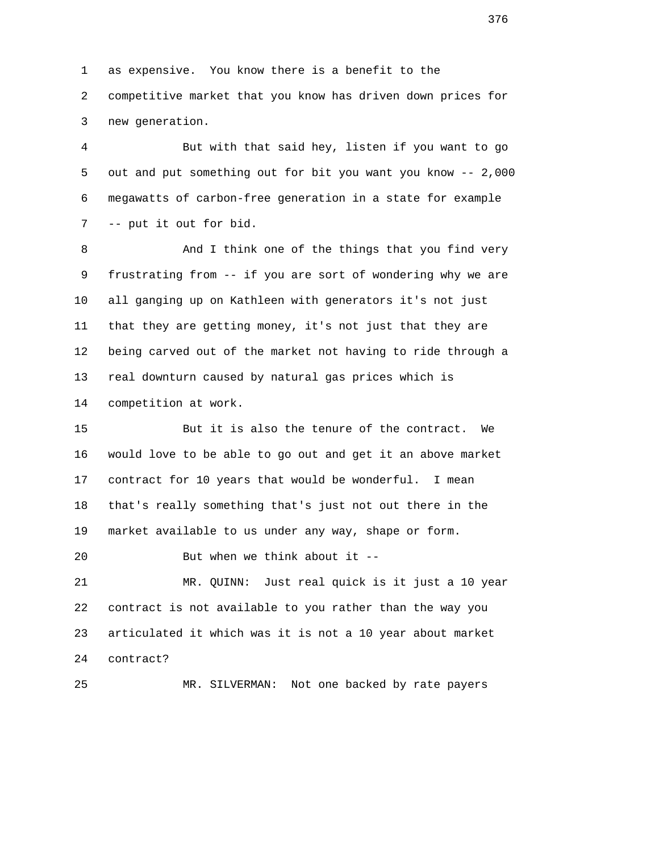1 as expensive. You know there is a benefit to the

 2 competitive market that you know has driven down prices for 3 new generation.

 4 But with that said hey, listen if you want to go 5 out and put something out for bit you want you know -- 2,000 6 megawatts of carbon-free generation in a state for example 7 -- put it out for bid.

8 And I think one of the things that you find very 9 frustrating from -- if you are sort of wondering why we are 10 all ganging up on Kathleen with generators it's not just 11 that they are getting money, it's not just that they are 12 being carved out of the market not having to ride through a 13 real downturn caused by natural gas prices which is 14 competition at work.

 15 But it is also the tenure of the contract. We 16 would love to be able to go out and get it an above market 17 contract for 10 years that would be wonderful. I mean 18 that's really something that's just not out there in the 19 market available to us under any way, shape or form.

20 But when we think about it --

 21 MR. QUINN: Just real quick is it just a 10 year 22 contract is not available to you rather than the way you 23 articulated it which was it is not a 10 year about market 24 contract?

25 MR. SILVERMAN: Not one backed by rate payers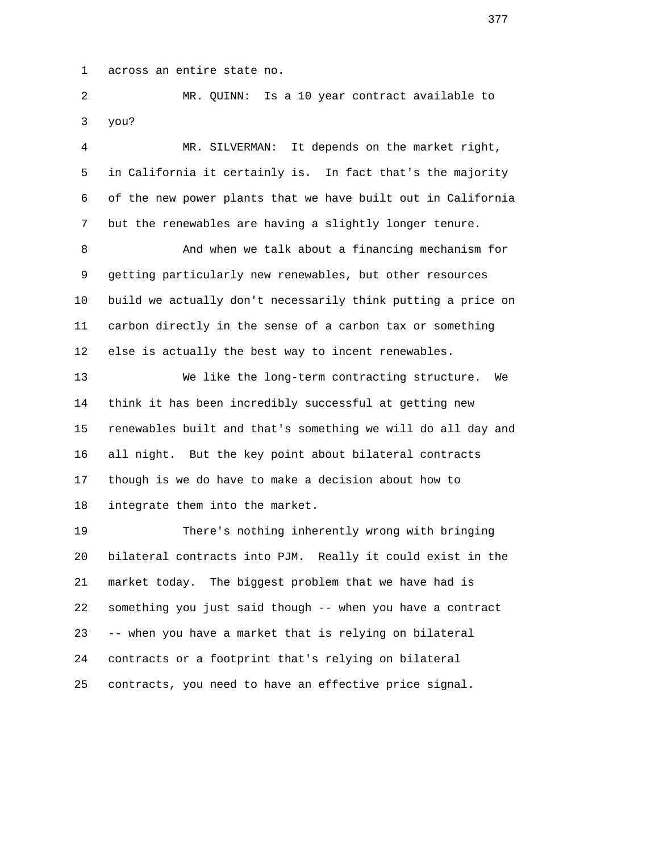1 across an entire state no.

 2 MR. QUINN: Is a 10 year contract available to 3 you?

 4 MR. SILVERMAN: It depends on the market right, 5 in California it certainly is. In fact that's the majority 6 of the new power plants that we have built out in California 7 but the renewables are having a slightly longer tenure.

8 And when we talk about a financing mechanism for 9 getting particularly new renewables, but other resources 10 build we actually don't necessarily think putting a price on 11 carbon directly in the sense of a carbon tax or something 12 else is actually the best way to incent renewables.

 13 We like the long-term contracting structure. We 14 think it has been incredibly successful at getting new 15 renewables built and that's something we will do all day and 16 all night. But the key point about bilateral contracts 17 though is we do have to make a decision about how to 18 integrate them into the market.

 19 There's nothing inherently wrong with bringing 20 bilateral contracts into PJM. Really it could exist in the 21 market today. The biggest problem that we have had is 22 something you just said though -- when you have a contract 23 -- when you have a market that is relying on bilateral 24 contracts or a footprint that's relying on bilateral 25 contracts, you need to have an effective price signal.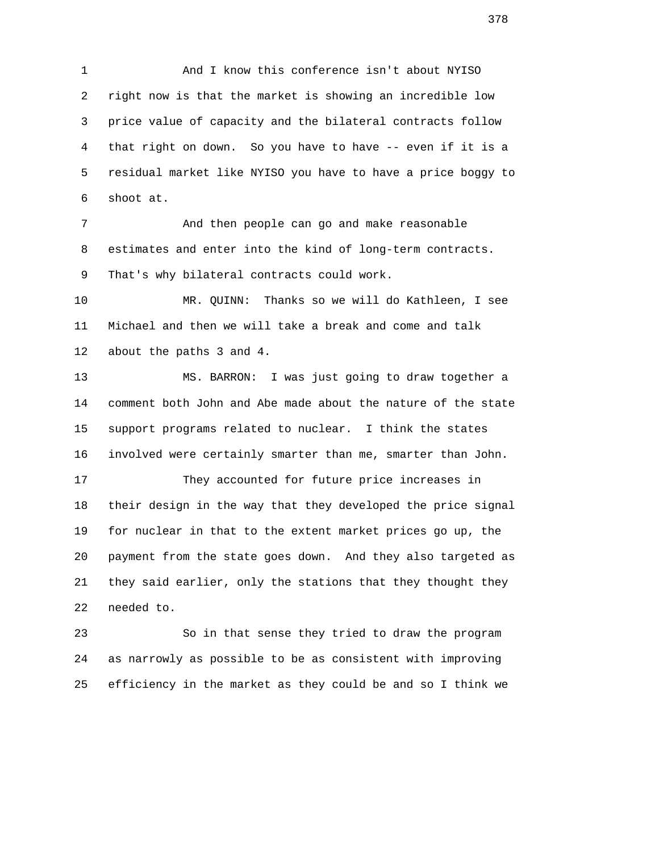1 And I know this conference isn't about NYISO 2 right now is that the market is showing an incredible low 3 price value of capacity and the bilateral contracts follow 4 that right on down. So you have to have -- even if it is a 5 residual market like NYISO you have to have a price boggy to 6 shoot at.

 7 And then people can go and make reasonable 8 estimates and enter into the kind of long-term contracts. 9 That's why bilateral contracts could work.

 10 MR. QUINN: Thanks so we will do Kathleen, I see 11 Michael and then we will take a break and come and talk 12 about the paths 3 and 4.

 13 MS. BARRON: I was just going to draw together a 14 comment both John and Abe made about the nature of the state 15 support programs related to nuclear. I think the states 16 involved were certainly smarter than me, smarter than John.

 17 They accounted for future price increases in 18 their design in the way that they developed the price signal 19 for nuclear in that to the extent market prices go up, the 20 payment from the state goes down. And they also targeted as 21 they said earlier, only the stations that they thought they 22 needed to.

 23 So in that sense they tried to draw the program 24 as narrowly as possible to be as consistent with improving 25 efficiency in the market as they could be and so I think we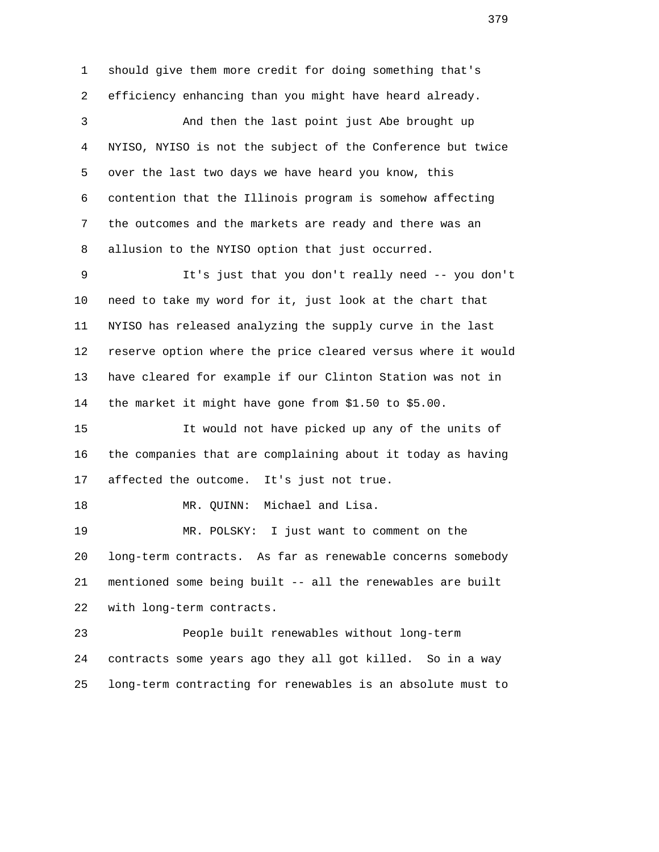1 should give them more credit for doing something that's 2 efficiency enhancing than you might have heard already. 3 And then the last point just Abe brought up 4 NYISO, NYISO is not the subject of the Conference but twice 5 over the last two days we have heard you know, this 6 contention that the Illinois program is somehow affecting 7 the outcomes and the markets are ready and there was an 8 allusion to the NYISO option that just occurred. 9 It's just that you don't really need -- you don't 10 need to take my word for it, just look at the chart that 11 NYISO has released analyzing the supply curve in the last 12 reserve option where the price cleared versus where it would 13 have cleared for example if our Clinton Station was not in 14 the market it might have gone from \$1.50 to \$5.00. 15 It would not have picked up any of the units of 16 the companies that are complaining about it today as having 17 affected the outcome. It's just not true. 18 MR. QUINN: Michael and Lisa. 19 MR. POLSKY: I just want to comment on the 20 long-term contracts. As far as renewable concerns somebody 21 mentioned some being built -- all the renewables are built 22 with long-term contracts. 23 People built renewables without long-term 24 contracts some years ago they all got killed. So in a way 25 long-term contracting for renewables is an absolute must to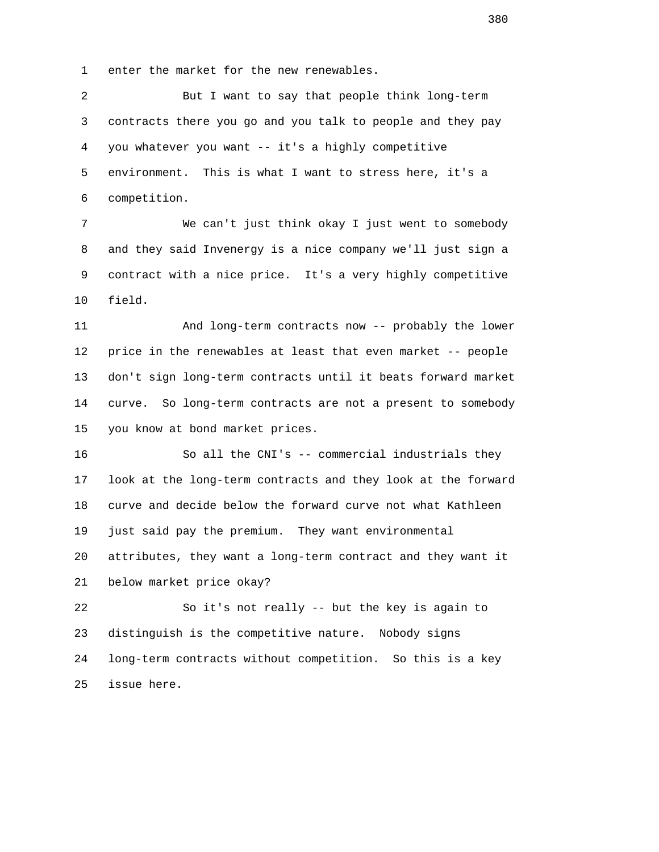1 enter the market for the new renewables.

 2 But I want to say that people think long-term 3 contracts there you go and you talk to people and they pay 4 you whatever you want -- it's a highly competitive 5 environment. This is what I want to stress here, it's a 6 competition.

 7 We can't just think okay I just went to somebody 8 and they said Invenergy is a nice company we'll just sign a 9 contract with a nice price. It's a very highly competitive 10 field.

 11 And long-term contracts now -- probably the lower 12 price in the renewables at least that even market -- people 13 don't sign long-term contracts until it beats forward market 14 curve. So long-term contracts are not a present to somebody 15 you know at bond market prices.

 16 So all the CNI's -- commercial industrials they 17 look at the long-term contracts and they look at the forward 18 curve and decide below the forward curve not what Kathleen 19 just said pay the premium. They want environmental 20 attributes, they want a long-term contract and they want it 21 below market price okay?

 22 So it's not really -- but the key is again to 23 distinguish is the competitive nature. Nobody signs 24 long-term contracts without competition. So this is a key 25 issue here.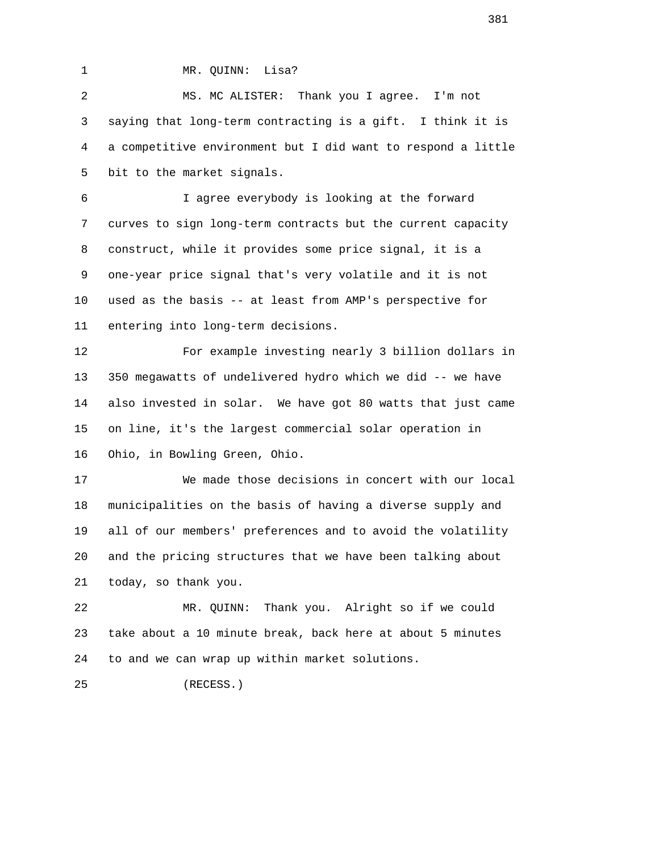1 MR. QUINN: Lisa?

 2 MS. MC ALISTER: Thank you I agree. I'm not 3 saying that long-term contracting is a gift. I think it is 4 a competitive environment but I did want to respond a little 5 bit to the market signals.

 6 I agree everybody is looking at the forward 7 curves to sign long-term contracts but the current capacity 8 construct, while it provides some price signal, it is a 9 one-year price signal that's very volatile and it is not 10 used as the basis -- at least from AMP's perspective for 11 entering into long-term decisions.

 12 For example investing nearly 3 billion dollars in 13 350 megawatts of undelivered hydro which we did -- we have 14 also invested in solar. We have got 80 watts that just came 15 on line, it's the largest commercial solar operation in 16 Ohio, in Bowling Green, Ohio.

 17 We made those decisions in concert with our local 18 municipalities on the basis of having a diverse supply and 19 all of our members' preferences and to avoid the volatility 20 and the pricing structures that we have been talking about 21 today, so thank you.

 22 MR. QUINN: Thank you. Alright so if we could 23 take about a 10 minute break, back here at about 5 minutes 24 to and we can wrap up within market solutions.

```
 25 (RECESS.)
```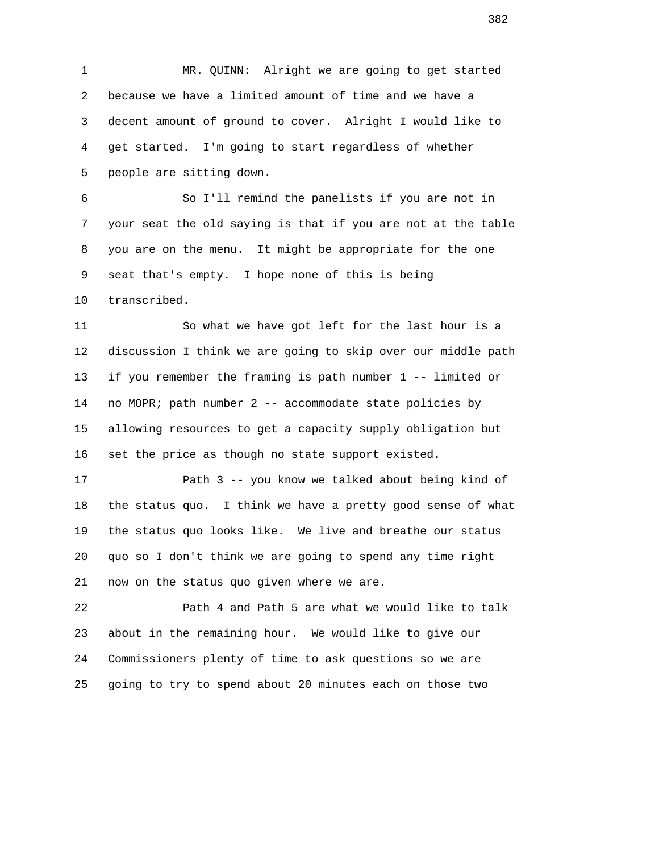1 MR. QUINN: Alright we are going to get started 2 because we have a limited amount of time and we have a 3 decent amount of ground to cover. Alright I would like to 4 get started. I'm going to start regardless of whether 5 people are sitting down.

 6 So I'll remind the panelists if you are not in 7 your seat the old saying is that if you are not at the table 8 you are on the menu. It might be appropriate for the one 9 seat that's empty. I hope none of this is being 10 transcribed.

 11 So what we have got left for the last hour is a 12 discussion I think we are going to skip over our middle path 13 if you remember the framing is path number 1 -- limited or 14 no MOPR; path number 2 -- accommodate state policies by 15 allowing resources to get a capacity supply obligation but 16 set the price as though no state support existed.

17 **Path 3 -- you know we talked about being kind of**  18 the status quo. I think we have a pretty good sense of what 19 the status quo looks like. We live and breathe our status 20 quo so I don't think we are going to spend any time right 21 now on the status quo given where we are.

 22 Path 4 and Path 5 are what we would like to talk 23 about in the remaining hour. We would like to give our 24 Commissioners plenty of time to ask questions so we are 25 going to try to spend about 20 minutes each on those two

 $\sim$  382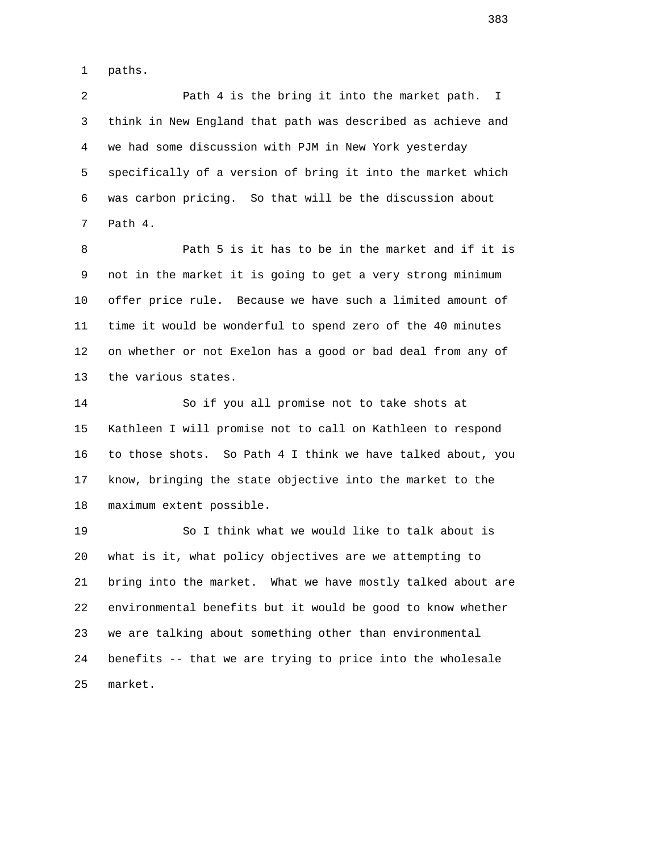1 paths.

 2 Path 4 is the bring it into the market path. I 3 think in New England that path was described as achieve and 4 we had some discussion with PJM in New York yesterday 5 specifically of a version of bring it into the market which 6 was carbon pricing. So that will be the discussion about 7 Path 4.

 8 Path 5 is it has to be in the market and if it is 9 not in the market it is going to get a very strong minimum 10 offer price rule. Because we have such a limited amount of 11 time it would be wonderful to spend zero of the 40 minutes 12 on whether or not Exelon has a good or bad deal from any of 13 the various states.

 14 So if you all promise not to take shots at 15 Kathleen I will promise not to call on Kathleen to respond 16 to those shots. So Path 4 I think we have talked about, you 17 know, bringing the state objective into the market to the 18 maximum extent possible.

 19 So I think what we would like to talk about is 20 what is it, what policy objectives are we attempting to 21 bring into the market. What we have mostly talked about are 22 environmental benefits but it would be good to know whether 23 we are talking about something other than environmental 24 benefits -- that we are trying to price into the wholesale 25 market.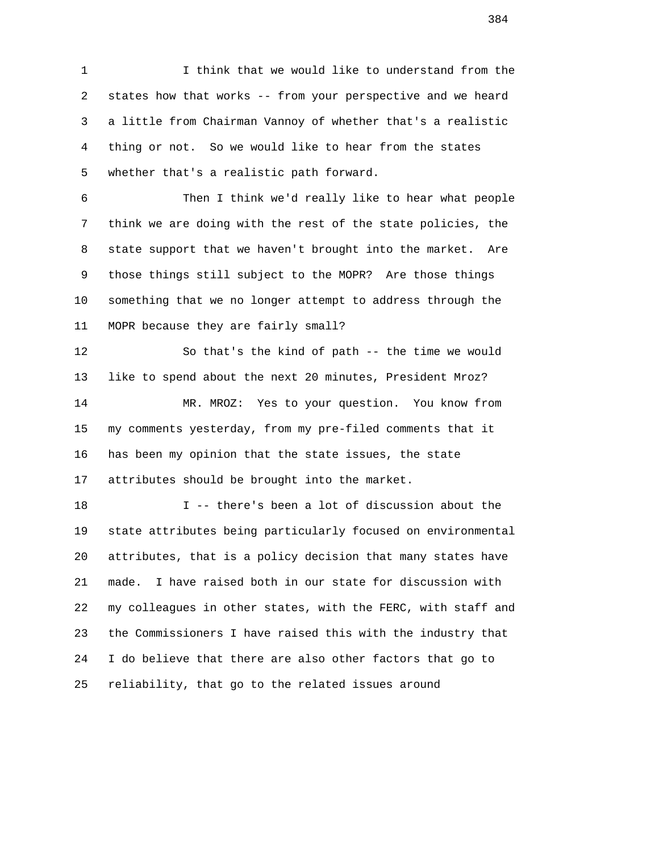1 I think that we would like to understand from the 2 states how that works -- from your perspective and we heard 3 a little from Chairman Vannoy of whether that's a realistic 4 thing or not. So we would like to hear from the states 5 whether that's a realistic path forward.

 6 Then I think we'd really like to hear what people 7 think we are doing with the rest of the state policies, the 8 state support that we haven't brought into the market. Are 9 those things still subject to the MOPR? Are those things 10 something that we no longer attempt to address through the 11 MOPR because they are fairly small?

 12 So that's the kind of path -- the time we would 13 like to spend about the next 20 minutes, President Mroz? 14 MR. MROZ: Yes to your question. You know from 15 my comments yesterday, from my pre-filed comments that it 16 has been my opinion that the state issues, the state 17 attributes should be brought into the market.

 18 I -- there's been a lot of discussion about the 19 state attributes being particularly focused on environmental 20 attributes, that is a policy decision that many states have 21 made. I have raised both in our state for discussion with 22 my colleagues in other states, with the FERC, with staff and 23 the Commissioners I have raised this with the industry that 24 I do believe that there are also other factors that go to 25 reliability, that go to the related issues around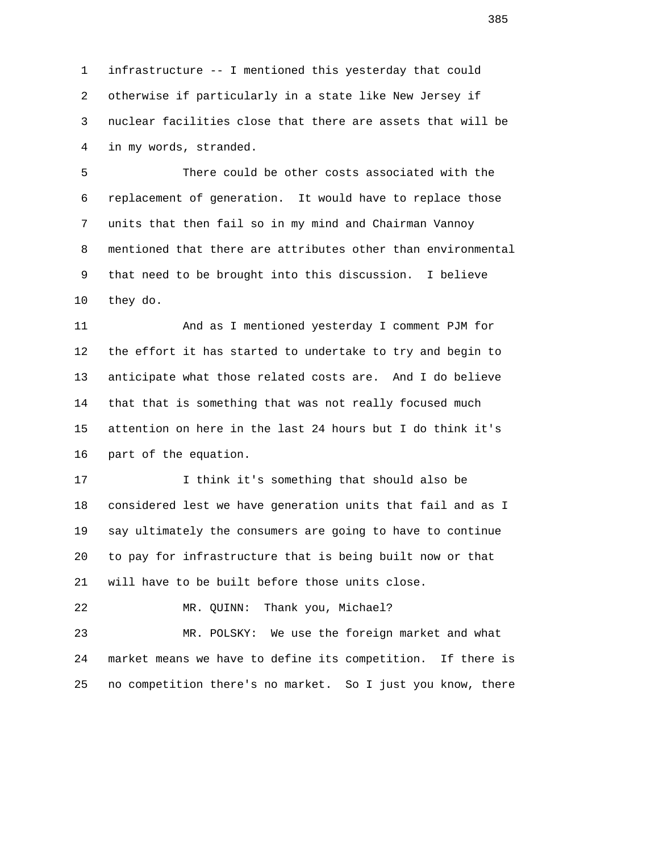1 infrastructure -- I mentioned this yesterday that could 2 otherwise if particularly in a state like New Jersey if 3 nuclear facilities close that there are assets that will be 4 in my words, stranded.

 5 There could be other costs associated with the 6 replacement of generation. It would have to replace those 7 units that then fail so in my mind and Chairman Vannoy 8 mentioned that there are attributes other than environmental 9 that need to be brought into this discussion. I believe 10 they do.

 11 And as I mentioned yesterday I comment PJM for 12 the effort it has started to undertake to try and begin to 13 anticipate what those related costs are. And I do believe 14 that that is something that was not really focused much 15 attention on here in the last 24 hours but I do think it's 16 part of the equation.

 17 I think it's something that should also be 18 considered lest we have generation units that fail and as I 19 say ultimately the consumers are going to have to continue 20 to pay for infrastructure that is being built now or that 21 will have to be built before those units close.

22 MR. QUINN: Thank you, Michael?

 23 MR. POLSKY: We use the foreign market and what 24 market means we have to define its competition. If there is 25 no competition there's no market. So I just you know, there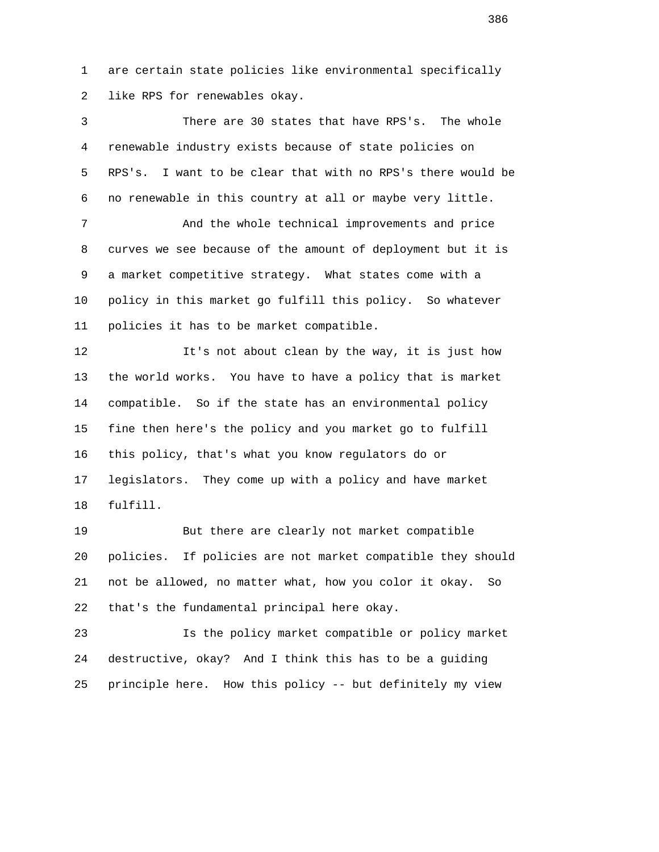1 are certain state policies like environmental specifically 2 like RPS for renewables okay.

 3 There are 30 states that have RPS's. The whole 4 renewable industry exists because of state policies on 5 RPS's. I want to be clear that with no RPS's there would be 6 no renewable in this country at all or maybe very little. 7 And the whole technical improvements and price 8 curves we see because of the amount of deployment but it is 9 a market competitive strategy. What states come with a 10 policy in this market go fulfill this policy. So whatever 11 policies it has to be market compatible. 12 It's not about clean by the way, it is just how 13 the world works. You have to have a policy that is market 14 compatible. So if the state has an environmental policy 15 fine then here's the policy and you market go to fulfill 16 this policy, that's what you know regulators do or 17 legislators. They come up with a policy and have market 18 fulfill. 19 But there are clearly not market compatible 20 policies. If policies are not market compatible they should 21 not be allowed, no matter what, how you color it okay. So

22 that's the fundamental principal here okay.

 23 Is the policy market compatible or policy market 24 destructive, okay? And I think this has to be a guiding 25 principle here. How this policy -- but definitely my view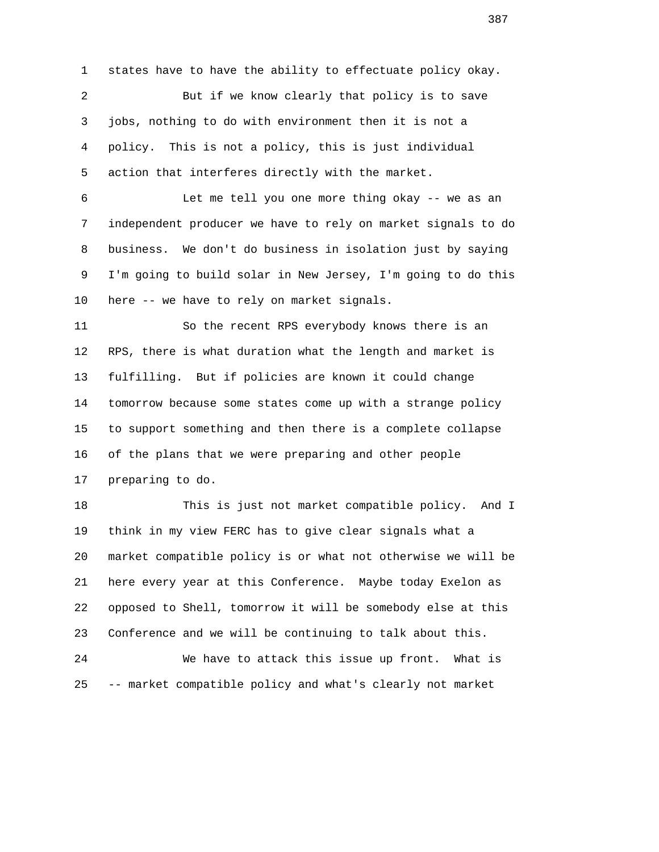1 states have to have the ability to effectuate policy okay.

 2 But if we know clearly that policy is to save 3 jobs, nothing to do with environment then it is not a 4 policy. This is not a policy, this is just individual 5 action that interferes directly with the market.

 6 Let me tell you one more thing okay -- we as an 7 independent producer we have to rely on market signals to do 8 business. We don't do business in isolation just by saying 9 I'm going to build solar in New Jersey, I'm going to do this 10 here -- we have to rely on market signals.

 11 So the recent RPS everybody knows there is an 12 RPS, there is what duration what the length and market is 13 fulfilling. But if policies are known it could change 14 tomorrow because some states come up with a strange policy 15 to support something and then there is a complete collapse 16 of the plans that we were preparing and other people 17 preparing to do.

 18 This is just not market compatible policy. And I 19 think in my view FERC has to give clear signals what a 20 market compatible policy is or what not otherwise we will be 21 here every year at this Conference. Maybe today Exelon as 22 opposed to Shell, tomorrow it will be somebody else at this 23 Conference and we will be continuing to talk about this. 24 We have to attack this issue up front. What is

25 -- market compatible policy and what's clearly not market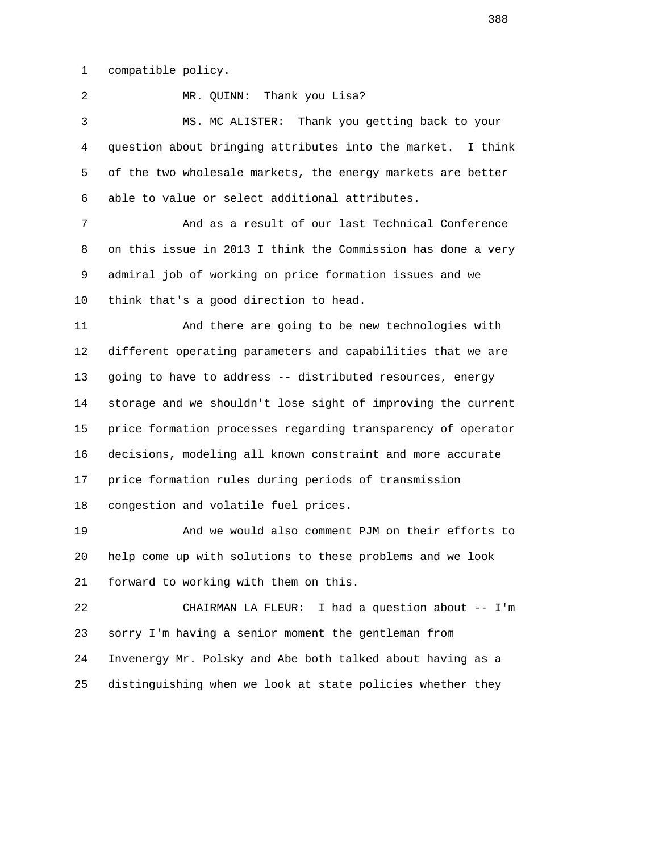1 compatible policy.

2 MR. QUINN: Thank you Lisa?

 3 MS. MC ALISTER: Thank you getting back to your 4 question about bringing attributes into the market. I think 5 of the two wholesale markets, the energy markets are better 6 able to value or select additional attributes.

 7 And as a result of our last Technical Conference 8 on this issue in 2013 I think the Commission has done a very 9 admiral job of working on price formation issues and we 10 think that's a good direction to head.

 11 And there are going to be new technologies with 12 different operating parameters and capabilities that we are 13 going to have to address -- distributed resources, energy 14 storage and we shouldn't lose sight of improving the current 15 price formation processes regarding transparency of operator 16 decisions, modeling all known constraint and more accurate 17 price formation rules during periods of transmission 18 congestion and volatile fuel prices.

 19 And we would also comment PJM on their efforts to 20 help come up with solutions to these problems and we look 21 forward to working with them on this.

 22 CHAIRMAN LA FLEUR: I had a question about -- I'm 23 sorry I'm having a senior moment the gentleman from 24 Invenergy Mr. Polsky and Abe both talked about having as a 25 distinguishing when we look at state policies whether they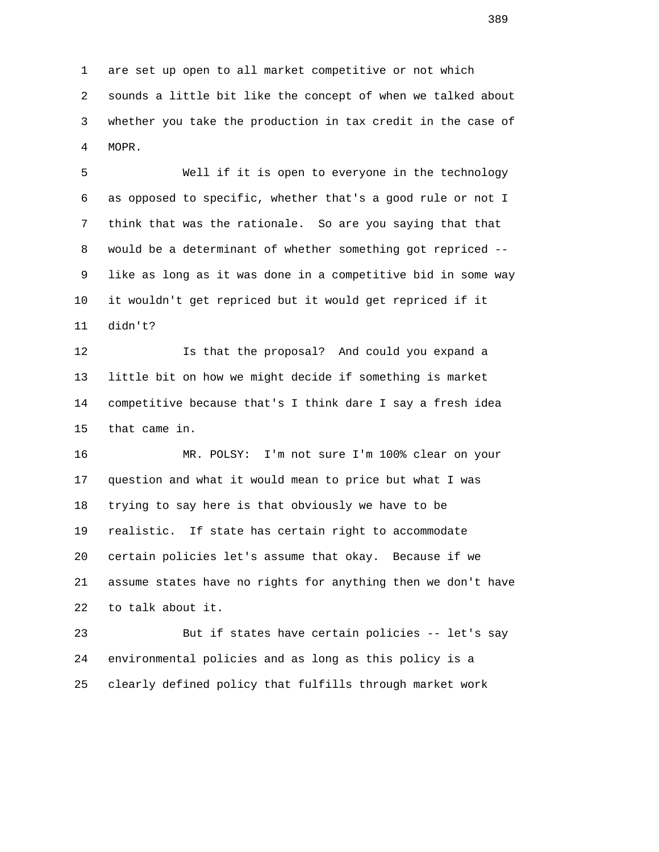1 are set up open to all market competitive or not which 2 sounds a little bit like the concept of when we talked about 3 whether you take the production in tax credit in the case of 4 MOPR.

 5 Well if it is open to everyone in the technology 6 as opposed to specific, whether that's a good rule or not I 7 think that was the rationale. So are you saying that that 8 would be a determinant of whether something got repriced -- 9 like as long as it was done in a competitive bid in some way 10 it wouldn't get repriced but it would get repriced if it 11 didn't?

 12 Is that the proposal? And could you expand a 13 little bit on how we might decide if something is market 14 competitive because that's I think dare I say a fresh idea 15 that came in.

 16 MR. POLSY: I'm not sure I'm 100% clear on your 17 question and what it would mean to price but what I was 18 trying to say here is that obviously we have to be 19 realistic. If state has certain right to accommodate 20 certain policies let's assume that okay. Because if we 21 assume states have no rights for anything then we don't have 22 to talk about it.

 23 But if states have certain policies -- let's say 24 environmental policies and as long as this policy is a 25 clearly defined policy that fulfills through market work

<u>389</u>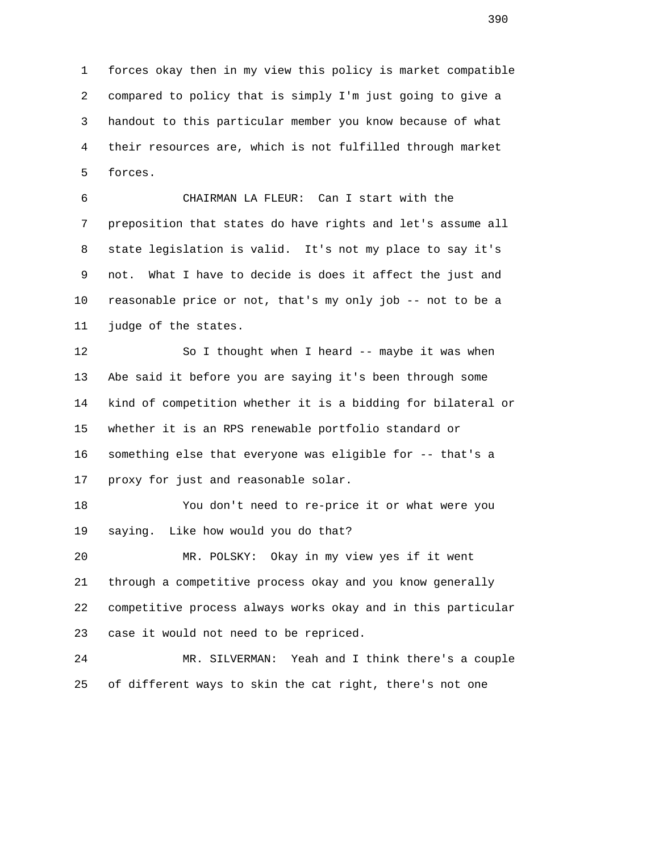1 forces okay then in my view this policy is market compatible 2 compared to policy that is simply I'm just going to give a 3 handout to this particular member you know because of what 4 their resources are, which is not fulfilled through market 5 forces.

 6 CHAIRMAN LA FLEUR: Can I start with the 7 preposition that states do have rights and let's assume all 8 state legislation is valid. It's not my place to say it's 9 not. What I have to decide is does it affect the just and 10 reasonable price or not, that's my only job -- not to be a 11 judge of the states.

 12 So I thought when I heard -- maybe it was when 13 Abe said it before you are saying it's been through some 14 kind of competition whether it is a bidding for bilateral or 15 whether it is an RPS renewable portfolio standard or 16 something else that everyone was eligible for -- that's a 17 proxy for just and reasonable solar.

 18 You don't need to re-price it or what were you 19 saying. Like how would you do that?

 20 MR. POLSKY: Okay in my view yes if it went 21 through a competitive process okay and you know generally 22 competitive process always works okay and in this particular 23 case it would not need to be repriced.

 24 MR. SILVERMAN: Yeah and I think there's a couple 25 of different ways to skin the cat right, there's not one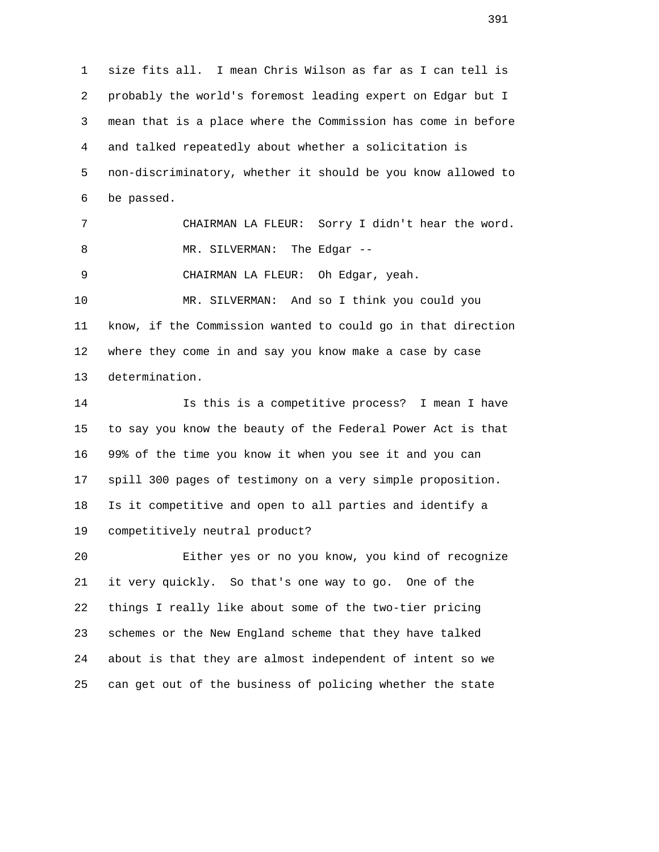1 size fits all. I mean Chris Wilson as far as I can tell is 2 probably the world's foremost leading expert on Edgar but I 3 mean that is a place where the Commission has come in before 4 and talked repeatedly about whether a solicitation is 5 non-discriminatory, whether it should be you know allowed to 6 be passed. 7 CHAIRMAN LA FLEUR: Sorry I didn't hear the word. 8 MR. SILVERMAN: The Edgar -- 9 CHAIRMAN LA FLEUR: Oh Edgar, yeah. 10 MR. SILVERMAN: And so I think you could you 11 know, if the Commission wanted to could go in that direction 12 where they come in and say you know make a case by case 13 determination. 14 Is this is a competitive process? I mean I have 15 to say you know the beauty of the Federal Power Act is that 16 99% of the time you know it when you see it and you can 17 spill 300 pages of testimony on a very simple proposition. 18 Is it competitive and open to all parties and identify a 19 competitively neutral product? 20 Either yes or no you know, you kind of recognize

 21 it very quickly. So that's one way to go. One of the 22 things I really like about some of the two-tier pricing 23 schemes or the New England scheme that they have talked 24 about is that they are almost independent of intent so we 25 can get out of the business of policing whether the state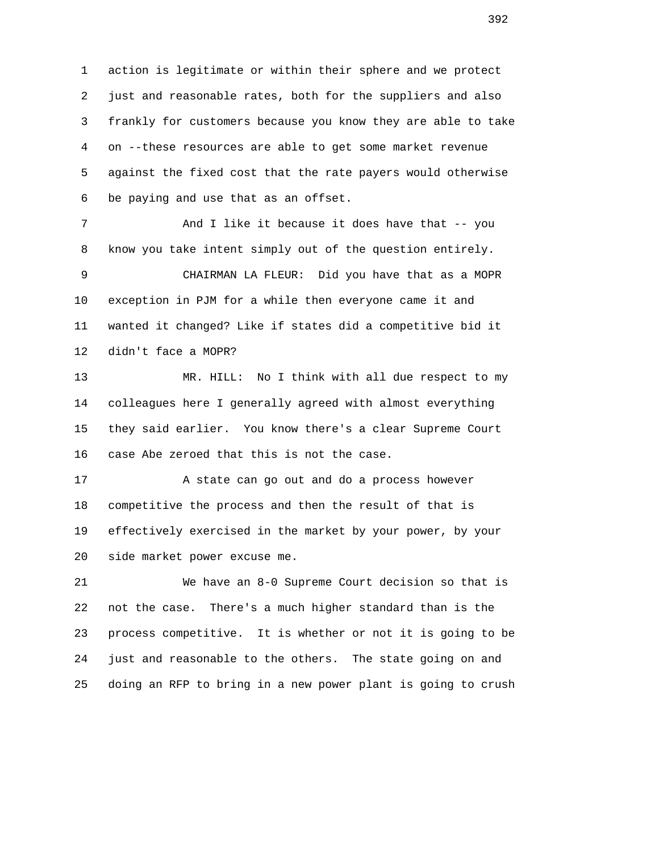1 action is legitimate or within their sphere and we protect 2 just and reasonable rates, both for the suppliers and also 3 frankly for customers because you know they are able to take 4 on --these resources are able to get some market revenue 5 against the fixed cost that the rate payers would otherwise 6 be paying and use that as an offset.

7 And I like it because it does have that -- you 8 know you take intent simply out of the question entirely.

 9 CHAIRMAN LA FLEUR: Did you have that as a MOPR 10 exception in PJM for a while then everyone came it and 11 wanted it changed? Like if states did a competitive bid it 12 didn't face a MOPR?

 13 MR. HILL: No I think with all due respect to my 14 colleagues here I generally agreed with almost everything 15 they said earlier. You know there's a clear Supreme Court 16 case Abe zeroed that this is not the case.

 17 A state can go out and do a process however 18 competitive the process and then the result of that is 19 effectively exercised in the market by your power, by your 20 side market power excuse me.

 21 We have an 8-0 Supreme Court decision so that is 22 not the case. There's a much higher standard than is the 23 process competitive. It is whether or not it is going to be 24 just and reasonable to the others. The state going on and 25 doing an RFP to bring in a new power plant is going to crush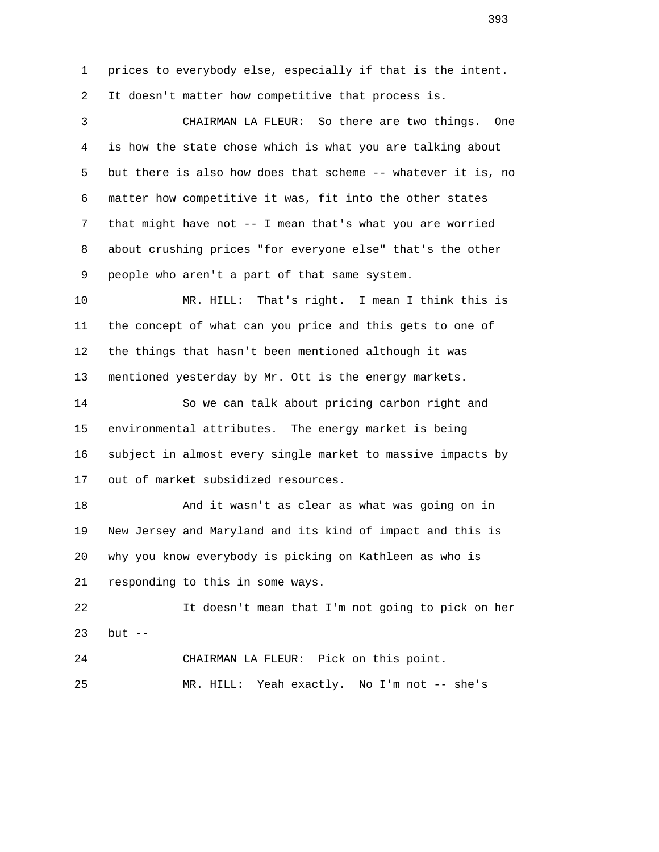1 prices to everybody else, especially if that is the intent. 2 It doesn't matter how competitive that process is.

 3 CHAIRMAN LA FLEUR: So there are two things. One 4 is how the state chose which is what you are talking about 5 but there is also how does that scheme -- whatever it is, no 6 matter how competitive it was, fit into the other states 7 that might have not -- I mean that's what you are worried 8 about crushing prices "for everyone else" that's the other 9 people who aren't a part of that same system.

 10 MR. HILL: That's right. I mean I think this is 11 the concept of what can you price and this gets to one of 12 the things that hasn't been mentioned although it was 13 mentioned yesterday by Mr. Ott is the energy markets.

 14 So we can talk about pricing carbon right and 15 environmental attributes. The energy market is being 16 subject in almost every single market to massive impacts by 17 out of market subsidized resources.

 18 And it wasn't as clear as what was going on in 19 New Jersey and Maryland and its kind of impact and this is 20 why you know everybody is picking on Kathleen as who is 21 responding to this in some ways.

 22 It doesn't mean that I'm not going to pick on her 23 but --

 24 CHAIRMAN LA FLEUR: Pick on this point. 25 MR. HILL: Yeah exactly. No I'm not -- she's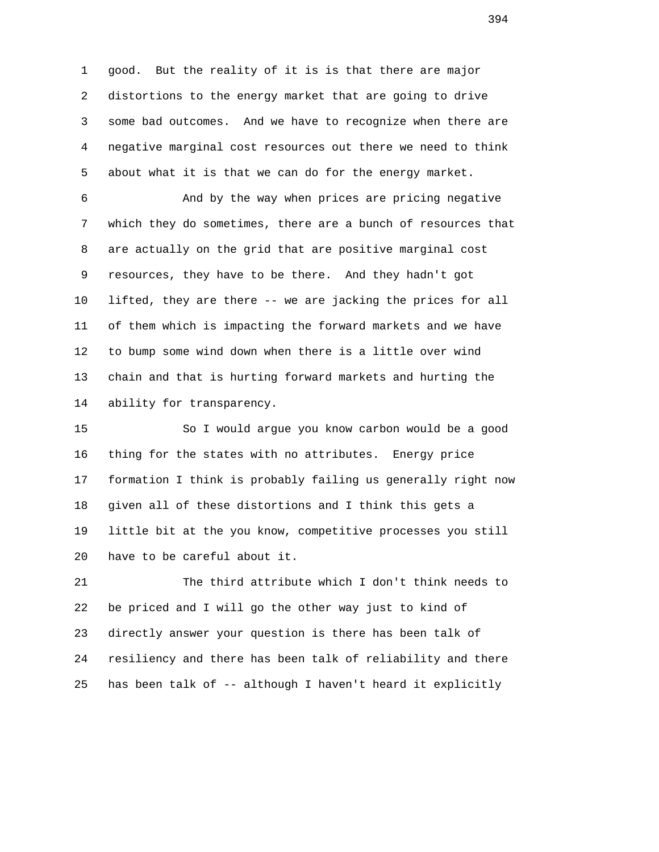1 good. But the reality of it is is that there are major 2 distortions to the energy market that are going to drive 3 some bad outcomes. And we have to recognize when there are 4 negative marginal cost resources out there we need to think 5 about what it is that we can do for the energy market.

 6 And by the way when prices are pricing negative 7 which they do sometimes, there are a bunch of resources that 8 are actually on the grid that are positive marginal cost 9 resources, they have to be there. And they hadn't got 10 lifted, they are there -- we are jacking the prices for all 11 of them which is impacting the forward markets and we have 12 to bump some wind down when there is a little over wind 13 chain and that is hurting forward markets and hurting the 14 ability for transparency.

 15 So I would argue you know carbon would be a good 16 thing for the states with no attributes. Energy price 17 formation I think is probably failing us generally right now 18 given all of these distortions and I think this gets a 19 little bit at the you know, competitive processes you still 20 have to be careful about it.

 21 The third attribute which I don't think needs to 22 be priced and I will go the other way just to kind of 23 directly answer your question is there has been talk of 24 resiliency and there has been talk of reliability and there 25 has been talk of -- although I haven't heard it explicitly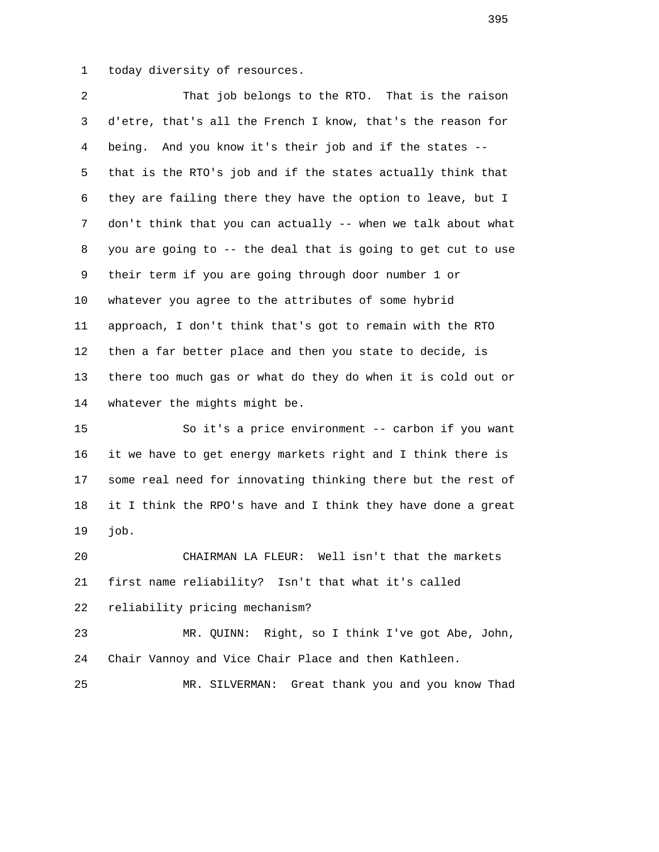1 today diversity of resources.

 2 That job belongs to the RTO. That is the raison 3 d'etre, that's all the French I know, that's the reason for 4 being. And you know it's their job and if the states -- 5 that is the RTO's job and if the states actually think that 6 they are failing there they have the option to leave, but I 7 don't think that you can actually -- when we talk about what 8 you are going to -- the deal that is going to get cut to use 9 their term if you are going through door number 1 or 10 whatever you agree to the attributes of some hybrid 11 approach, I don't think that's got to remain with the RTO 12 then a far better place and then you state to decide, is 13 there too much gas or what do they do when it is cold out or 14 whatever the mights might be.

 15 So it's a price environment -- carbon if you want 16 it we have to get energy markets right and I think there is 17 some real need for innovating thinking there but the rest of 18 it I think the RPO's have and I think they have done a great 19 job.

 20 CHAIRMAN LA FLEUR: Well isn't that the markets 21 first name reliability? Isn't that what it's called 22 reliability pricing mechanism?

 23 MR. QUINN: Right, so I think I've got Abe, John, 24 Chair Vannoy and Vice Chair Place and then Kathleen.

25 MR. SILVERMAN: Great thank you and you know Thad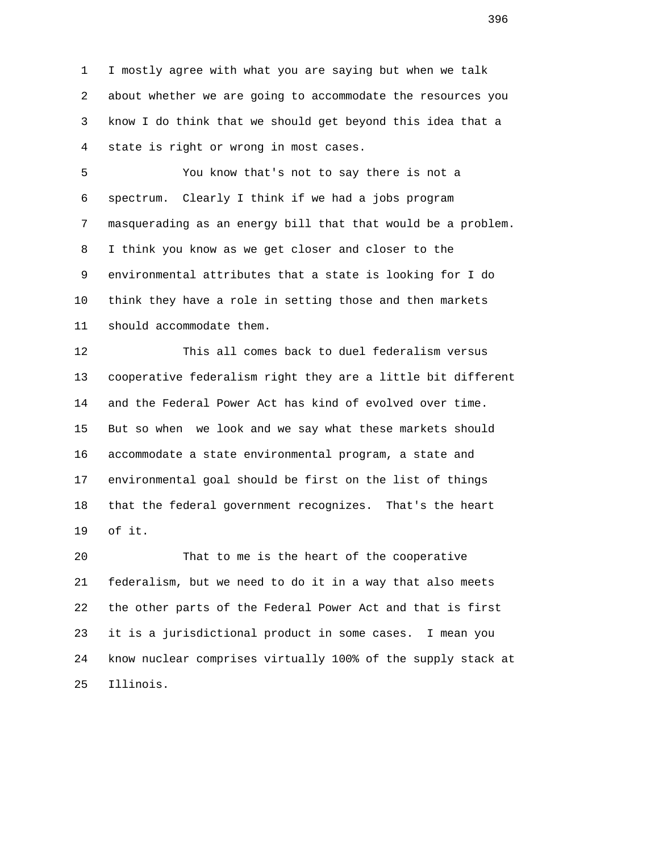1 I mostly agree with what you are saying but when we talk 2 about whether we are going to accommodate the resources you 3 know I do think that we should get beyond this idea that a 4 state is right or wrong in most cases.

 5 You know that's not to say there is not a 6 spectrum. Clearly I think if we had a jobs program 7 masquerading as an energy bill that that would be a problem. 8 I think you know as we get closer and closer to the 9 environmental attributes that a state is looking for I do 10 think they have a role in setting those and then markets 11 should accommodate them.

 12 This all comes back to duel federalism versus 13 cooperative federalism right they are a little bit different 14 and the Federal Power Act has kind of evolved over time. 15 But so when we look and we say what these markets should 16 accommodate a state environmental program, a state and 17 environmental goal should be first on the list of things 18 that the federal government recognizes. That's the heart 19 of it.

 20 That to me is the heart of the cooperative 21 federalism, but we need to do it in a way that also meets 22 the other parts of the Federal Power Act and that is first 23 it is a jurisdictional product in some cases. I mean you 24 know nuclear comprises virtually 100% of the supply stack at 25 Illinois.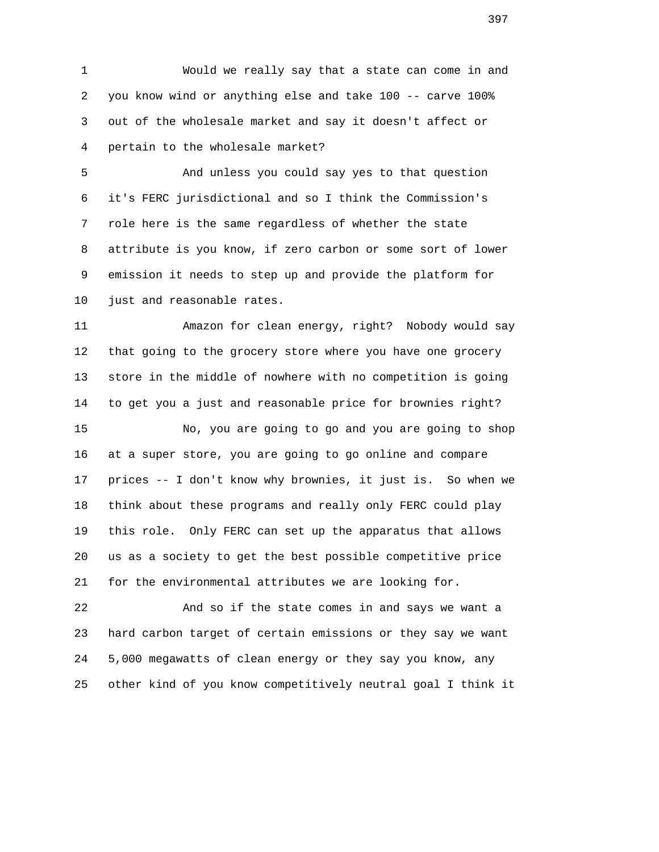1 Would we really say that a state can come in and 2 you know wind or anything else and take 100 -- carve 100% 3 out of the wholesale market and say it doesn't affect or 4 pertain to the wholesale market?

 5 And unless you could say yes to that question 6 it's FERC jurisdictional and so I think the Commission's 7 role here is the same regardless of whether the state 8 attribute is you know, if zero carbon or some sort of lower 9 emission it needs to step up and provide the platform for 10 just and reasonable rates.

 11 Amazon for clean energy, right? Nobody would say 12 that going to the grocery store where you have one grocery 13 store in the middle of nowhere with no competition is going 14 to get you a just and reasonable price for brownies right?

 15 No, you are going to go and you are going to shop 16 at a super store, you are going to go online and compare 17 prices -- I don't know why brownies, it just is. So when we 18 think about these programs and really only FERC could play 19 this role. Only FERC can set up the apparatus that allows 20 us as a society to get the best possible competitive price 21 for the environmental attributes we are looking for.

 22 And so if the state comes in and says we want a 23 hard carbon target of certain emissions or they say we want 24 5,000 megawatts of clean energy or they say you know, any 25 other kind of you know competitively neutral goal I think it

<u>397</u>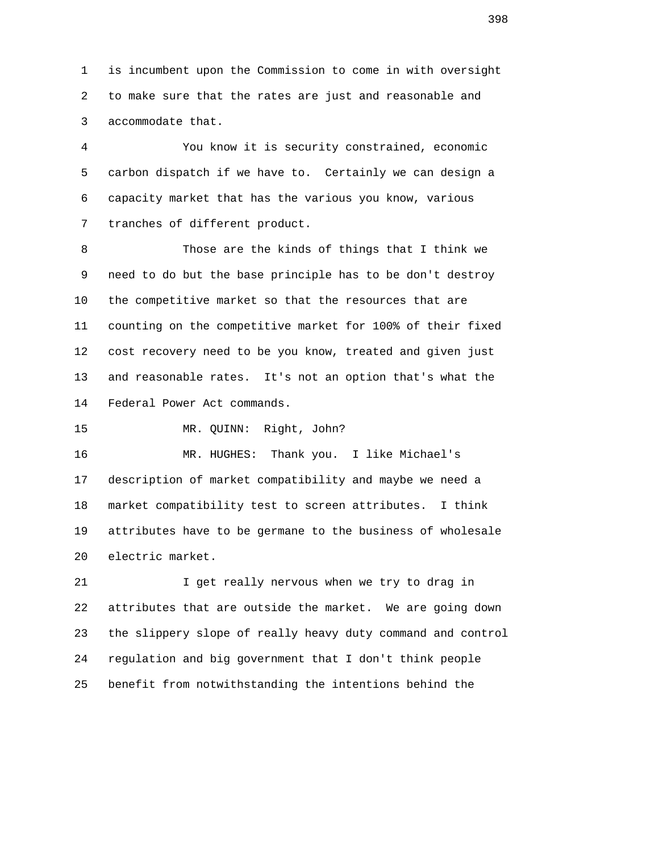1 is incumbent upon the Commission to come in with oversight 2 to make sure that the rates are just and reasonable and 3 accommodate that.

 4 You know it is security constrained, economic 5 carbon dispatch if we have to. Certainly we can design a 6 capacity market that has the various you know, various 7 tranches of different product.

 8 Those are the kinds of things that I think we 9 need to do but the base principle has to be don't destroy 10 the competitive market so that the resources that are 11 counting on the competitive market for 100% of their fixed 12 cost recovery need to be you know, treated and given just 13 and reasonable rates. It's not an option that's what the 14 Federal Power Act commands.

15 MR. QUINN: Right, John?

 16 MR. HUGHES: Thank you. I like Michael's 17 description of market compatibility and maybe we need a 18 market compatibility test to screen attributes. I think 19 attributes have to be germane to the business of wholesale 20 electric market.

 21 I get really nervous when we try to drag in 22 attributes that are outside the market. We are going down 23 the slippery slope of really heavy duty command and control 24 regulation and big government that I don't think people 25 benefit from notwithstanding the intentions behind the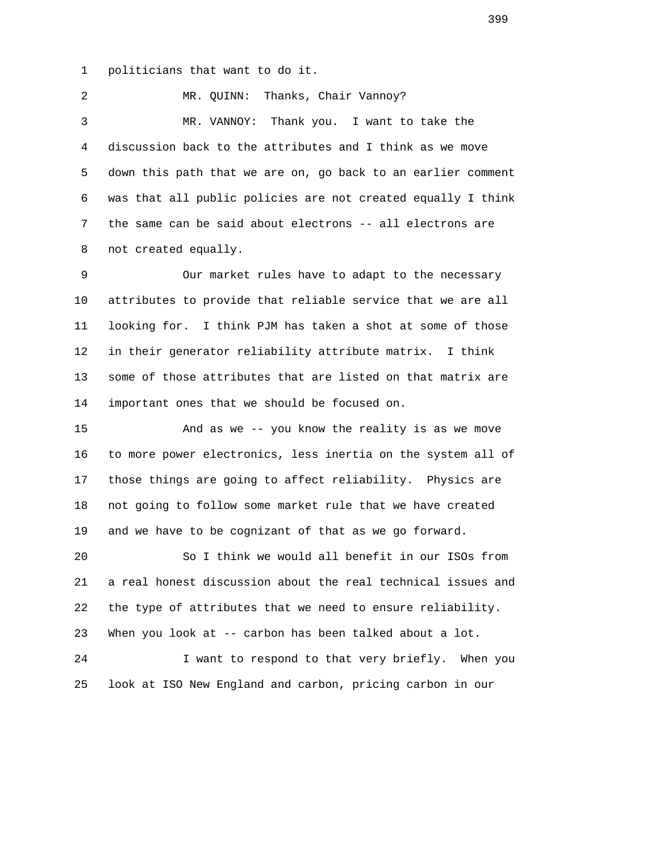1 politicians that want to do it.

 2 MR. QUINN: Thanks, Chair Vannoy? 3 MR. VANNOY: Thank you. I want to take the 4 discussion back to the attributes and I think as we move 5 down this path that we are on, go back to an earlier comment 6 was that all public policies are not created equally I think 7 the same can be said about electrons -- all electrons are 8 not created equally.

 9 Our market rules have to adapt to the necessary 10 attributes to provide that reliable service that we are all 11 looking for. I think PJM has taken a shot at some of those 12 in their generator reliability attribute matrix. I think 13 some of those attributes that are listed on that matrix are 14 important ones that we should be focused on.

 15 And as we -- you know the reality is as we move 16 to more power electronics, less inertia on the system all of 17 those things are going to affect reliability. Physics are 18 not going to follow some market rule that we have created 19 and we have to be cognizant of that as we go forward.

 20 So I think we would all benefit in our ISOs from 21 a real honest discussion about the real technical issues and 22 the type of attributes that we need to ensure reliability. 23 When you look at -- carbon has been talked about a lot. 24 I want to respond to that very briefly. When you

25 look at ISO New England and carbon, pricing carbon in our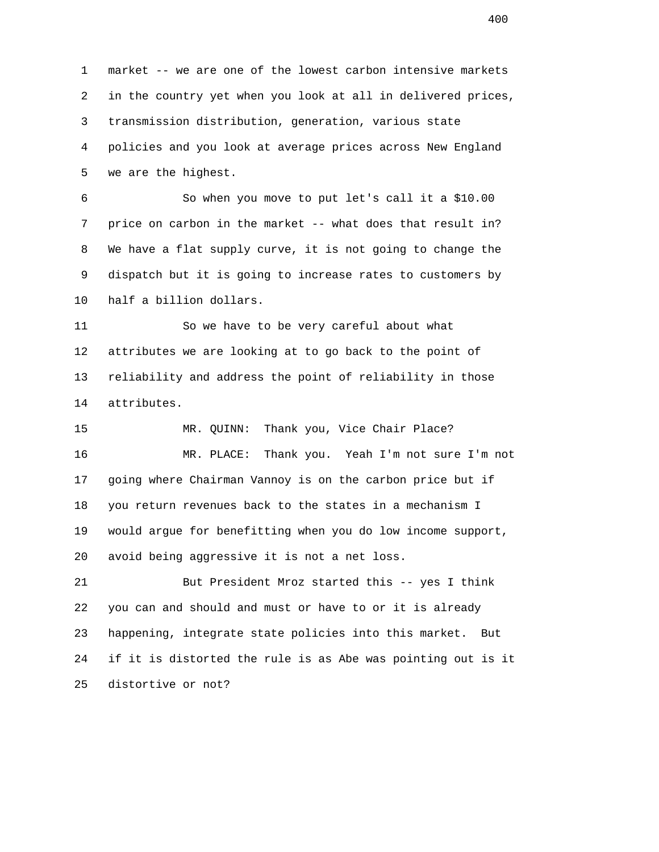1 market -- we are one of the lowest carbon intensive markets 2 in the country yet when you look at all in delivered prices, 3 transmission distribution, generation, various state 4 policies and you look at average prices across New England 5 we are the highest.

 6 So when you move to put let's call it a \$10.00 7 price on carbon in the market -- what does that result in? 8 We have a flat supply curve, it is not going to change the 9 dispatch but it is going to increase rates to customers by 10 half a billion dollars.

 11 So we have to be very careful about what 12 attributes we are looking at to go back to the point of 13 reliability and address the point of reliability in those 14 attributes.

 15 MR. QUINN: Thank you, Vice Chair Place? 16 MR. PLACE: Thank you. Yeah I'm not sure I'm not 17 going where Chairman Vannoy is on the carbon price but if 18 you return revenues back to the states in a mechanism I 19 would argue for benefitting when you do low income support, 20 avoid being aggressive it is not a net loss.

 21 But President Mroz started this -- yes I think 22 you can and should and must or have to or it is already 23 happening, integrate state policies into this market. But 24 if it is distorted the rule is as Abe was pointing out is it 25 distortive or not?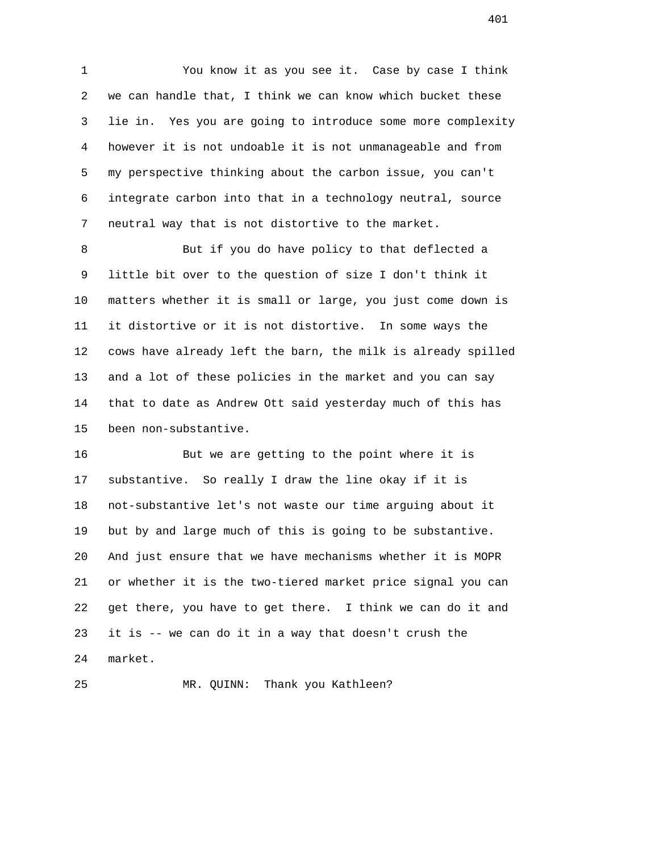1 You know it as you see it. Case by case I think 2 we can handle that, I think we can know which bucket these 3 lie in. Yes you are going to introduce some more complexity 4 however it is not undoable it is not unmanageable and from 5 my perspective thinking about the carbon issue, you can't 6 integrate carbon into that in a technology neutral, source 7 neutral way that is not distortive to the market.

 8 But if you do have policy to that deflected a 9 little bit over to the question of size I don't think it 10 matters whether it is small or large, you just come down is 11 it distortive or it is not distortive. In some ways the 12 cows have already left the barn, the milk is already spilled 13 and a lot of these policies in the market and you can say 14 that to date as Andrew Ott said yesterday much of this has 15 been non-substantive.

 16 But we are getting to the point where it is 17 substantive. So really I draw the line okay if it is 18 not-substantive let's not waste our time arguing about it 19 but by and large much of this is going to be substantive. 20 And just ensure that we have mechanisms whether it is MOPR 21 or whether it is the two-tiered market price signal you can 22 get there, you have to get there. I think we can do it and 23 it is -- we can do it in a way that doesn't crush the 24 market.

25 MR. QUINN: Thank you Kathleen?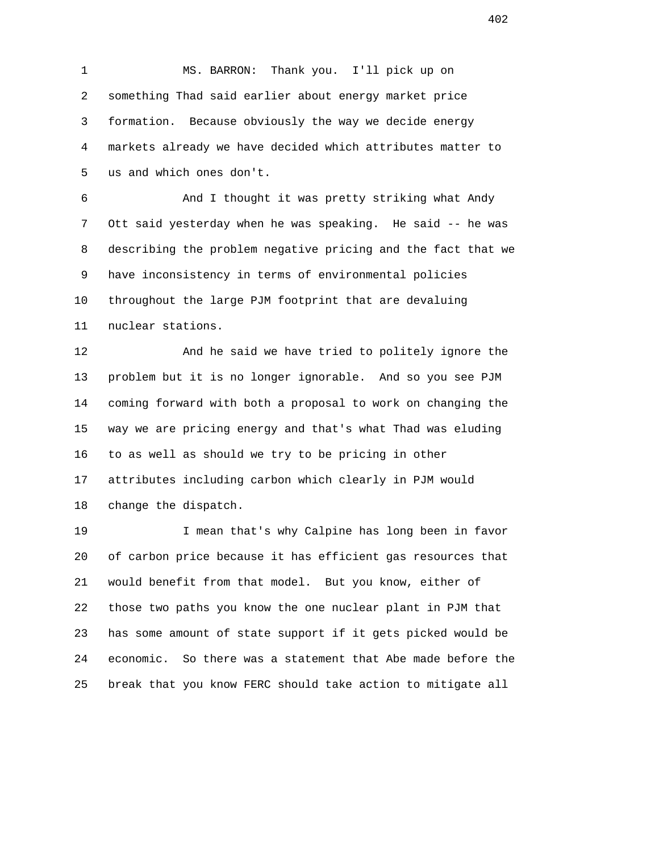1 MS. BARRON: Thank you. I'll pick up on 2 something Thad said earlier about energy market price 3 formation. Because obviously the way we decide energy 4 markets already we have decided which attributes matter to 5 us and which ones don't.

 6 And I thought it was pretty striking what Andy 7 Ott said yesterday when he was speaking. He said -- he was 8 describing the problem negative pricing and the fact that we 9 have inconsistency in terms of environmental policies 10 throughout the large PJM footprint that are devaluing 11 nuclear stations.

 12 And he said we have tried to politely ignore the 13 problem but it is no longer ignorable. And so you see PJM 14 coming forward with both a proposal to work on changing the 15 way we are pricing energy and that's what Thad was eluding 16 to as well as should we try to be pricing in other 17 attributes including carbon which clearly in PJM would 18 change the dispatch.

 19 I mean that's why Calpine has long been in favor 20 of carbon price because it has efficient gas resources that 21 would benefit from that model. But you know, either of 22 those two paths you know the one nuclear plant in PJM that 23 has some amount of state support if it gets picked would be 24 economic. So there was a statement that Abe made before the 25 break that you know FERC should take action to mitigate all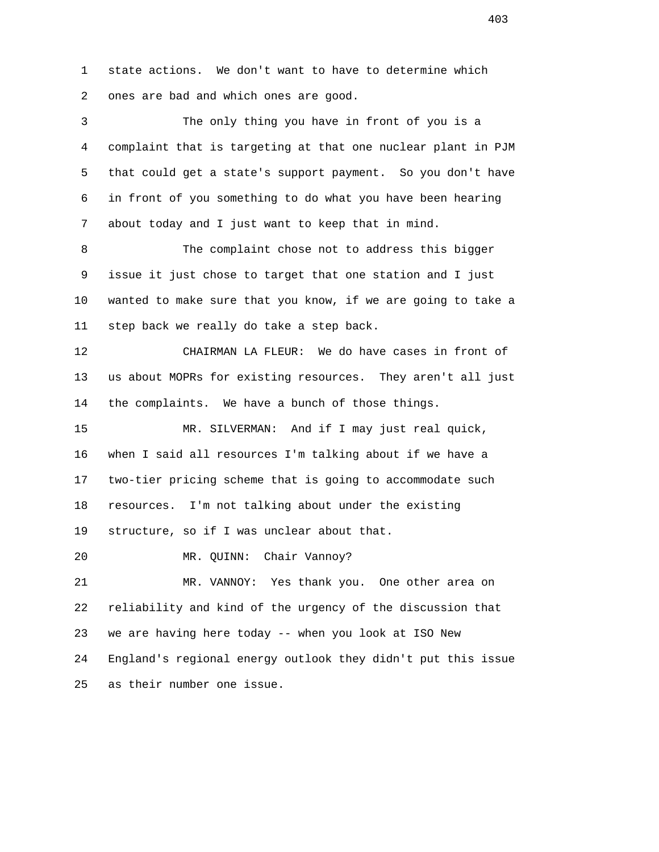1 state actions. We don't want to have to determine which 2 ones are bad and which ones are good.

 3 The only thing you have in front of you is a 4 complaint that is targeting at that one nuclear plant in PJM 5 that could get a state's support payment. So you don't have 6 in front of you something to do what you have been hearing 7 about today and I just want to keep that in mind.

 8 The complaint chose not to address this bigger 9 issue it just chose to target that one station and I just 10 wanted to make sure that you know, if we are going to take a 11 step back we really do take a step back.

 12 CHAIRMAN LA FLEUR: We do have cases in front of 13 us about MOPRs for existing resources. They aren't all just 14 the complaints. We have a bunch of those things.

 15 MR. SILVERMAN: And if I may just real quick, 16 when I said all resources I'm talking about if we have a 17 two-tier pricing scheme that is going to accommodate such 18 resources. I'm not talking about under the existing 19 structure, so if I was unclear about that.

20 MR. QUINN: Chair Vannoy?

 21 MR. VANNOY: Yes thank you. One other area on 22 reliability and kind of the urgency of the discussion that 23 we are having here today -- when you look at ISO New 24 England's regional energy outlook they didn't put this issue 25 as their number one issue.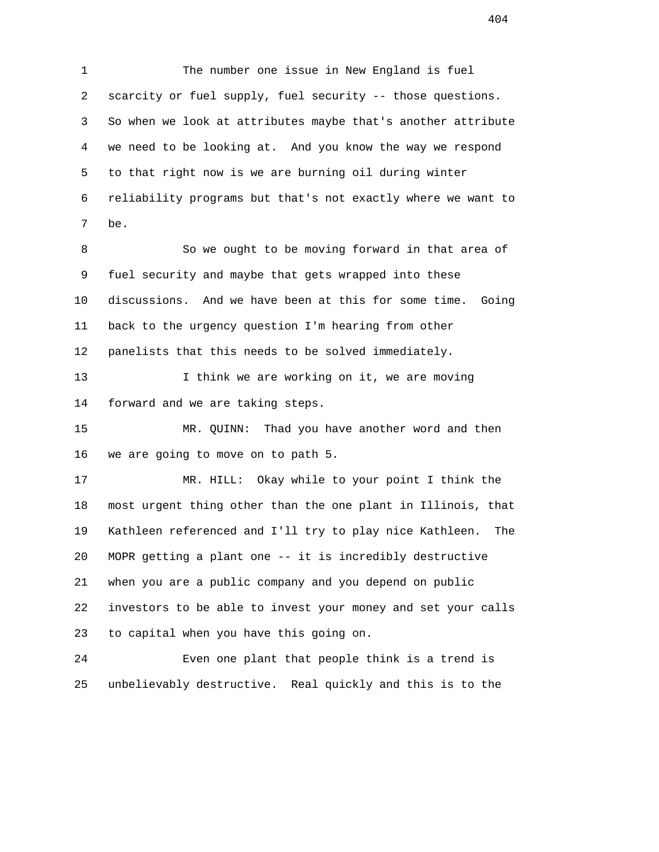1 The number one issue in New England is fuel 2 scarcity or fuel supply, fuel security -- those questions. 3 So when we look at attributes maybe that's another attribute 4 we need to be looking at. And you know the way we respond 5 to that right now is we are burning oil during winter 6 reliability programs but that's not exactly where we want to 7 be.

8 So we ought to be moving forward in that area of 9 fuel security and maybe that gets wrapped into these 10 discussions. And we have been at this for some time. Going 11 back to the urgency question I'm hearing from other 12 panelists that this needs to be solved immediately.

13 I think we are working on it, we are moving 14 forward and we are taking steps.

 15 MR. QUINN: Thad you have another word and then 16 we are going to move on to path 5.

 17 MR. HILL: Okay while to your point I think the 18 most urgent thing other than the one plant in Illinois, that 19 Kathleen referenced and I'll try to play nice Kathleen. The 20 MOPR getting a plant one -- it is incredibly destructive 21 when you are a public company and you depend on public 22 investors to be able to invest your money and set your calls 23 to capital when you have this going on.

 24 Even one plant that people think is a trend is 25 unbelievably destructive. Real quickly and this is to the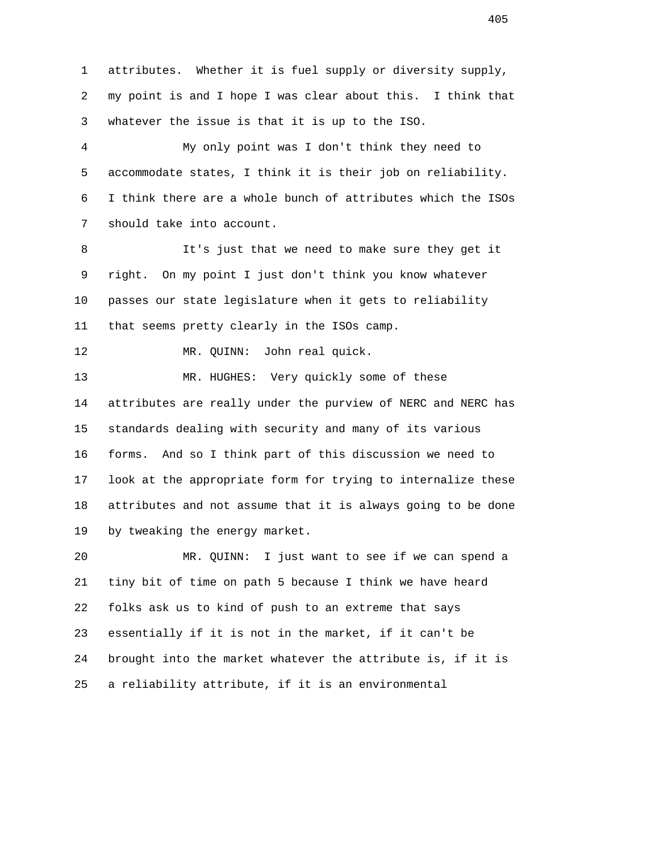1 attributes. Whether it is fuel supply or diversity supply, 2 my point is and I hope I was clear about this. I think that 3 whatever the issue is that it is up to the ISO. 4 My only point was I don't think they need to 5 accommodate states, I think it is their job on reliability. 6 I think there are a whole bunch of attributes which the ISOs 7 should take into account. 8 It's just that we need to make sure they get it 9 right. On my point I just don't think you know whatever 10 passes our state legislature when it gets to reliability 11 that seems pretty clearly in the ISOs camp. 12 MR. QUINN: John real quick. 13 MR. HUGHES: Very quickly some of these 14 attributes are really under the purview of NERC and NERC has 15 standards dealing with security and many of its various 16 forms. And so I think part of this discussion we need to 17 look at the appropriate form for trying to internalize these 18 attributes and not assume that it is always going to be done 19 by tweaking the energy market. 20 MR. QUINN: I just want to see if we can spend a 21 tiny bit of time on path 5 because I think we have heard 22 folks ask us to kind of push to an extreme that says 23 essentially if it is not in the market, if it can't be 24 brought into the market whatever the attribute is, if it is 25 a reliability attribute, if it is an environmental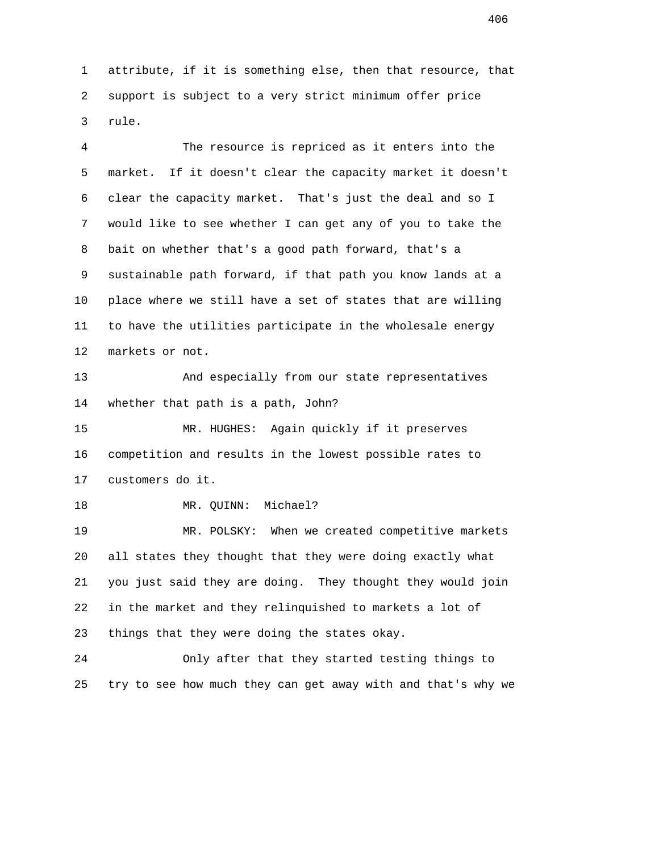1 attribute, if it is something else, then that resource, that 2 support is subject to a very strict minimum offer price 3 rule.

 4 The resource is repriced as it enters into the 5 market. If it doesn't clear the capacity market it doesn't 6 clear the capacity market. That's just the deal and so I 7 would like to see whether I can get any of you to take the 8 bait on whether that's a good path forward, that's a 9 sustainable path forward, if that path you know lands at a 10 place where we still have a set of states that are willing 11 to have the utilities participate in the wholesale energy 12 markets or not.

 13 And especially from our state representatives 14 whether that path is a path, John?

 15 MR. HUGHES: Again quickly if it preserves 16 competition and results in the lowest possible rates to 17 customers do it.

18 MR. QUINN: Michael?

 19 MR. POLSKY: When we created competitive markets 20 all states they thought that they were doing exactly what 21 you just said they are doing. They thought they would join 22 in the market and they relinquished to markets a lot of 23 things that they were doing the states okay.

 24 Only after that they started testing things to 25 try to see how much they can get away with and that's why we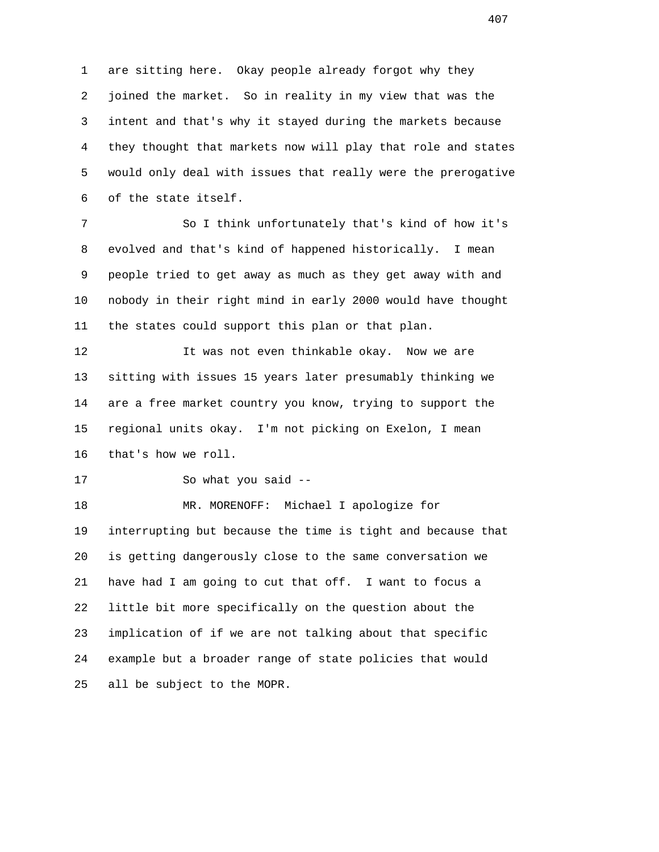1 are sitting here. Okay people already forgot why they 2 joined the market. So in reality in my view that was the 3 intent and that's why it stayed during the markets because 4 they thought that markets now will play that role and states 5 would only deal with issues that really were the prerogative 6 of the state itself.

 7 So I think unfortunately that's kind of how it's 8 evolved and that's kind of happened historically. I mean 9 people tried to get away as much as they get away with and 10 nobody in their right mind in early 2000 would have thought 11 the states could support this plan or that plan.

12 12 It was not even thinkable okay. Now we are 13 sitting with issues 15 years later presumably thinking we 14 are a free market country you know, trying to support the 15 regional units okay. I'm not picking on Exelon, I mean 16 that's how we roll.

17 So what you said --

 18 MR. MORENOFF: Michael I apologize for 19 interrupting but because the time is tight and because that 20 is getting dangerously close to the same conversation we 21 have had I am going to cut that off. I want to focus a 22 little bit more specifically on the question about the 23 implication of if we are not talking about that specific 24 example but a broader range of state policies that would 25 all be subject to the MOPR.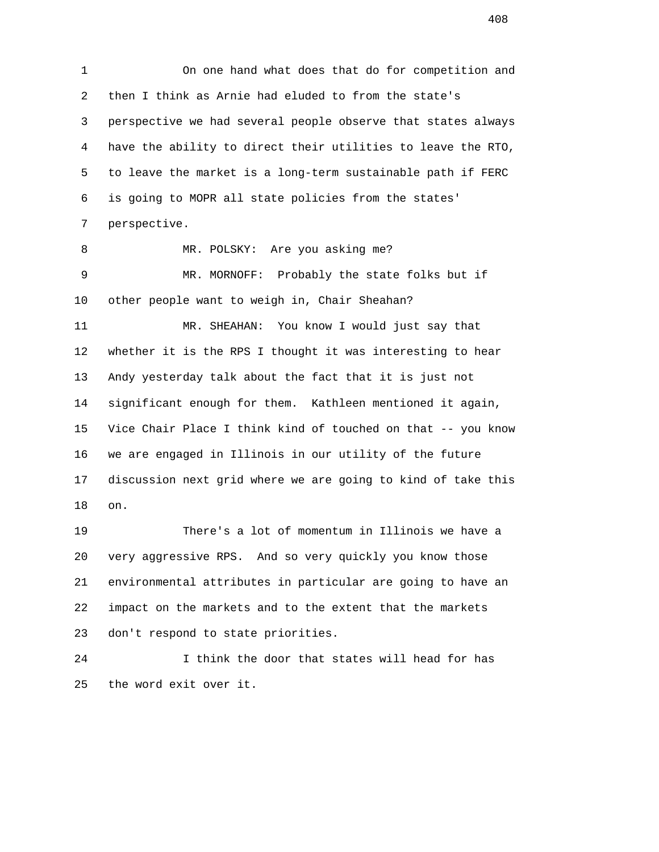1 On one hand what does that do for competition and 2 then I think as Arnie had eluded to from the state's 3 perspective we had several people observe that states always 4 have the ability to direct their utilities to leave the RTO, 5 to leave the market is a long-term sustainable path if FERC 6 is going to MOPR all state policies from the states' 7 perspective. 8 MR. POLSKY: Are you asking me? 9 MR. MORNOFF: Probably the state folks but if 10 other people want to weigh in, Chair Sheahan? 11 MR. SHEAHAN: You know I would just say that 12 whether it is the RPS I thought it was interesting to hear 13 Andy yesterday talk about the fact that it is just not 14 significant enough for them. Kathleen mentioned it again, 15 Vice Chair Place I think kind of touched on that -- you know 16 we are engaged in Illinois in our utility of the future 17 discussion next grid where we are going to kind of take this 18 on.

 19 There's a lot of momentum in Illinois we have a 20 very aggressive RPS. And so very quickly you know those 21 environmental attributes in particular are going to have an 22 impact on the markets and to the extent that the markets 23 don't respond to state priorities.

 24 I think the door that states will head for has 25 the word exit over it.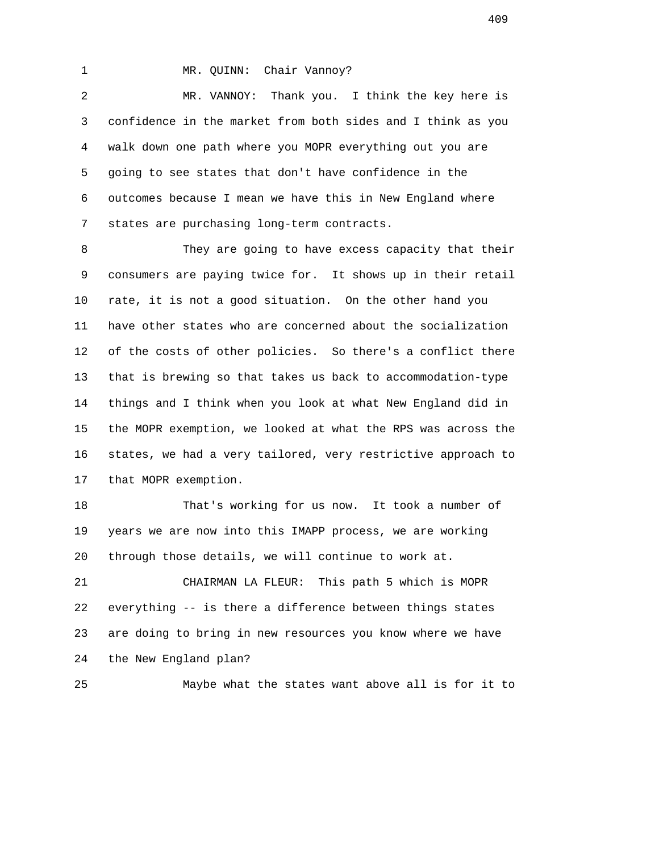## 1 MR. QUINN: Chair Vannoy?

 2 MR. VANNOY: Thank you. I think the key here is 3 confidence in the market from both sides and I think as you 4 walk down one path where you MOPR everything out you are 5 going to see states that don't have confidence in the 6 outcomes because I mean we have this in New England where 7 states are purchasing long-term contracts.

 8 They are going to have excess capacity that their 9 consumers are paying twice for. It shows up in their retail 10 rate, it is not a good situation. On the other hand you 11 have other states who are concerned about the socialization 12 of the costs of other policies. So there's a conflict there 13 that is brewing so that takes us back to accommodation-type 14 things and I think when you look at what New England did in 15 the MOPR exemption, we looked at what the RPS was across the 16 states, we had a very tailored, very restrictive approach to 17 that MOPR exemption.

 18 That's working for us now. It took a number of 19 years we are now into this IMAPP process, we are working 20 through those details, we will continue to work at.

 21 CHAIRMAN LA FLEUR: This path 5 which is MOPR 22 everything -- is there a difference between things states 23 are doing to bring in new resources you know where we have 24 the New England plan?

25 Maybe what the states want above all is for it to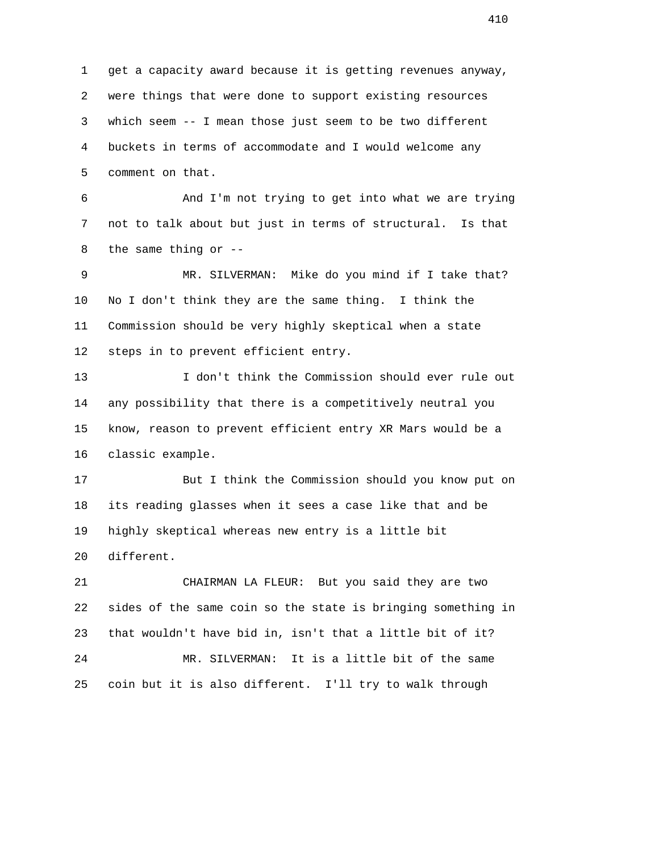1 get a capacity award because it is getting revenues anyway, 2 were things that were done to support existing resources 3 which seem -- I mean those just seem to be two different 4 buckets in terms of accommodate and I would welcome any 5 comment on that. 6 And I'm not trying to get into what we are trying 7 not to talk about but just in terms of structural. Is that 8 the same thing or -- 9 MR. SILVERMAN: Mike do you mind if I take that? 10 No I don't think they are the same thing. I think the 11 Commission should be very highly skeptical when a state 12 steps in to prevent efficient entry. 13 I don't think the Commission should ever rule out 14 any possibility that there is a competitively neutral you 15 know, reason to prevent efficient entry XR Mars would be a 16 classic example. 17 But I think the Commission should you know put on 18 its reading glasses when it sees a case like that and be 19 highly skeptical whereas new entry is a little bit 20 different. 21 CHAIRMAN LA FLEUR: But you said they are two 22 sides of the same coin so the state is bringing something in 23 that wouldn't have bid in, isn't that a little bit of it? 24 MR. SILVERMAN: It is a little bit of the same 25 coin but it is also different. I'll try to walk through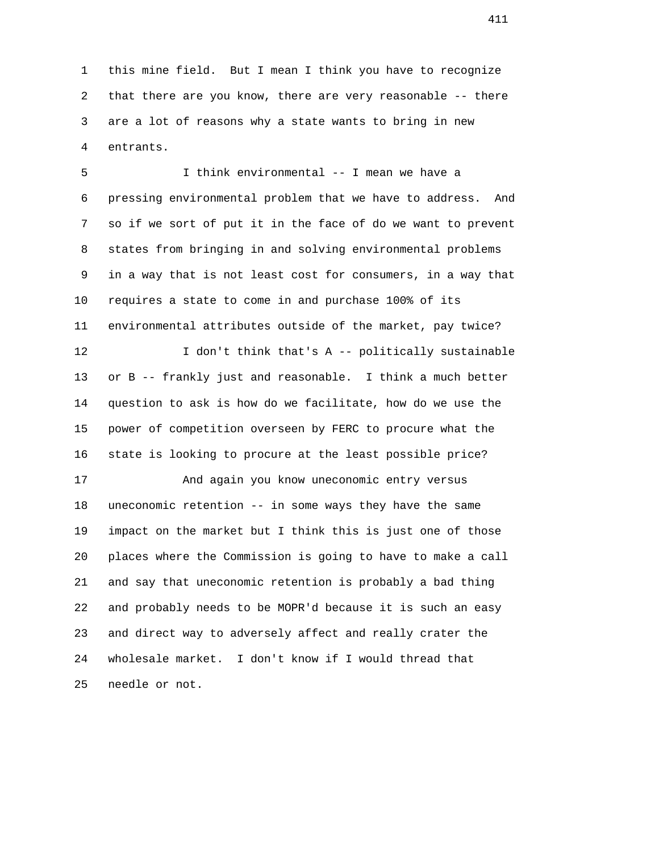1 this mine field. But I mean I think you have to recognize 2 that there are you know, there are very reasonable -- there 3 are a lot of reasons why a state wants to bring in new 4 entrants.

 5 I think environmental -- I mean we have a 6 pressing environmental problem that we have to address. And 7 so if we sort of put it in the face of do we want to prevent 8 states from bringing in and solving environmental problems 9 in a way that is not least cost for consumers, in a way that 10 requires a state to come in and purchase 100% of its 11 environmental attributes outside of the market, pay twice? 12 12 I don't think that's A -- politically sustainable 13 or B -- frankly just and reasonable. I think a much better 14 question to ask is how do we facilitate, how do we use the 15 power of competition overseen by FERC to procure what the 16 state is looking to procure at the least possible price? 17 And again you know uneconomic entry versus 18 uneconomic retention -- in some ways they have the same 19 impact on the market but I think this is just one of those 20 places where the Commission is going to have to make a call 21 and say that uneconomic retention is probably a bad thing 22 and probably needs to be MOPR'd because it is such an easy 23 and direct way to adversely affect and really crater the 24 wholesale market. I don't know if I would thread that

25 needle or not.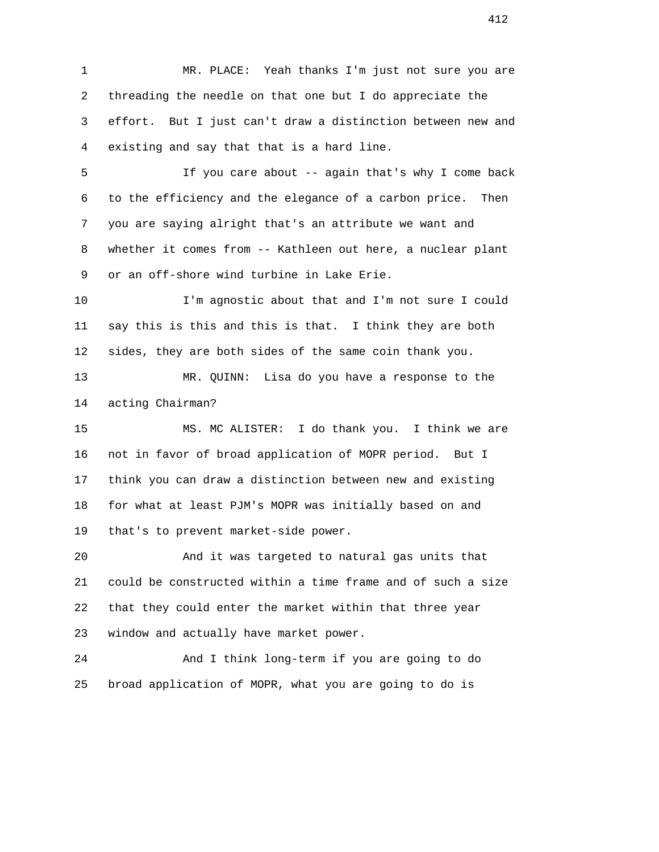1 MR. PLACE: Yeah thanks I'm just not sure you are 2 threading the needle on that one but I do appreciate the 3 effort. But I just can't draw a distinction between new and 4 existing and say that that is a hard line.

 5 If you care about -- again that's why I come back 6 to the efficiency and the elegance of a carbon price. Then 7 you are saying alright that's an attribute we want and 8 whether it comes from -- Kathleen out here, a nuclear plant 9 or an off-shore wind turbine in Lake Erie.

 10 I'm agnostic about that and I'm not sure I could 11 say this is this and this is that. I think they are both 12 sides, they are both sides of the same coin thank you.

 13 MR. QUINN: Lisa do you have a response to the 14 acting Chairman?

 15 MS. MC ALISTER: I do thank you. I think we are 16 not in favor of broad application of MOPR period. But I 17 think you can draw a distinction between new and existing 18 for what at least PJM's MOPR was initially based on and 19 that's to prevent market-side power.

 20 And it was targeted to natural gas units that 21 could be constructed within a time frame and of such a size 22 that they could enter the market within that three year 23 window and actually have market power.

 24 And I think long-term if you are going to do 25 broad application of MOPR, what you are going to do is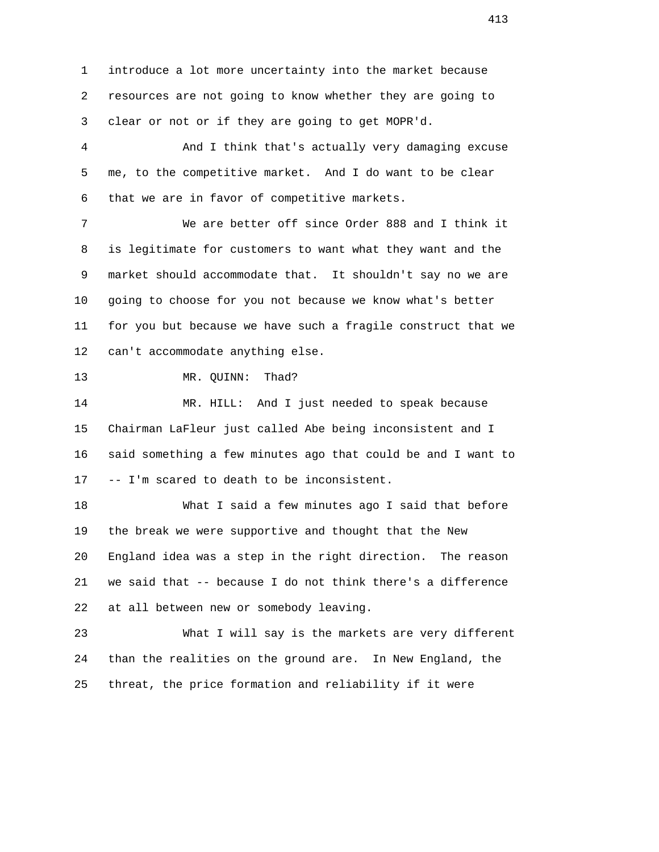1 introduce a lot more uncertainty into the market because 2 resources are not going to know whether they are going to 3 clear or not or if they are going to get MOPR'd.

 4 And I think that's actually very damaging excuse 5 me, to the competitive market. And I do want to be clear 6 that we are in favor of competitive markets.

 7 We are better off since Order 888 and I think it 8 is legitimate for customers to want what they want and the 9 market should accommodate that. It shouldn't say no we are 10 going to choose for you not because we know what's better 11 for you but because we have such a fragile construct that we 12 can't accommodate anything else.

13 MR. OUINN: Thad?

 14 MR. HILL: And I just needed to speak because 15 Chairman LaFleur just called Abe being inconsistent and I 16 said something a few minutes ago that could be and I want to 17 -- I'm scared to death to be inconsistent.

 18 What I said a few minutes ago I said that before 19 the break we were supportive and thought that the New 20 England idea was a step in the right direction. The reason 21 we said that -- because I do not think there's a difference 22 at all between new or somebody leaving.

 23 What I will say is the markets are very different 24 than the realities on the ground are. In New England, the 25 threat, the price formation and reliability if it were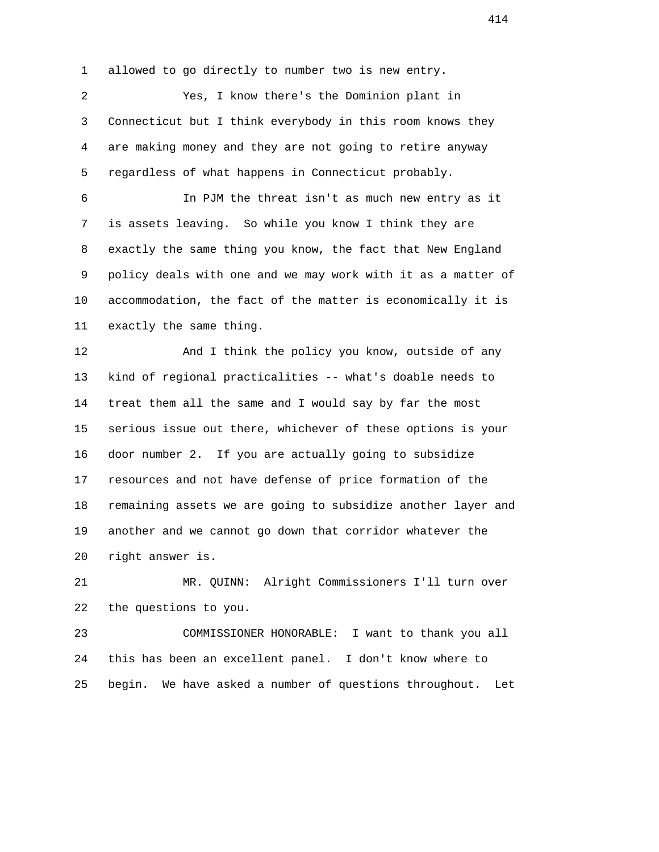1 allowed to go directly to number two is new entry.

 2 Yes, I know there's the Dominion plant in 3 Connecticut but I think everybody in this room knows they 4 are making money and they are not going to retire anyway 5 regardless of what happens in Connecticut probably.

 6 In PJM the threat isn't as much new entry as it 7 is assets leaving. So while you know I think they are 8 exactly the same thing you know, the fact that New England 9 policy deals with one and we may work with it as a matter of 10 accommodation, the fact of the matter is economically it is 11 exactly the same thing.

 12 And I think the policy you know, outside of any 13 kind of regional practicalities -- what's doable needs to 14 treat them all the same and I would say by far the most 15 serious issue out there, whichever of these options is your 16 door number 2. If you are actually going to subsidize 17 resources and not have defense of price formation of the 18 remaining assets we are going to subsidize another layer and 19 another and we cannot go down that corridor whatever the 20 right answer is.

 21 MR. QUINN: Alright Commissioners I'll turn over 22 the questions to you.

 23 COMMISSIONER HONORABLE: I want to thank you all 24 this has been an excellent panel. I don't know where to 25 begin. We have asked a number of questions throughout. Let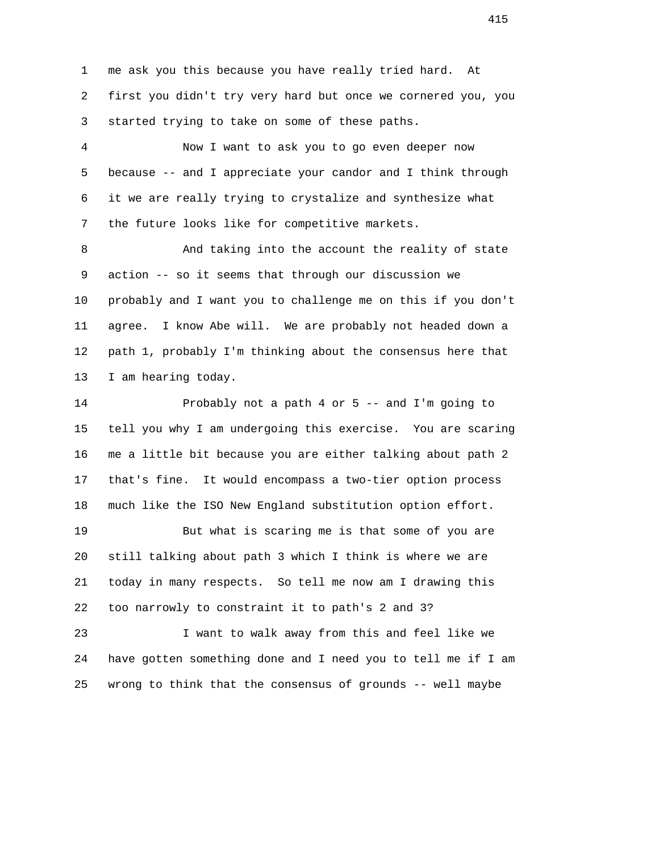1 me ask you this because you have really tried hard. At 2 first you didn't try very hard but once we cornered you, you 3 started trying to take on some of these paths.

 4 Now I want to ask you to go even deeper now 5 because -- and I appreciate your candor and I think through 6 it we are really trying to crystalize and synthesize what 7 the future looks like for competitive markets.

8 And taking into the account the reality of state 9 action -- so it seems that through our discussion we 10 probably and I want you to challenge me on this if you don't 11 agree. I know Abe will. We are probably not headed down a 12 path 1, probably I'm thinking about the consensus here that 13 I am hearing today.

 14 Probably not a path 4 or 5 -- and I'm going to 15 tell you why I am undergoing this exercise. You are scaring 16 me a little bit because you are either talking about path 2 17 that's fine. It would encompass a two-tier option process 18 much like the ISO New England substitution option effort. 19 But what is scaring me is that some of you are

 20 still talking about path 3 which I think is where we are 21 today in many respects. So tell me now am I drawing this 22 too narrowly to constraint it to path's 2 and 3?

 23 I want to walk away from this and feel like we 24 have gotten something done and I need you to tell me if I am 25 wrong to think that the consensus of grounds -- well maybe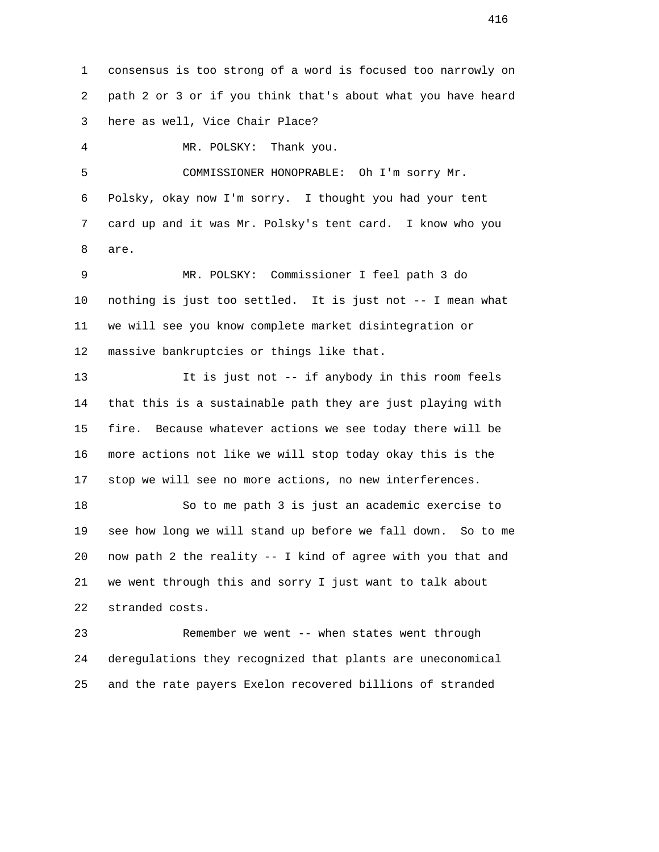1 consensus is too strong of a word is focused too narrowly on 2 path 2 or 3 or if you think that's about what you have heard 3 here as well, Vice Chair Place?

4 MR. POLSKY: Thank you.

 5 COMMISSIONER HONOPRABLE: Oh I'm sorry Mr. 6 Polsky, okay now I'm sorry. I thought you had your tent 7 card up and it was Mr. Polsky's tent card. I know who you 8 are.

 9 MR. POLSKY: Commissioner I feel path 3 do 10 nothing is just too settled. It is just not -- I mean what 11 we will see you know complete market disintegration or 12 massive bankruptcies or things like that.

 13 It is just not -- if anybody in this room feels 14 that this is a sustainable path they are just playing with 15 fire. Because whatever actions we see today there will be 16 more actions not like we will stop today okay this is the 17 stop we will see no more actions, no new interferences.

 18 So to me path 3 is just an academic exercise to 19 see how long we will stand up before we fall down. So to me 20 now path 2 the reality -- I kind of agree with you that and 21 we went through this and sorry I just want to talk about 22 stranded costs.

 23 Remember we went -- when states went through 24 deregulations they recognized that plants are uneconomical 25 and the rate payers Exelon recovered billions of stranded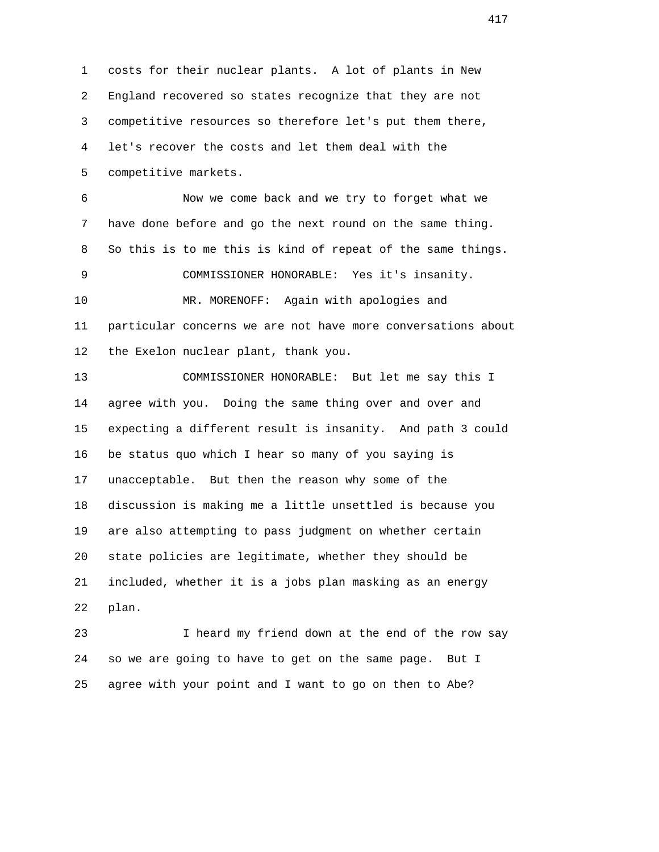1 costs for their nuclear plants. A lot of plants in New 2 England recovered so states recognize that they are not 3 competitive resources so therefore let's put them there, 4 let's recover the costs and let them deal with the 5 competitive markets. 6 Now we come back and we try to forget what we 7 have done before and go the next round on the same thing. 8 So this is to me this is kind of repeat of the same things. 9 COMMISSIONER HONORABLE: Yes it's insanity. 10 MR. MORENOFF: Again with apologies and 11 particular concerns we are not have more conversations about 12 the Exelon nuclear plant, thank you. 13 COMMISSIONER HONORABLE: But let me say this I 14 agree with you. Doing the same thing over and over and 15 expecting a different result is insanity. And path 3 could 16 be status quo which I hear so many of you saying is 17 unacceptable. But then the reason why some of the 18 discussion is making me a little unsettled is because you 19 are also attempting to pass judgment on whether certain 20 state policies are legitimate, whether they should be 21 included, whether it is a jobs plan masking as an energy 22 plan. 23 I heard my friend down at the end of the row say

 24 so we are going to have to get on the same page. But I 25 agree with your point and I want to go on then to Abe?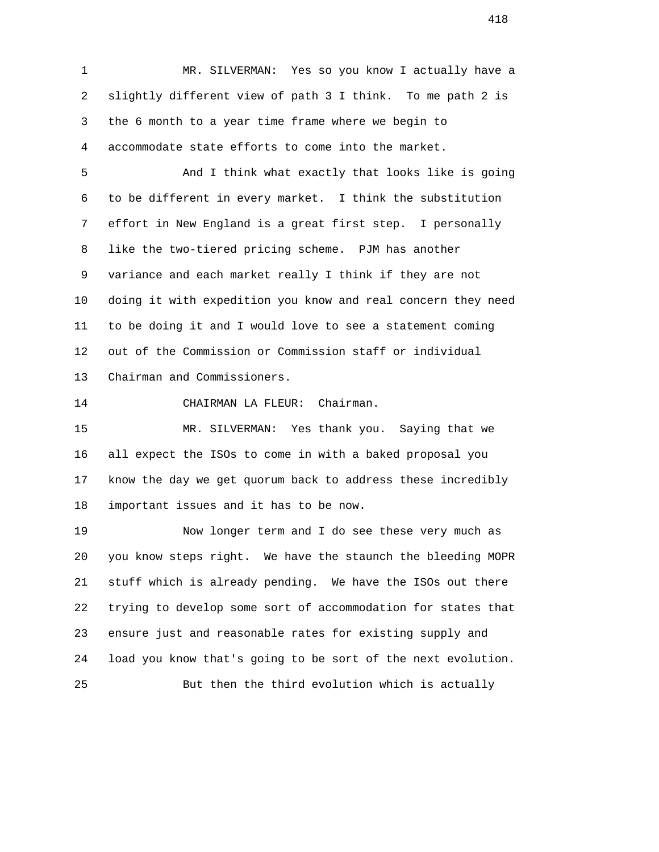1 MR. SILVERMAN: Yes so you know I actually have a 2 slightly different view of path 3 I think. To me path 2 is 3 the 6 month to a year time frame where we begin to 4 accommodate state efforts to come into the market.

 5 And I think what exactly that looks like is going 6 to be different in every market. I think the substitution 7 effort in New England is a great first step. I personally 8 like the two-tiered pricing scheme. PJM has another 9 variance and each market really I think if they are not 10 doing it with expedition you know and real concern they need 11 to be doing it and I would love to see a statement coming 12 out of the Commission or Commission staff or individual 13 Chairman and Commissioners.

14 CHAIRMAN LA FLEUR: Chairman.

 15 MR. SILVERMAN: Yes thank you. Saying that we 16 all expect the ISOs to come in with a baked proposal you 17 know the day we get quorum back to address these incredibly 18 important issues and it has to be now.

 19 Now longer term and I do see these very much as 20 you know steps right. We have the staunch the bleeding MOPR 21 stuff which is already pending. We have the ISOs out there 22 trying to develop some sort of accommodation for states that 23 ensure just and reasonable rates for existing supply and 24 load you know that's going to be sort of the next evolution. 25 But then the third evolution which is actually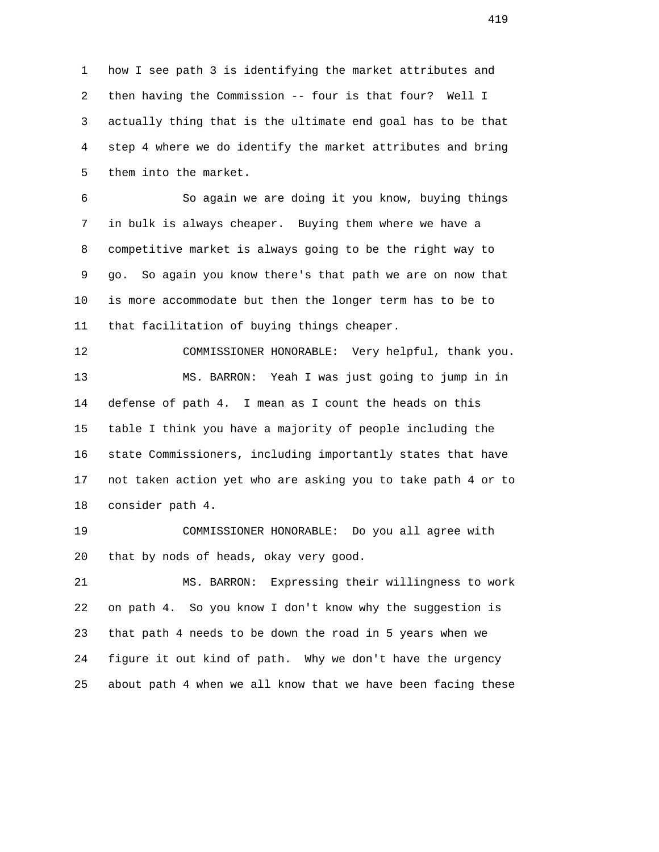1 how I see path 3 is identifying the market attributes and 2 then having the Commission -- four is that four? Well I 3 actually thing that is the ultimate end goal has to be that 4 step 4 where we do identify the market attributes and bring 5 them into the market.

 6 So again we are doing it you know, buying things 7 in bulk is always cheaper. Buying them where we have a 8 competitive market is always going to be the right way to 9 go. So again you know there's that path we are on now that 10 is more accommodate but then the longer term has to be to 11 that facilitation of buying things cheaper.

 12 COMMISSIONER HONORABLE: Very helpful, thank you. 13 MS. BARRON: Yeah I was just going to jump in in 14 defense of path 4. I mean as I count the heads on this 15 table I think you have a majority of people including the 16 state Commissioners, including importantly states that have 17 not taken action yet who are asking you to take path 4 or to 18 consider path 4.

 19 COMMISSIONER HONORABLE: Do you all agree with 20 that by nods of heads, okay very good.

 21 MS. BARRON: Expressing their willingness to work 22 on path 4. So you know I don't know why the suggestion is 23 that path 4 needs to be down the road in 5 years when we 24 figure it out kind of path. Why we don't have the urgency 25 about path 4 when we all know that we have been facing these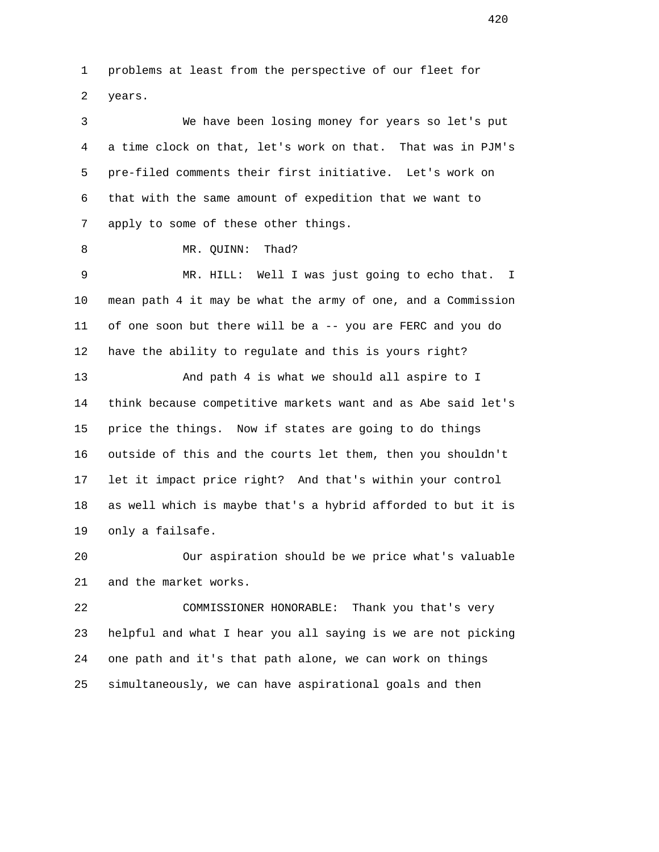1 problems at least from the perspective of our fleet for 2 years.

 3 We have been losing money for years so let's put 4 a time clock on that, let's work on that. That was in PJM's 5 pre-filed comments their first initiative. Let's work on 6 that with the same amount of expedition that we want to 7 apply to some of these other things.

8 MR. QUINN: Thad?

 9 MR. HILL: Well I was just going to echo that. I 10 mean path 4 it may be what the army of one, and a Commission 11 of one soon but there will be a -- you are FERC and you do 12 have the ability to regulate and this is yours right?

 13 And path 4 is what we should all aspire to I 14 think because competitive markets want and as Abe said let's 15 price the things. Now if states are going to do things 16 outside of this and the courts let them, then you shouldn't 17 let it impact price right? And that's within your control 18 as well which is maybe that's a hybrid afforded to but it is 19 only a failsafe.

 20 Our aspiration should be we price what's valuable 21 and the market works.

 22 COMMISSIONER HONORABLE: Thank you that's very 23 helpful and what I hear you all saying is we are not picking 24 one path and it's that path alone, we can work on things 25 simultaneously, we can have aspirational goals and then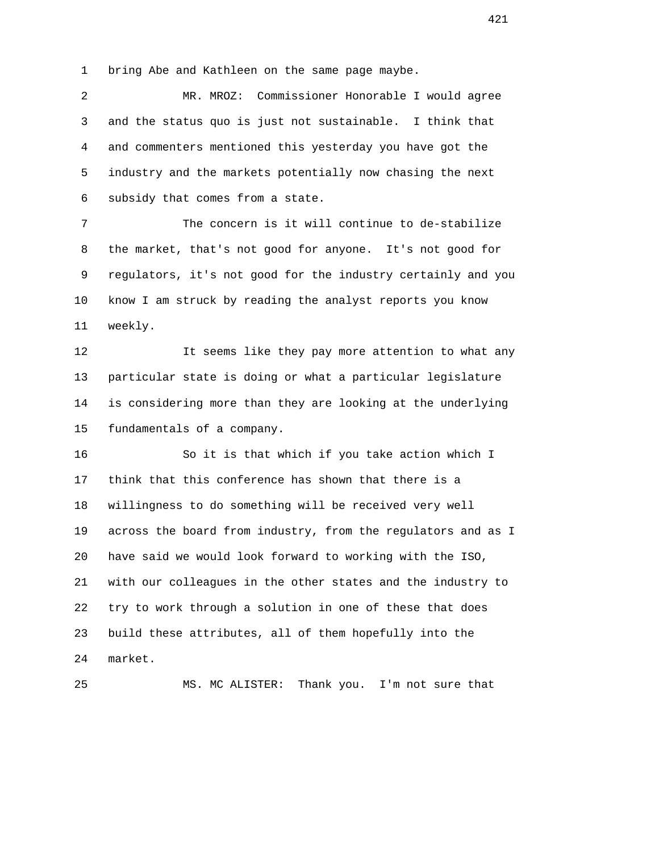1 bring Abe and Kathleen on the same page maybe.

 2 MR. MROZ: Commissioner Honorable I would agree 3 and the status quo is just not sustainable. I think that 4 and commenters mentioned this yesterday you have got the 5 industry and the markets potentially now chasing the next 6 subsidy that comes from a state.

 7 The concern is it will continue to de-stabilize 8 the market, that's not good for anyone. It's not good for 9 regulators, it's not good for the industry certainly and you 10 know I am struck by reading the analyst reports you know 11 weekly.

12 12 It seems like they pay more attention to what any 13 particular state is doing or what a particular legislature 14 is considering more than they are looking at the underlying 15 fundamentals of a company.

 16 So it is that which if you take action which I 17 think that this conference has shown that there is a 18 willingness to do something will be received very well 19 across the board from industry, from the regulators and as I 20 have said we would look forward to working with the ISO, 21 with our colleagues in the other states and the industry to 22 try to work through a solution in one of these that does 23 build these attributes, all of them hopefully into the 24 market.

25 MS. MC ALISTER: Thank you. I'm not sure that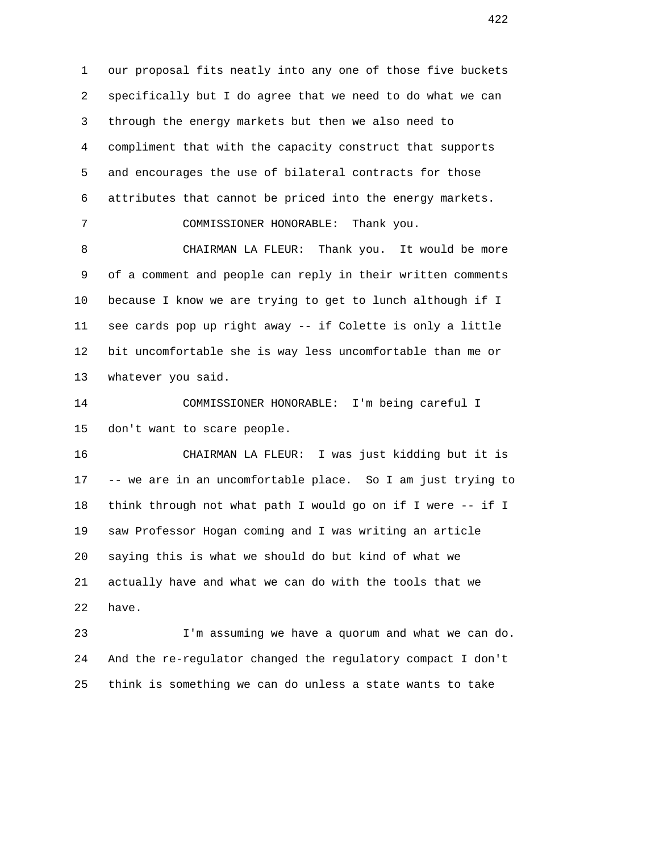1 our proposal fits neatly into any one of those five buckets 2 specifically but I do agree that we need to do what we can 3 through the energy markets but then we also need to 4 compliment that with the capacity construct that supports 5 and encourages the use of bilateral contracts for those 6 attributes that cannot be priced into the energy markets.

7 COMMISSIONER HONORABLE: Thank you.

 8 CHAIRMAN LA FLEUR: Thank you. It would be more 9 of a comment and people can reply in their written comments 10 because I know we are trying to get to lunch although if I 11 see cards pop up right away -- if Colette is only a little 12 bit uncomfortable she is way less uncomfortable than me or 13 whatever you said.

 14 COMMISSIONER HONORABLE: I'm being careful I 15 don't want to scare people.

 16 CHAIRMAN LA FLEUR: I was just kidding but it is 17 -- we are in an uncomfortable place. So I am just trying to 18 think through not what path I would go on if I were -- if I 19 saw Professor Hogan coming and I was writing an article 20 saying this is what we should do but kind of what we 21 actually have and what we can do with the tools that we 22 have.

 23 I'm assuming we have a quorum and what we can do. 24 And the re-regulator changed the regulatory compact I don't 25 think is something we can do unless a state wants to take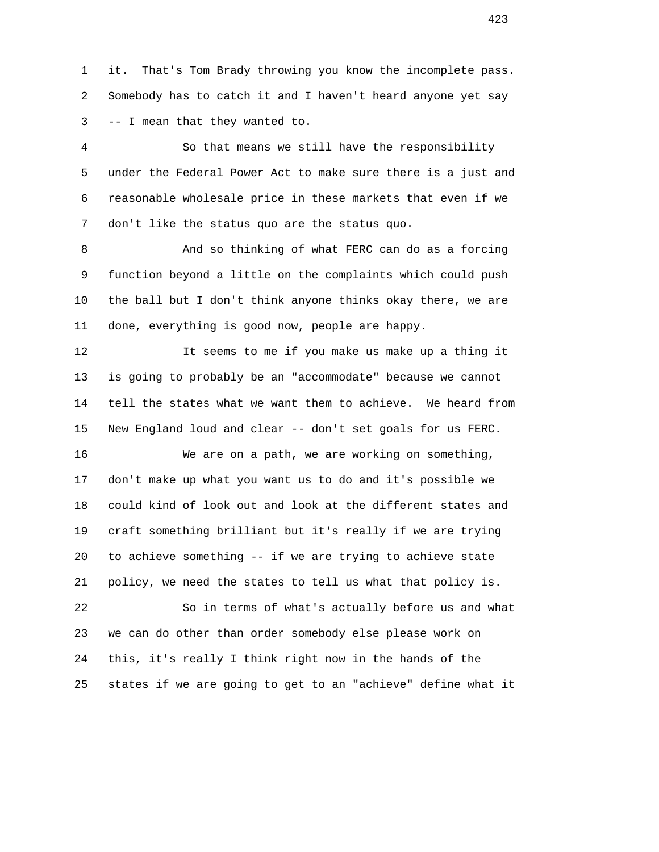1 it. That's Tom Brady throwing you know the incomplete pass. 2 Somebody has to catch it and I haven't heard anyone yet say 3 -- I mean that they wanted to.

 4 So that means we still have the responsibility 5 under the Federal Power Act to make sure there is a just and 6 reasonable wholesale price in these markets that even if we 7 don't like the status quo are the status quo.

8 And so thinking of what FERC can do as a forcing 9 function beyond a little on the complaints which could push 10 the ball but I don't think anyone thinks okay there, we are 11 done, everything is good now, people are happy.

 12 It seems to me if you make us make up a thing it 13 is going to probably be an "accommodate" because we cannot 14 tell the states what we want them to achieve. We heard from 15 New England loud and clear -- don't set goals for us FERC.

 16 We are on a path, we are working on something, 17 don't make up what you want us to do and it's possible we 18 could kind of look out and look at the different states and 19 craft something brilliant but it's really if we are trying 20 to achieve something -- if we are trying to achieve state 21 policy, we need the states to tell us what that policy is.

 22 So in terms of what's actually before us and what 23 we can do other than order somebody else please work on 24 this, it's really I think right now in the hands of the 25 states if we are going to get to an "achieve" define what it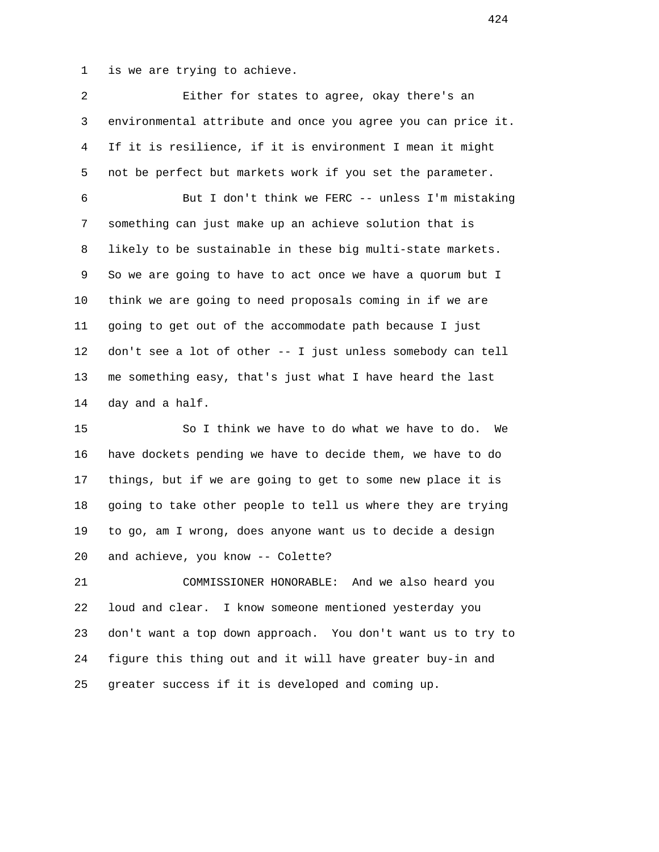1 is we are trying to achieve.

 2 Either for states to agree, okay there's an 3 environmental attribute and once you agree you can price it. 4 If it is resilience, if it is environment I mean it might 5 not be perfect but markets work if you set the parameter. 6 But I don't think we FERC -- unless I'm mistaking 7 something can just make up an achieve solution that is 8 likely to be sustainable in these big multi-state markets. 9 So we are going to have to act once we have a quorum but I 10 think we are going to need proposals coming in if we are 11 going to get out of the accommodate path because I just 12 don't see a lot of other -- I just unless somebody can tell 13 me something easy, that's just what I have heard the last 14 day and a half.

 15 So I think we have to do what we have to do. We 16 have dockets pending we have to decide them, we have to do 17 things, but if we are going to get to some new place it is 18 going to take other people to tell us where they are trying 19 to go, am I wrong, does anyone want us to decide a design 20 and achieve, you know -- Colette?

 21 COMMISSIONER HONORABLE: And we also heard you 22 loud and clear. I know someone mentioned yesterday you 23 don't want a top down approach. You don't want us to try to 24 figure this thing out and it will have greater buy-in and 25 greater success if it is developed and coming up.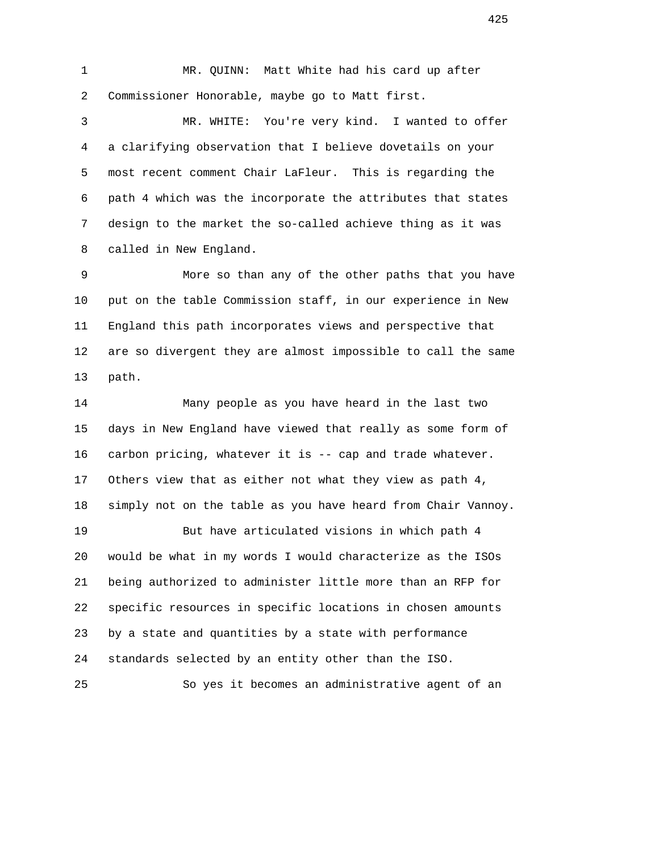1 MR. QUINN: Matt White had his card up after 2 Commissioner Honorable, maybe go to Matt first.

 3 MR. WHITE: You're very kind. I wanted to offer 4 a clarifying observation that I believe dovetails on your 5 most recent comment Chair LaFleur. This is regarding the 6 path 4 which was the incorporate the attributes that states 7 design to the market the so-called achieve thing as it was 8 called in New England.

 9 More so than any of the other paths that you have 10 put on the table Commission staff, in our experience in New 11 England this path incorporates views and perspective that 12 are so divergent they are almost impossible to call the same 13 path.

 14 Many people as you have heard in the last two 15 days in New England have viewed that really as some form of 16 carbon pricing, whatever it is -- cap and trade whatever. 17 Others view that as either not what they view as path 4, 18 simply not on the table as you have heard from Chair Vannoy.

 19 But have articulated visions in which path 4 20 would be what in my words I would characterize as the ISOs 21 being authorized to administer little more than an RFP for 22 specific resources in specific locations in chosen amounts 23 by a state and quantities by a state with performance 24 standards selected by an entity other than the ISO.

25 So yes it becomes an administrative agent of an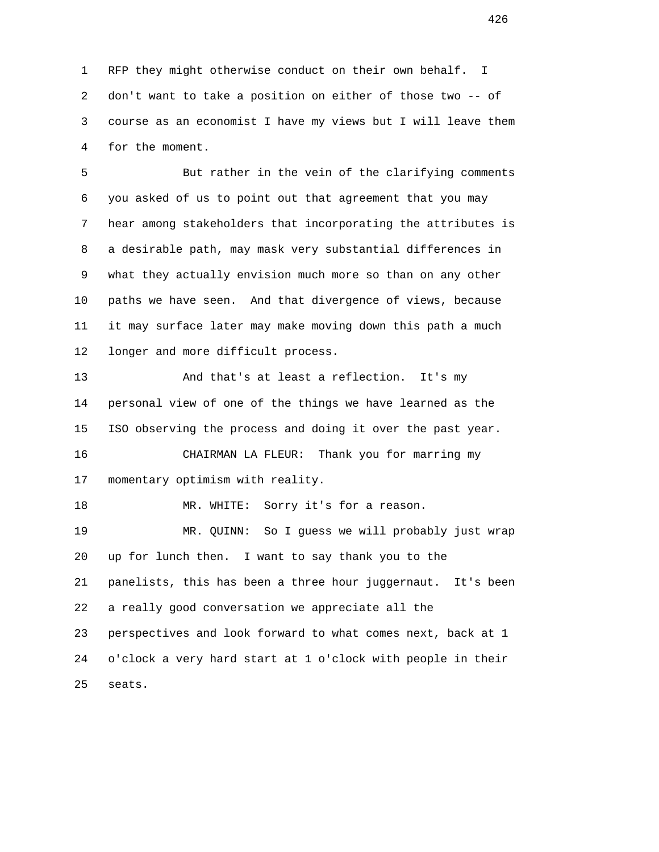1 RFP they might otherwise conduct on their own behalf. I 2 don't want to take a position on either of those two -- of 3 course as an economist I have my views but I will leave them 4 for the moment.

 5 But rather in the vein of the clarifying comments 6 you asked of us to point out that agreement that you may 7 hear among stakeholders that incorporating the attributes is 8 a desirable path, may mask very substantial differences in 9 what they actually envision much more so than on any other 10 paths we have seen. And that divergence of views, because 11 it may surface later may make moving down this path a much 12 longer and more difficult process.

 13 And that's at least a reflection. It's my 14 personal view of one of the things we have learned as the 15 ISO observing the process and doing it over the past year.

 16 CHAIRMAN LA FLEUR: Thank you for marring my 17 momentary optimism with reality.

18 MR. WHITE: Sorry it's for a reason. 19 MR. QUINN: So I guess we will probably just wrap 20 up for lunch then. I want to say thank you to the 21 panelists, this has been a three hour juggernaut. It's been 22 a really good conversation we appreciate all the 23 perspectives and look forward to what comes next, back at 1 24 o'clock a very hard start at 1 o'clock with people in their 25 seats.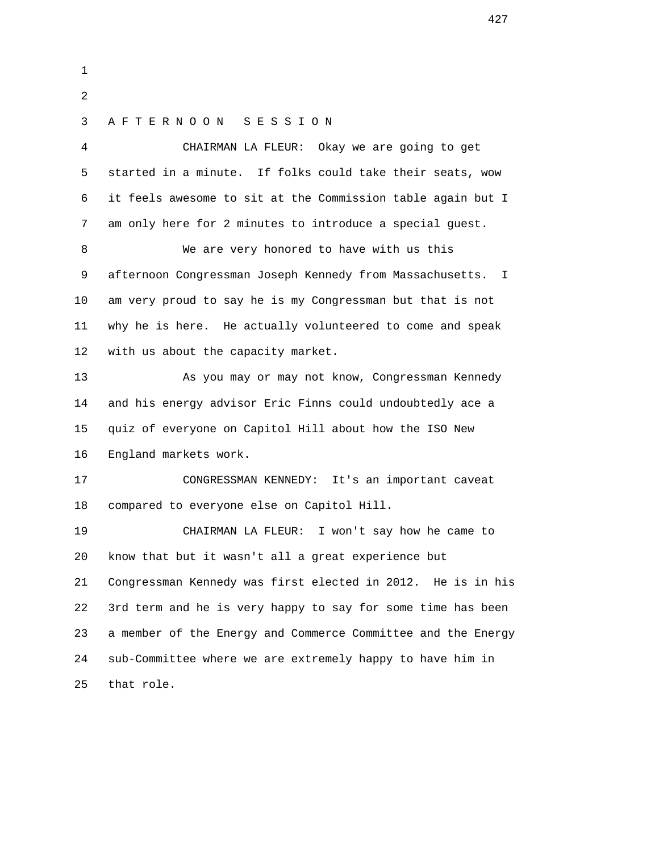1 2 3 A F T E R N O O N S E S S I O N 4 CHAIRMAN LA FLEUR: Okay we are going to get 5 started in a minute. If folks could take their seats, wow 6 it feels awesome to sit at the Commission table again but I 7 am only here for 2 minutes to introduce a special guest. 8 We are very honored to have with us this 9 afternoon Congressman Joseph Kennedy from Massachusetts. I 10 am very proud to say he is my Congressman but that is not 11 why he is here. He actually volunteered to come and speak 12 with us about the capacity market. 13 As you may or may not know, Congressman Kennedy 14 and his energy advisor Eric Finns could undoubtedly ace a 15 quiz of everyone on Capitol Hill about how the ISO New 16 England markets work. 17 CONGRESSMAN KENNEDY: It's an important caveat 18 compared to everyone else on Capitol Hill. 19 CHAIRMAN LA FLEUR: I won't say how he came to 20 know that but it wasn't all a great experience but 21 Congressman Kennedy was first elected in 2012. He is in his 22 3rd term and he is very happy to say for some time has been 23 a member of the Energy and Commerce Committee and the Energy 24 sub-Committee where we are extremely happy to have him in 25 that role.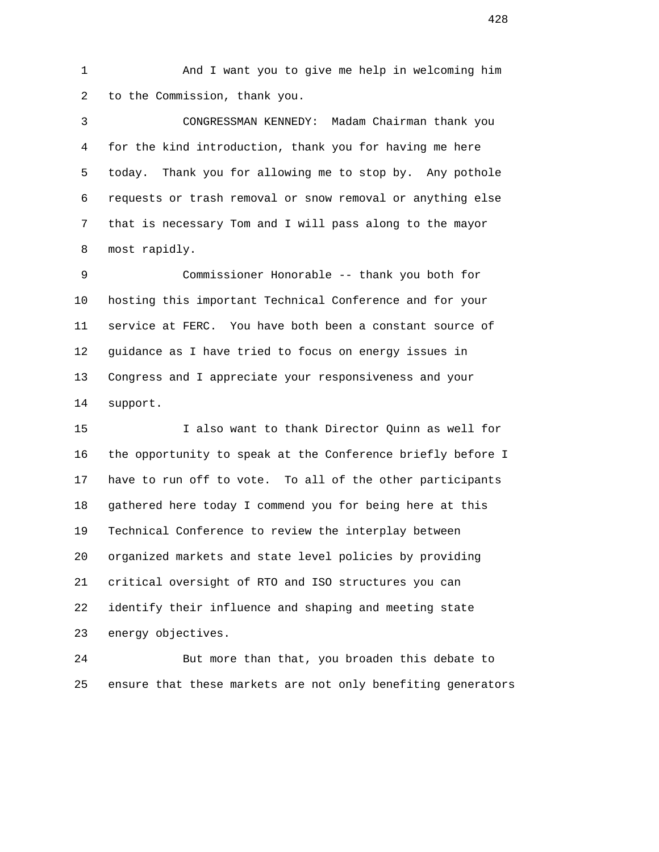1 And I want you to give me help in welcoming him 2 to the Commission, thank you.

 3 CONGRESSMAN KENNEDY: Madam Chairman thank you 4 for the kind introduction, thank you for having me here 5 today. Thank you for allowing me to stop by. Any pothole 6 requests or trash removal or snow removal or anything else 7 that is necessary Tom and I will pass along to the mayor 8 most rapidly.

 9 Commissioner Honorable -- thank you both for 10 hosting this important Technical Conference and for your 11 service at FERC. You have both been a constant source of 12 guidance as I have tried to focus on energy issues in 13 Congress and I appreciate your responsiveness and your 14 support.

 15 I also want to thank Director Quinn as well for 16 the opportunity to speak at the Conference briefly before I 17 have to run off to vote. To all of the other participants 18 gathered here today I commend you for being here at this 19 Technical Conference to review the interplay between 20 organized markets and state level policies by providing 21 critical oversight of RTO and ISO structures you can 22 identify their influence and shaping and meeting state 23 energy objectives.

 24 But more than that, you broaden this debate to 25 ensure that these markets are not only benefiting generators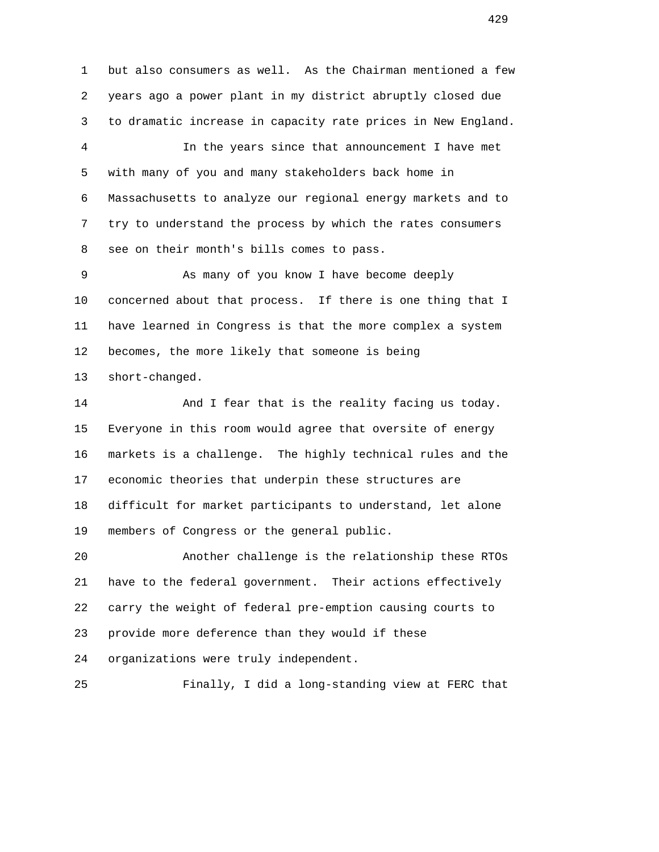1 but also consumers as well. As the Chairman mentioned a few 2 years ago a power plant in my district abruptly closed due 3 to dramatic increase in capacity rate prices in New England. 4 In the years since that announcement I have met 5 with many of you and many stakeholders back home in 6 Massachusetts to analyze our regional energy markets and to 7 try to understand the process by which the rates consumers 8 see on their month's bills comes to pass. 9 As many of you know I have become deeply 10 concerned about that process. If there is one thing that I

 11 have learned in Congress is that the more complex a system 12 becomes, the more likely that someone is being 13 short-changed.

 14 And I fear that is the reality facing us today. 15 Everyone in this room would agree that oversite of energy 16 markets is a challenge. The highly technical rules and the 17 economic theories that underpin these structures are 18 difficult for market participants to understand, let alone 19 members of Congress or the general public.

 20 Another challenge is the relationship these RTOs 21 have to the federal government. Their actions effectively 22 carry the weight of federal pre-emption causing courts to 23 provide more deference than they would if these 24 organizations were truly independent.

25 Finally, I did a long-standing view at FERC that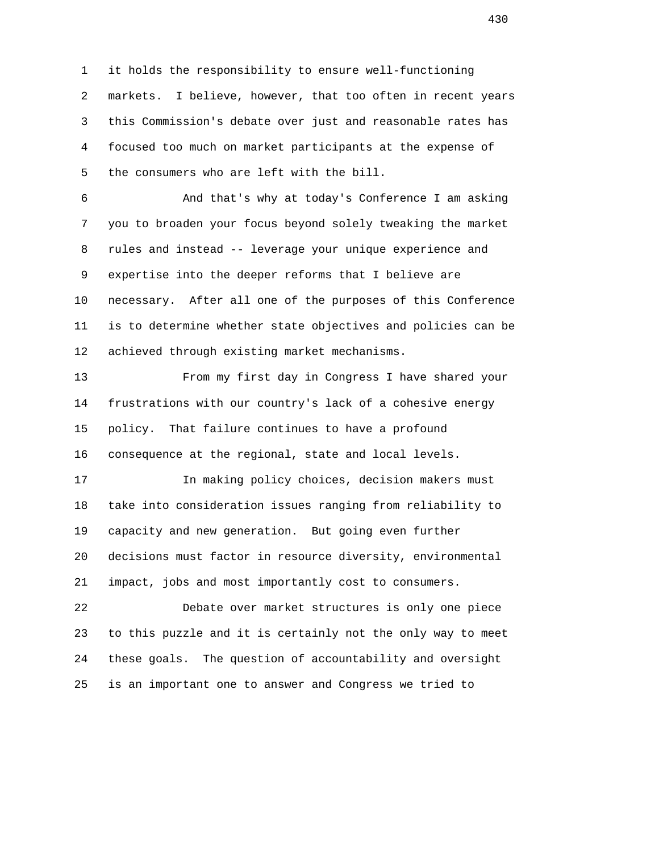1 it holds the responsibility to ensure well-functioning 2 markets. I believe, however, that too often in recent years 3 this Commission's debate over just and reasonable rates has 4 focused too much on market participants at the expense of 5 the consumers who are left with the bill.

 6 And that's why at today's Conference I am asking 7 you to broaden your focus beyond solely tweaking the market 8 rules and instead -- leverage your unique experience and 9 expertise into the deeper reforms that I believe are 10 necessary. After all one of the purposes of this Conference 11 is to determine whether state objectives and policies can be 12 achieved through existing market mechanisms.

 13 From my first day in Congress I have shared your 14 frustrations with our country's lack of a cohesive energy 15 policy. That failure continues to have a profound 16 consequence at the regional, state and local levels.

 17 In making policy choices, decision makers must 18 take into consideration issues ranging from reliability to 19 capacity and new generation. But going even further 20 decisions must factor in resource diversity, environmental 21 impact, jobs and most importantly cost to consumers.

 22 Debate over market structures is only one piece 23 to this puzzle and it is certainly not the only way to meet 24 these goals. The question of accountability and oversight 25 is an important one to answer and Congress we tried to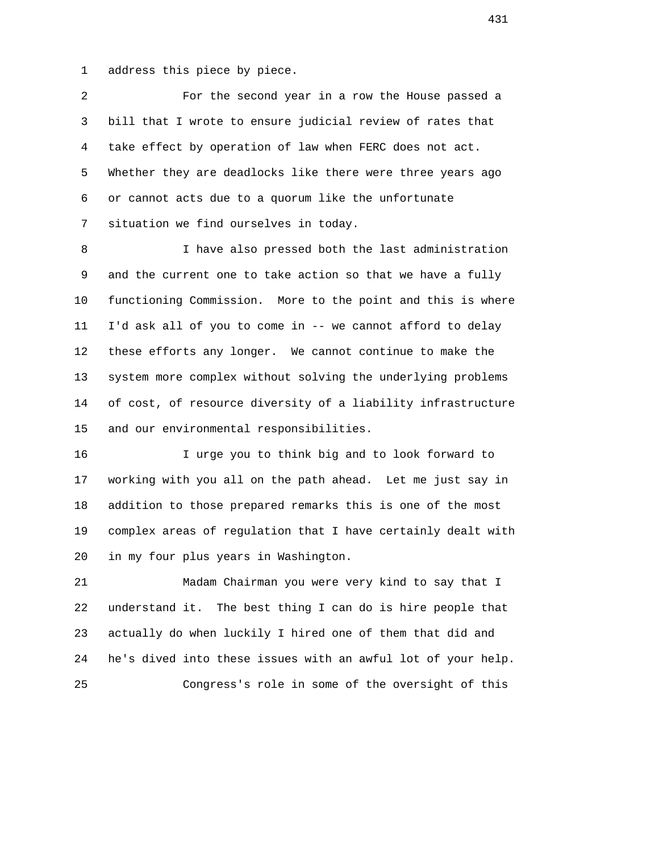1 address this piece by piece.

 2 For the second year in a row the House passed a 3 bill that I wrote to ensure judicial review of rates that 4 take effect by operation of law when FERC does not act. 5 Whether they are deadlocks like there were three years ago 6 or cannot acts due to a quorum like the unfortunate 7 situation we find ourselves in today.

 8 I have also pressed both the last administration 9 and the current one to take action so that we have a fully 10 functioning Commission. More to the point and this is where 11 I'd ask all of you to come in -- we cannot afford to delay 12 these efforts any longer. We cannot continue to make the 13 system more complex without solving the underlying problems 14 of cost, of resource diversity of a liability infrastructure 15 and our environmental responsibilities.

 16 I urge you to think big and to look forward to 17 working with you all on the path ahead. Let me just say in 18 addition to those prepared remarks this is one of the most 19 complex areas of regulation that I have certainly dealt with 20 in my four plus years in Washington.

 21 Madam Chairman you were very kind to say that I 22 understand it. The best thing I can do is hire people that 23 actually do when luckily I hired one of them that did and 24 he's dived into these issues with an awful lot of your help. 25 Congress's role in some of the oversight of this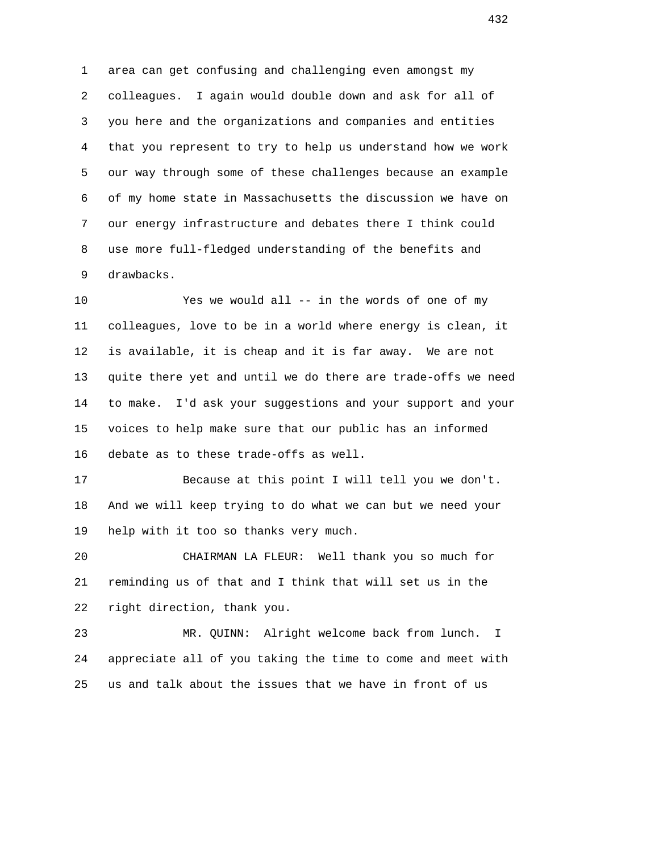1 area can get confusing and challenging even amongst my 2 colleagues. I again would double down and ask for all of 3 you here and the organizations and companies and entities 4 that you represent to try to help us understand how we work 5 our way through some of these challenges because an example 6 of my home state in Massachusetts the discussion we have on 7 our energy infrastructure and debates there I think could 8 use more full-fledged understanding of the benefits and 9 drawbacks.

 10 Yes we would all -- in the words of one of my 11 colleagues, love to be in a world where energy is clean, it 12 is available, it is cheap and it is far away. We are not 13 quite there yet and until we do there are trade-offs we need 14 to make. I'd ask your suggestions and your support and your 15 voices to help make sure that our public has an informed 16 debate as to these trade-offs as well.

 17 Because at this point I will tell you we don't. 18 And we will keep trying to do what we can but we need your 19 help with it too so thanks very much.

 20 CHAIRMAN LA FLEUR: Well thank you so much for 21 reminding us of that and I think that will set us in the 22 right direction, thank you.

 23 MR. QUINN: Alright welcome back from lunch. I 24 appreciate all of you taking the time to come and meet with 25 us and talk about the issues that we have in front of us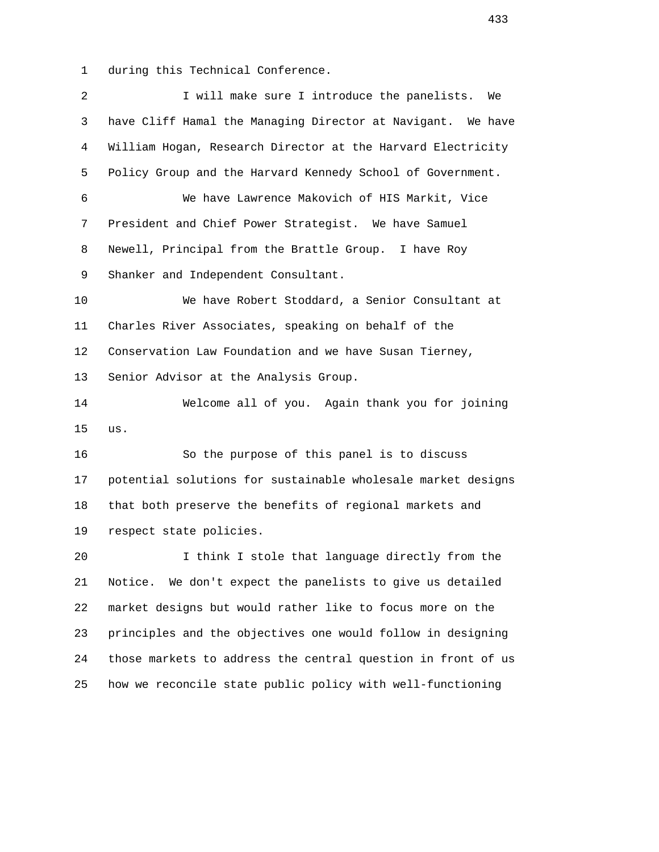1 during this Technical Conference.

| $\overline{a}$ | I will make sure I introduce the panelists. We               |
|----------------|--------------------------------------------------------------|
| 3              |                                                              |
|                | have Cliff Hamal the Managing Director at Navigant. We have  |
| $\overline{4}$ | William Hogan, Research Director at the Harvard Electricity  |
| 5              | Policy Group and the Harvard Kennedy School of Government.   |
| 6              | We have Lawrence Makovich of HIS Markit, Vice                |
| 7              | President and Chief Power Strategist. We have Samuel         |
| 8              | Newell, Principal from the Brattle Group. I have Roy         |
| 9              | Shanker and Independent Consultant.                          |
| 10             | We have Robert Stoddard, a Senior Consultant at              |
| 11             | Charles River Associates, speaking on behalf of the          |
| 12             | Conservation Law Foundation and we have Susan Tierney,       |
| 13             | Senior Advisor at the Analysis Group.                        |
| 14             | Welcome all of you. Again thank you for joining              |
| 15             | us.                                                          |
| 16             | So the purpose of this panel is to discuss                   |
| 17             | potential solutions for sustainable wholesale market designs |
| 18             | that both preserve the benefits of regional markets and      |
| 19             | respect state policies.                                      |
| 20             | I think I stole that language directly from the              |
| 21             | We don't expect the panelists to give us detailed<br>Notice. |
| 22             | market designs but would rather like to focus more on the    |
| 23             | principles and the objectives one would follow in designing  |
| 24             | those markets to address the central question in front of us |
| 25             | how we reconcile state public policy with well-functioning   |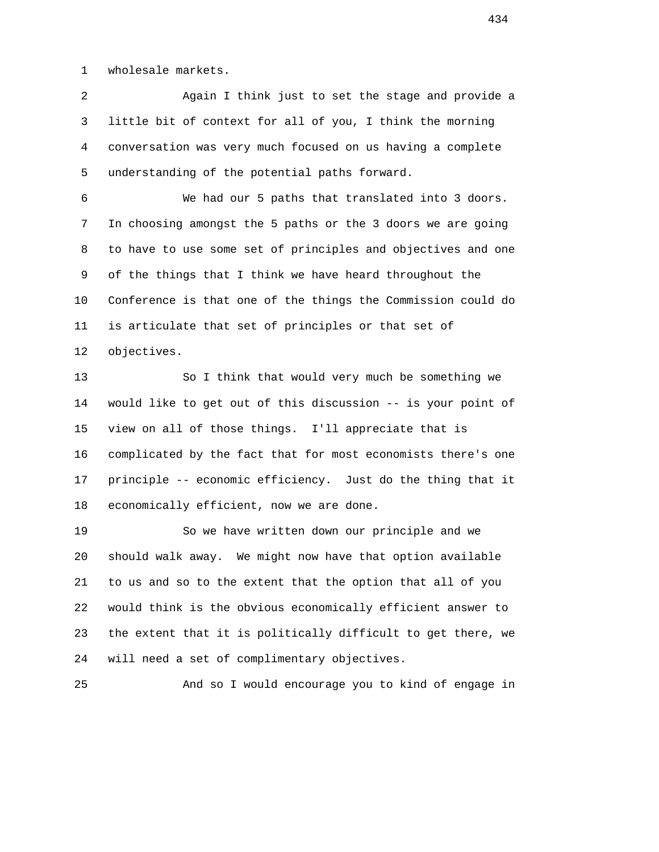1 wholesale markets.

 2 Again I think just to set the stage and provide a 3 little bit of context for all of you, I think the morning 4 conversation was very much focused on us having a complete 5 understanding of the potential paths forward.

 6 We had our 5 paths that translated into 3 doors. 7 In choosing amongst the 5 paths or the 3 doors we are going 8 to have to use some set of principles and objectives and one 9 of the things that I think we have heard throughout the 10 Conference is that one of the things the Commission could do 11 is articulate that set of principles or that set of 12 objectives.

 13 So I think that would very much be something we 14 would like to get out of this discussion -- is your point of 15 view on all of those things. I'll appreciate that is 16 complicated by the fact that for most economists there's one 17 principle -- economic efficiency. Just do the thing that it 18 economically efficient, now we are done.

 19 So we have written down our principle and we 20 should walk away. We might now have that option available 21 to us and so to the extent that the option that all of you 22 would think is the obvious economically efficient answer to 23 the extent that it is politically difficult to get there, we 24 will need a set of complimentary objectives.

25 And so I would encourage you to kind of engage in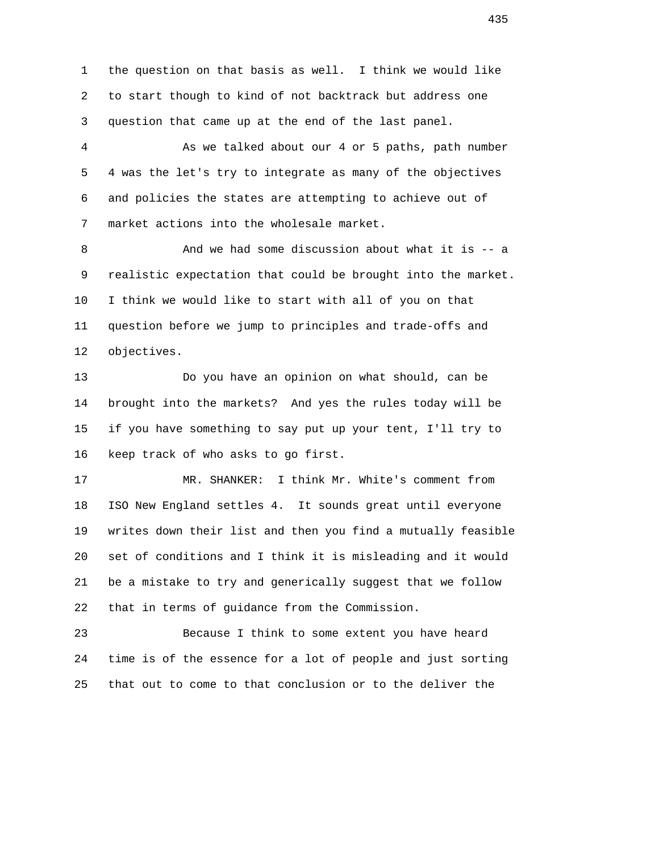1 the question on that basis as well. I think we would like 2 to start though to kind of not backtrack but address one 3 question that came up at the end of the last panel.

 4 As we talked about our 4 or 5 paths, path number 5 4 was the let's try to integrate as many of the objectives 6 and policies the states are attempting to achieve out of 7 market actions into the wholesale market.

8 And we had some discussion about what it is -- a 9 realistic expectation that could be brought into the market. 10 I think we would like to start with all of you on that 11 question before we jump to principles and trade-offs and 12 objectives.

 13 Do you have an opinion on what should, can be 14 brought into the markets? And yes the rules today will be 15 if you have something to say put up your tent, I'll try to 16 keep track of who asks to go first.

 17 MR. SHANKER: I think Mr. White's comment from 18 ISO New England settles 4. It sounds great until everyone 19 writes down their list and then you find a mutually feasible 20 set of conditions and I think it is misleading and it would 21 be a mistake to try and generically suggest that we follow 22 that in terms of guidance from the Commission.

 23 Because I think to some extent you have heard 24 time is of the essence for a lot of people and just sorting 25 that out to come to that conclusion or to the deliver the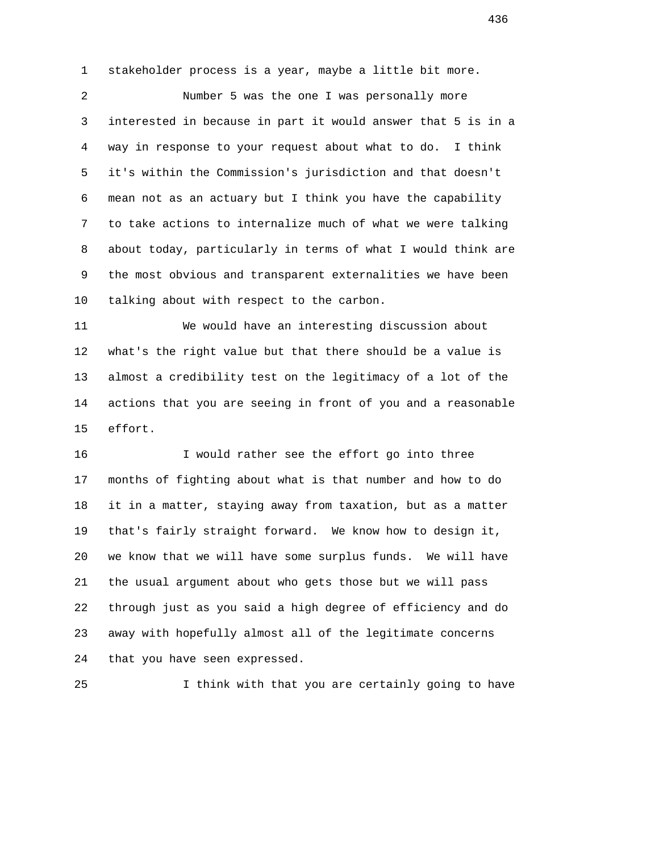1 stakeholder process is a year, maybe a little bit more.

 2 Number 5 was the one I was personally more 3 interested in because in part it would answer that 5 is in a 4 way in response to your request about what to do. I think 5 it's within the Commission's jurisdiction and that doesn't 6 mean not as an actuary but I think you have the capability 7 to take actions to internalize much of what we were talking 8 about today, particularly in terms of what I would think are 9 the most obvious and transparent externalities we have been 10 talking about with respect to the carbon.

 11 We would have an interesting discussion about 12 what's the right value but that there should be a value is 13 almost a credibility test on the legitimacy of a lot of the 14 actions that you are seeing in front of you and a reasonable 15 effort.

 16 I would rather see the effort go into three 17 months of fighting about what is that number and how to do 18 it in a matter, staying away from taxation, but as a matter 19 that's fairly straight forward. We know how to design it, 20 we know that we will have some surplus funds. We will have 21 the usual argument about who gets those but we will pass 22 through just as you said a high degree of efficiency and do 23 away with hopefully almost all of the legitimate concerns 24 that you have seen expressed.

25 I think with that you are certainly going to have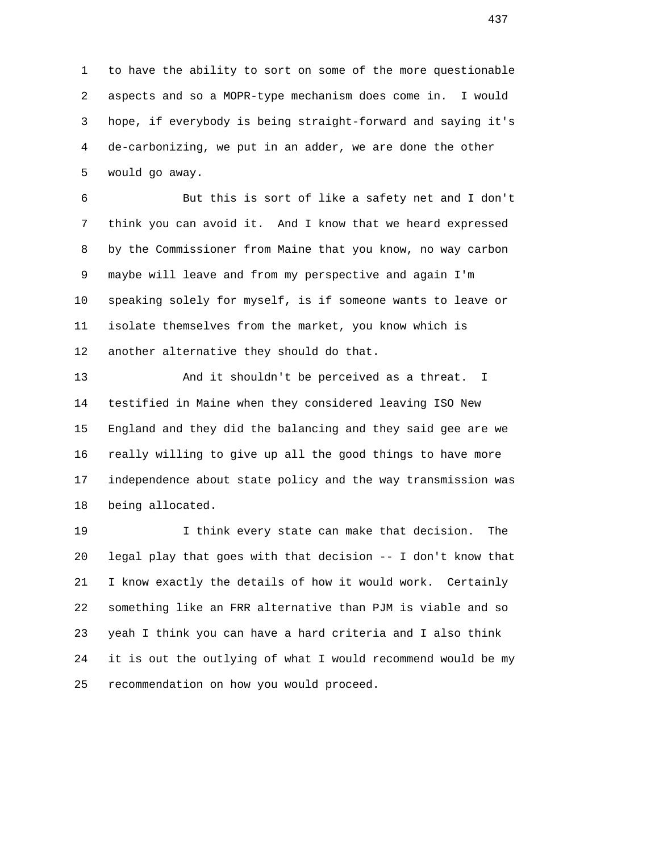1 to have the ability to sort on some of the more questionable 2 aspects and so a MOPR-type mechanism does come in. I would 3 hope, if everybody is being straight-forward and saying it's 4 de-carbonizing, we put in an adder, we are done the other 5 would go away.

 6 But this is sort of like a safety net and I don't 7 think you can avoid it. And I know that we heard expressed 8 by the Commissioner from Maine that you know, no way carbon 9 maybe will leave and from my perspective and again I'm 10 speaking solely for myself, is if someone wants to leave or 11 isolate themselves from the market, you know which is 12 another alternative they should do that.

 13 And it shouldn't be perceived as a threat. I 14 testified in Maine when they considered leaving ISO New 15 England and they did the balancing and they said gee are we 16 really willing to give up all the good things to have more 17 independence about state policy and the way transmission was 18 being allocated.

 19 I think every state can make that decision. The 20 legal play that goes with that decision -- I don't know that 21 I know exactly the details of how it would work. Certainly 22 something like an FRR alternative than PJM is viable and so 23 yeah I think you can have a hard criteria and I also think 24 it is out the outlying of what I would recommend would be my 25 recommendation on how you would proceed.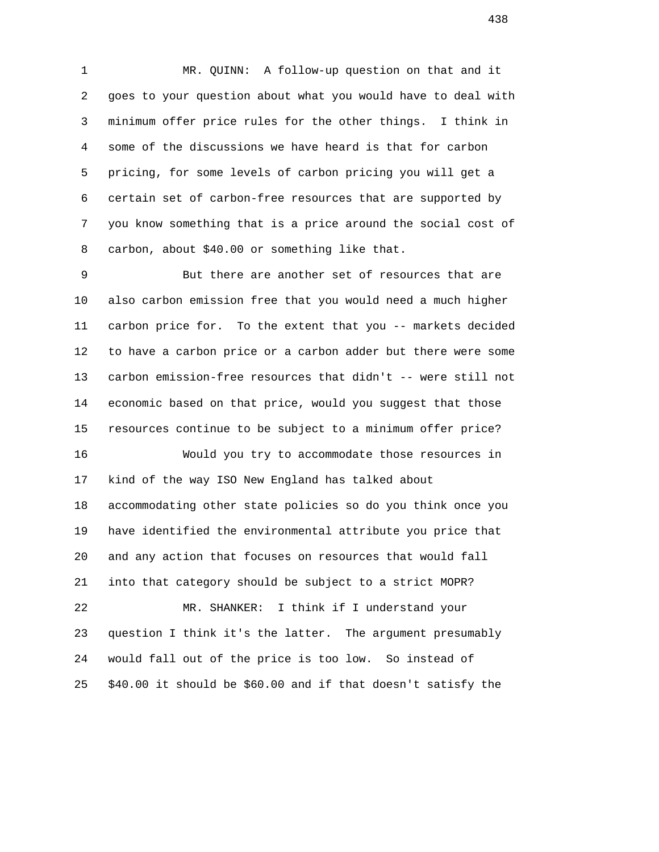1 MR. QUINN: A follow-up question on that and it 2 goes to your question about what you would have to deal with 3 minimum offer price rules for the other things. I think in 4 some of the discussions we have heard is that for carbon 5 pricing, for some levels of carbon pricing you will get a 6 certain set of carbon-free resources that are supported by 7 you know something that is a price around the social cost of 8 carbon, about \$40.00 or something like that.

 9 But there are another set of resources that are 10 also carbon emission free that you would need a much higher 11 carbon price for. To the extent that you -- markets decided 12 to have a carbon price or a carbon adder but there were some 13 carbon emission-free resources that didn't -- were still not 14 economic based on that price, would you suggest that those 15 resources continue to be subject to a minimum offer price? 16 Would you try to accommodate those resources in

 17 kind of the way ISO New England has talked about 18 accommodating other state policies so do you think once you 19 have identified the environmental attribute you price that 20 and any action that focuses on resources that would fall 21 into that category should be subject to a strict MOPR? 22 MR. SHANKER: I think if I understand your 23 question I think it's the latter. The argument presumably 24 would fall out of the price is too low. So instead of

25 \$40.00 it should be \$60.00 and if that doesn't satisfy the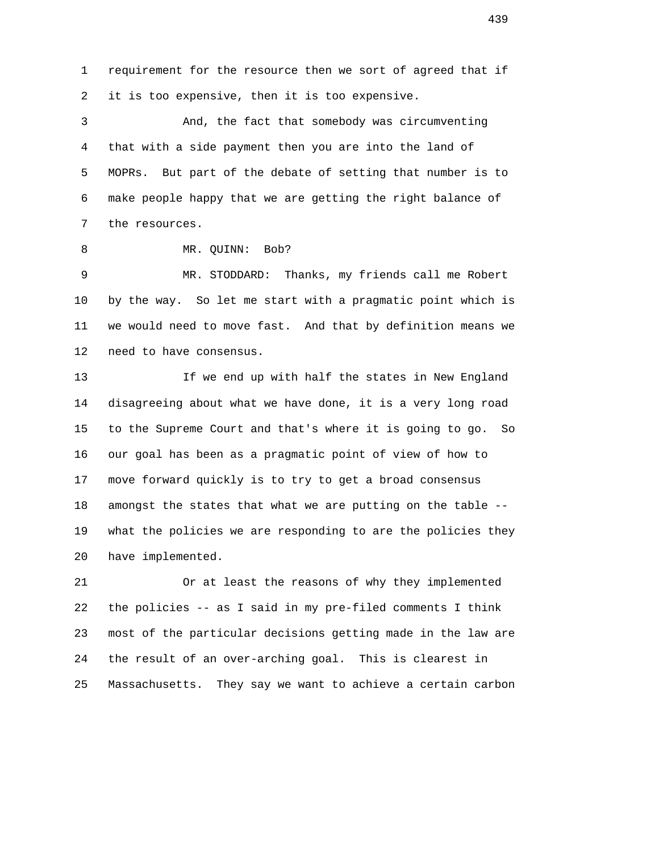1 requirement for the resource then we sort of agreed that if 2 it is too expensive, then it is too expensive.

 3 And, the fact that somebody was circumventing 4 that with a side payment then you are into the land of 5 MOPRs. But part of the debate of setting that number is to 6 make people happy that we are getting the right balance of 7 the resources.

8 MR. QUINN: Bob?

 9 MR. STODDARD: Thanks, my friends call me Robert 10 by the way. So let me start with a pragmatic point which is 11 we would need to move fast. And that by definition means we 12 need to have consensus.

13 13 If we end up with half the states in New England 14 disagreeing about what we have done, it is a very long road 15 to the Supreme Court and that's where it is going to go. So 16 our goal has been as a pragmatic point of view of how to 17 move forward quickly is to try to get a broad consensus 18 amongst the states that what we are putting on the table -- 19 what the policies we are responding to are the policies they 20 have implemented.

 21 Or at least the reasons of why they implemented 22 the policies -- as I said in my pre-filed comments I think 23 most of the particular decisions getting made in the law are 24 the result of an over-arching goal. This is clearest in 25 Massachusetts. They say we want to achieve a certain carbon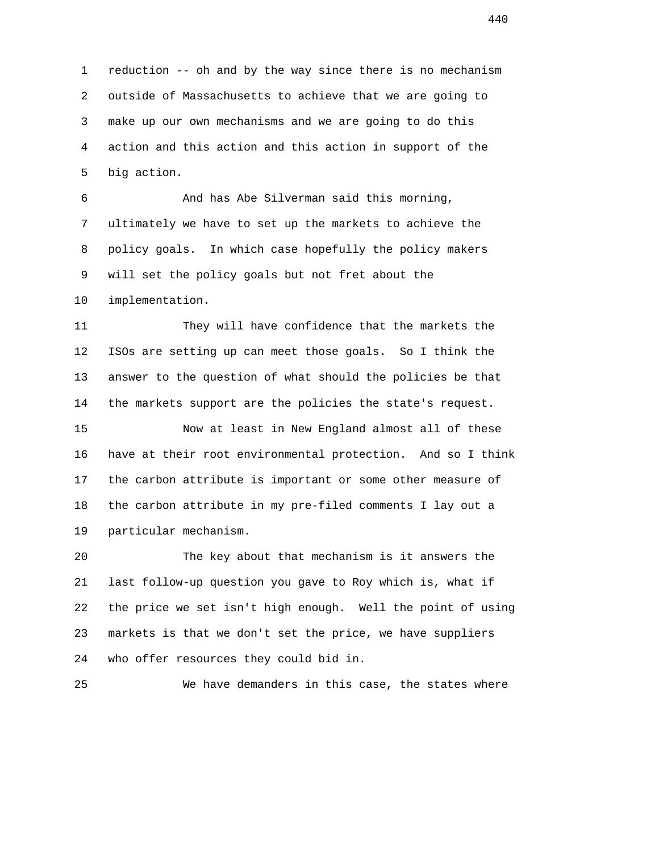1 reduction -- oh and by the way since there is no mechanism 2 outside of Massachusetts to achieve that we are going to 3 make up our own mechanisms and we are going to do this 4 action and this action and this action in support of the 5 big action.

 6 And has Abe Silverman said this morning, 7 ultimately we have to set up the markets to achieve the 8 policy goals. In which case hopefully the policy makers 9 will set the policy goals but not fret about the 10 implementation.

 11 They will have confidence that the markets the 12 ISOs are setting up can meet those goals. So I think the 13 answer to the question of what should the policies be that 14 the markets support are the policies the state's request.

 15 Now at least in New England almost all of these 16 have at their root environmental protection. And so I think 17 the carbon attribute is important or some other measure of 18 the carbon attribute in my pre-filed comments I lay out a 19 particular mechanism.

 20 The key about that mechanism is it answers the 21 last follow-up question you gave to Roy which is, what if 22 the price we set isn't high enough. Well the point of using 23 markets is that we don't set the price, we have suppliers 24 who offer resources they could bid in.

25 We have demanders in this case, the states where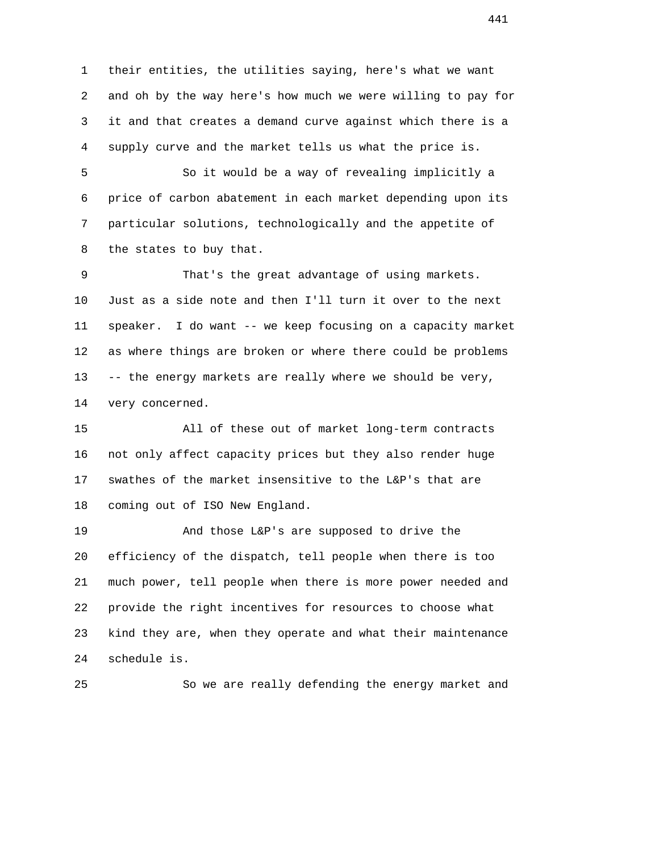1 their entities, the utilities saying, here's what we want 2 and oh by the way here's how much we were willing to pay for 3 it and that creates a demand curve against which there is a 4 supply curve and the market tells us what the price is.

 5 So it would be a way of revealing implicitly a 6 price of carbon abatement in each market depending upon its 7 particular solutions, technologically and the appetite of 8 the states to buy that.

 9 That's the great advantage of using markets. 10 Just as a side note and then I'll turn it over to the next 11 speaker. I do want -- we keep focusing on a capacity market 12 as where things are broken or where there could be problems 13 -- the energy markets are really where we should be very, 14 very concerned.

 15 All of these out of market long-term contracts 16 not only affect capacity prices but they also render huge 17 swathes of the market insensitive to the L&P's that are 18 coming out of ISO New England.

 19 And those L&P's are supposed to drive the 20 efficiency of the dispatch, tell people when there is too 21 much power, tell people when there is more power needed and 22 provide the right incentives for resources to choose what 23 kind they are, when they operate and what their maintenance 24 schedule is.

25 So we are really defending the energy market and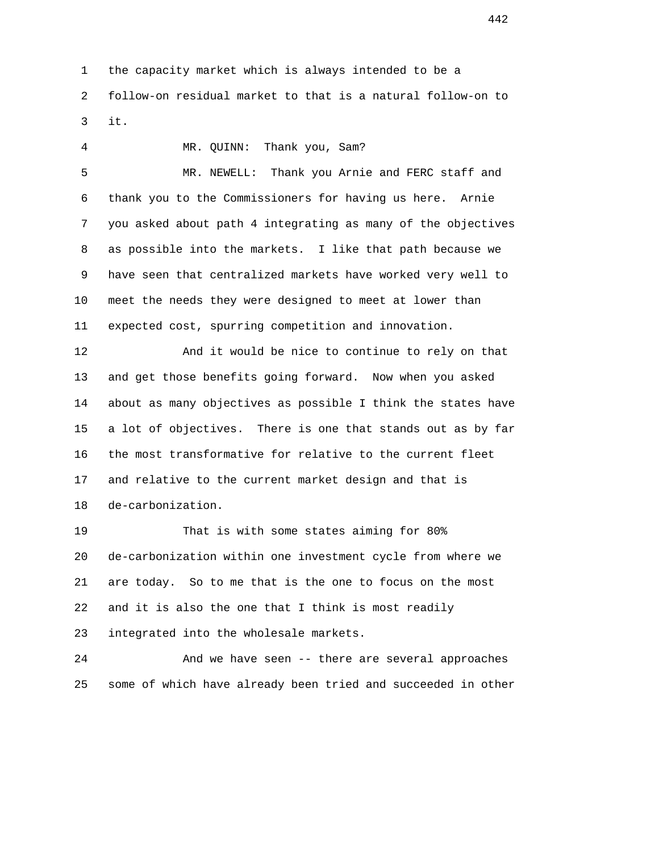1 the capacity market which is always intended to be a 2 follow-on residual market to that is a natural follow-on to 3 it.

 4 MR. QUINN: Thank you, Sam? 5 MR. NEWELL: Thank you Arnie and FERC staff and 6 thank you to the Commissioners for having us here. Arnie 7 you asked about path 4 integrating as many of the objectives 8 as possible into the markets. I like that path because we 9 have seen that centralized markets have worked very well to 10 meet the needs they were designed to meet at lower than 11 expected cost, spurring competition and innovation. 12 And it would be nice to continue to rely on that 13 and get those benefits going forward. Now when you asked 14 about as many objectives as possible I think the states have 15 a lot of objectives. There is one that stands out as by far 16 the most transformative for relative to the current fleet 17 and relative to the current market design and that is 18 de-carbonization. 19 That is with some states aiming for 80% 20 de-carbonization within one investment cycle from where we 21 are today. So to me that is the one to focus on the most 22 and it is also the one that I think is most readily 23 integrated into the wholesale markets.

 24 And we have seen -- there are several approaches 25 some of which have already been tried and succeeded in other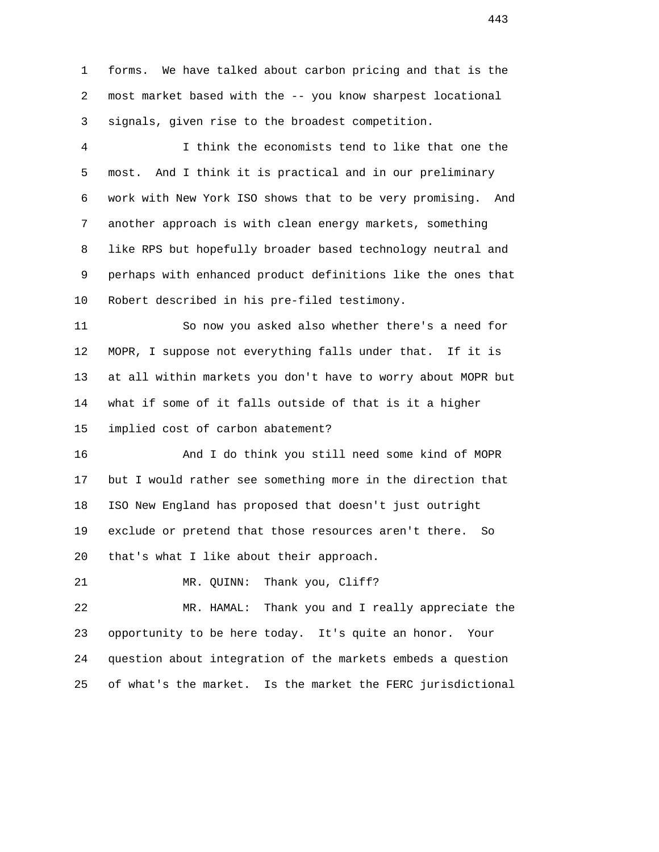1 forms. We have talked about carbon pricing and that is the 2 most market based with the -- you know sharpest locational 3 signals, given rise to the broadest competition.

 4 I think the economists tend to like that one the 5 most. And I think it is practical and in our preliminary 6 work with New York ISO shows that to be very promising. And 7 another approach is with clean energy markets, something 8 like RPS but hopefully broader based technology neutral and 9 perhaps with enhanced product definitions like the ones that 10 Robert described in his pre-filed testimony.

 11 So now you asked also whether there's a need for 12 MOPR, I suppose not everything falls under that. If it is 13 at all within markets you don't have to worry about MOPR but 14 what if some of it falls outside of that is it a higher 15 implied cost of carbon abatement?

 16 And I do think you still need some kind of MOPR 17 but I would rather see something more in the direction that 18 ISO New England has proposed that doesn't just outright 19 exclude or pretend that those resources aren't there. So 20 that's what I like about their approach.

21 MR. QUINN: Thank you, Cliff?

 22 MR. HAMAL: Thank you and I really appreciate the 23 opportunity to be here today. It's quite an honor. Your 24 question about integration of the markets embeds a question 25 of what's the market. Is the market the FERC jurisdictional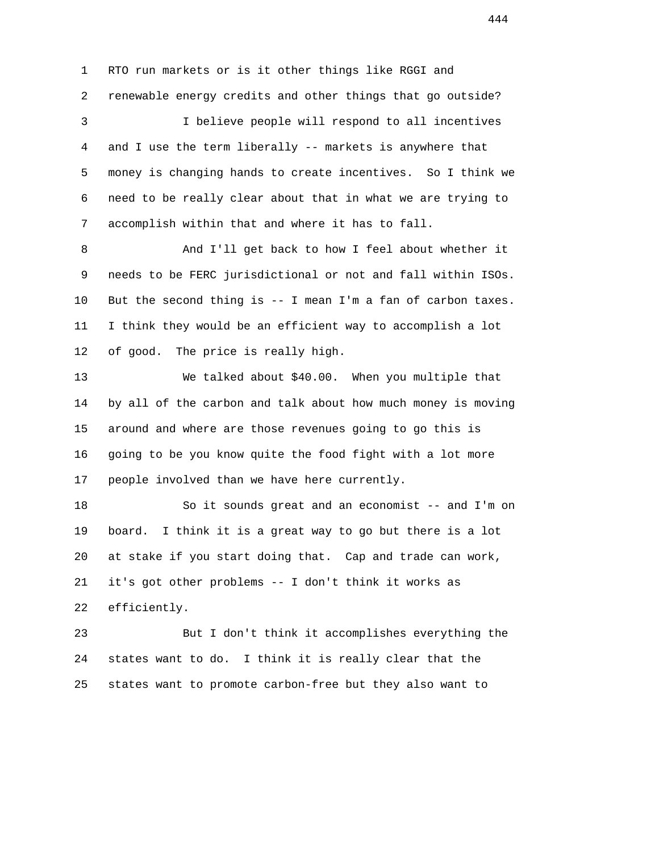1 RTO run markets or is it other things like RGGI and 2 renewable energy credits and other things that go outside? 3 I believe people will respond to all incentives 4 and I use the term liberally -- markets is anywhere that 5 money is changing hands to create incentives. So I think we 6 need to be really clear about that in what we are trying to 7 accomplish within that and where it has to fall. 8 And I'll get back to how I feel about whether it 9 needs to be FERC jurisdictional or not and fall within ISOs. 10 But the second thing is -- I mean I'm a fan of carbon taxes. 11 I think they would be an efficient way to accomplish a lot 12 of good. The price is really high. 13 We talked about \$40.00. When you multiple that 14 by all of the carbon and talk about how much money is moving 15 around and where are those revenues going to go this is 16 going to be you know quite the food fight with a lot more

 18 So it sounds great and an economist -- and I'm on 19 board. I think it is a great way to go but there is a lot 20 at stake if you start doing that. Cap and trade can work, 21 it's got other problems -- I don't think it works as 22 efficiently.

17 people involved than we have here currently.

 23 But I don't think it accomplishes everything the 24 states want to do. I think it is really clear that the 25 states want to promote carbon-free but they also want to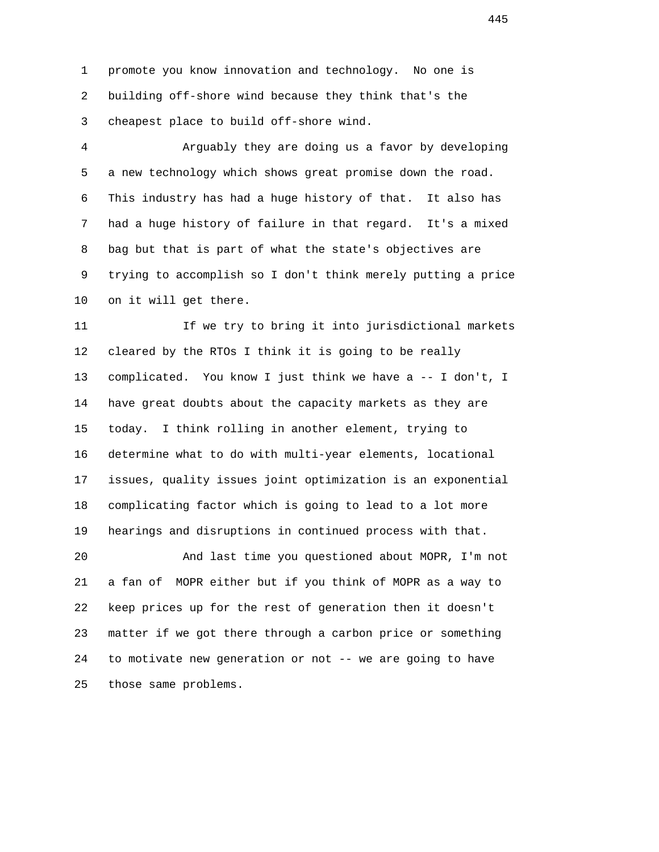1 promote you know innovation and technology. No one is 2 building off-shore wind because they think that's the 3 cheapest place to build off-shore wind.

 4 Arguably they are doing us a favor by developing 5 a new technology which shows great promise down the road. 6 This industry has had a huge history of that. It also has 7 had a huge history of failure in that regard. It's a mixed 8 bag but that is part of what the state's objectives are 9 trying to accomplish so I don't think merely putting a price 10 on it will get there.

 11 If we try to bring it into jurisdictional markets 12 cleared by the RTOs I think it is going to be really 13 complicated. You know I just think we have a -- I don't, I 14 have great doubts about the capacity markets as they are 15 today. I think rolling in another element, trying to 16 determine what to do with multi-year elements, locational 17 issues, quality issues joint optimization is an exponential 18 complicating factor which is going to lead to a lot more 19 hearings and disruptions in continued process with that.

 20 And last time you questioned about MOPR, I'm not 21 a fan of MOPR either but if you think of MOPR as a way to 22 keep prices up for the rest of generation then it doesn't 23 matter if we got there through a carbon price or something 24 to motivate new generation or not -- we are going to have 25 those same problems.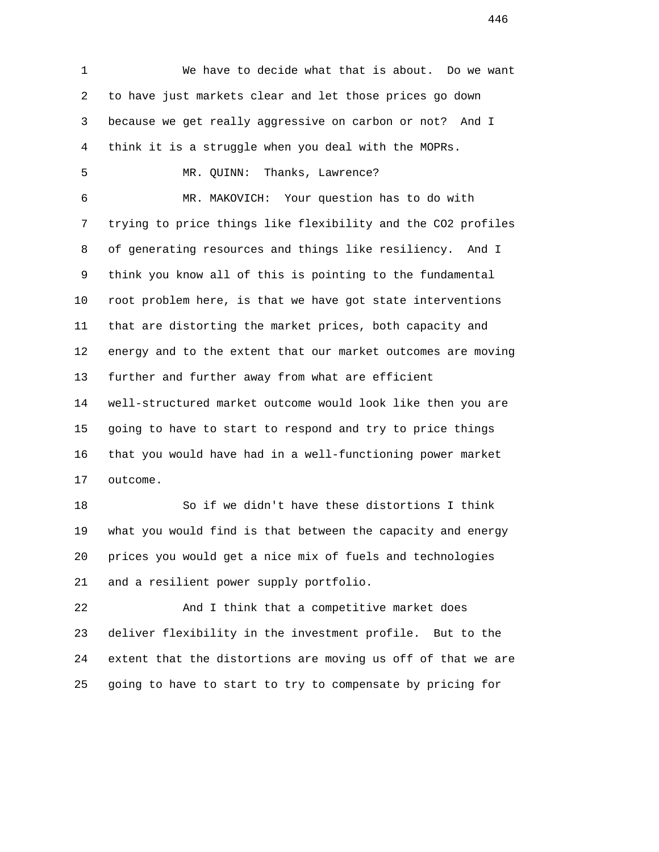1 We have to decide what that is about. Do we want 2 to have just markets clear and let those prices go down 3 because we get really aggressive on carbon or not? And I 4 think it is a struggle when you deal with the MOPRs. 5 MR. QUINN: Thanks, Lawrence? 6 MR. MAKOVICH: Your question has to do with 7 trying to price things like flexibility and the CO2 profiles 8 of generating resources and things like resiliency. And I 9 think you know all of this is pointing to the fundamental 10 root problem here, is that we have got state interventions 11 that are distorting the market prices, both capacity and 12 energy and to the extent that our market outcomes are moving 13 further and further away from what are efficient 14 well-structured market outcome would look like then you are 15 going to have to start to respond and try to price things 16 that you would have had in a well-functioning power market 17 outcome. 18 So if we didn't have these distortions I think

 19 what you would find is that between the capacity and energy 20 prices you would get a nice mix of fuels and technologies 21 and a resilient power supply portfolio.

 22 And I think that a competitive market does 23 deliver flexibility in the investment profile. But to the 24 extent that the distortions are moving us off of that we are 25 going to have to start to try to compensate by pricing for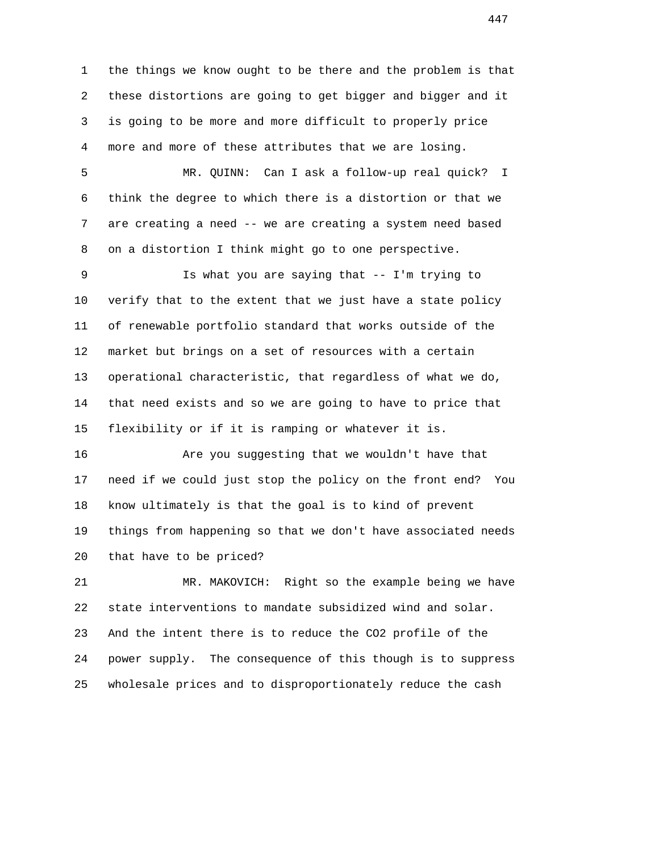1 the things we know ought to be there and the problem is that 2 these distortions are going to get bigger and bigger and it 3 is going to be more and more difficult to properly price 4 more and more of these attributes that we are losing.

 5 MR. QUINN: Can I ask a follow-up real quick? I 6 think the degree to which there is a distortion or that we 7 are creating a need -- we are creating a system need based 8 on a distortion I think might go to one perspective.

 9 Is what you are saying that -- I'm trying to 10 verify that to the extent that we just have a state policy 11 of renewable portfolio standard that works outside of the 12 market but brings on a set of resources with a certain 13 operational characteristic, that regardless of what we do, 14 that need exists and so we are going to have to price that 15 flexibility or if it is ramping or whatever it is.

 16 Are you suggesting that we wouldn't have that 17 need if we could just stop the policy on the front end? You 18 know ultimately is that the goal is to kind of prevent 19 things from happening so that we don't have associated needs 20 that have to be priced?

 21 MR. MAKOVICH: Right so the example being we have 22 state interventions to mandate subsidized wind and solar. 23 And the intent there is to reduce the CO2 profile of the 24 power supply. The consequence of this though is to suppress 25 wholesale prices and to disproportionately reduce the cash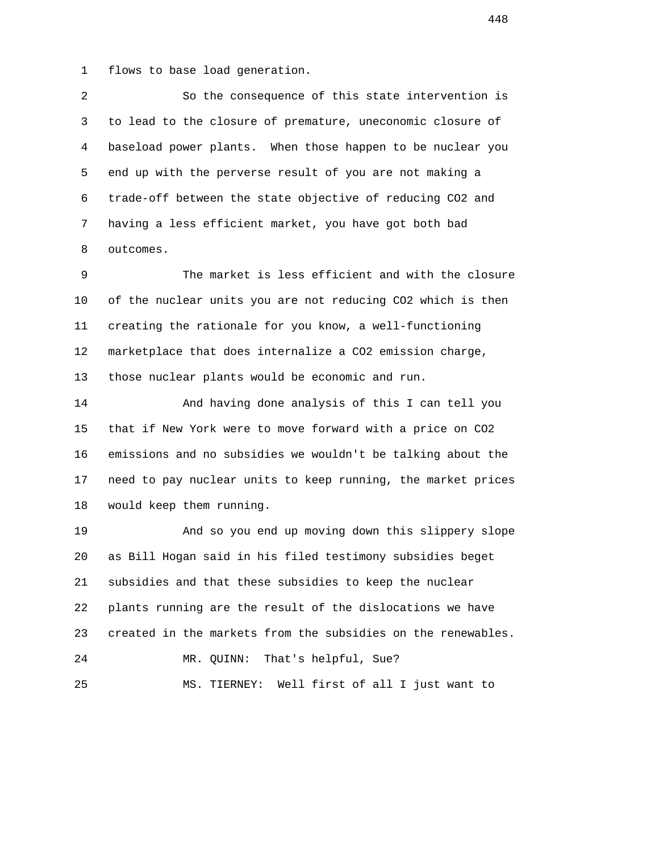1 flows to base load generation.

 2 So the consequence of this state intervention is 3 to lead to the closure of premature, uneconomic closure of 4 baseload power plants. When those happen to be nuclear you 5 end up with the perverse result of you are not making a 6 trade-off between the state objective of reducing CO2 and 7 having a less efficient market, you have got both bad 8 outcomes.

 9 The market is less efficient and with the closure 10 of the nuclear units you are not reducing CO2 which is then 11 creating the rationale for you know, a well-functioning 12 marketplace that does internalize a CO2 emission charge, 13 those nuclear plants would be economic and run.

 14 And having done analysis of this I can tell you 15 that if New York were to move forward with a price on CO2 16 emissions and no subsidies we wouldn't be talking about the 17 need to pay nuclear units to keep running, the market prices 18 would keep them running.

 19 And so you end up moving down this slippery slope 20 as Bill Hogan said in his filed testimony subsidies beget 21 subsidies and that these subsidies to keep the nuclear 22 plants running are the result of the dislocations we have 23 created in the markets from the subsidies on the renewables. 24 MR. QUINN: That's helpful, Sue? 25 MS. TIERNEY: Well first of all I just want to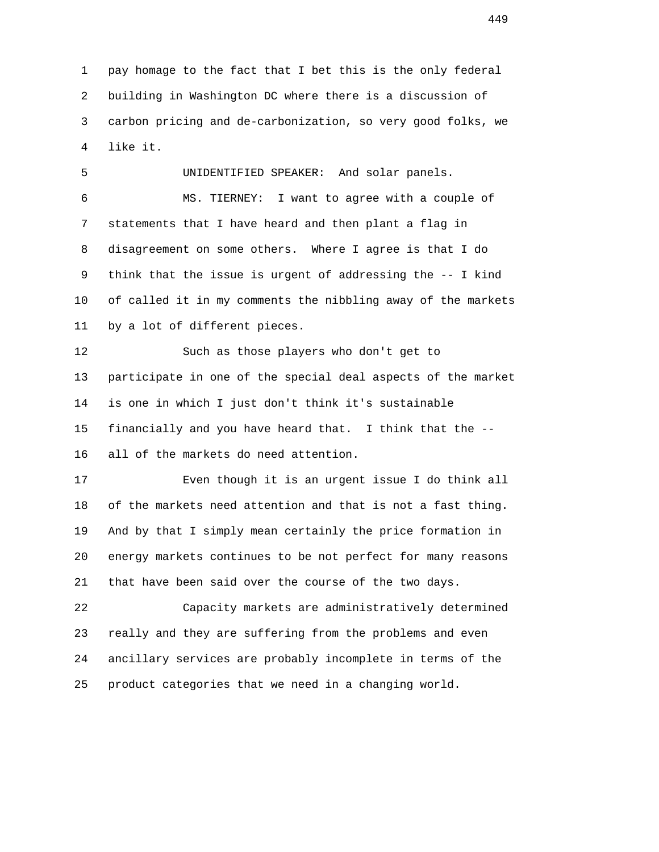1 pay homage to the fact that I bet this is the only federal 2 building in Washington DC where there is a discussion of 3 carbon pricing and de-carbonization, so very good folks, we 4 like it.

 5 UNIDENTIFIED SPEAKER: And solar panels. 6 MS. TIERNEY: I want to agree with a couple of 7 statements that I have heard and then plant a flag in 8 disagreement on some others. Where I agree is that I do 9 think that the issue is urgent of addressing the -- I kind 10 of called it in my comments the nibbling away of the markets 11 by a lot of different pieces.

 12 Such as those players who don't get to 13 participate in one of the special deal aspects of the market 14 is one in which I just don't think it's sustainable 15 financially and you have heard that. I think that the -- 16 all of the markets do need attention.

 17 Even though it is an urgent issue I do think all 18 of the markets need attention and that is not a fast thing. 19 And by that I simply mean certainly the price formation in 20 energy markets continues to be not perfect for many reasons 21 that have been said over the course of the two days.

 22 Capacity markets are administratively determined 23 really and they are suffering from the problems and even 24 ancillary services are probably incomplete in terms of the 25 product categories that we need in a changing world.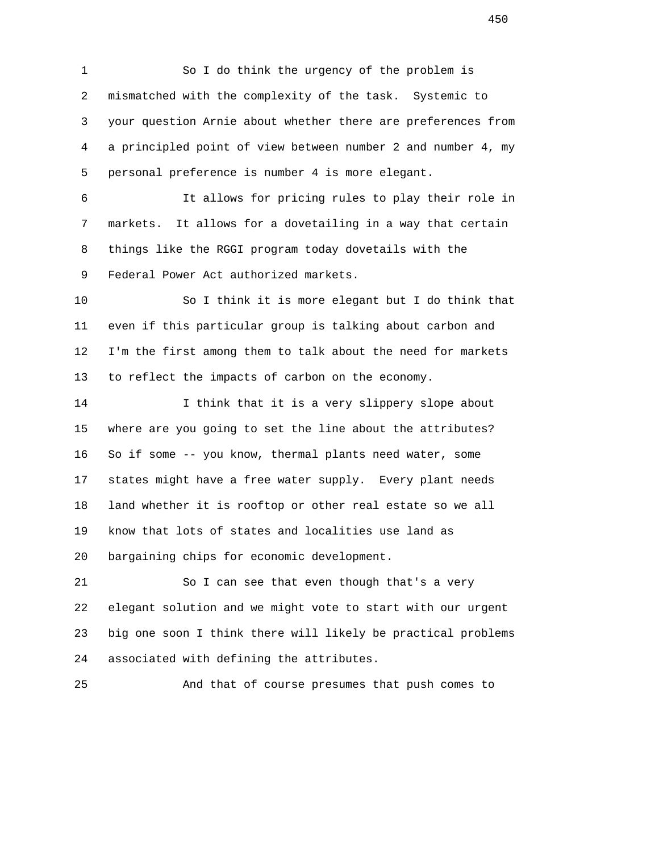1 So I do think the urgency of the problem is 2 mismatched with the complexity of the task. Systemic to 3 your question Arnie about whether there are preferences from 4 a principled point of view between number 2 and number 4, my 5 personal preference is number 4 is more elegant.

 6 It allows for pricing rules to play their role in 7 markets. It allows for a dovetailing in a way that certain 8 things like the RGGI program today dovetails with the 9 Federal Power Act authorized markets.

 10 So I think it is more elegant but I do think that 11 even if this particular group is talking about carbon and 12 I'm the first among them to talk about the need for markets 13 to reflect the impacts of carbon on the economy.

 14 I think that it is a very slippery slope about 15 where are you going to set the line about the attributes? 16 So if some -- you know, thermal plants need water, some 17 states might have a free water supply. Every plant needs 18 land whether it is rooftop or other real estate so we all 19 know that lots of states and localities use land as 20 bargaining chips for economic development.

 21 So I can see that even though that's a very 22 elegant solution and we might vote to start with our urgent 23 big one soon I think there will likely be practical problems 24 associated with defining the attributes.

25 And that of course presumes that push comes to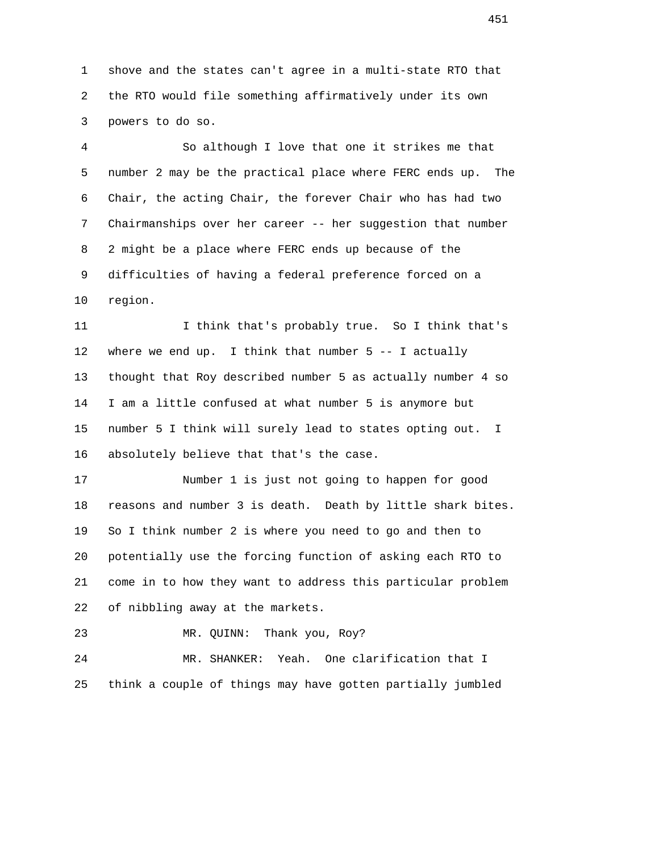1 shove and the states can't agree in a multi-state RTO that 2 the RTO would file something affirmatively under its own 3 powers to do so.

 4 So although I love that one it strikes me that 5 number 2 may be the practical place where FERC ends up. The 6 Chair, the acting Chair, the forever Chair who has had two 7 Chairmanships over her career -- her suggestion that number 8 2 might be a place where FERC ends up because of the 9 difficulties of having a federal preference forced on a 10 region.

 11 I think that's probably true. So I think that's 12 where we end up. I think that number 5 -- I actually 13 thought that Roy described number 5 as actually number 4 so 14 I am a little confused at what number 5 is anymore but 15 number 5 I think will surely lead to states opting out. I 16 absolutely believe that that's the case.

 17 Number 1 is just not going to happen for good 18 reasons and number 3 is death. Death by little shark bites. 19 So I think number 2 is where you need to go and then to 20 potentially use the forcing function of asking each RTO to 21 come in to how they want to address this particular problem 22 of nibbling away at the markets.

23 MR. QUINN: Thank you, Roy?

 24 MR. SHANKER: Yeah. One clarification that I 25 think a couple of things may have gotten partially jumbled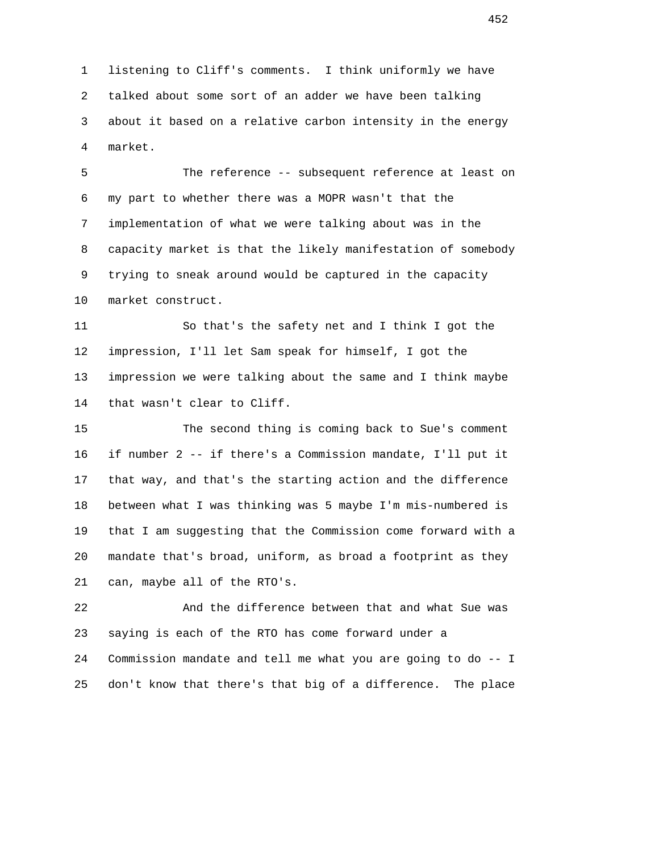1 listening to Cliff's comments. I think uniformly we have 2 talked about some sort of an adder we have been talking 3 about it based on a relative carbon intensity in the energy 4 market.

 5 The reference -- subsequent reference at least on 6 my part to whether there was a MOPR wasn't that the 7 implementation of what we were talking about was in the 8 capacity market is that the likely manifestation of somebody 9 trying to sneak around would be captured in the capacity 10 market construct.

 11 So that's the safety net and I think I got the 12 impression, I'll let Sam speak for himself, I got the 13 impression we were talking about the same and I think maybe 14 that wasn't clear to Cliff.

 15 The second thing is coming back to Sue's comment 16 if number 2 -- if there's a Commission mandate, I'll put it 17 that way, and that's the starting action and the difference 18 between what I was thinking was 5 maybe I'm mis-numbered is 19 that I am suggesting that the Commission come forward with a 20 mandate that's broad, uniform, as broad a footprint as they 21 can, maybe all of the RTO's.

 22 And the difference between that and what Sue was 23 saying is each of the RTO has come forward under a 24 Commission mandate and tell me what you are going to do -- I 25 don't know that there's that big of a difference. The place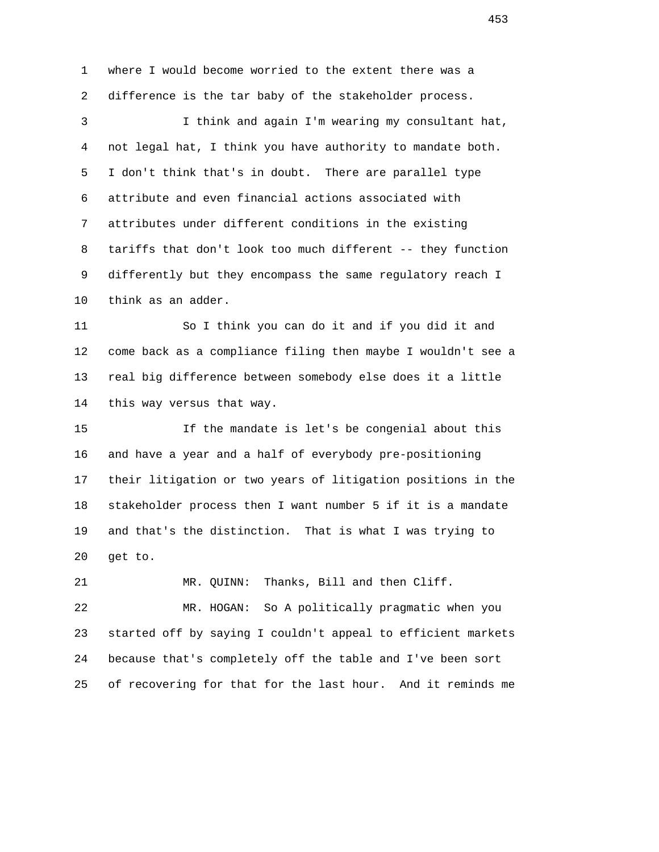1 where I would become worried to the extent there was a 2 difference is the tar baby of the stakeholder process. 3 I think and again I'm wearing my consultant hat, 4 not legal hat, I think you have authority to mandate both. 5 I don't think that's in doubt. There are parallel type 6 attribute and even financial actions associated with 7 attributes under different conditions in the existing 8 tariffs that don't look too much different -- they function 9 differently but they encompass the same regulatory reach I 10 think as an adder. 11 So I think you can do it and if you did it and 12 come back as a compliance filing then maybe I wouldn't see a 13 real big difference between somebody else does it a little 14 this way versus that way. 15 If the mandate is let's be congenial about this 16 and have a year and a half of everybody pre-positioning 17 their litigation or two years of litigation positions in the 18 stakeholder process then I want number 5 if it is a mandate 19 and that's the distinction. That is what I was trying to 20 get to. 21 MR. QUINN: Thanks, Bill and then Cliff. 22 MR. HOGAN: So A politically pragmatic when you 23 started off by saying I couldn't appeal to efficient markets 24 because that's completely off the table and I've been sort 25 of recovering for that for the last hour. And it reminds me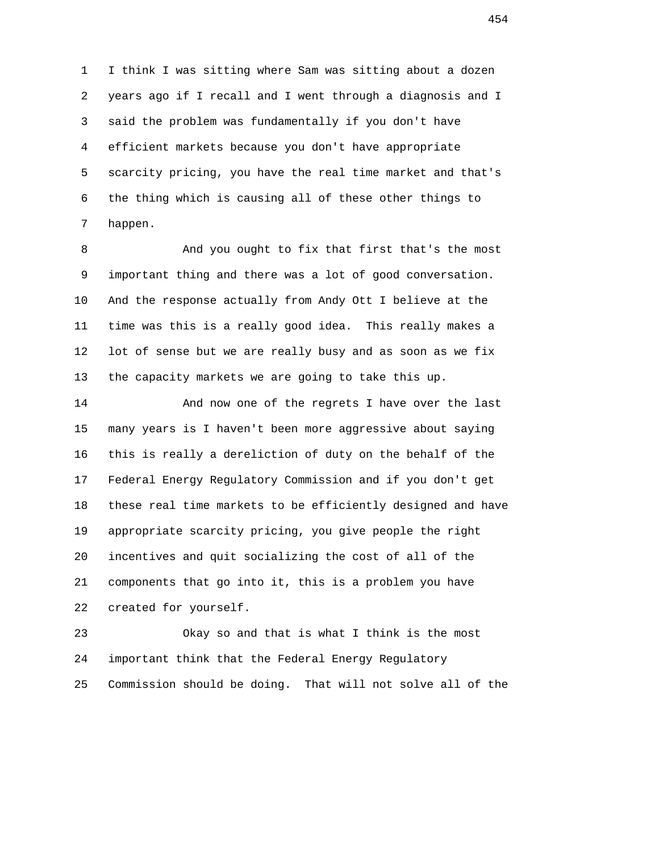1 I think I was sitting where Sam was sitting about a dozen 2 years ago if I recall and I went through a diagnosis and I 3 said the problem was fundamentally if you don't have 4 efficient markets because you don't have appropriate 5 scarcity pricing, you have the real time market and that's 6 the thing which is causing all of these other things to 7 happen.

 8 And you ought to fix that first that's the most 9 important thing and there was a lot of good conversation. 10 And the response actually from Andy Ott I believe at the 11 time was this is a really good idea. This really makes a 12 lot of sense but we are really busy and as soon as we fix 13 the capacity markets we are going to take this up.

 14 And now one of the regrets I have over the last 15 many years is I haven't been more aggressive about saying 16 this is really a dereliction of duty on the behalf of the 17 Federal Energy Regulatory Commission and if you don't get 18 these real time markets to be efficiently designed and have 19 appropriate scarcity pricing, you give people the right 20 incentives and quit socializing the cost of all of the 21 components that go into it, this is a problem you have 22 created for yourself.

 23 Okay so and that is what I think is the most 24 important think that the Federal Energy Regulatory 25 Commission should be doing. That will not solve all of the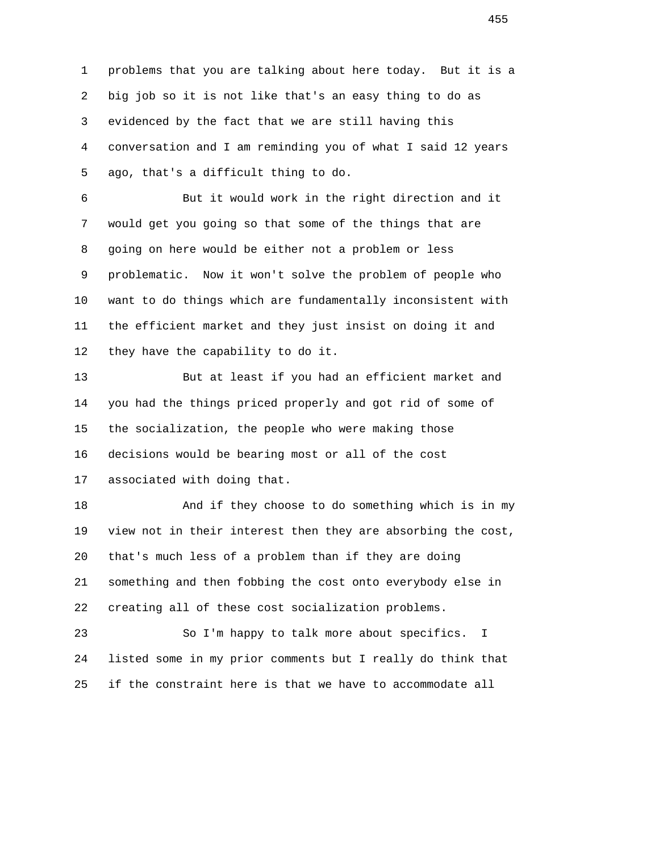1 problems that you are talking about here today. But it is a 2 big job so it is not like that's an easy thing to do as 3 evidenced by the fact that we are still having this 4 conversation and I am reminding you of what I said 12 years 5 ago, that's a difficult thing to do.

 6 But it would work in the right direction and it 7 would get you going so that some of the things that are 8 going on here would be either not a problem or less 9 problematic. Now it won't solve the problem of people who 10 want to do things which are fundamentally inconsistent with 11 the efficient market and they just insist on doing it and 12 they have the capability to do it.

 13 But at least if you had an efficient market and 14 you had the things priced properly and got rid of some of 15 the socialization, the people who were making those 16 decisions would be bearing most or all of the cost 17 associated with doing that.

 18 And if they choose to do something which is in my 19 view not in their interest then they are absorbing the cost, 20 that's much less of a problem than if they are doing 21 something and then fobbing the cost onto everybody else in 22 creating all of these cost socialization problems.

 23 So I'm happy to talk more about specifics. I 24 listed some in my prior comments but I really do think that 25 if the constraint here is that we have to accommodate all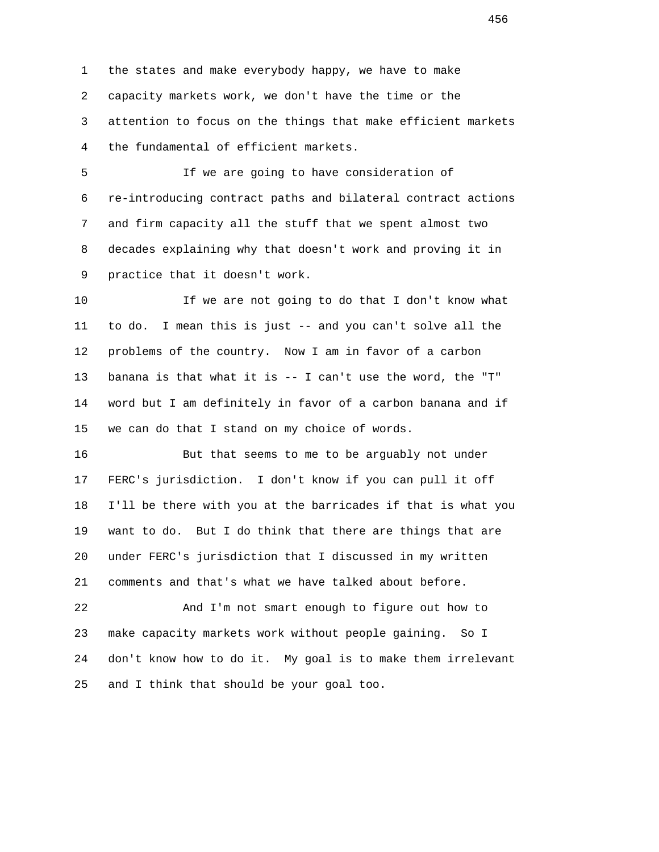1 the states and make everybody happy, we have to make 2 capacity markets work, we don't have the time or the 3 attention to focus on the things that make efficient markets 4 the fundamental of efficient markets.

 5 If we are going to have consideration of 6 re-introducing contract paths and bilateral contract actions 7 and firm capacity all the stuff that we spent almost two 8 decades explaining why that doesn't work and proving it in 9 practice that it doesn't work.

 10 If we are not going to do that I don't know what 11 to do. I mean this is just -- and you can't solve all the 12 problems of the country. Now I am in favor of a carbon 13 banana is that what it is -- I can't use the word, the "T" 14 word but I am definitely in favor of a carbon banana and if 15 we can do that I stand on my choice of words.

 16 But that seems to me to be arguably not under 17 FERC's jurisdiction. I don't know if you can pull it off 18 I'll be there with you at the barricades if that is what you 19 want to do. But I do think that there are things that are 20 under FERC's jurisdiction that I discussed in my written 21 comments and that's what we have talked about before.

 22 And I'm not smart enough to figure out how to 23 make capacity markets work without people gaining. So I 24 don't know how to do it. My goal is to make them irrelevant 25 and I think that should be your goal too.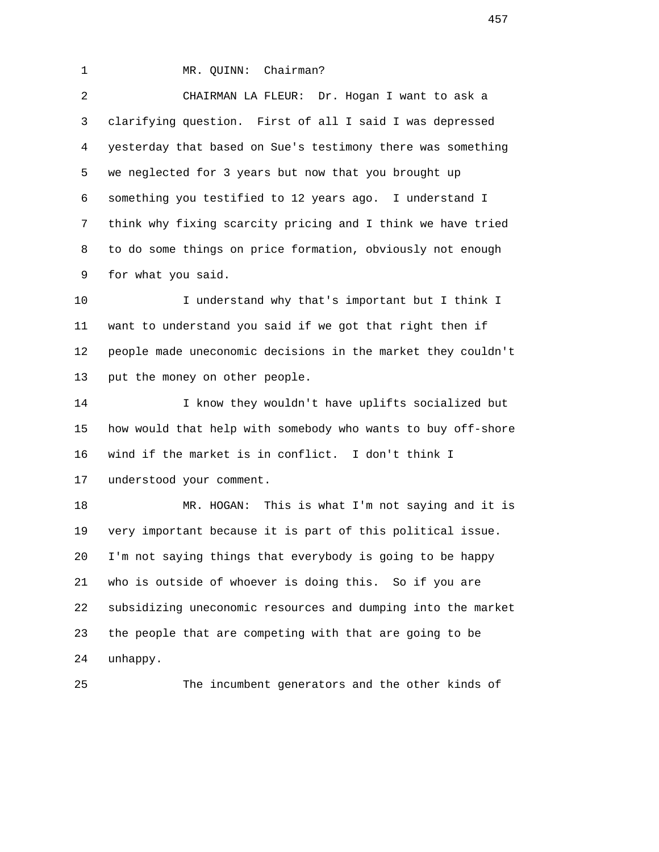## 1 MR. QUINN: Chairman?

 2 CHAIRMAN LA FLEUR: Dr. Hogan I want to ask a 3 clarifying question. First of all I said I was depressed 4 yesterday that based on Sue's testimony there was something 5 we neglected for 3 years but now that you brought up 6 something you testified to 12 years ago. I understand I 7 think why fixing scarcity pricing and I think we have tried 8 to do some things on price formation, obviously not enough 9 for what you said.

 10 I understand why that's important but I think I 11 want to understand you said if we got that right then if 12 people made uneconomic decisions in the market they couldn't 13 put the money on other people.

 14 I know they wouldn't have uplifts socialized but 15 how would that help with somebody who wants to buy off-shore 16 wind if the market is in conflict. I don't think I 17 understood your comment.

 18 MR. HOGAN: This is what I'm not saying and it is 19 very important because it is part of this political issue. 20 I'm not saying things that everybody is going to be happy 21 who is outside of whoever is doing this. So if you are 22 subsidizing uneconomic resources and dumping into the market 23 the people that are competing with that are going to be 24 unhappy.

25 The incumbent generators and the other kinds of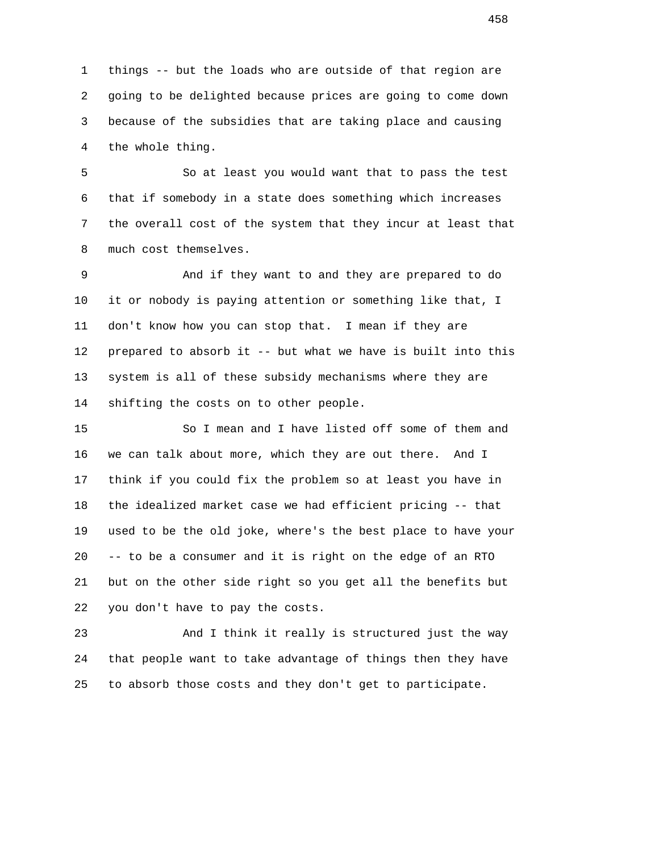1 things -- but the loads who are outside of that region are 2 going to be delighted because prices are going to come down 3 because of the subsidies that are taking place and causing 4 the whole thing.

 5 So at least you would want that to pass the test 6 that if somebody in a state does something which increases 7 the overall cost of the system that they incur at least that 8 much cost themselves.

 9 And if they want to and they are prepared to do 10 it or nobody is paying attention or something like that, I 11 don't know how you can stop that. I mean if they are 12 prepared to absorb it -- but what we have is built into this 13 system is all of these subsidy mechanisms where they are 14 shifting the costs on to other people.

 15 So I mean and I have listed off some of them and 16 we can talk about more, which they are out there. And I 17 think if you could fix the problem so at least you have in 18 the idealized market case we had efficient pricing -- that 19 used to be the old joke, where's the best place to have your 20 -- to be a consumer and it is right on the edge of an RTO 21 but on the other side right so you get all the benefits but 22 you don't have to pay the costs.

 23 And I think it really is structured just the way 24 that people want to take advantage of things then they have 25 to absorb those costs and they don't get to participate.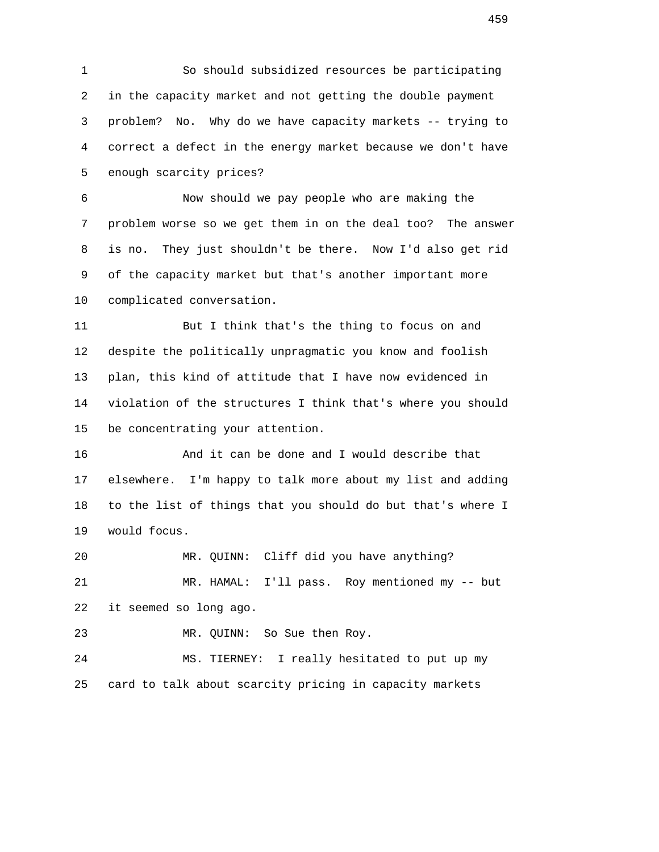1 So should subsidized resources be participating 2 in the capacity market and not getting the double payment 3 problem? No. Why do we have capacity markets -- trying to 4 correct a defect in the energy market because we don't have 5 enough scarcity prices?

 6 Now should we pay people who are making the 7 problem worse so we get them in on the deal too? The answer 8 is no. They just shouldn't be there. Now I'd also get rid 9 of the capacity market but that's another important more 10 complicated conversation.

 11 But I think that's the thing to focus on and 12 despite the politically unpragmatic you know and foolish 13 plan, this kind of attitude that I have now evidenced in 14 violation of the structures I think that's where you should 15 be concentrating your attention.

 16 And it can be done and I would describe that 17 elsewhere. I'm happy to talk more about my list and adding 18 to the list of things that you should do but that's where I 19 would focus.

 20 MR. QUINN: Cliff did you have anything? 21 MR. HAMAL: I'll pass. Roy mentioned my -- but 22 it seemed so long ago.

23 MR. QUINN: So Sue then Roy.

 24 MS. TIERNEY: I really hesitated to put up my 25 card to talk about scarcity pricing in capacity markets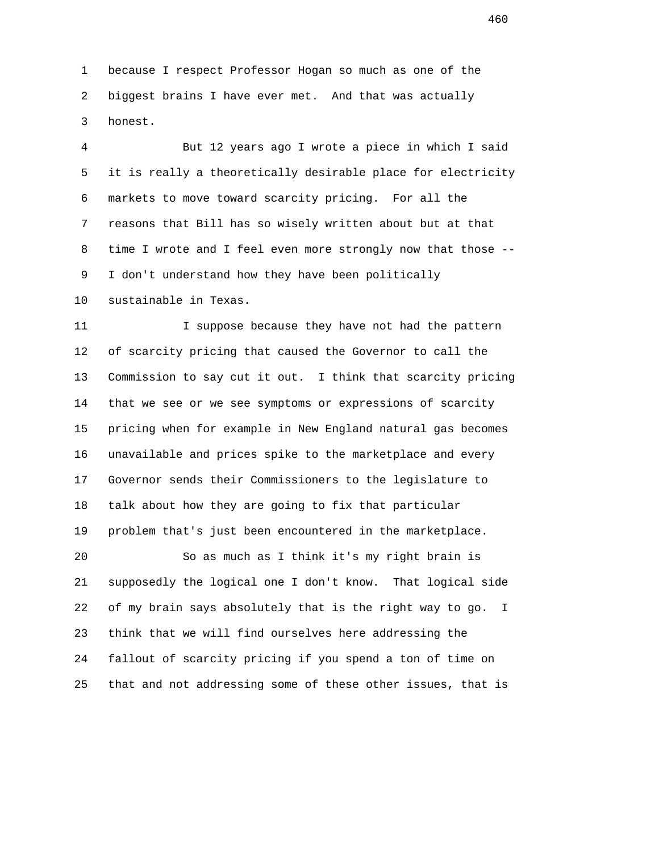1 because I respect Professor Hogan so much as one of the 2 biggest brains I have ever met. And that was actually 3 honest.

 4 But 12 years ago I wrote a piece in which I said 5 it is really a theoretically desirable place for electricity 6 markets to move toward scarcity pricing. For all the 7 reasons that Bill has so wisely written about but at that 8 time I wrote and I feel even more strongly now that those -- 9 I don't understand how they have been politically 10 sustainable in Texas.

11 I suppose because they have not had the pattern 12 of scarcity pricing that caused the Governor to call the 13 Commission to say cut it out. I think that scarcity pricing 14 that we see or we see symptoms or expressions of scarcity 15 pricing when for example in New England natural gas becomes 16 unavailable and prices spike to the marketplace and every 17 Governor sends their Commissioners to the legislature to 18 talk about how they are going to fix that particular 19 problem that's just been encountered in the marketplace.

 20 So as much as I think it's my right brain is 21 supposedly the logical one I don't know. That logical side 22 of my brain says absolutely that is the right way to go. I 23 think that we will find ourselves here addressing the 24 fallout of scarcity pricing if you spend a ton of time on 25 that and not addressing some of these other issues, that is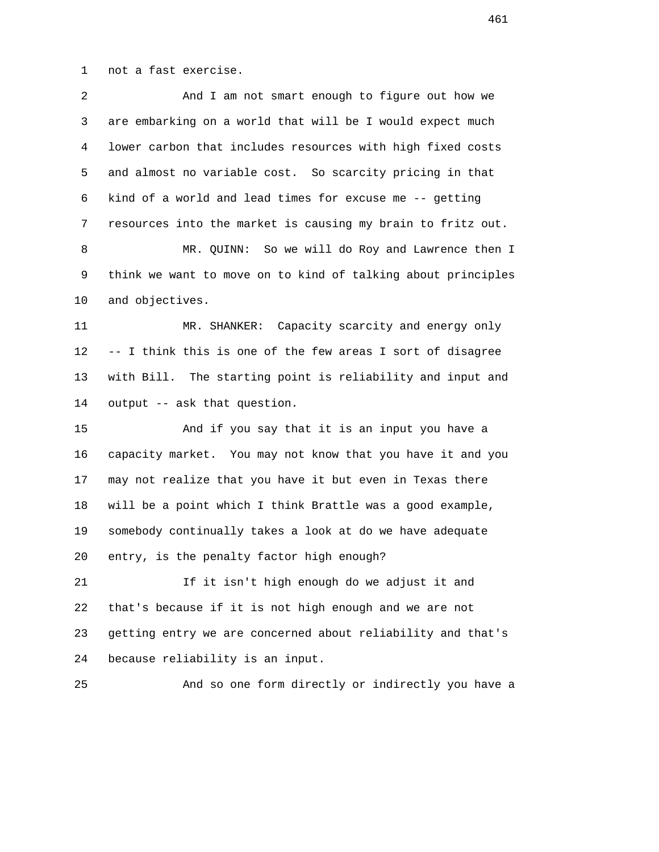1 not a fast exercise.

| 2  | And I am not smart enough to figure out how we               |
|----|--------------------------------------------------------------|
| 3  | are embarking on a world that will be I would expect much    |
| 4  | lower carbon that includes resources with high fixed costs   |
| 5  | and almost no variable cost. So scarcity pricing in that     |
| 6  | kind of a world and lead times for excuse me -- getting      |
| 7  | resources into the market is causing my brain to fritz out.  |
| 8  | MR. QUINN: So we will do Roy and Lawrence then I             |
| 9  | think we want to move on to kind of talking about principles |
| 10 | and objectives.                                              |
| 11 | MR. SHANKER: Capacity scarcity and energy only               |
| 12 | -- I think this is one of the few areas I sort of disagree   |
| 13 | with Bill. The starting point is reliability and input and   |
| 14 | output -- ask that question.                                 |
| 15 | And if you say that it is an input you have a                |
| 16 | capacity market. You may not know that you have it and you   |
| 17 | may not realize that you have it but even in Texas there     |
| 18 | will be a point which I think Brattle was a good example,    |
| 19 | somebody continually takes a look at do we have adequate     |
| 20 | entry, is the penalty factor high enough?                    |
| 21 | If it isn't high enough do we adjust it and                  |
| 22 | that's because if it is not high enough and we are not       |
| 23 | getting entry we are concerned about reliability and that's  |
| 24 | because reliability is an input.                             |
| 25 | And so one form directly or indirectly you have a            |
|    |                                                              |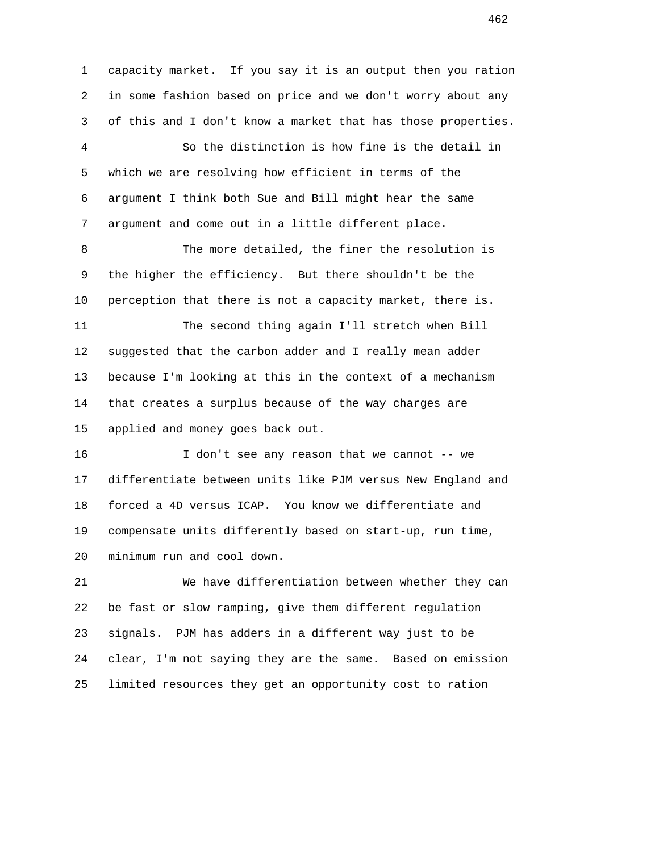1 capacity market. If you say it is an output then you ration 2 in some fashion based on price and we don't worry about any 3 of this and I don't know a market that has those properties. 4 So the distinction is how fine is the detail in 5 which we are resolving how efficient in terms of the 6 argument I think both Sue and Bill might hear the same 7 argument and come out in a little different place. 8 The more detailed, the finer the resolution is 9 the higher the efficiency. But there shouldn't be the 10 perception that there is not a capacity market, there is. 11 The second thing again I'll stretch when Bill 12 suggested that the carbon adder and I really mean adder 13 because I'm looking at this in the context of a mechanism 14 that creates a surplus because of the way charges are 15 applied and money goes back out. 16 I don't see any reason that we cannot -- we 17 differentiate between units like PJM versus New England and 18 forced a 4D versus ICAP. You know we differentiate and 19 compensate units differently based on start-up, run time, 20 minimum run and cool down. 21 We have differentiation between whether they can 22 be fast or slow ramping, give them different regulation 23 signals. PJM has adders in a different way just to be

25 limited resources they get an opportunity cost to ration

24 clear, I'm not saying they are the same. Based on emission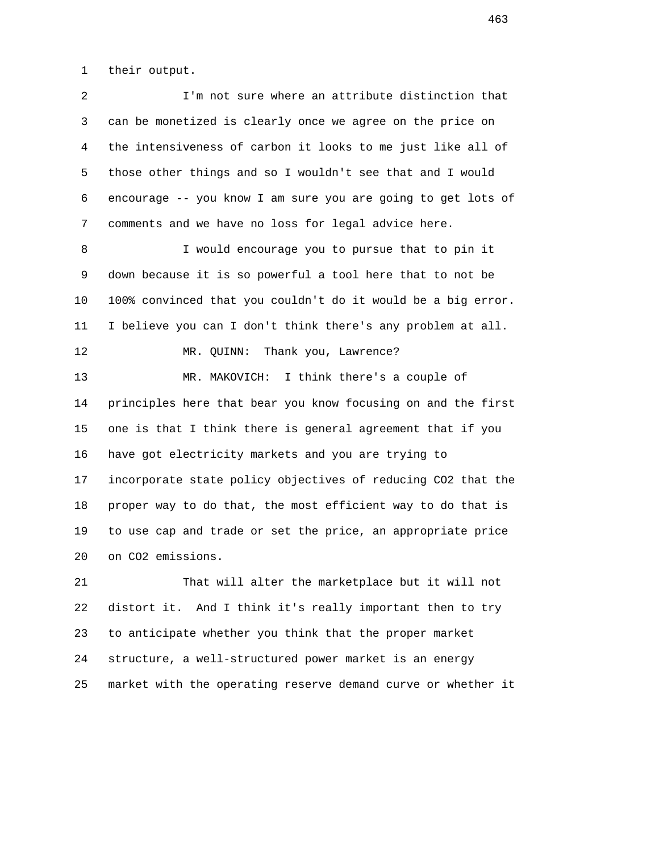1 their output.

 2 I'm not sure where an attribute distinction that 3 can be monetized is clearly once we agree on the price on 4 the intensiveness of carbon it looks to me just like all of 5 those other things and so I wouldn't see that and I would 6 encourage -- you know I am sure you are going to get lots of 7 comments and we have no loss for legal advice here. 8 I would encourage you to pursue that to pin it 9 down because it is so powerful a tool here that to not be 10 100% convinced that you couldn't do it would be a big error. 11 I believe you can I don't think there's any problem at all. 12 MR. QUINN: Thank you, Lawrence? 13 MR. MAKOVICH: I think there's a couple of 14 principles here that bear you know focusing on and the first 15 one is that I think there is general agreement that if you 16 have got electricity markets and you are trying to 17 incorporate state policy objectives of reducing CO2 that the 18 proper way to do that, the most efficient way to do that is 19 to use cap and trade or set the price, an appropriate price 20 on CO2 emissions. 21 That will alter the marketplace but it will not 22 distort it. And I think it's really important then to try

 23 to anticipate whether you think that the proper market 24 structure, a well-structured power market is an energy 25 market with the operating reserve demand curve or whether it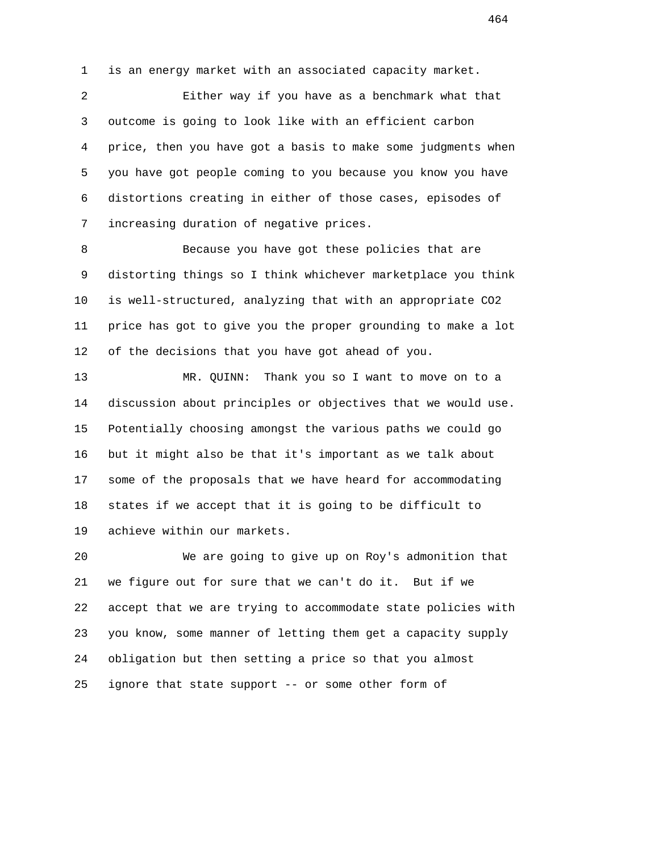1 is an energy market with an associated capacity market.

 2 Either way if you have as a benchmark what that 3 outcome is going to look like with an efficient carbon 4 price, then you have got a basis to make some judgments when 5 you have got people coming to you because you know you have 6 distortions creating in either of those cases, episodes of 7 increasing duration of negative prices.

 8 Because you have got these policies that are 9 distorting things so I think whichever marketplace you think 10 is well-structured, analyzing that with an appropriate CO2 11 price has got to give you the proper grounding to make a lot 12 of the decisions that you have got ahead of you.

 13 MR. QUINN: Thank you so I want to move on to a 14 discussion about principles or objectives that we would use. 15 Potentially choosing amongst the various paths we could go 16 but it might also be that it's important as we talk about 17 some of the proposals that we have heard for accommodating 18 states if we accept that it is going to be difficult to 19 achieve within our markets.

 20 We are going to give up on Roy's admonition that 21 we figure out for sure that we can't do it. But if we 22 accept that we are trying to accommodate state policies with 23 you know, some manner of letting them get a capacity supply 24 obligation but then setting a price so that you almost 25 ignore that state support -- or some other form of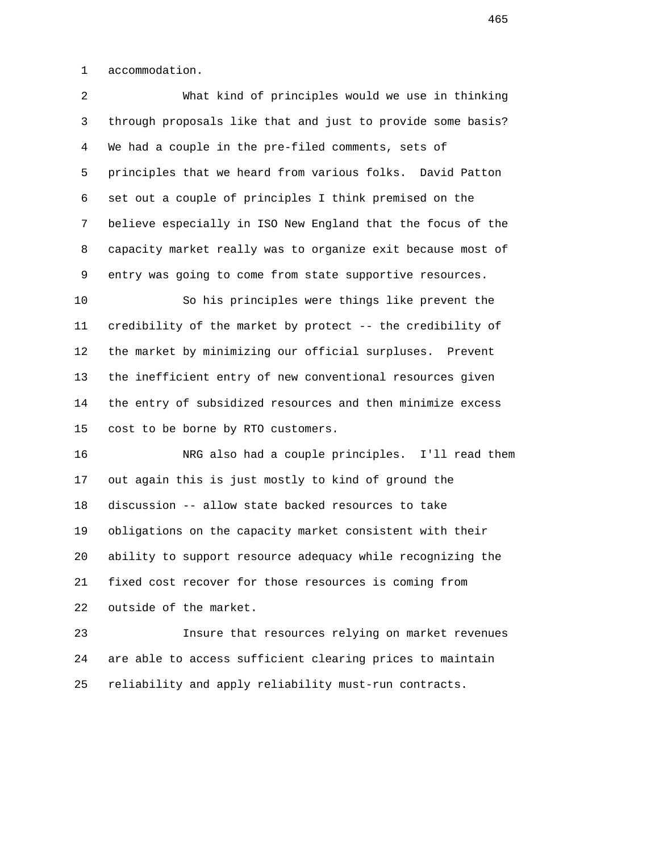1 accommodation.

 2 What kind of principles would we use in thinking 3 through proposals like that and just to provide some basis? 4 We had a couple in the pre-filed comments, sets of 5 principles that we heard from various folks. David Patton 6 set out a couple of principles I think premised on the 7 believe especially in ISO New England that the focus of the 8 capacity market really was to organize exit because most of 9 entry was going to come from state supportive resources.

 10 So his principles were things like prevent the 11 credibility of the market by protect -- the credibility of 12 the market by minimizing our official surpluses. Prevent 13 the inefficient entry of new conventional resources given 14 the entry of subsidized resources and then minimize excess 15 cost to be borne by RTO customers.

 16 NRG also had a couple principles. I'll read them 17 out again this is just mostly to kind of ground the 18 discussion -- allow state backed resources to take 19 obligations on the capacity market consistent with their 20 ability to support resource adequacy while recognizing the 21 fixed cost recover for those resources is coming from 22 outside of the market.

 23 Insure that resources relying on market revenues 24 are able to access sufficient clearing prices to maintain 25 reliability and apply reliability must-run contracts.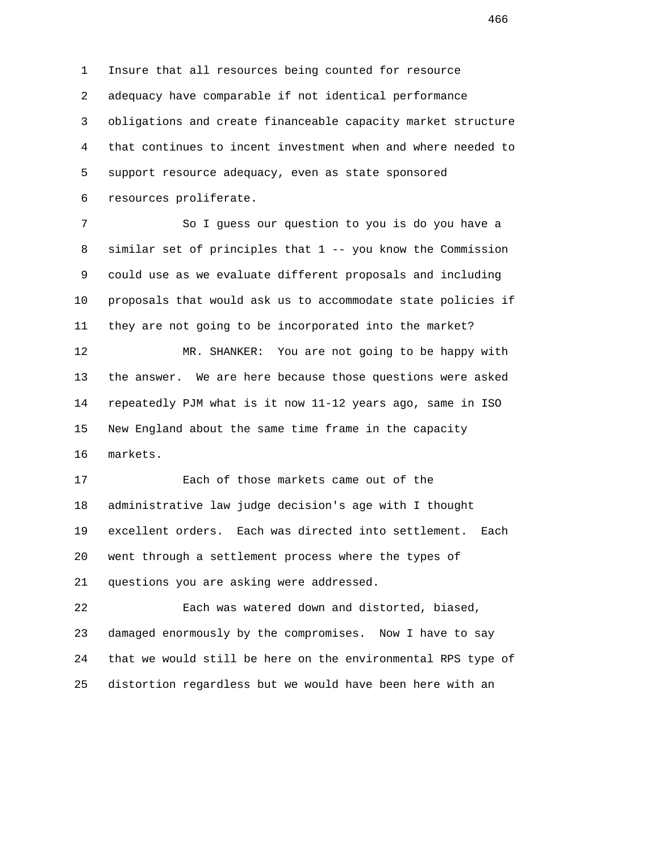1 Insure that all resources being counted for resource 2 adequacy have comparable if not identical performance 3 obligations and create financeable capacity market structure 4 that continues to incent investment when and where needed to 5 support resource adequacy, even as state sponsored 6 resources proliferate.

 7 So I guess our question to you is do you have a 8 similar set of principles that 1 -- you know the Commission 9 could use as we evaluate different proposals and including 10 proposals that would ask us to accommodate state policies if 11 they are not going to be incorporated into the market? 12 MR. SHANKER: You are not going to be happy with 13 the answer. We are here because those questions were asked 14 repeatedly PJM what is it now 11-12 years ago, same in ISO 15 New England about the same time frame in the capacity 16 markets.

 17 Each of those markets came out of the 18 administrative law judge decision's age with I thought 19 excellent orders. Each was directed into settlement. Each 20 went through a settlement process where the types of 21 questions you are asking were addressed.

 22 Each was watered down and distorted, biased, 23 damaged enormously by the compromises. Now I have to say 24 that we would still be here on the environmental RPS type of 25 distortion regardless but we would have been here with an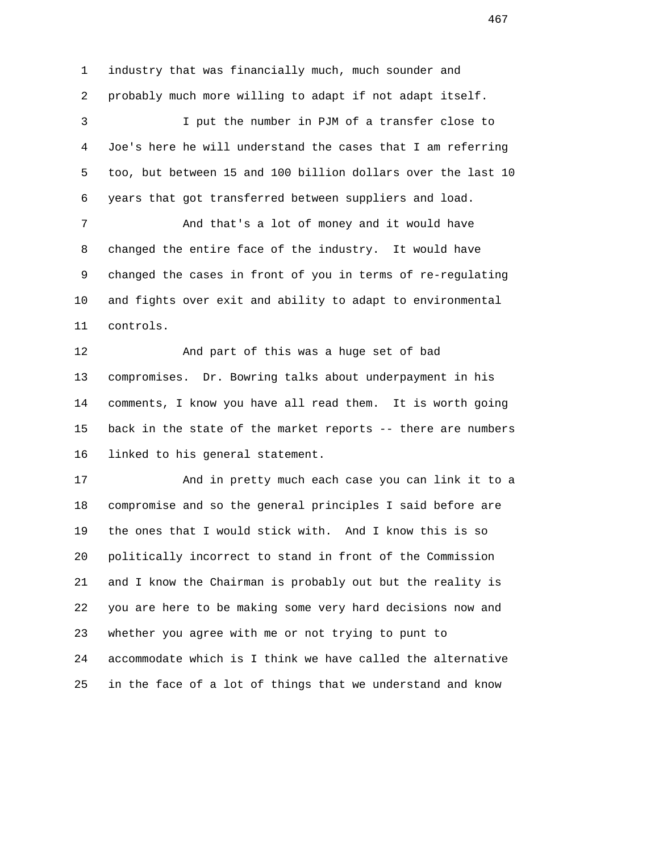1 industry that was financially much, much sounder and 2 probably much more willing to adapt if not adapt itself. 3 I put the number in PJM of a transfer close to 4 Joe's here he will understand the cases that I am referring 5 too, but between 15 and 100 billion dollars over the last 10 6 years that got transferred between suppliers and load. 7 And that's a lot of money and it would have 8 changed the entire face of the industry. It would have 9 changed the cases in front of you in terms of re-regulating 10 and fights over exit and ability to adapt to environmental 11 controls. 12 And part of this was a huge set of bad 13 compromises. Dr. Bowring talks about underpayment in his 14 comments, I know you have all read them. It is worth going 15 back in the state of the market reports -- there are numbers 16 linked to his general statement. 17 And in pretty much each case you can link it to a 18 compromise and so the general principles I said before are 19 the ones that I would stick with. And I know this is so 20 politically incorrect to stand in front of the Commission 21 and I know the Chairman is probably out but the reality is 22 you are here to be making some very hard decisions now and

 24 accommodate which is I think we have called the alternative 25 in the face of a lot of things that we understand and know

23 whether you agree with me or not trying to punt to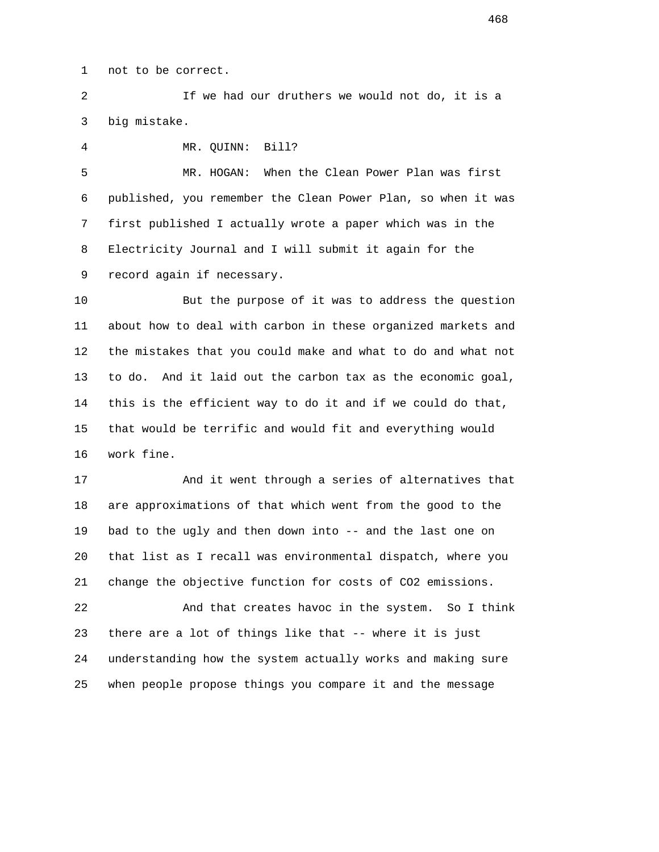1 not to be correct.

 2 If we had our druthers we would not do, it is a 3 big mistake.

4 MR. QUINN: Bill?

 5 MR. HOGAN: When the Clean Power Plan was first 6 published, you remember the Clean Power Plan, so when it was 7 first published I actually wrote a paper which was in the 8 Electricity Journal and I will submit it again for the 9 record again if necessary.

 10 But the purpose of it was to address the question 11 about how to deal with carbon in these organized markets and 12 the mistakes that you could make and what to do and what not 13 to do. And it laid out the carbon tax as the economic goal, 14 this is the efficient way to do it and if we could do that, 15 that would be terrific and would fit and everything would 16 work fine.

 17 And it went through a series of alternatives that 18 are approximations of that which went from the good to the 19 bad to the ugly and then down into -- and the last one on 20 that list as I recall was environmental dispatch, where you 21 change the objective function for costs of CO2 emissions.

 22 And that creates havoc in the system. So I think 23 there are a lot of things like that -- where it is just 24 understanding how the system actually works and making sure 25 when people propose things you compare it and the message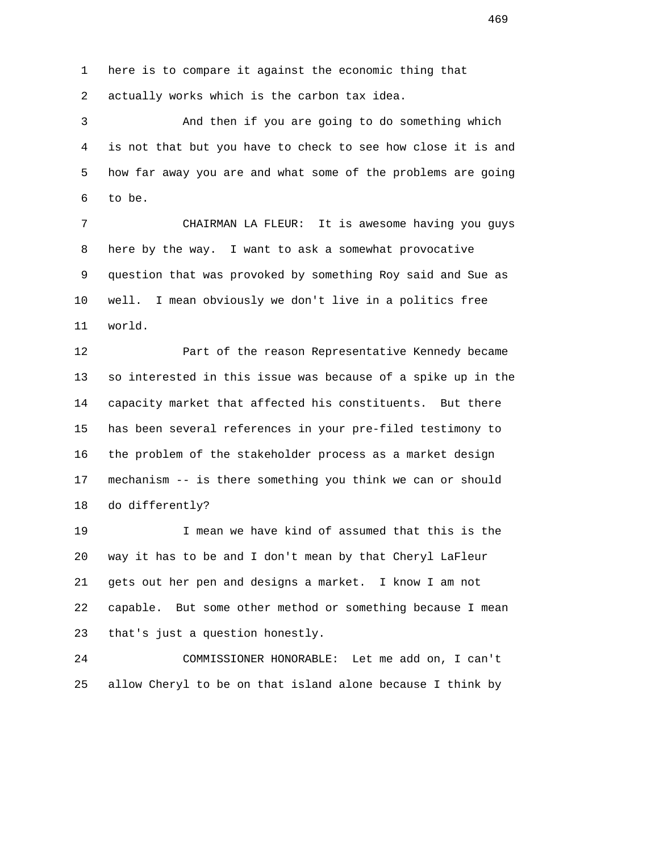1 here is to compare it against the economic thing that 2 actually works which is the carbon tax idea.

 3 And then if you are going to do something which 4 is not that but you have to check to see how close it is and 5 how far away you are and what some of the problems are going 6 to be.

 7 CHAIRMAN LA FLEUR: It is awesome having you guys 8 here by the way. I want to ask a somewhat provocative 9 question that was provoked by something Roy said and Sue as 10 well. I mean obviously we don't live in a politics free 11 world.

 12 Part of the reason Representative Kennedy became 13 so interested in this issue was because of a spike up in the 14 capacity market that affected his constituents. But there 15 has been several references in your pre-filed testimony to 16 the problem of the stakeholder process as a market design 17 mechanism -- is there something you think we can or should 18 do differently?

 19 I mean we have kind of assumed that this is the 20 way it has to be and I don't mean by that Cheryl LaFleur 21 gets out her pen and designs a market. I know I am not 22 capable. But some other method or something because I mean 23 that's just a question honestly.

 24 COMMISSIONER HONORABLE: Let me add on, I can't 25 allow Cheryl to be on that island alone because I think by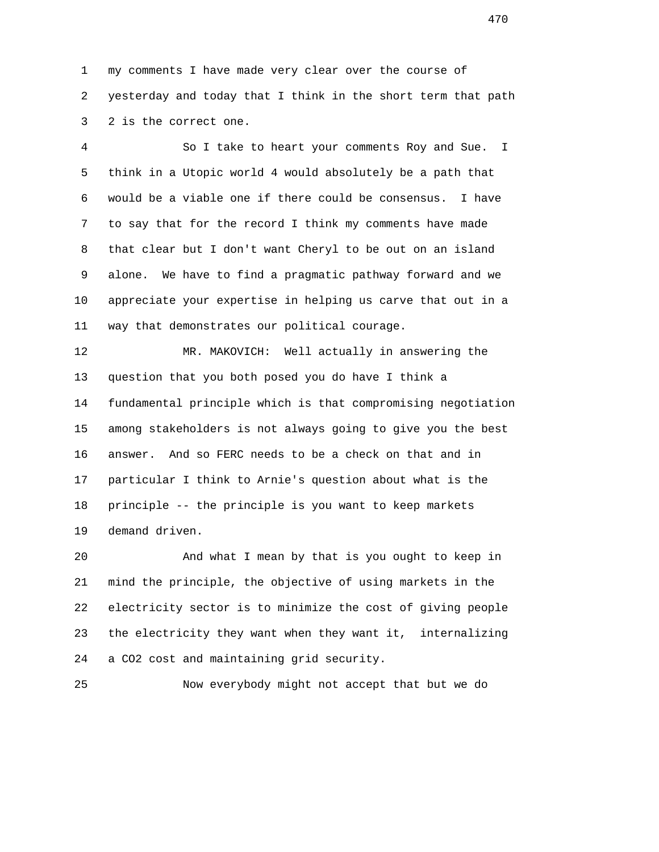1 my comments I have made very clear over the course of 2 yesterday and today that I think in the short term that path 3 2 is the correct one.

 4 So I take to heart your comments Roy and Sue. I 5 think in a Utopic world 4 would absolutely be a path that 6 would be a viable one if there could be consensus. I have 7 to say that for the record I think my comments have made 8 that clear but I don't want Cheryl to be out on an island 9 alone. We have to find a pragmatic pathway forward and we 10 appreciate your expertise in helping us carve that out in a 11 way that demonstrates our political courage.

 12 MR. MAKOVICH: Well actually in answering the 13 question that you both posed you do have I think a 14 fundamental principle which is that compromising negotiation 15 among stakeholders is not always going to give you the best 16 answer. And so FERC needs to be a check on that and in 17 particular I think to Arnie's question about what is the 18 principle -- the principle is you want to keep markets 19 demand driven.

 20 And what I mean by that is you ought to keep in 21 mind the principle, the objective of using markets in the 22 electricity sector is to minimize the cost of giving people 23 the electricity they want when they want it, internalizing 24 a CO2 cost and maintaining grid security.

25 Now everybody might not accept that but we do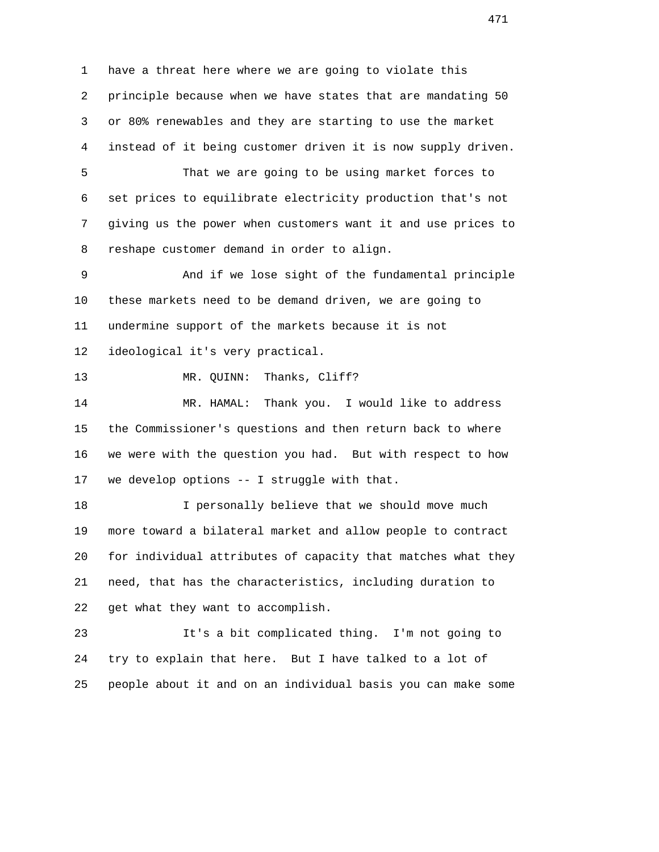1 have a threat here where we are going to violate this 2 principle because when we have states that are mandating 50 3 or 80% renewables and they are starting to use the market 4 instead of it being customer driven it is now supply driven.

 5 That we are going to be using market forces to 6 set prices to equilibrate electricity production that's not 7 giving us the power when customers want it and use prices to 8 reshape customer demand in order to align.

 9 And if we lose sight of the fundamental principle 10 these markets need to be demand driven, we are going to 11 undermine support of the markets because it is not 12 ideological it's very practical.

13 MR. QUINN: Thanks, Cliff?

 14 MR. HAMAL: Thank you. I would like to address 15 the Commissioner's questions and then return back to where 16 we were with the question you had. But with respect to how 17 we develop options -- I struggle with that.

 18 I personally believe that we should move much 19 more toward a bilateral market and allow people to contract 20 for individual attributes of capacity that matches what they 21 need, that has the characteristics, including duration to 22 get what they want to accomplish.

 23 It's a bit complicated thing. I'm not going to 24 try to explain that here. But I have talked to a lot of 25 people about it and on an individual basis you can make some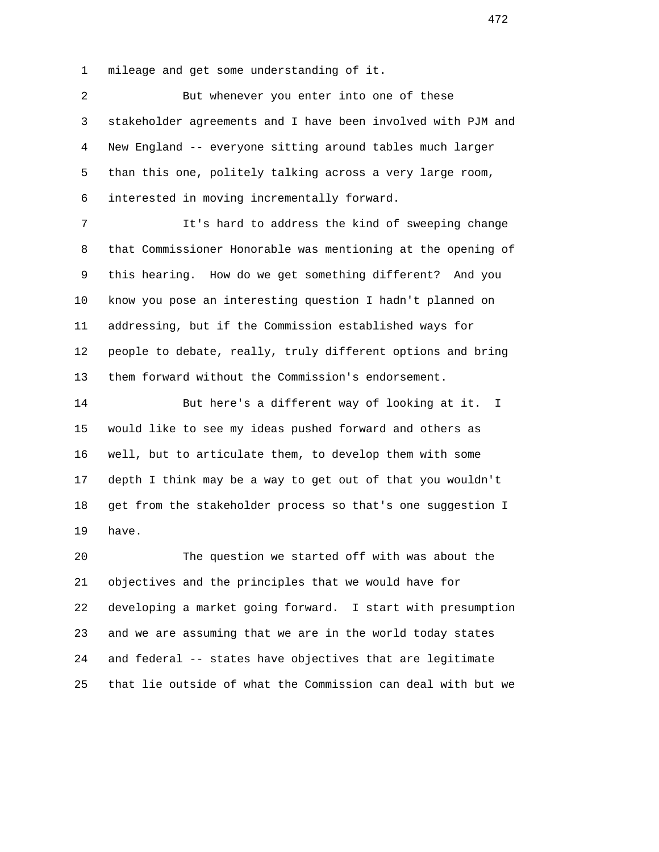1 mileage and get some understanding of it.

 2 But whenever you enter into one of these 3 stakeholder agreements and I have been involved with PJM and 4 New England -- everyone sitting around tables much larger 5 than this one, politely talking across a very large room, 6 interested in moving incrementally forward. 7 It's hard to address the kind of sweeping change 8 that Commissioner Honorable was mentioning at the opening of 9 this hearing. How do we get something different? And you 10 know you pose an interesting question I hadn't planned on 11 addressing, but if the Commission established ways for 12 people to debate, really, truly different options and bring 13 them forward without the Commission's endorsement. 14 But here's a different way of looking at it. I 15 would like to see my ideas pushed forward and others as 16 well, but to articulate them, to develop them with some 17 depth I think may be a way to get out of that you wouldn't

 18 get from the stakeholder process so that's one suggestion I 19 have.

 20 The question we started off with was about the 21 objectives and the principles that we would have for 22 developing a market going forward. I start with presumption 23 and we are assuming that we are in the world today states 24 and federal -- states have objectives that are legitimate 25 that lie outside of what the Commission can deal with but we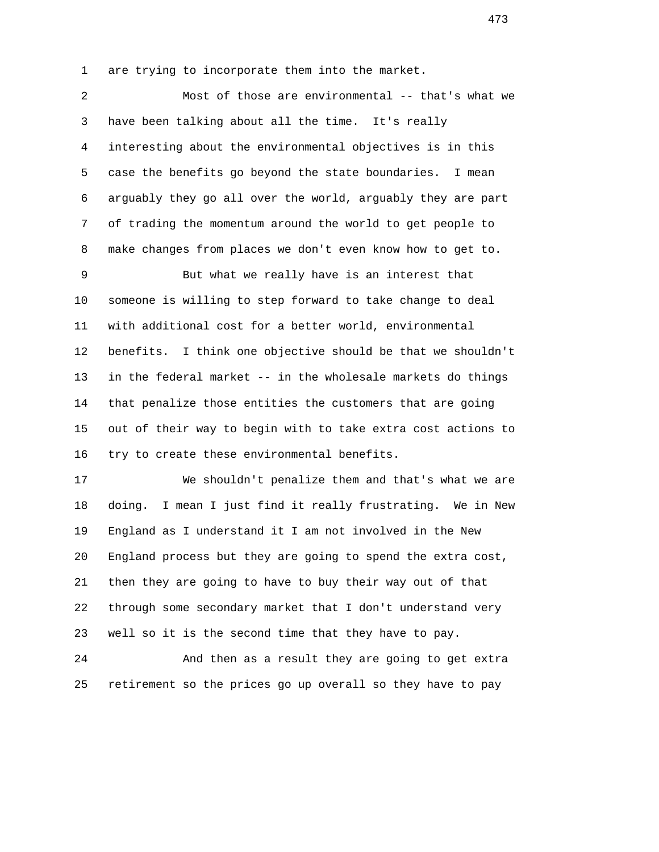1 are trying to incorporate them into the market.

 2 Most of those are environmental -- that's what we 3 have been talking about all the time. It's really 4 interesting about the environmental objectives is in this 5 case the benefits go beyond the state boundaries. I mean 6 arguably they go all over the world, arguably they are part 7 of trading the momentum around the world to get people to 8 make changes from places we don't even know how to get to.

 9 But what we really have is an interest that 10 someone is willing to step forward to take change to deal 11 with additional cost for a better world, environmental 12 benefits. I think one objective should be that we shouldn't 13 in the federal market -- in the wholesale markets do things 14 that penalize those entities the customers that are going 15 out of their way to begin with to take extra cost actions to 16 try to create these environmental benefits.

 17 We shouldn't penalize them and that's what we are 18 doing. I mean I just find it really frustrating. We in New 19 England as I understand it I am not involved in the New 20 England process but they are going to spend the extra cost, 21 then they are going to have to buy their way out of that 22 through some secondary market that I don't understand very 23 well so it is the second time that they have to pay.

 24 And then as a result they are going to get extra 25 retirement so the prices go up overall so they have to pay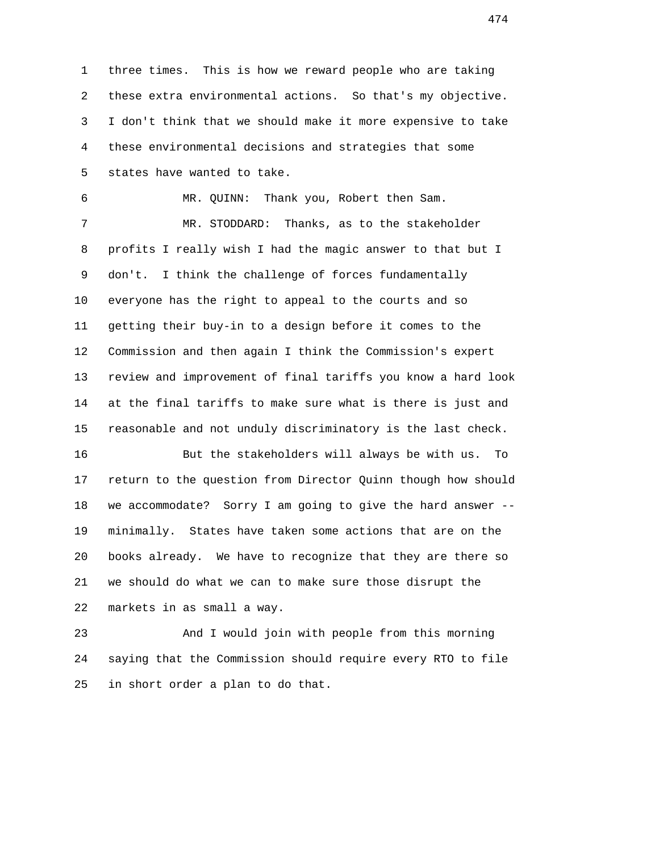1 three times. This is how we reward people who are taking 2 these extra environmental actions. So that's my objective. 3 I don't think that we should make it more expensive to take 4 these environmental decisions and strategies that some 5 states have wanted to take.

 6 MR. QUINN: Thank you, Robert then Sam. 7 MR. STODDARD: Thanks, as to the stakeholder 8 profits I really wish I had the magic answer to that but I 9 don't. I think the challenge of forces fundamentally 10 everyone has the right to appeal to the courts and so 11 getting their buy-in to a design before it comes to the 12 Commission and then again I think the Commission's expert 13 review and improvement of final tariffs you know a hard look 14 at the final tariffs to make sure what is there is just and 15 reasonable and not unduly discriminatory is the last check.

 16 But the stakeholders will always be with us. To 17 return to the question from Director Quinn though how should 18 we accommodate? Sorry I am going to give the hard answer -- 19 minimally. States have taken some actions that are on the 20 books already. We have to recognize that they are there so 21 we should do what we can to make sure those disrupt the 22 markets in as small a way.

 23 And I would join with people from this morning 24 saying that the Commission should require every RTO to file 25 in short order a plan to do that.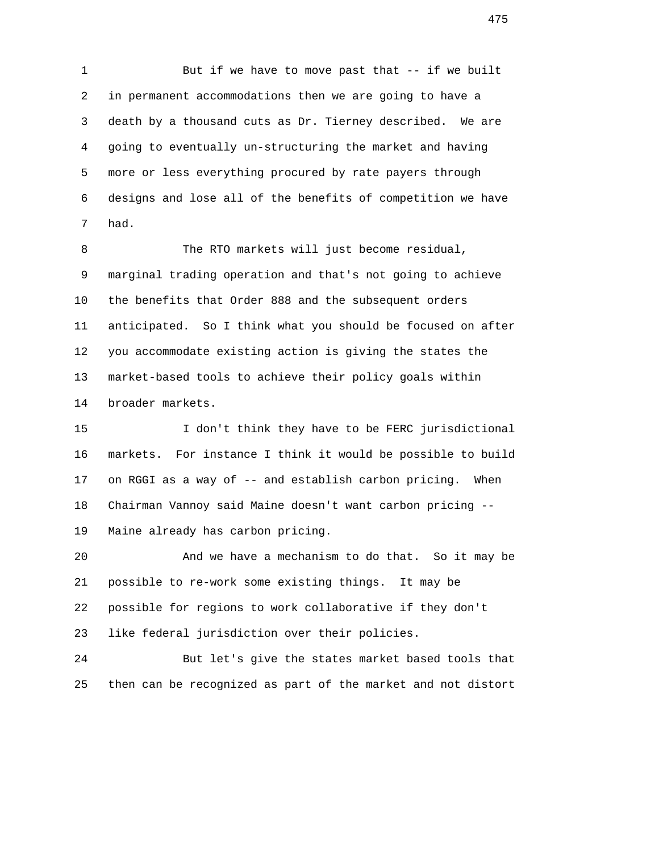1 But if we have to move past that -- if we built 2 in permanent accommodations then we are going to have a 3 death by a thousand cuts as Dr. Tierney described. We are 4 going to eventually un-structuring the market and having 5 more or less everything procured by rate payers through 6 designs and lose all of the benefits of competition we have 7 had.

 8 The RTO markets will just become residual, 9 marginal trading operation and that's not going to achieve 10 the benefits that Order 888 and the subsequent orders 11 anticipated. So I think what you should be focused on after 12 you accommodate existing action is giving the states the 13 market-based tools to achieve their policy goals within 14 broader markets.

 15 I don't think they have to be FERC jurisdictional 16 markets. For instance I think it would be possible to build 17 on RGGI as a way of -- and establish carbon pricing. When 18 Chairman Vannoy said Maine doesn't want carbon pricing -- 19 Maine already has carbon pricing.

 20 And we have a mechanism to do that. So it may be 21 possible to re-work some existing things. It may be 22 possible for regions to work collaborative if they don't 23 like federal jurisdiction over their policies.

 24 But let's give the states market based tools that 25 then can be recognized as part of the market and not distort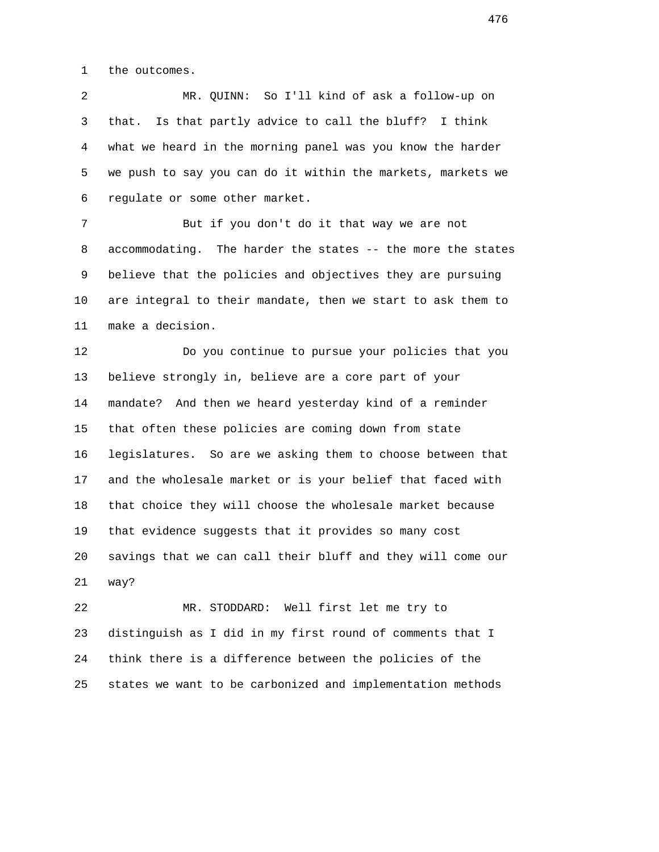1 the outcomes.

 2 MR. QUINN: So I'll kind of ask a follow-up on 3 that. Is that partly advice to call the bluff? I think 4 what we heard in the morning panel was you know the harder 5 we push to say you can do it within the markets, markets we 6 regulate or some other market.

 7 But if you don't do it that way we are not 8 accommodating. The harder the states -- the more the states 9 believe that the policies and objectives they are pursuing 10 are integral to their mandate, then we start to ask them to 11 make a decision.

 12 Do you continue to pursue your policies that you 13 believe strongly in, believe are a core part of your 14 mandate? And then we heard yesterday kind of a reminder 15 that often these policies are coming down from state 16 legislatures. So are we asking them to choose between that 17 and the wholesale market or is your belief that faced with 18 that choice they will choose the wholesale market because 19 that evidence suggests that it provides so many cost 20 savings that we can call their bluff and they will come our 21 way?

 22 MR. STODDARD: Well first let me try to 23 distinguish as I did in my first round of comments that I 24 think there is a difference between the policies of the 25 states we want to be carbonized and implementation methods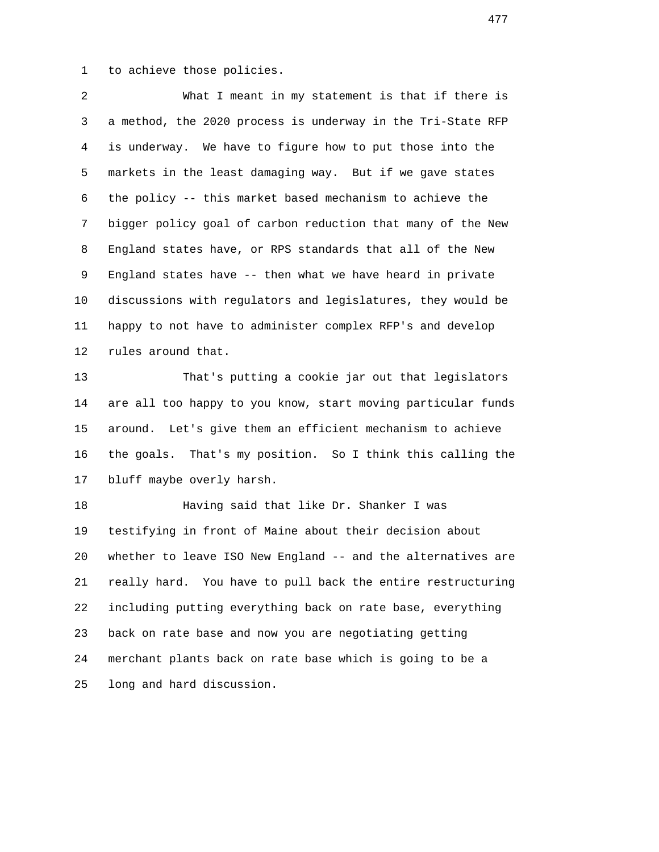1 to achieve those policies.

 2 What I meant in my statement is that if there is 3 a method, the 2020 process is underway in the Tri-State RFP 4 is underway. We have to figure how to put those into the 5 markets in the least damaging way. But if we gave states 6 the policy -- this market based mechanism to achieve the 7 bigger policy goal of carbon reduction that many of the New 8 England states have, or RPS standards that all of the New 9 England states have -- then what we have heard in private 10 discussions with regulators and legislatures, they would be 11 happy to not have to administer complex RFP's and develop 12 rules around that.

 13 That's putting a cookie jar out that legislators 14 are all too happy to you know, start moving particular funds 15 around. Let's give them an efficient mechanism to achieve 16 the goals. That's my position. So I think this calling the 17 bluff maybe overly harsh.

 18 Having said that like Dr. Shanker I was 19 testifying in front of Maine about their decision about 20 whether to leave ISO New England -- and the alternatives are 21 really hard. You have to pull back the entire restructuring 22 including putting everything back on rate base, everything 23 back on rate base and now you are negotiating getting 24 merchant plants back on rate base which is going to be a 25 long and hard discussion.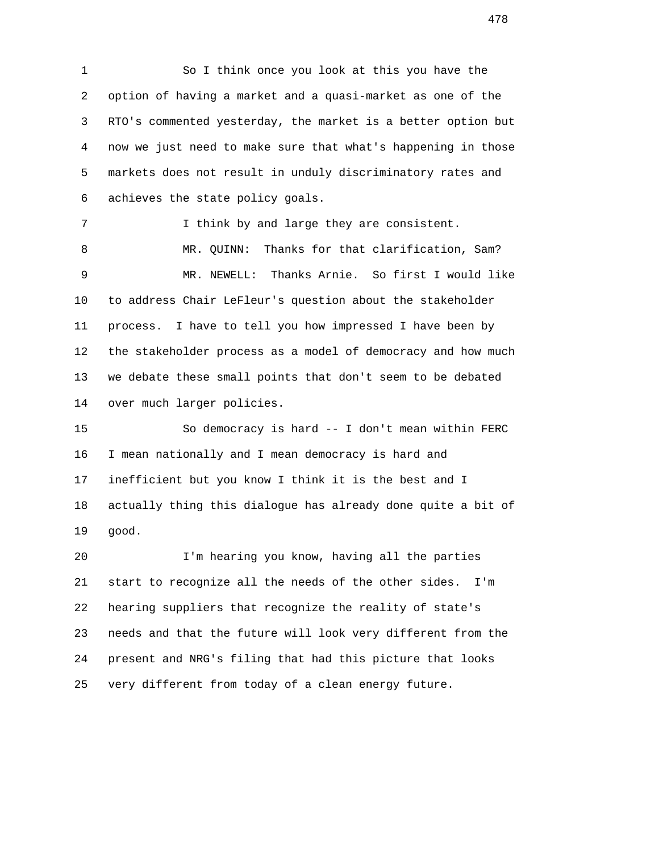1 So I think once you look at this you have the 2 option of having a market and a quasi-market as one of the 3 RTO's commented yesterday, the market is a better option but 4 now we just need to make sure that what's happening in those 5 markets does not result in unduly discriminatory rates and 6 achieves the state policy goals.

7 1 I think by and large they are consistent. 8 MR. QUINN: Thanks for that clarification, Sam? 9 MR. NEWELL: Thanks Arnie. So first I would like 10 to address Chair LeFleur's question about the stakeholder 11 process. I have to tell you how impressed I have been by 12 the stakeholder process as a model of democracy and how much 13 we debate these small points that don't seem to be debated 14 over much larger policies.

 15 So democracy is hard -- I don't mean within FERC 16 I mean nationally and I mean democracy is hard and 17 inefficient but you know I think it is the best and I 18 actually thing this dialogue has already done quite a bit of 19 good.

 20 I'm hearing you know, having all the parties 21 start to recognize all the needs of the other sides. I'm 22 hearing suppliers that recognize the reality of state's 23 needs and that the future will look very different from the 24 present and NRG's filing that had this picture that looks 25 very different from today of a clean energy future.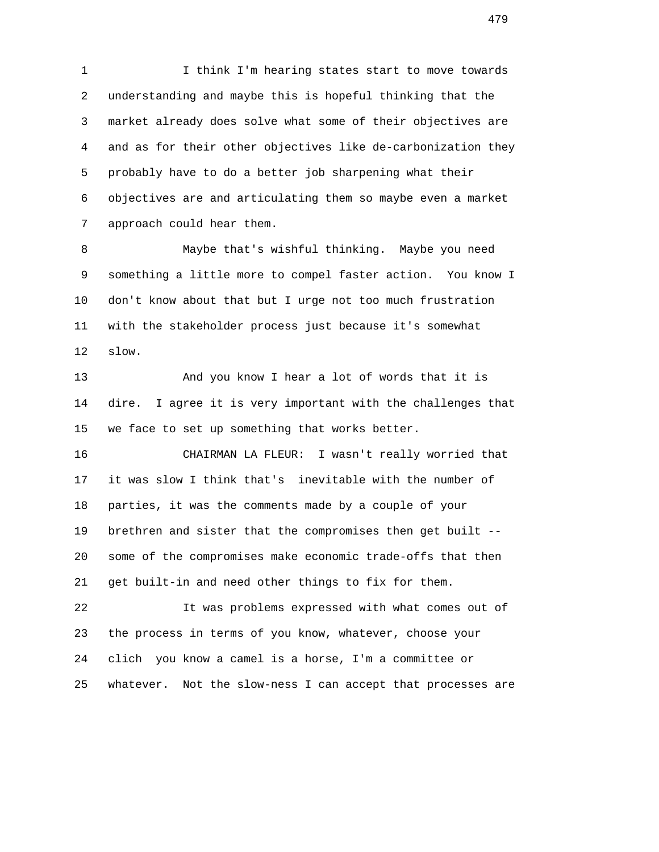1 I think I'm hearing states start to move towards 2 understanding and maybe this is hopeful thinking that the 3 market already does solve what some of their objectives are 4 and as for their other objectives like de-carbonization they 5 probably have to do a better job sharpening what their 6 objectives are and articulating them so maybe even a market 7 approach could hear them.

 8 Maybe that's wishful thinking. Maybe you need 9 something a little more to compel faster action. You know I 10 don't know about that but I urge not too much frustration 11 with the stakeholder process just because it's somewhat 12 slow.

 13 And you know I hear a lot of words that it is 14 dire. I agree it is very important with the challenges that 15 we face to set up something that works better.

 16 CHAIRMAN LA FLEUR: I wasn't really worried that 17 it was slow I think that's inevitable with the number of 18 parties, it was the comments made by a couple of your 19 brethren and sister that the compromises then get built -- 20 some of the compromises make economic trade-offs that then 21 get built-in and need other things to fix for them.

 22 It was problems expressed with what comes out of 23 the process in terms of you know, whatever, choose your 24 clich you know a camel is a horse, I'm a committee or 25 whatever. Not the slow-ness I can accept that processes are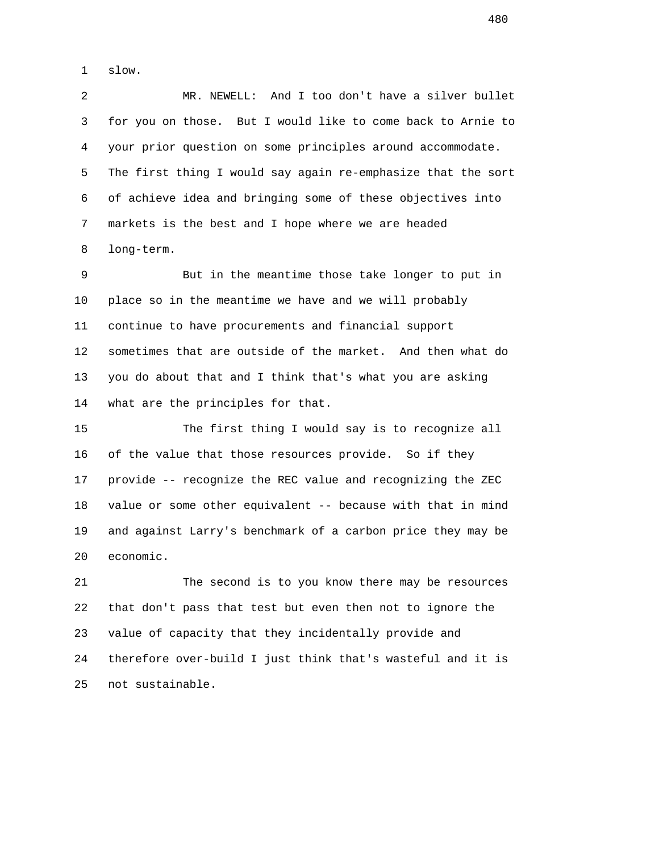1 slow.

 2 MR. NEWELL: And I too don't have a silver bullet 3 for you on those. But I would like to come back to Arnie to 4 your prior question on some principles around accommodate. 5 The first thing I would say again re-emphasize that the sort 6 of achieve idea and bringing some of these objectives into 7 markets is the best and I hope where we are headed 8 long-term.

 9 But in the meantime those take longer to put in 10 place so in the meantime we have and we will probably 11 continue to have procurements and financial support 12 sometimes that are outside of the market. And then what do 13 you do about that and I think that's what you are asking 14 what are the principles for that.

 15 The first thing I would say is to recognize all 16 of the value that those resources provide. So if they 17 provide -- recognize the REC value and recognizing the ZEC 18 value or some other equivalent -- because with that in mind 19 and against Larry's benchmark of a carbon price they may be 20 economic.

 21 The second is to you know there may be resources 22 that don't pass that test but even then not to ignore the 23 value of capacity that they incidentally provide and 24 therefore over-build I just think that's wasteful and it is 25 not sustainable.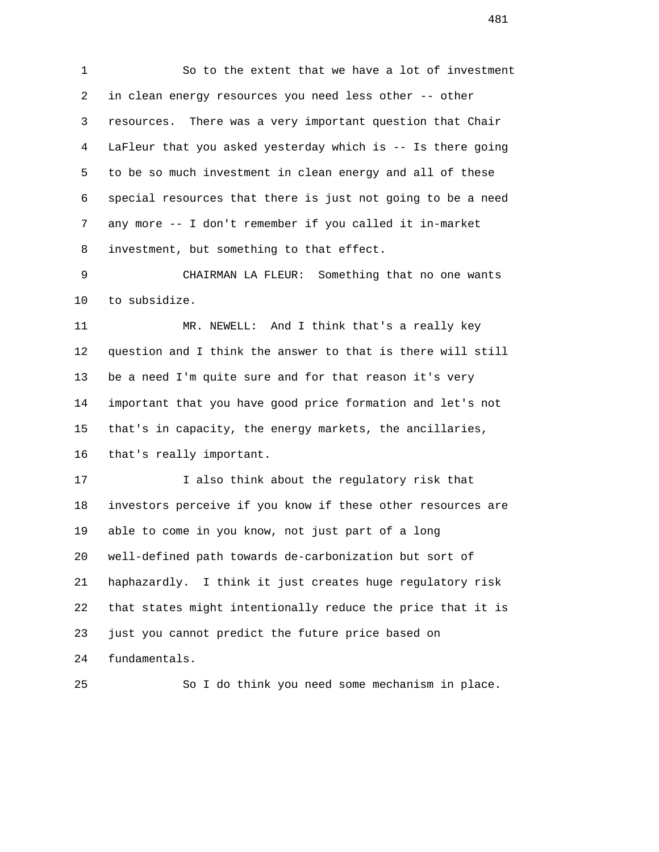1 So to the extent that we have a lot of investment 2 in clean energy resources you need less other -- other 3 resources. There was a very important question that Chair 4 LaFleur that you asked yesterday which is -- Is there going 5 to be so much investment in clean energy and all of these 6 special resources that there is just not going to be a need 7 any more -- I don't remember if you called it in-market 8 investment, but something to that effect.

 9 CHAIRMAN LA FLEUR: Something that no one wants 10 to subsidize.

 11 MR. NEWELL: And I think that's a really key 12 question and I think the answer to that is there will still 13 be a need I'm quite sure and for that reason it's very 14 important that you have good price formation and let's not 15 that's in capacity, the energy markets, the ancillaries, 16 that's really important.

 17 I also think about the regulatory risk that 18 investors perceive if you know if these other resources are 19 able to come in you know, not just part of a long 20 well-defined path towards de-carbonization but sort of 21 haphazardly. I think it just creates huge regulatory risk 22 that states might intentionally reduce the price that it is 23 just you cannot predict the future price based on 24 fundamentals.

25 So I do think you need some mechanism in place.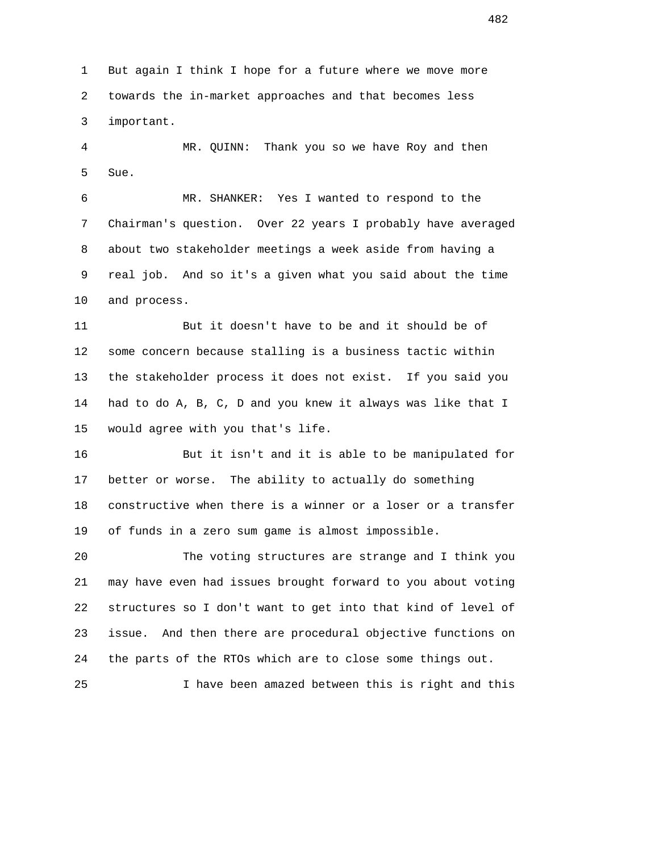1 But again I think I hope for a future where we move more 2 towards the in-market approaches and that becomes less 3 important.

 4 MR. QUINN: Thank you so we have Roy and then 5 Sue.

 6 MR. SHANKER: Yes I wanted to respond to the 7 Chairman's question. Over 22 years I probably have averaged 8 about two stakeholder meetings a week aside from having a 9 real job. And so it's a given what you said about the time 10 and process.

 11 But it doesn't have to be and it should be of 12 some concern because stalling is a business tactic within 13 the stakeholder process it does not exist. If you said you 14 had to do A, B, C, D and you knew it always was like that I 15 would agree with you that's life.

 16 But it isn't and it is able to be manipulated for 17 better or worse. The ability to actually do something 18 constructive when there is a winner or a loser or a transfer 19 of funds in a zero sum game is almost impossible.

 20 The voting structures are strange and I think you 21 may have even had issues brought forward to you about voting 22 structures so I don't want to get into that kind of level of 23 issue. And then there are procedural objective functions on 24 the parts of the RTOs which are to close some things out.

25 I have been amazed between this is right and this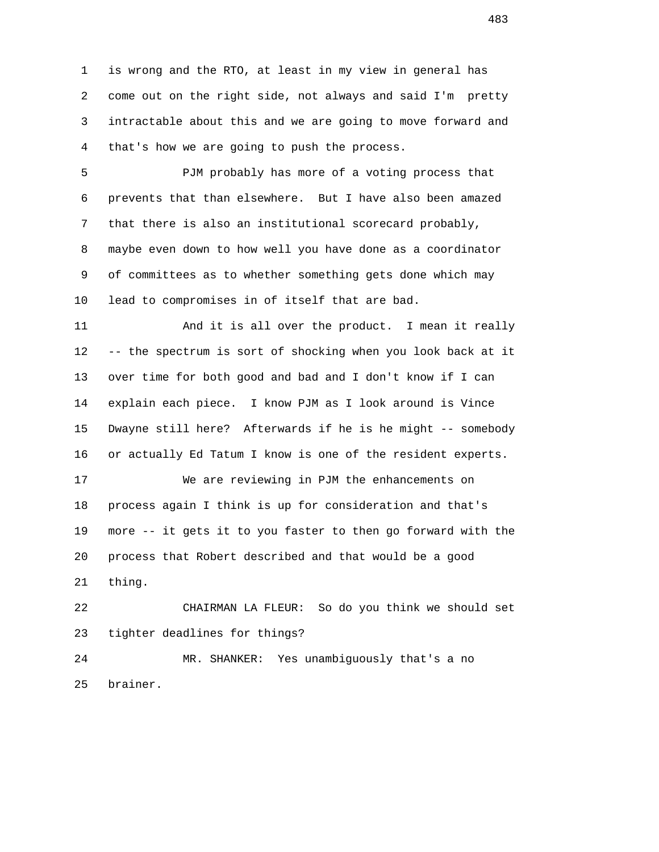1 is wrong and the RTO, at least in my view in general has 2 come out on the right side, not always and said I'm pretty 3 intractable about this and we are going to move forward and 4 that's how we are going to push the process.

 5 PJM probably has more of a voting process that 6 prevents that than elsewhere. But I have also been amazed 7 that there is also an institutional scorecard probably, 8 maybe even down to how well you have done as a coordinator 9 of committees as to whether something gets done which may 10 lead to compromises in of itself that are bad.

 11 And it is all over the product. I mean it really 12 -- the spectrum is sort of shocking when you look back at it 13 over time for both good and bad and I don't know if I can 14 explain each piece. I know PJM as I look around is Vince 15 Dwayne still here? Afterwards if he is he might -- somebody 16 or actually Ed Tatum I know is one of the resident experts.

 17 We are reviewing in PJM the enhancements on 18 process again I think is up for consideration and that's 19 more -- it gets it to you faster to then go forward with the 20 process that Robert described and that would be a good 21 thing.

 22 CHAIRMAN LA FLEUR: So do you think we should set 23 tighter deadlines for things?

 24 MR. SHANKER: Yes unambiguously that's a no 25 brainer.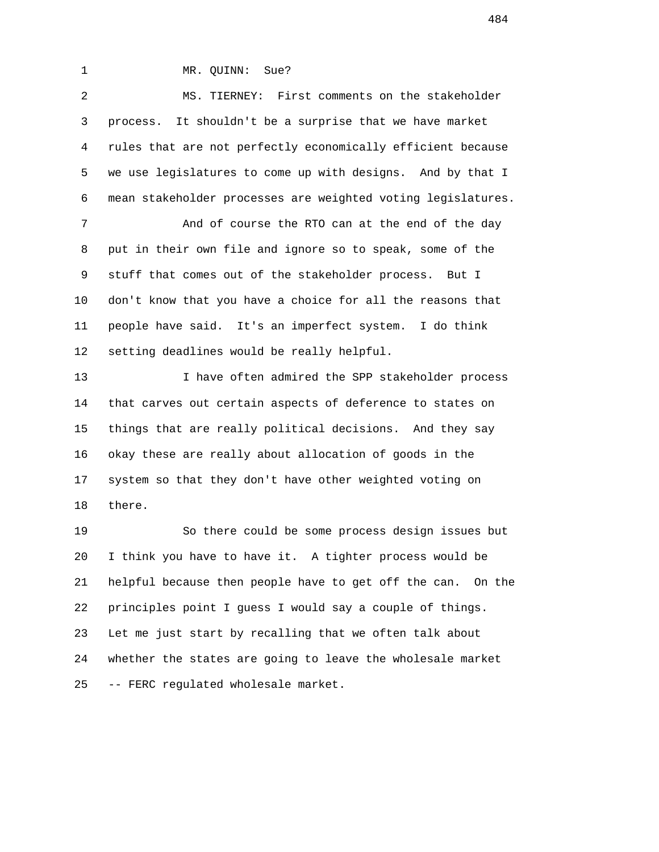1 MR. QUINN: Sue?

 2 MS. TIERNEY: First comments on the stakeholder 3 process. It shouldn't be a surprise that we have market 4 rules that are not perfectly economically efficient because 5 we use legislatures to come up with designs. And by that I 6 mean stakeholder processes are weighted voting legislatures. 7 And of course the RTO can at the end of the day 8 put in their own file and ignore so to speak, some of the 9 stuff that comes out of the stakeholder process. But I

 10 don't know that you have a choice for all the reasons that 11 people have said. It's an imperfect system. I do think 12 setting deadlines would be really helpful.

13 13 I have often admired the SPP stakeholder process 14 that carves out certain aspects of deference to states on 15 things that are really political decisions. And they say 16 okay these are really about allocation of goods in the 17 system so that they don't have other weighted voting on 18 there.

 19 So there could be some process design issues but 20 I think you have to have it. A tighter process would be 21 helpful because then people have to get off the can. On the 22 principles point I guess I would say a couple of things. 23 Let me just start by recalling that we often talk about 24 whether the states are going to leave the wholesale market 25 -- FERC regulated wholesale market.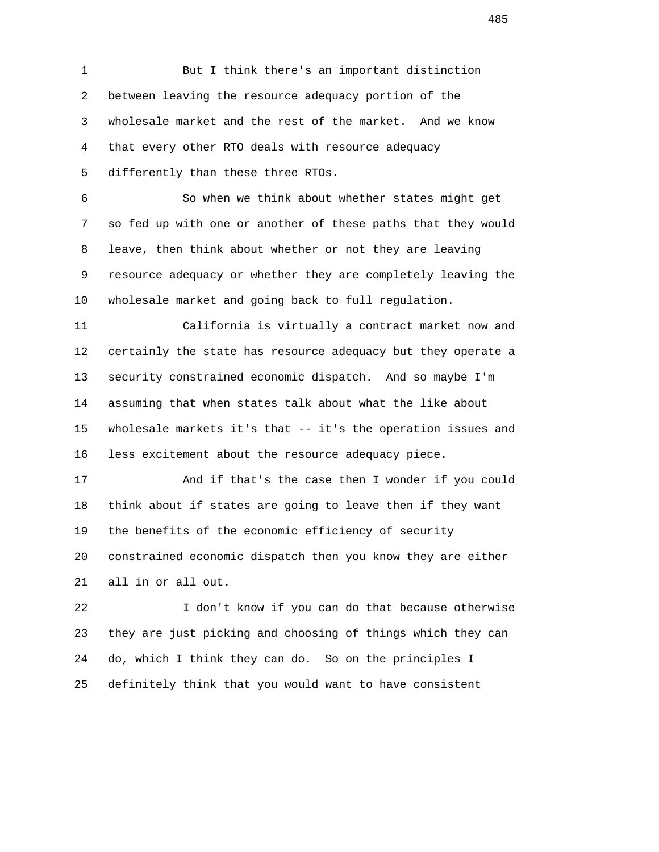1 But I think there's an important distinction 2 between leaving the resource adequacy portion of the 3 wholesale market and the rest of the market. And we know 4 that every other RTO deals with resource adequacy 5 differently than these three RTOs.

 6 So when we think about whether states might get 7 so fed up with one or another of these paths that they would 8 leave, then think about whether or not they are leaving 9 resource adequacy or whether they are completely leaving the 10 wholesale market and going back to full regulation.

 11 California is virtually a contract market now and 12 certainly the state has resource adequacy but they operate a 13 security constrained economic dispatch. And so maybe I'm 14 assuming that when states talk about what the like about 15 wholesale markets it's that -- it's the operation issues and 16 less excitement about the resource adequacy piece.

 17 And if that's the case then I wonder if you could 18 think about if states are going to leave then if they want 19 the benefits of the economic efficiency of security 20 constrained economic dispatch then you know they are either 21 all in or all out.

 22 I don't know if you can do that because otherwise 23 they are just picking and choosing of things which they can 24 do, which I think they can do. So on the principles I 25 definitely think that you would want to have consistent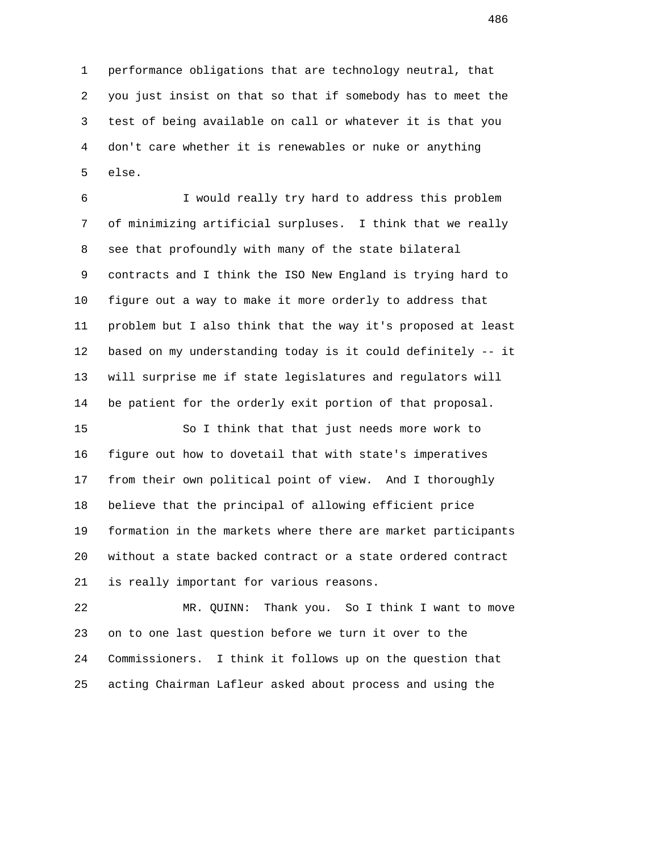1 performance obligations that are technology neutral, that 2 you just insist on that so that if somebody has to meet the 3 test of being available on call or whatever it is that you 4 don't care whether it is renewables or nuke or anything 5 else.

 6 I would really try hard to address this problem 7 of minimizing artificial surpluses. I think that we really 8 see that profoundly with many of the state bilateral 9 contracts and I think the ISO New England is trying hard to 10 figure out a way to make it more orderly to address that 11 problem but I also think that the way it's proposed at least 12 based on my understanding today is it could definitely -- it 13 will surprise me if state legislatures and regulators will 14 be patient for the orderly exit portion of that proposal.

 15 So I think that that just needs more work to 16 figure out how to dovetail that with state's imperatives 17 from their own political point of view. And I thoroughly 18 believe that the principal of allowing efficient price 19 formation in the markets where there are market participants 20 without a state backed contract or a state ordered contract 21 is really important for various reasons.

 22 MR. QUINN: Thank you. So I think I want to move 23 on to one last question before we turn it over to the 24 Commissioners. I think it follows up on the question that 25 acting Chairman Lafleur asked about process and using the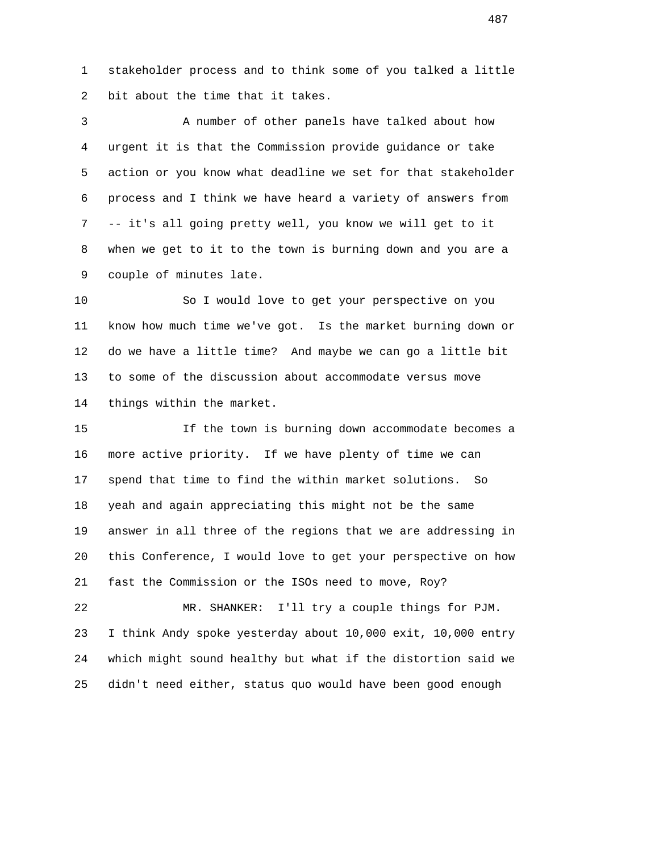1 stakeholder process and to think some of you talked a little 2 bit about the time that it takes.

 3 A number of other panels have talked about how 4 urgent it is that the Commission provide guidance or take 5 action or you know what deadline we set for that stakeholder 6 process and I think we have heard a variety of answers from 7 -- it's all going pretty well, you know we will get to it 8 when we get to it to the town is burning down and you are a 9 couple of minutes late.

 10 So I would love to get your perspective on you 11 know how much time we've got. Is the market burning down or 12 do we have a little time? And maybe we can go a little bit 13 to some of the discussion about accommodate versus move 14 things within the market.

 15 If the town is burning down accommodate becomes a 16 more active priority. If we have plenty of time we can 17 spend that time to find the within market solutions. So 18 yeah and again appreciating this might not be the same 19 answer in all three of the regions that we are addressing in 20 this Conference, I would love to get your perspective on how 21 fast the Commission or the ISOs need to move, Roy?

 22 MR. SHANKER: I'll try a couple things for PJM. 23 I think Andy spoke yesterday about 10,000 exit, 10,000 entry 24 which might sound healthy but what if the distortion said we 25 didn't need either, status quo would have been good enough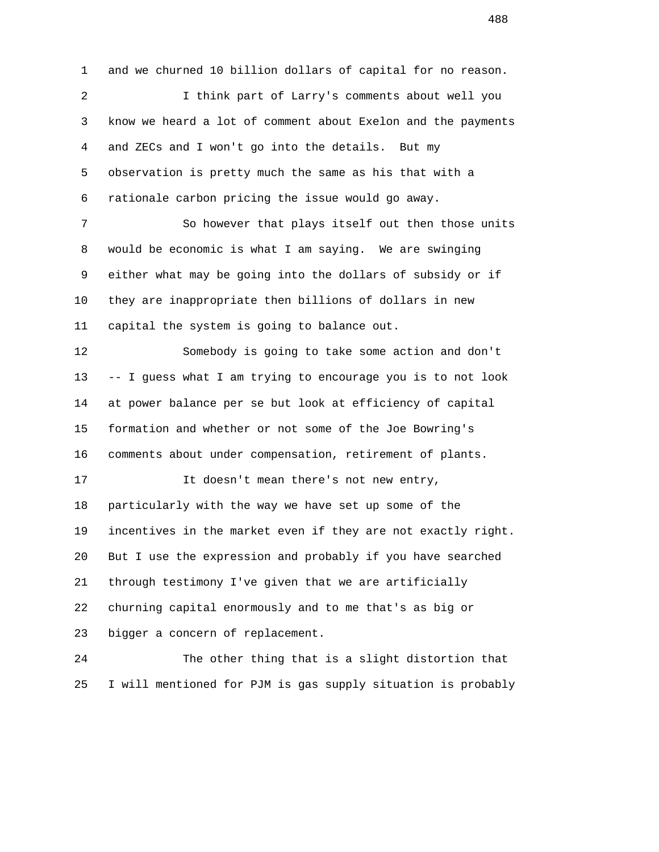1 and we churned 10 billion dollars of capital for no reason. 2 I think part of Larry's comments about well you 3 know we heard a lot of comment about Exelon and the payments 4 and ZECs and I won't go into the details. But my 5 observation is pretty much the same as his that with a 6 rationale carbon pricing the issue would go away. 7 So however that plays itself out then those units 8 would be economic is what I am saying. We are swinging 9 either what may be going into the dollars of subsidy or if 10 they are inappropriate then billions of dollars in new 11 capital the system is going to balance out. 12 Somebody is going to take some action and don't 13 -- I guess what I am trying to encourage you is to not look 14 at power balance per se but look at efficiency of capital 15 formation and whether or not some of the Joe Bowring's 16 comments about under compensation, retirement of plants. 17 It doesn't mean there's not new entry, 18 particularly with the way we have set up some of the 19 incentives in the market even if they are not exactly right. 20 But I use the expression and probably if you have searched 21 through testimony I've given that we are artificially 22 churning capital enormously and to me that's as big or 23 bigger a concern of replacement. 24 The other thing that is a slight distortion that 25 I will mentioned for PJM is gas supply situation is probably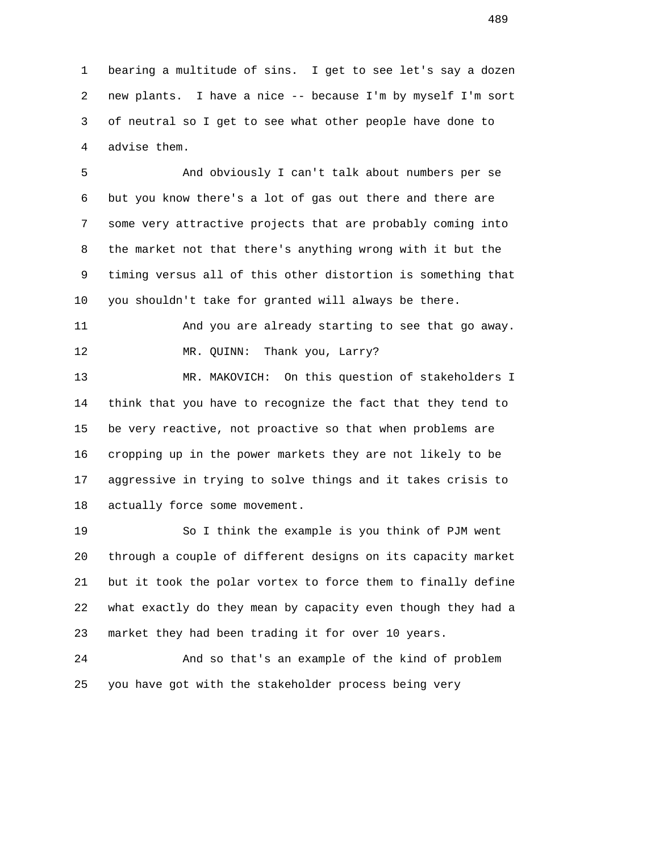1 bearing a multitude of sins. I get to see let's say a dozen 2 new plants. I have a nice -- because I'm by myself I'm sort 3 of neutral so I get to see what other people have done to 4 advise them.

 5 And obviously I can't talk about numbers per se 6 but you know there's a lot of gas out there and there are 7 some very attractive projects that are probably coming into 8 the market not that there's anything wrong with it but the 9 timing versus all of this other distortion is something that 10 you shouldn't take for granted will always be there.

 11 And you are already starting to see that go away. 12 MR. QUINN: Thank you, Larry?

 13 MR. MAKOVICH: On this question of stakeholders I 14 think that you have to recognize the fact that they tend to 15 be very reactive, not proactive so that when problems are 16 cropping up in the power markets they are not likely to be 17 aggressive in trying to solve things and it takes crisis to 18 actually force some movement.

 19 So I think the example is you think of PJM went 20 through a couple of different designs on its capacity market 21 but it took the polar vortex to force them to finally define 22 what exactly do they mean by capacity even though they had a 23 market they had been trading it for over 10 years.

 24 And so that's an example of the kind of problem 25 you have got with the stakeholder process being very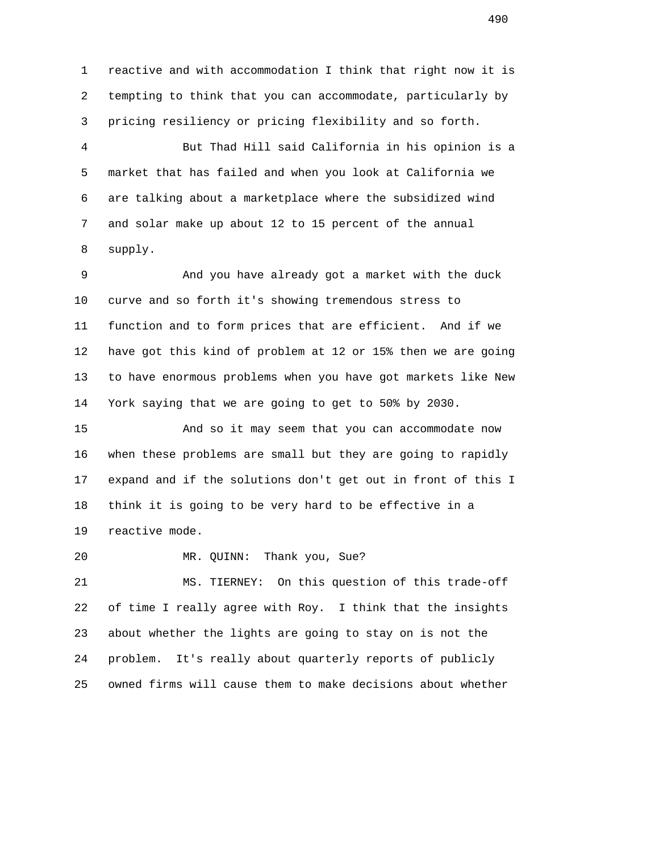1 reactive and with accommodation I think that right now it is 2 tempting to think that you can accommodate, particularly by 3 pricing resiliency or pricing flexibility and so forth.

 4 But Thad Hill said California in his opinion is a 5 market that has failed and when you look at California we 6 are talking about a marketplace where the subsidized wind 7 and solar make up about 12 to 15 percent of the annual 8 supply.

 9 And you have already got a market with the duck 10 curve and so forth it's showing tremendous stress to 11 function and to form prices that are efficient. And if we 12 have got this kind of problem at 12 or 15% then we are going 13 to have enormous problems when you have got markets like New 14 York saying that we are going to get to 50% by 2030.

 15 And so it may seem that you can accommodate now 16 when these problems are small but they are going to rapidly 17 expand and if the solutions don't get out in front of this I 18 think it is going to be very hard to be effective in a 19 reactive mode.

20 MR. QUINN: Thank you, Sue?

 21 MS. TIERNEY: On this question of this trade-off 22 of time I really agree with Roy. I think that the insights 23 about whether the lights are going to stay on is not the 24 problem. It's really about quarterly reports of publicly 25 owned firms will cause them to make decisions about whether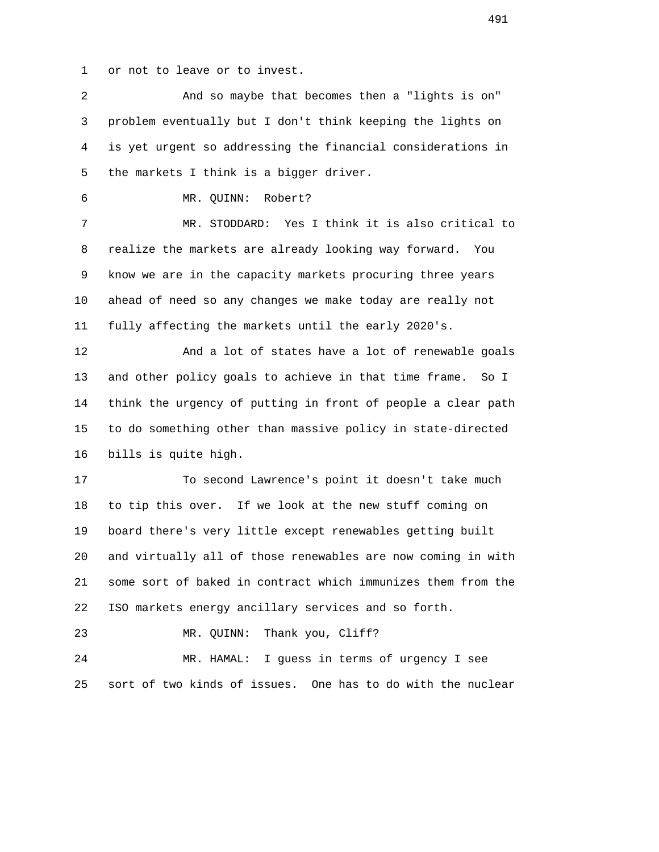1 or not to leave or to invest.

 2 And so maybe that becomes then a "lights is on" 3 problem eventually but I don't think keeping the lights on 4 is yet urgent so addressing the financial considerations in 5 the markets I think is a bigger driver. 6 MR. QUINN: Robert? 7 MR. STODDARD: Yes I think it is also critical to 8 realize the markets are already looking way forward. You 9 know we are in the capacity markets procuring three years 10 ahead of need so any changes we make today are really not 11 fully affecting the markets until the early 2020's. 12 And a lot of states have a lot of renewable goals 13 and other policy goals to achieve in that time frame. So I 14 think the urgency of putting in front of people a clear path 15 to do something other than massive policy in state-directed 16 bills is quite high. 17 To second Lawrence's point it doesn't take much 18 to tip this over. If we look at the new stuff coming on 19 board there's very little except renewables getting built 20 and virtually all of those renewables are now coming in with 21 some sort of baked in contract which immunizes them from the 22 ISO markets energy ancillary services and so forth. 23 MR. QUINN: Thank you, Cliff? 24 MR. HAMAL: I guess in terms of urgency I see 25 sort of two kinds of issues. One has to do with the nuclear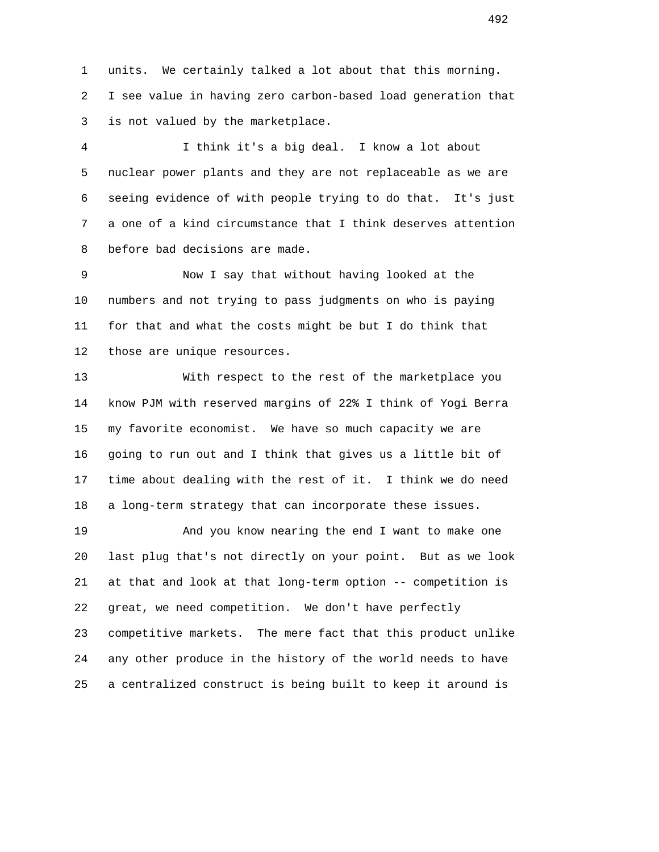1 units. We certainly talked a lot about that this morning. 2 I see value in having zero carbon-based load generation that 3 is not valued by the marketplace.

 4 I think it's a big deal. I know a lot about 5 nuclear power plants and they are not replaceable as we are 6 seeing evidence of with people trying to do that. It's just 7 a one of a kind circumstance that I think deserves attention 8 before bad decisions are made.

 9 Now I say that without having looked at the 10 numbers and not trying to pass judgments on who is paying 11 for that and what the costs might be but I do think that 12 those are unique resources.

 13 With respect to the rest of the marketplace you 14 know PJM with reserved margins of 22% I think of Yogi Berra 15 my favorite economist. We have so much capacity we are 16 going to run out and I think that gives us a little bit of 17 time about dealing with the rest of it. I think we do need 18 a long-term strategy that can incorporate these issues.

 19 And you know nearing the end I want to make one 20 last plug that's not directly on your point. But as we look 21 at that and look at that long-term option -- competition is 22 great, we need competition. We don't have perfectly 23 competitive markets. The mere fact that this product unlike 24 any other produce in the history of the world needs to have 25 a centralized construct is being built to keep it around is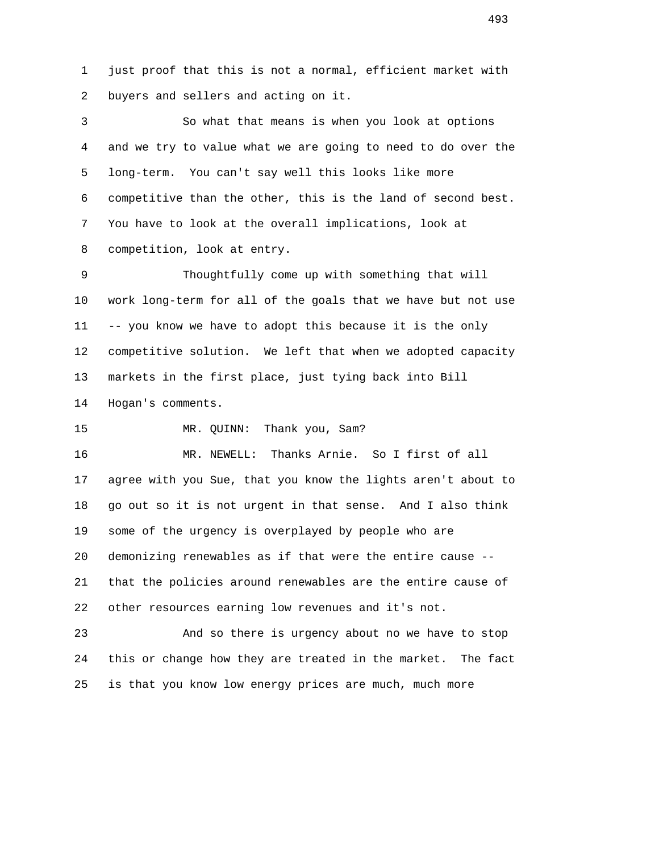1 just proof that this is not a normal, efficient market with 2 buyers and sellers and acting on it.

 3 So what that means is when you look at options 4 and we try to value what we are going to need to do over the 5 long-term. You can't say well this looks like more 6 competitive than the other, this is the land of second best. 7 You have to look at the overall implications, look at 8 competition, look at entry.

 9 Thoughtfully come up with something that will 10 work long-term for all of the goals that we have but not use 11 -- you know we have to adopt this because it is the only 12 competitive solution. We left that when we adopted capacity 13 markets in the first place, just tying back into Bill 14 Hogan's comments.

15 MR. QUINN: Thank you, Sam?

 16 MR. NEWELL: Thanks Arnie. So I first of all 17 agree with you Sue, that you know the lights aren't about to 18 go out so it is not urgent in that sense. And I also think 19 some of the urgency is overplayed by people who are 20 demonizing renewables as if that were the entire cause -- 21 that the policies around renewables are the entire cause of 22 other resources earning low revenues and it's not.

 23 And so there is urgency about no we have to stop 24 this or change how they are treated in the market. The fact 25 is that you know low energy prices are much, much more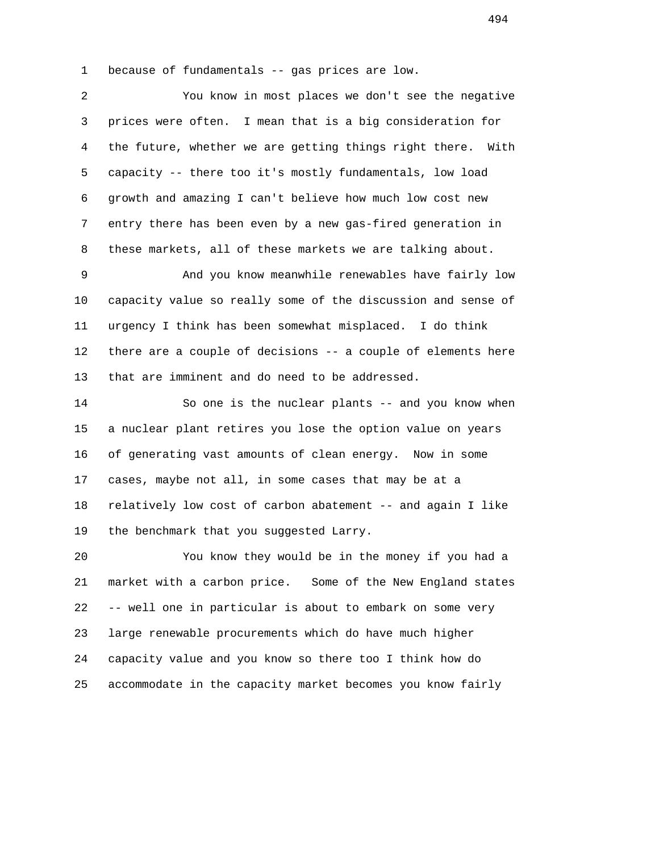1 because of fundamentals -- gas prices are low.

 2 You know in most places we don't see the negative 3 prices were often. I mean that is a big consideration for 4 the future, whether we are getting things right there. With 5 capacity -- there too it's mostly fundamentals, low load 6 growth and amazing I can't believe how much low cost new 7 entry there has been even by a new gas-fired generation in 8 these markets, all of these markets we are talking about.

 9 And you know meanwhile renewables have fairly low 10 capacity value so really some of the discussion and sense of 11 urgency I think has been somewhat misplaced. I do think 12 there are a couple of decisions -- a couple of elements here 13 that are imminent and do need to be addressed.

 14 So one is the nuclear plants -- and you know when 15 a nuclear plant retires you lose the option value on years 16 of generating vast amounts of clean energy. Now in some 17 cases, maybe not all, in some cases that may be at a 18 relatively low cost of carbon abatement -- and again I like 19 the benchmark that you suggested Larry.

 20 You know they would be in the money if you had a 21 market with a carbon price. Some of the New England states 22 -- well one in particular is about to embark on some very 23 large renewable procurements which do have much higher 24 capacity value and you know so there too I think how do 25 accommodate in the capacity market becomes you know fairly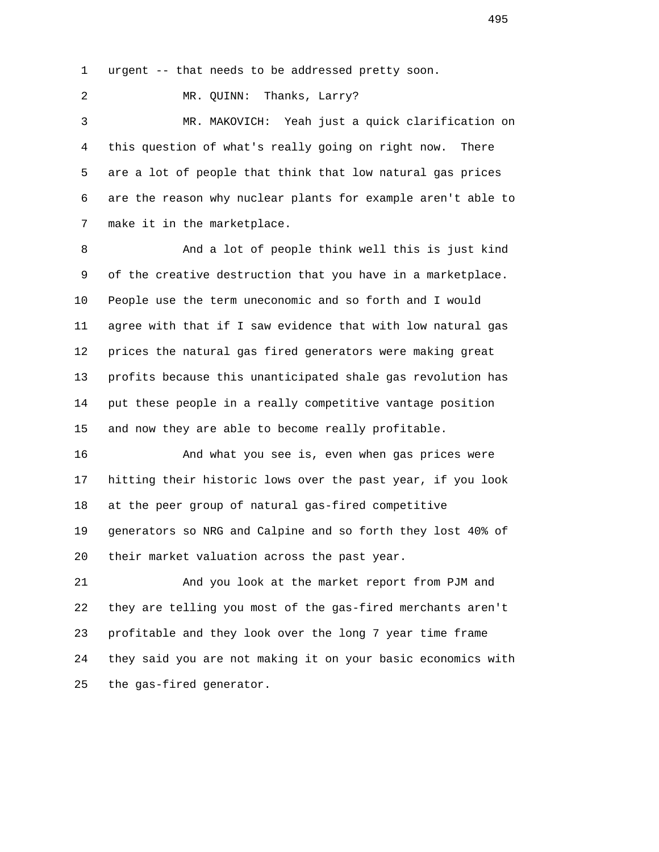1 urgent -- that needs to be addressed pretty soon.

2 MR. QUINN: Thanks, Larry?

 3 MR. MAKOVICH: Yeah just a quick clarification on 4 this question of what's really going on right now. There 5 are a lot of people that think that low natural gas prices 6 are the reason why nuclear plants for example aren't able to 7 make it in the marketplace.

 8 And a lot of people think well this is just kind 9 of the creative destruction that you have in a marketplace. 10 People use the term uneconomic and so forth and I would 11 agree with that if I saw evidence that with low natural gas 12 prices the natural gas fired generators were making great 13 profits because this unanticipated shale gas revolution has 14 put these people in a really competitive vantage position 15 and now they are able to become really profitable.

 16 And what you see is, even when gas prices were 17 hitting their historic lows over the past year, if you look 18 at the peer group of natural gas-fired competitive 19 generators so NRG and Calpine and so forth they lost 40% of 20 their market valuation across the past year.

 21 And you look at the market report from PJM and 22 they are telling you most of the gas-fired merchants aren't 23 profitable and they look over the long 7 year time frame 24 they said you are not making it on your basic economics with 25 the gas-fired generator.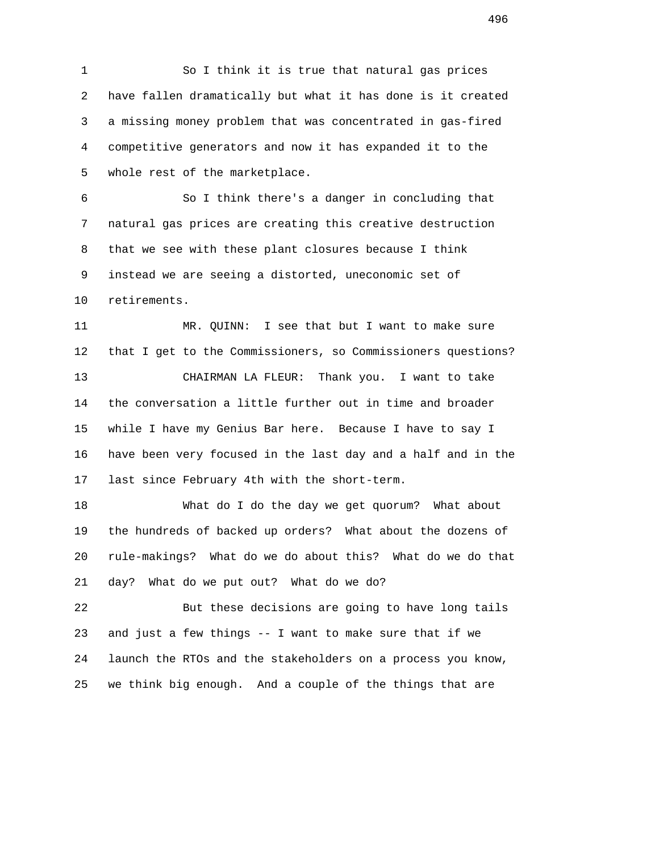1 So I think it is true that natural gas prices 2 have fallen dramatically but what it has done is it created 3 a missing money problem that was concentrated in gas-fired 4 competitive generators and now it has expanded it to the 5 whole rest of the marketplace.

 6 So I think there's a danger in concluding that 7 natural gas prices are creating this creative destruction 8 that we see with these plant closures because I think 9 instead we are seeing a distorted, uneconomic set of 10 retirements.

 11 MR. QUINN: I see that but I want to make sure 12 that I get to the Commissioners, so Commissioners questions? 13 CHAIRMAN LA FLEUR: Thank you. I want to take 14 the conversation a little further out in time and broader 15 while I have my Genius Bar here. Because I have to say I 16 have been very focused in the last day and a half and in the 17 last since February 4th with the short-term.

 18 What do I do the day we get quorum? What about 19 the hundreds of backed up orders? What about the dozens of 20 rule-makings? What do we do about this? What do we do that 21 day? What do we put out? What do we do?

 22 But these decisions are going to have long tails 23 and just a few things -- I want to make sure that if we 24 launch the RTOs and the stakeholders on a process you know, 25 we think big enough. And a couple of the things that are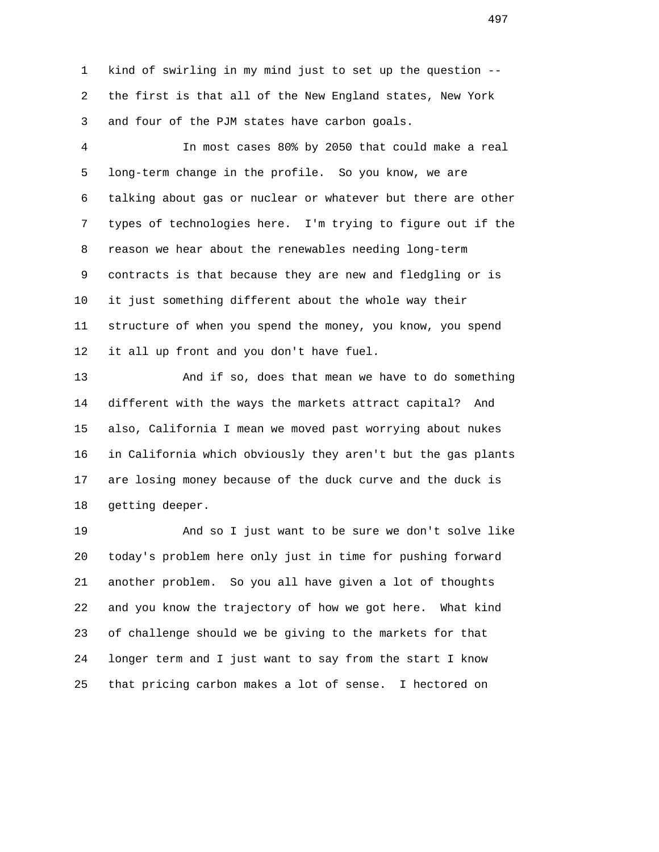1 kind of swirling in my mind just to set up the question -- 2 the first is that all of the New England states, New York 3 and four of the PJM states have carbon goals.

 4 In most cases 80% by 2050 that could make a real 5 long-term change in the profile. So you know, we are 6 talking about gas or nuclear or whatever but there are other 7 types of technologies here. I'm trying to figure out if the 8 reason we hear about the renewables needing long-term 9 contracts is that because they are new and fledgling or is 10 it just something different about the whole way their 11 structure of when you spend the money, you know, you spend 12 it all up front and you don't have fuel.

 13 And if so, does that mean we have to do something 14 different with the ways the markets attract capital? And 15 also, California I mean we moved past worrying about nukes 16 in California which obviously they aren't but the gas plants 17 are losing money because of the duck curve and the duck is 18 getting deeper.

 19 And so I just want to be sure we don't solve like 20 today's problem here only just in time for pushing forward 21 another problem. So you all have given a lot of thoughts 22 and you know the trajectory of how we got here. What kind 23 of challenge should we be giving to the markets for that 24 longer term and I just want to say from the start I know 25 that pricing carbon makes a lot of sense. I hectored on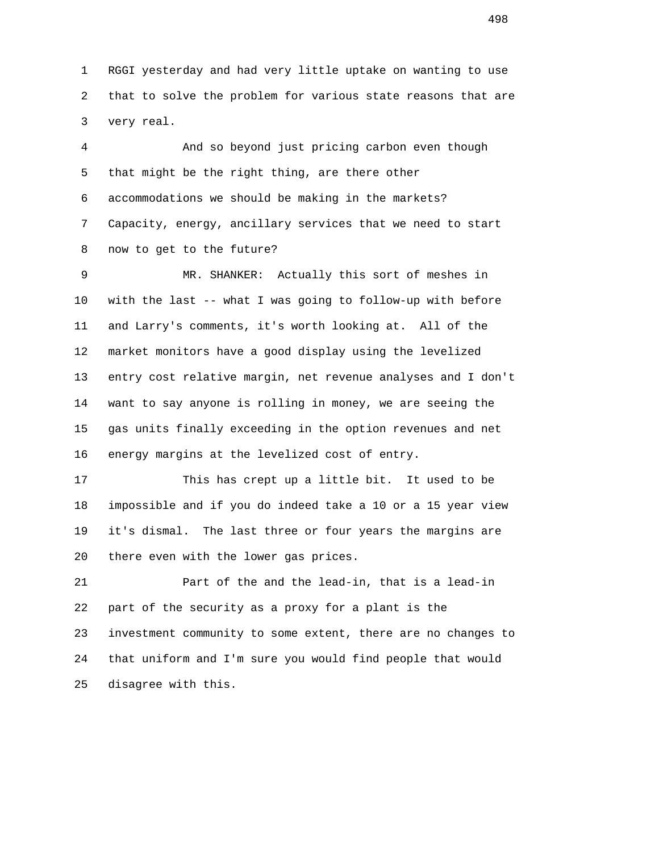1 RGGI yesterday and had very little uptake on wanting to use 2 that to solve the problem for various state reasons that are 3 very real.

 4 And so beyond just pricing carbon even though 5 that might be the right thing, are there other 6 accommodations we should be making in the markets? 7 Capacity, energy, ancillary services that we need to start 8 now to get to the future?

 9 MR. SHANKER: Actually this sort of meshes in 10 with the last -- what I was going to follow-up with before 11 and Larry's comments, it's worth looking at. All of the 12 market monitors have a good display using the levelized 13 entry cost relative margin, net revenue analyses and I don't 14 want to say anyone is rolling in money, we are seeing the 15 gas units finally exceeding in the option revenues and net 16 energy margins at the levelized cost of entry.

 17 This has crept up a little bit. It used to be 18 impossible and if you do indeed take a 10 or a 15 year view 19 it's dismal. The last three or four years the margins are 20 there even with the lower gas prices.

 21 Part of the and the lead-in, that is a lead-in 22 part of the security as a proxy for a plant is the 23 investment community to some extent, there are no changes to 24 that uniform and I'm sure you would find people that would 25 disagree with this.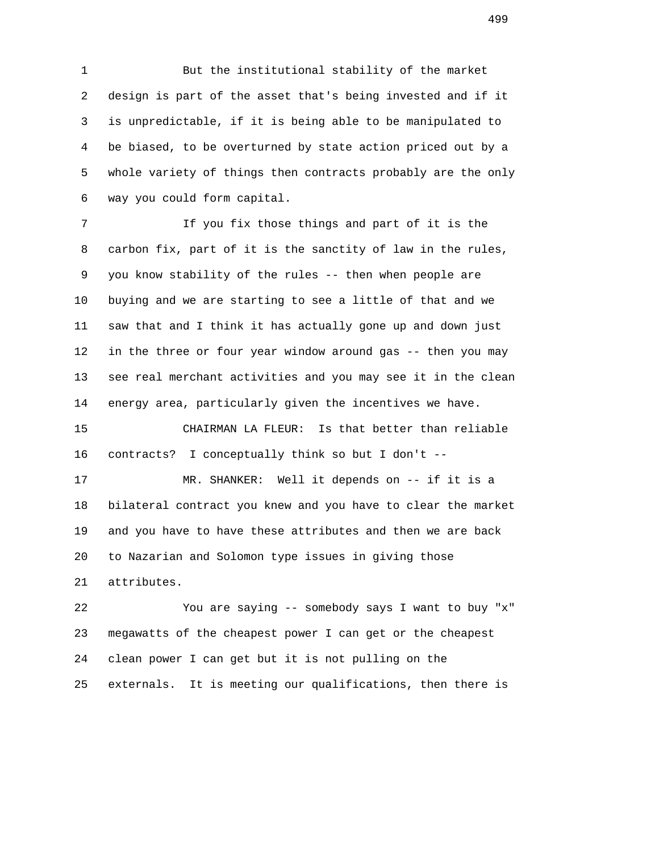1 But the institutional stability of the market 2 design is part of the asset that's being invested and if it 3 is unpredictable, if it is being able to be manipulated to 4 be biased, to be overturned by state action priced out by a 5 whole variety of things then contracts probably are the only 6 way you could form capital.

 7 If you fix those things and part of it is the 8 carbon fix, part of it is the sanctity of law in the rules, 9 you know stability of the rules -- then when people are 10 buying and we are starting to see a little of that and we 11 saw that and I think it has actually gone up and down just 12 in the three or four year window around gas -- then you may 13 see real merchant activities and you may see it in the clean 14 energy area, particularly given the incentives we have.

 15 CHAIRMAN LA FLEUR: Is that better than reliable 16 contracts? I conceptually think so but I don't --

 17 MR. SHANKER: Well it depends on -- if it is a 18 bilateral contract you knew and you have to clear the market 19 and you have to have these attributes and then we are back 20 to Nazarian and Solomon type issues in giving those 21 attributes.

 22 You are saying -- somebody says I want to buy "x" 23 megawatts of the cheapest power I can get or the cheapest 24 clean power I can get but it is not pulling on the 25 externals. It is meeting our qualifications, then there is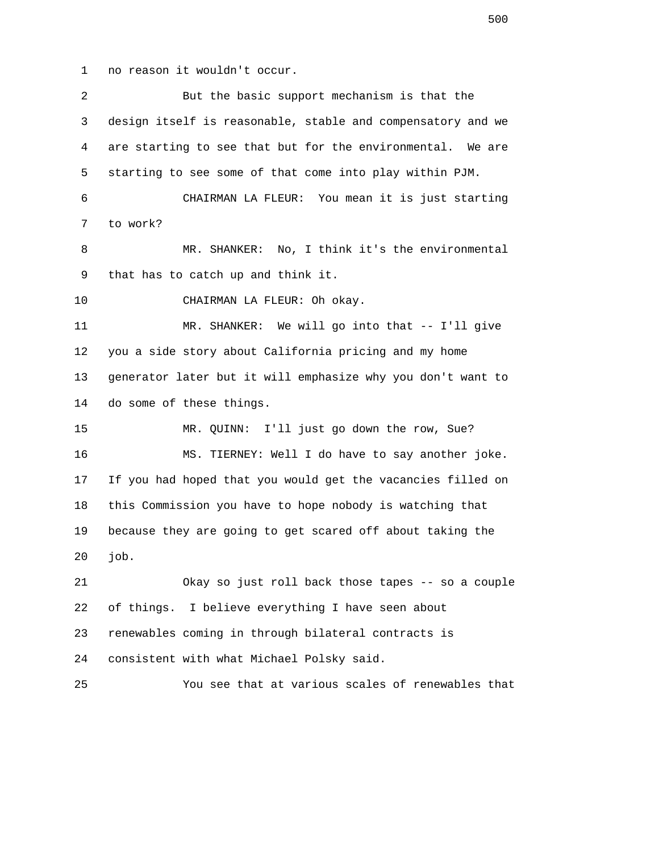1 no reason it wouldn't occur.

| 2  | But the basic support mechanism is that the                 |
|----|-------------------------------------------------------------|
| 3  | design itself is reasonable, stable and compensatory and we |
| 4  | are starting to see that but for the environmental. We are  |
| 5  | starting to see some of that come into play within PJM.     |
| 6  | CHAIRMAN LA FLEUR: You mean it is just starting             |
| 7  | to work?                                                    |
| 8  | MR. SHANKER: No, I think it's the environmental             |
| 9  | that has to catch up and think it.                          |
| 10 | CHAIRMAN LA FLEUR: Oh okay.                                 |
| 11 | MR. SHANKER: We will go into that -- I'll give              |
| 12 | you a side story about California pricing and my home       |
| 13 | generator later but it will emphasize why you don't want to |
| 14 | do some of these things.                                    |
| 15 | MR. QUINN: I'll just go down the row, Sue?                  |
| 16 | MS. TIERNEY: Well I do have to say another joke.            |
| 17 | If you had hoped that you would get the vacancies filled on |
| 18 | this Commission you have to hope nobody is watching that    |
| 19 | because they are going to get scared off about taking the   |
| 20 | job.                                                        |
| 21 | Okay so just roll back those tapes -- so a couple           |
| 22 | of things.<br>I believe everything I have seen about        |
| 23 | renewables coming in through bilateral contracts is         |
| 24 | consistent with what Michael Polsky said.                   |
| 25 | You see that at various scales of renewables that           |
|    |                                                             |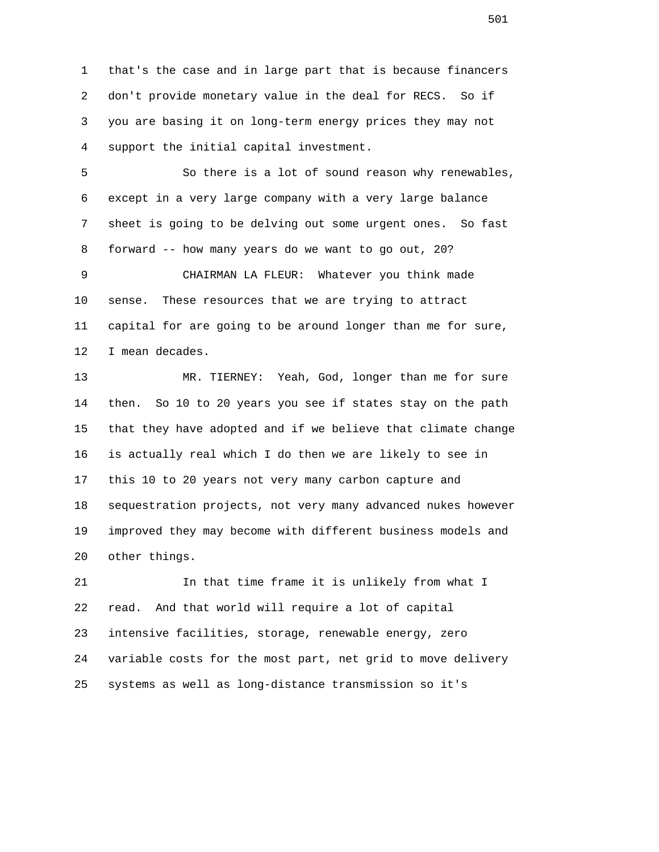1 that's the case and in large part that is because financers 2 don't provide monetary value in the deal for RECS. So if 3 you are basing it on long-term energy prices they may not 4 support the initial capital investment.

 5 So there is a lot of sound reason why renewables, 6 except in a very large company with a very large balance 7 sheet is going to be delving out some urgent ones. So fast 8 forward -- how many years do we want to go out, 20?

 9 CHAIRMAN LA FLEUR: Whatever you think made 10 sense. These resources that we are trying to attract 11 capital for are going to be around longer than me for sure, 12 I mean decades.

 13 MR. TIERNEY: Yeah, God, longer than me for sure 14 then. So 10 to 20 years you see if states stay on the path 15 that they have adopted and if we believe that climate change 16 is actually real which I do then we are likely to see in 17 this 10 to 20 years not very many carbon capture and 18 sequestration projects, not very many advanced nukes however 19 improved they may become with different business models and 20 other things.

 21 In that time frame it is unlikely from what I 22 read. And that world will require a lot of capital 23 intensive facilities, storage, renewable energy, zero 24 variable costs for the most part, net grid to move delivery 25 systems as well as long-distance transmission so it's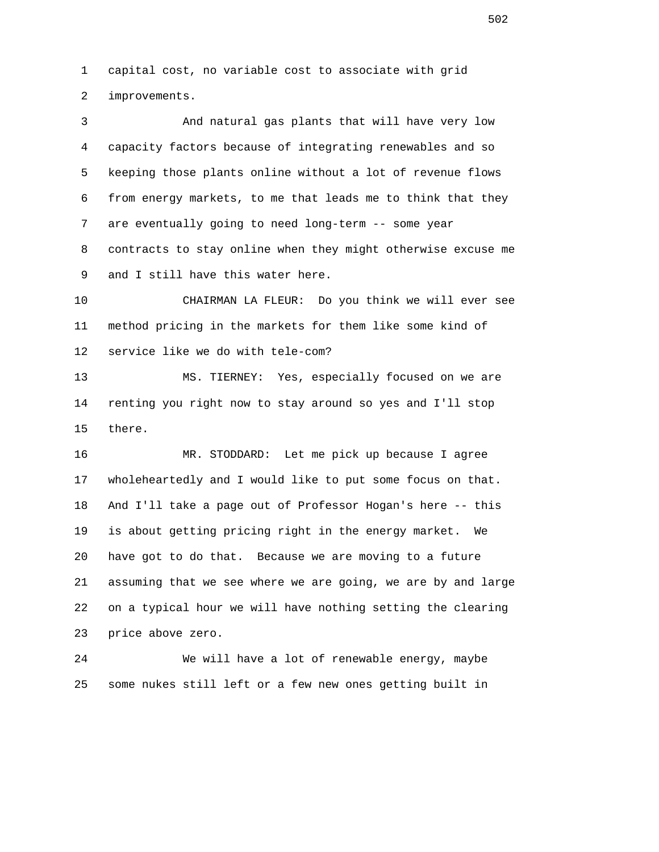1 capital cost, no variable cost to associate with grid 2 improvements.

 3 And natural gas plants that will have very low 4 capacity factors because of integrating renewables and so 5 keeping those plants online without a lot of revenue flows 6 from energy markets, to me that leads me to think that they 7 are eventually going to need long-term -- some year 8 contracts to stay online when they might otherwise excuse me 9 and I still have this water here.

 10 CHAIRMAN LA FLEUR: Do you think we will ever see 11 method pricing in the markets for them like some kind of 12 service like we do with tele-com?

 13 MS. TIERNEY: Yes, especially focused on we are 14 renting you right now to stay around so yes and I'll stop 15 there.

 16 MR. STODDARD: Let me pick up because I agree 17 wholeheartedly and I would like to put some focus on that. 18 And I'll take a page out of Professor Hogan's here -- this 19 is about getting pricing right in the energy market. We 20 have got to do that. Because we are moving to a future 21 assuming that we see where we are going, we are by and large 22 on a typical hour we will have nothing setting the clearing 23 price above zero.

 24 We will have a lot of renewable energy, maybe 25 some nukes still left or a few new ones getting built in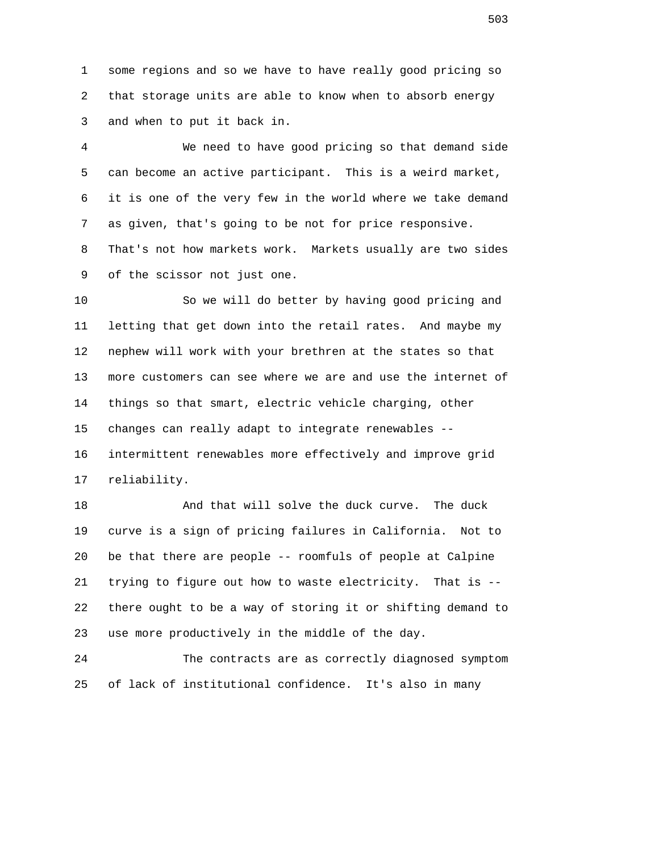1 some regions and so we have to have really good pricing so 2 that storage units are able to know when to absorb energy 3 and when to put it back in.

 4 We need to have good pricing so that demand side 5 can become an active participant. This is a weird market, 6 it is one of the very few in the world where we take demand 7 as given, that's going to be not for price responsive. 8 That's not how markets work. Markets usually are two sides 9 of the scissor not just one.

 10 So we will do better by having good pricing and 11 letting that get down into the retail rates. And maybe my 12 nephew will work with your brethren at the states so that 13 more customers can see where we are and use the internet of 14 things so that smart, electric vehicle charging, other 15 changes can really adapt to integrate renewables -- 16 intermittent renewables more effectively and improve grid 17 reliability.

18 And that will solve the duck curve. The duck 19 curve is a sign of pricing failures in California. Not to 20 be that there are people -- roomfuls of people at Calpine 21 trying to figure out how to waste electricity. That is -- 22 there ought to be a way of storing it or shifting demand to 23 use more productively in the middle of the day.

 24 The contracts are as correctly diagnosed symptom 25 of lack of institutional confidence. It's also in many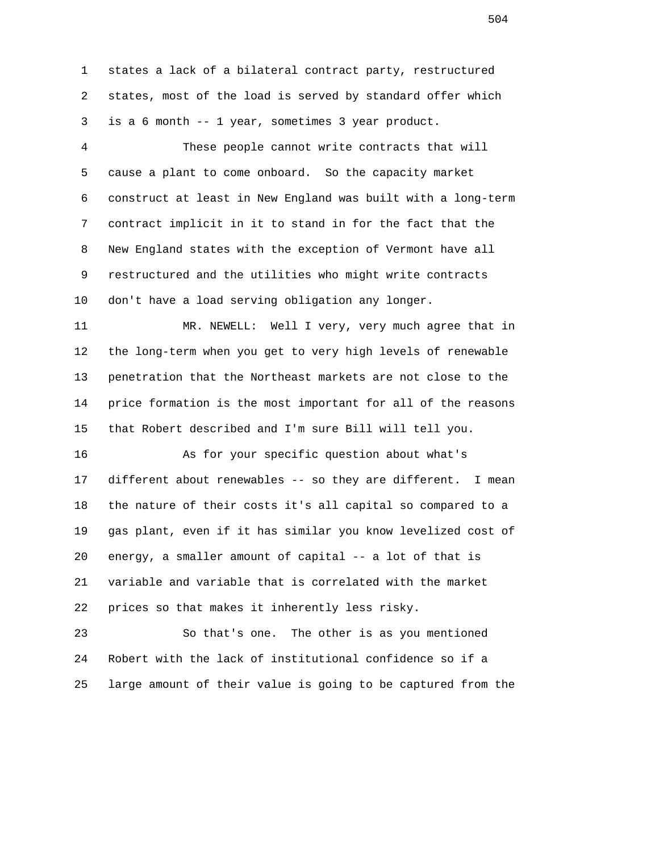1 states a lack of a bilateral contract party, restructured 2 states, most of the load is served by standard offer which 3 is a 6 month -- 1 year, sometimes 3 year product.

 4 These people cannot write contracts that will 5 cause a plant to come onboard. So the capacity market 6 construct at least in New England was built with a long-term 7 contract implicit in it to stand in for the fact that the 8 New England states with the exception of Vermont have all 9 restructured and the utilities who might write contracts 10 don't have a load serving obligation any longer.

 11 MR. NEWELL: Well I very, very much agree that in 12 the long-term when you get to very high levels of renewable 13 penetration that the Northeast markets are not close to the 14 price formation is the most important for all of the reasons 15 that Robert described and I'm sure Bill will tell you.

 16 As for your specific question about what's 17 different about renewables -- so they are different. I mean 18 the nature of their costs it's all capital so compared to a 19 gas plant, even if it has similar you know levelized cost of 20 energy, a smaller amount of capital -- a lot of that is 21 variable and variable that is correlated with the market 22 prices so that makes it inherently less risky.

 23 So that's one. The other is as you mentioned 24 Robert with the lack of institutional confidence so if a 25 large amount of their value is going to be captured from the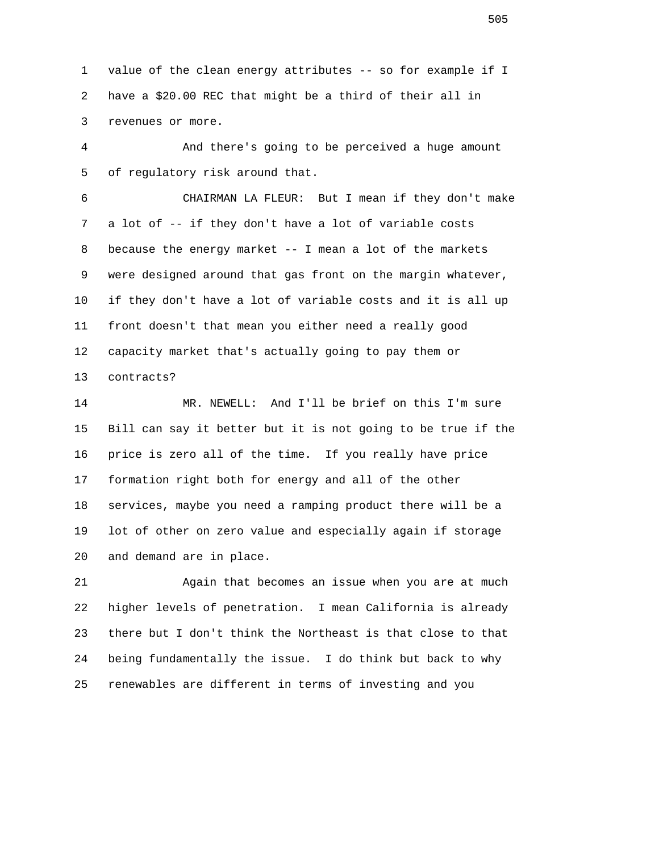1 value of the clean energy attributes -- so for example if I 2 have a \$20.00 REC that might be a third of their all in 3 revenues or more.

 4 And there's going to be perceived a huge amount 5 of regulatory risk around that.

 6 CHAIRMAN LA FLEUR: But I mean if they don't make 7 a lot of -- if they don't have a lot of variable costs 8 because the energy market -- I mean a lot of the markets 9 were designed around that gas front on the margin whatever, 10 if they don't have a lot of variable costs and it is all up 11 front doesn't that mean you either need a really good 12 capacity market that's actually going to pay them or 13 contracts?

 14 MR. NEWELL: And I'll be brief on this I'm sure 15 Bill can say it better but it is not going to be true if the 16 price is zero all of the time. If you really have price 17 formation right both for energy and all of the other 18 services, maybe you need a ramping product there will be a 19 lot of other on zero value and especially again if storage 20 and demand are in place.

 21 Again that becomes an issue when you are at much 22 higher levels of penetration. I mean California is already 23 there but I don't think the Northeast is that close to that 24 being fundamentally the issue. I do think but back to why 25 renewables are different in terms of investing and you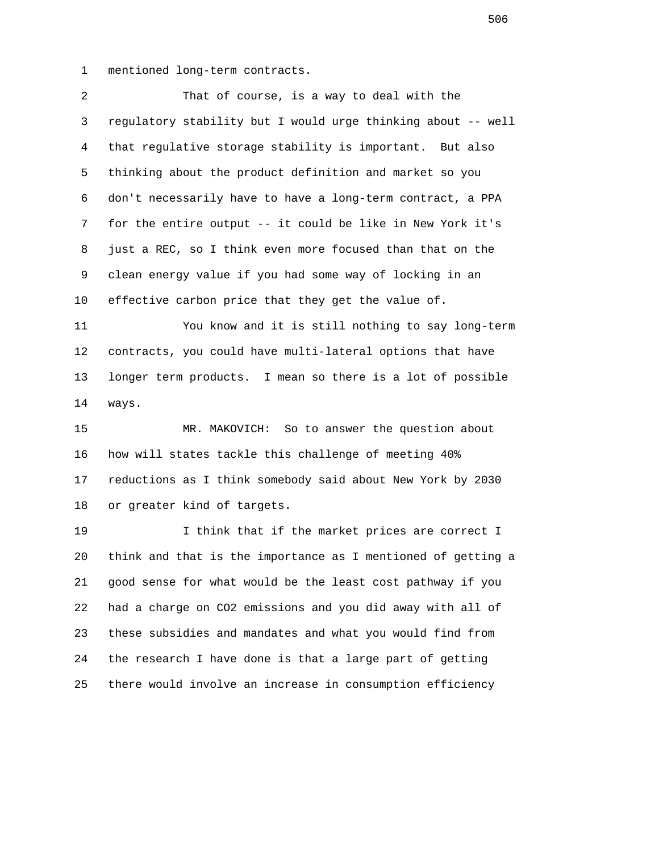1 mentioned long-term contracts.

 2 That of course, is a way to deal with the 3 regulatory stability but I would urge thinking about -- well 4 that regulative storage stability is important. But also 5 thinking about the product definition and market so you 6 don't necessarily have to have a long-term contract, a PPA 7 for the entire output -- it could be like in New York it's 8 just a REC, so I think even more focused than that on the 9 clean energy value if you had some way of locking in an 10 effective carbon price that they get the value of. 11 You know and it is still nothing to say long-term 12 contracts, you could have multi-lateral options that have 13 longer term products. I mean so there is a lot of possible 14 ways. 15 MR. MAKOVICH: So to answer the question about 16 how will states tackle this challenge of meeting 40% 17 reductions as I think somebody said about New York by 2030 18 or greater kind of targets. 19 I think that if the market prices are correct I 20 think and that is the importance as I mentioned of getting a 21 good sense for what would be the least cost pathway if you 22 had a charge on CO2 emissions and you did away with all of 23 these subsidies and mandates and what you would find from 24 the research I have done is that a large part of getting 25 there would involve an increase in consumption efficiency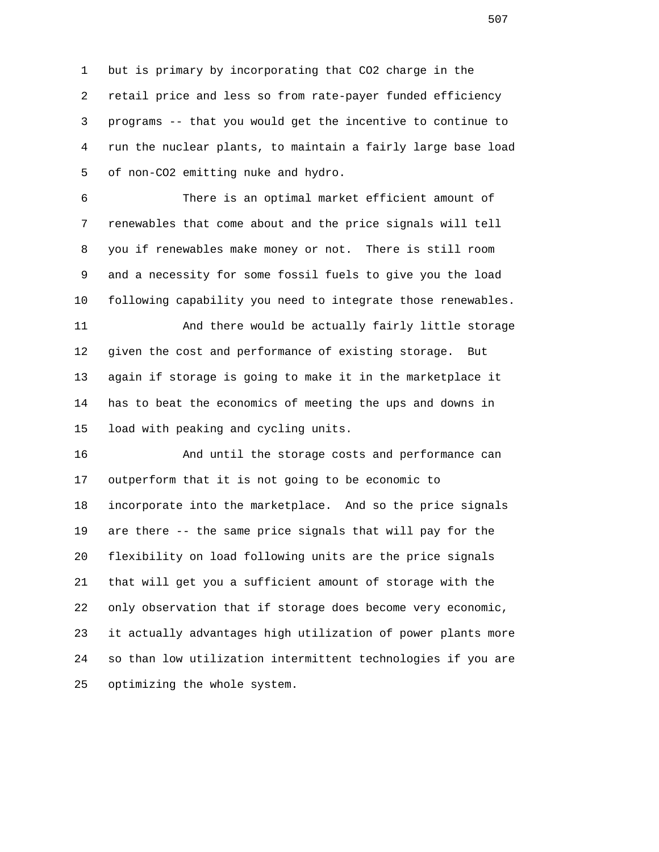1 but is primary by incorporating that CO2 charge in the 2 retail price and less so from rate-payer funded efficiency 3 programs -- that you would get the incentive to continue to 4 run the nuclear plants, to maintain a fairly large base load 5 of non-CO2 emitting nuke and hydro.

 6 There is an optimal market efficient amount of 7 renewables that come about and the price signals will tell 8 you if renewables make money or not. There is still room 9 and a necessity for some fossil fuels to give you the load 10 following capability you need to integrate those renewables.

 11 And there would be actually fairly little storage 12 given the cost and performance of existing storage. But 13 again if storage is going to make it in the marketplace it 14 has to beat the economics of meeting the ups and downs in 15 load with peaking and cycling units.

 16 And until the storage costs and performance can 17 outperform that it is not going to be economic to 18 incorporate into the marketplace. And so the price signals 19 are there -- the same price signals that will pay for the 20 flexibility on load following units are the price signals 21 that will get you a sufficient amount of storage with the 22 only observation that if storage does become very economic, 23 it actually advantages high utilization of power plants more 24 so than low utilization intermittent technologies if you are 25 optimizing the whole system.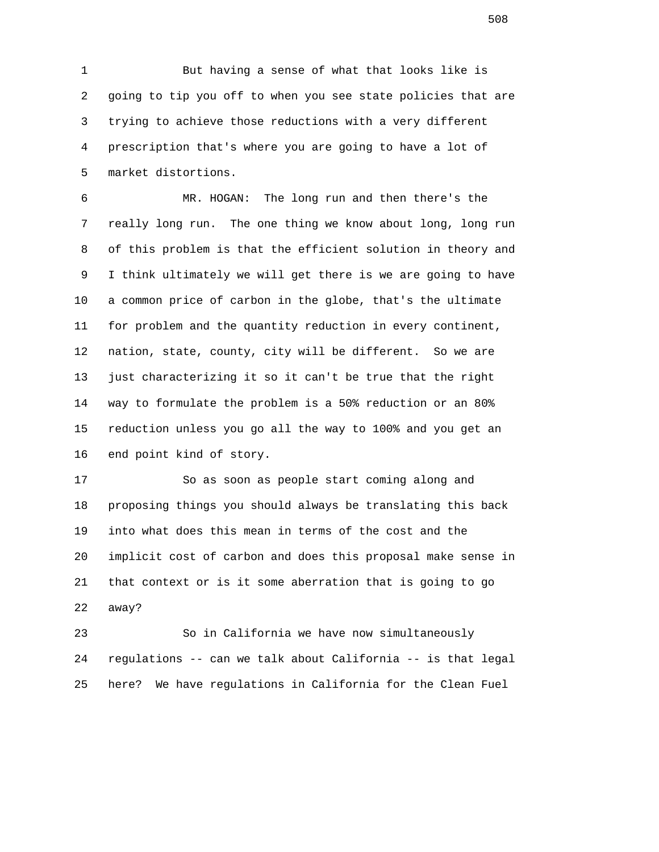1 But having a sense of what that looks like is 2 going to tip you off to when you see state policies that are 3 trying to achieve those reductions with a very different 4 prescription that's where you are going to have a lot of 5 market distortions.

 6 MR. HOGAN: The long run and then there's the 7 really long run. The one thing we know about long, long run 8 of this problem is that the efficient solution in theory and 9 I think ultimately we will get there is we are going to have 10 a common price of carbon in the globe, that's the ultimate 11 for problem and the quantity reduction in every continent, 12 nation, state, county, city will be different. So we are 13 just characterizing it so it can't be true that the right 14 way to formulate the problem is a 50% reduction or an 80% 15 reduction unless you go all the way to 100% and you get an 16 end point kind of story.

 17 So as soon as people start coming along and 18 proposing things you should always be translating this back 19 into what does this mean in terms of the cost and the 20 implicit cost of carbon and does this proposal make sense in 21 that context or is it some aberration that is going to go 22 away?

 23 So in California we have now simultaneously 24 regulations -- can we talk about California -- is that legal 25 here? We have regulations in California for the Clean Fuel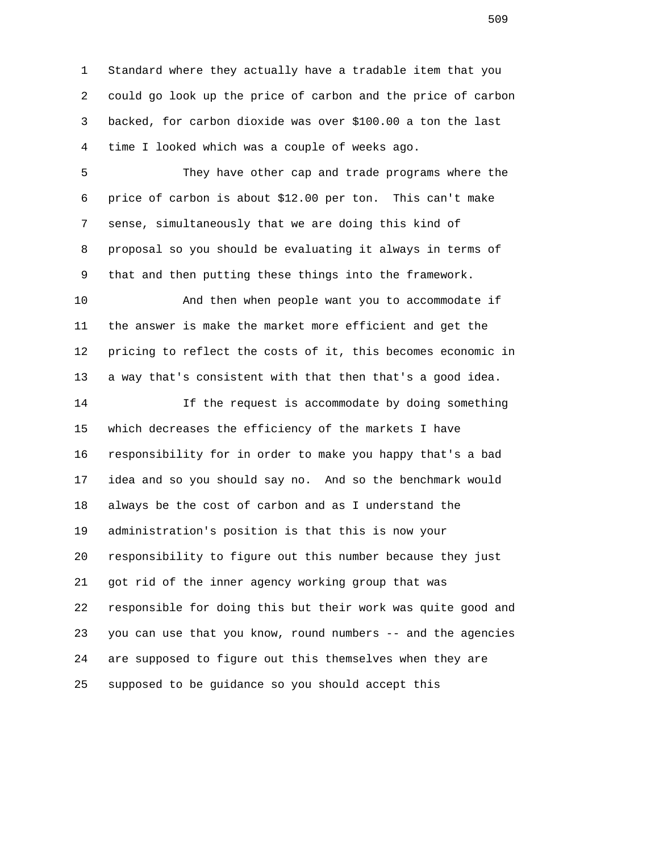1 Standard where they actually have a tradable item that you 2 could go look up the price of carbon and the price of carbon 3 backed, for carbon dioxide was over \$100.00 a ton the last 4 time I looked which was a couple of weeks ago.

 5 They have other cap and trade programs where the 6 price of carbon is about \$12.00 per ton. This can't make 7 sense, simultaneously that we are doing this kind of 8 proposal so you should be evaluating it always in terms of 9 that and then putting these things into the framework.

 10 And then when people want you to accommodate if 11 the answer is make the market more efficient and get the 12 pricing to reflect the costs of it, this becomes economic in 13 a way that's consistent with that then that's a good idea.

 14 If the request is accommodate by doing something 15 which decreases the efficiency of the markets I have 16 responsibility for in order to make you happy that's a bad 17 idea and so you should say no. And so the benchmark would 18 always be the cost of carbon and as I understand the 19 administration's position is that this is now your 20 responsibility to figure out this number because they just 21 got rid of the inner agency working group that was 22 responsible for doing this but their work was quite good and 23 you can use that you know, round numbers -- and the agencies 24 are supposed to figure out this themselves when they are 25 supposed to be guidance so you should accept this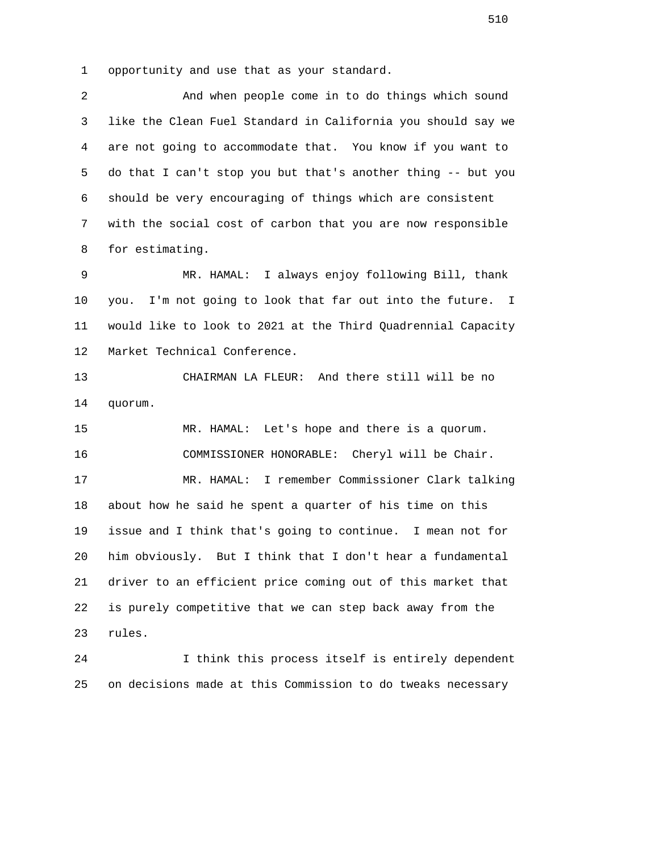1 opportunity and use that as your standard.

 2 And when people come in to do things which sound 3 like the Clean Fuel Standard in California you should say we 4 are not going to accommodate that. You know if you want to 5 do that I can't stop you but that's another thing -- but you 6 should be very encouraging of things which are consistent 7 with the social cost of carbon that you are now responsible 8 for estimating.

 9 MR. HAMAL: I always enjoy following Bill, thank 10 you. I'm not going to look that far out into the future. I 11 would like to look to 2021 at the Third Quadrennial Capacity 12 Market Technical Conference.

 13 CHAIRMAN LA FLEUR: And there still will be no 14 quorum.

 15 MR. HAMAL: Let's hope and there is a quorum. 16 COMMISSIONER HONORABLE: Cheryl will be Chair. 17 MR. HAMAL: I remember Commissioner Clark talking 18 about how he said he spent a quarter of his time on this 19 issue and I think that's going to continue. I mean not for 20 him obviously. But I think that I don't hear a fundamental 21 driver to an efficient price coming out of this market that 22 is purely competitive that we can step back away from the 23 rules.

 24 I think this process itself is entirely dependent 25 on decisions made at this Commission to do tweaks necessary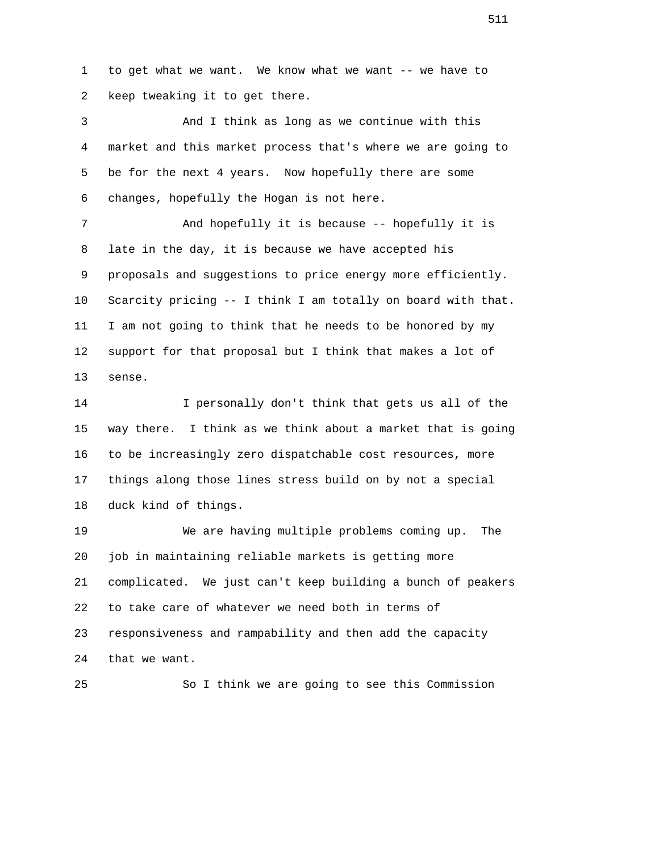1 to get what we want. We know what we want -- we have to 2 keep tweaking it to get there.

 3 And I think as long as we continue with this 4 market and this market process that's where we are going to 5 be for the next 4 years. Now hopefully there are some 6 changes, hopefully the Hogan is not here. 7 And hopefully it is because -- hopefully it is 8 late in the day, it is because we have accepted his 9 proposals and suggestions to price energy more efficiently. 10 Scarcity pricing -- I think I am totally on board with that. 11 I am not going to think that he needs to be honored by my 12 support for that proposal but I think that makes a lot of 13 sense.

 14 I personally don't think that gets us all of the 15 way there. I think as we think about a market that is going 16 to be increasingly zero dispatchable cost resources, more 17 things along those lines stress build on by not a special 18 duck kind of things.

 19 We are having multiple problems coming up. The 20 job in maintaining reliable markets is getting more 21 complicated. We just can't keep building a bunch of peakers 22 to take care of whatever we need both in terms of 23 responsiveness and rampability and then add the capacity 24 that we want.

25 So I think we are going to see this Commission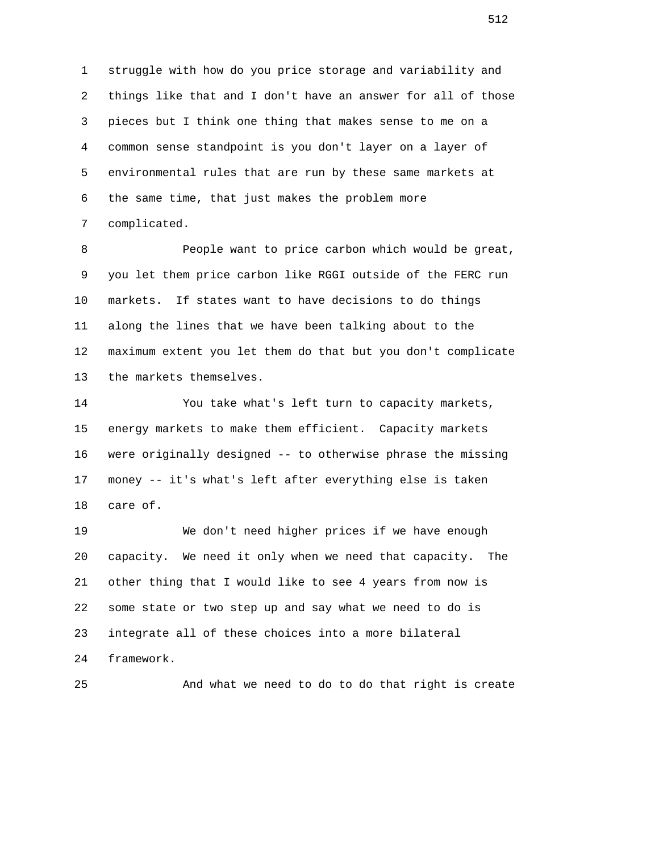1 struggle with how do you price storage and variability and 2 things like that and I don't have an answer for all of those 3 pieces but I think one thing that makes sense to me on a 4 common sense standpoint is you don't layer on a layer of 5 environmental rules that are run by these same markets at 6 the same time, that just makes the problem more 7 complicated.

8 **People want to price carbon which would be great,**  9 you let them price carbon like RGGI outside of the FERC run 10 markets. If states want to have decisions to do things 11 along the lines that we have been talking about to the 12 maximum extent you let them do that but you don't complicate 13 the markets themselves.

 14 You take what's left turn to capacity markets, 15 energy markets to make them efficient. Capacity markets 16 were originally designed -- to otherwise phrase the missing 17 money -- it's what's left after everything else is taken 18 care of.

 19 We don't need higher prices if we have enough 20 capacity. We need it only when we need that capacity. The 21 other thing that I would like to see 4 years from now is 22 some state or two step up and say what we need to do is 23 integrate all of these choices into a more bilateral 24 framework.

25 And what we need to do to do that right is create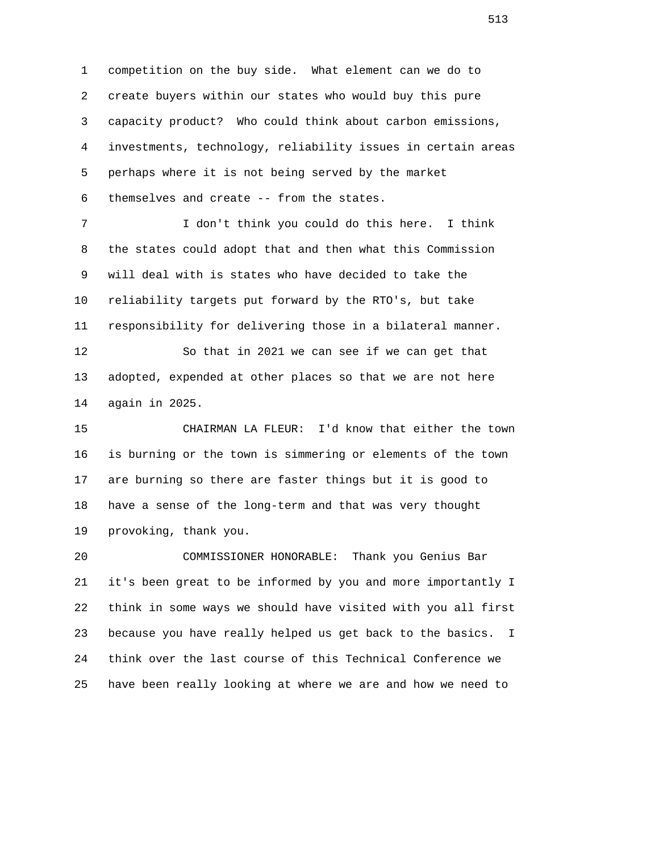1 competition on the buy side. What element can we do to 2 create buyers within our states who would buy this pure 3 capacity product? Who could think about carbon emissions, 4 investments, technology, reliability issues in certain areas 5 perhaps where it is not being served by the market 6 themselves and create -- from the states. 7 I don't think you could do this here. I think

 8 the states could adopt that and then what this Commission 9 will deal with is states who have decided to take the 10 reliability targets put forward by the RTO's, but take 11 responsibility for delivering those in a bilateral manner.

 12 So that in 2021 we can see if we can get that 13 adopted, expended at other places so that we are not here 14 again in 2025.

 15 CHAIRMAN LA FLEUR: I'd know that either the town 16 is burning or the town is simmering or elements of the town 17 are burning so there are faster things but it is good to 18 have a sense of the long-term and that was very thought 19 provoking, thank you.

 20 COMMISSIONER HONORABLE: Thank you Genius Bar 21 it's been great to be informed by you and more importantly I 22 think in some ways we should have visited with you all first 23 because you have really helped us get back to the basics. I 24 think over the last course of this Technical Conference we 25 have been really looking at where we are and how we need to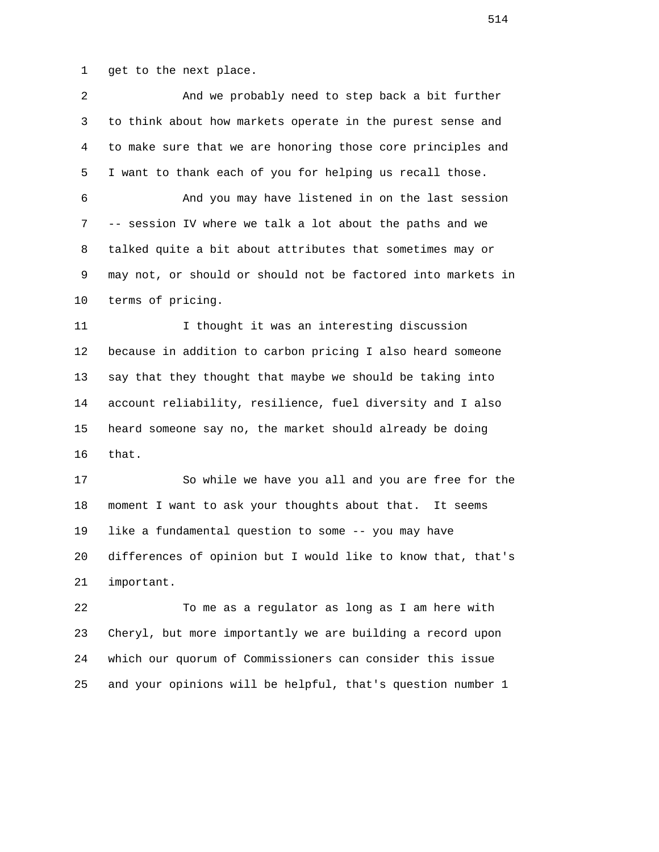1 get to the next place.

| 2            | And we probably need to step back a bit further              |
|--------------|--------------------------------------------------------------|
| $\mathsf{3}$ | to think about how markets operate in the purest sense and   |
| 4            | to make sure that we are honoring those core principles and  |
| 5            | I want to thank each of you for helping us recall those.     |
| 6            | And you may have listened in on the last session             |
| 7            | -- session IV where we talk a lot about the paths and we     |
| 8            | talked quite a bit about attributes that sometimes may or    |
| 9            | may not, or should or should not be factored into markets in |
| 10           | terms of pricing.                                            |
| 11           | I thought it was an interesting discussion                   |
| 12           | because in addition to carbon pricing I also heard someone   |
| 13           | say that they thought that maybe we should be taking into    |
| 14           | account reliability, resilience, fuel diversity and I also   |
| 15           | heard someone say no, the market should already be doing     |
| 16           | that.                                                        |
| 17           | So while we have you all and you are free for the            |
| 18           | moment I want to ask your thoughts about that. It seems      |
| 19           | like a fundamental question to some -- you may have          |
| 20           | differences of opinion but I would like to know that, that's |
| 21           | important.                                                   |
| 22           | To me as a regulator as long as I am here with               |
| 23           | Cheryl, but more importantly we are building a record upon   |
|              |                                                              |

25 and your opinions will be helpful, that's question number 1

24 which our quorum of Commissioners can consider this issue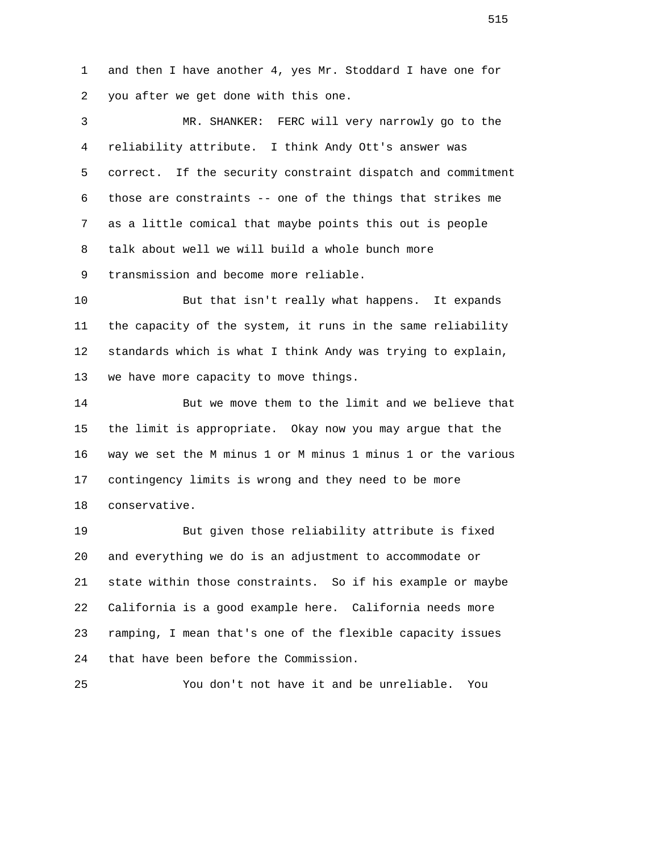1 and then I have another 4, yes Mr. Stoddard I have one for 2 you after we get done with this one.

 3 MR. SHANKER: FERC will very narrowly go to the 4 reliability attribute. I think Andy Ott's answer was 5 correct. If the security constraint dispatch and commitment 6 those are constraints -- one of the things that strikes me 7 as a little comical that maybe points this out is people 8 talk about well we will build a whole bunch more 9 transmission and become more reliable.

 10 But that isn't really what happens. It expands 11 the capacity of the system, it runs in the same reliability 12 standards which is what I think Andy was trying to explain, 13 we have more capacity to move things.

 14 But we move them to the limit and we believe that 15 the limit is appropriate. Okay now you may argue that the 16 way we set the M minus 1 or M minus 1 minus 1 or the various 17 contingency limits is wrong and they need to be more 18 conservative.

 19 But given those reliability attribute is fixed 20 and everything we do is an adjustment to accommodate or 21 state within those constraints. So if his example or maybe 22 California is a good example here. California needs more 23 ramping, I mean that's one of the flexible capacity issues 24 that have been before the Commission.

25 You don't not have it and be unreliable. You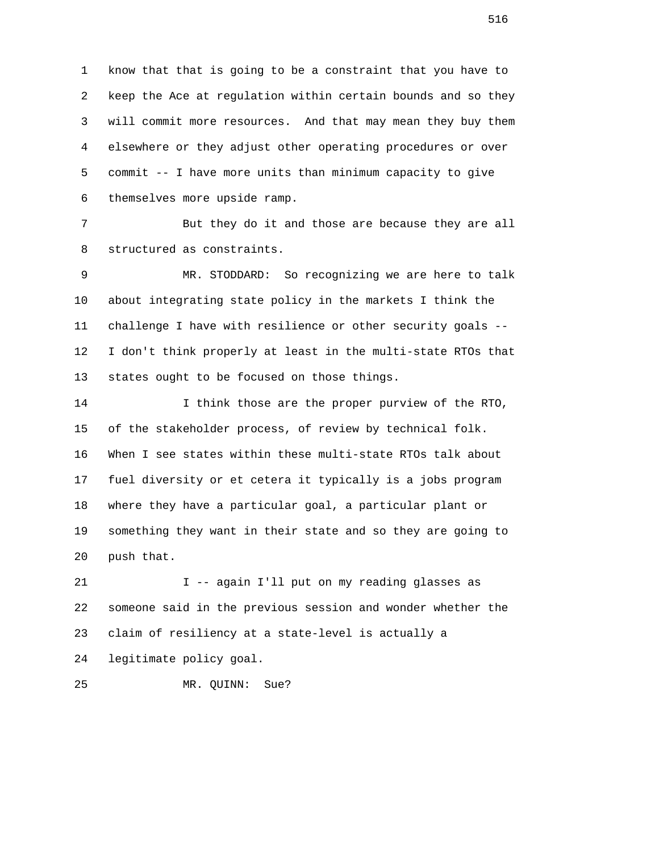1 know that that is going to be a constraint that you have to 2 keep the Ace at regulation within certain bounds and so they 3 will commit more resources. And that may mean they buy them 4 elsewhere or they adjust other operating procedures or over 5 commit -- I have more units than minimum capacity to give 6 themselves more upside ramp.

 7 But they do it and those are because they are all 8 structured as constraints.

 9 MR. STODDARD: So recognizing we are here to talk 10 about integrating state policy in the markets I think the 11 challenge I have with resilience or other security goals -- 12 I don't think properly at least in the multi-state RTOs that 13 states ought to be focused on those things.

 14 I think those are the proper purview of the RTO, 15 of the stakeholder process, of review by technical folk. 16 When I see states within these multi-state RTOs talk about 17 fuel diversity or et cetera it typically is a jobs program 18 where they have a particular goal, a particular plant or 19 something they want in their state and so they are going to 20 push that.

 21 I -- again I'll put on my reading glasses as 22 someone said in the previous session and wonder whether the 23 claim of resiliency at a state-level is actually a 24 legitimate policy goal.

25 MR. QUINN: Sue?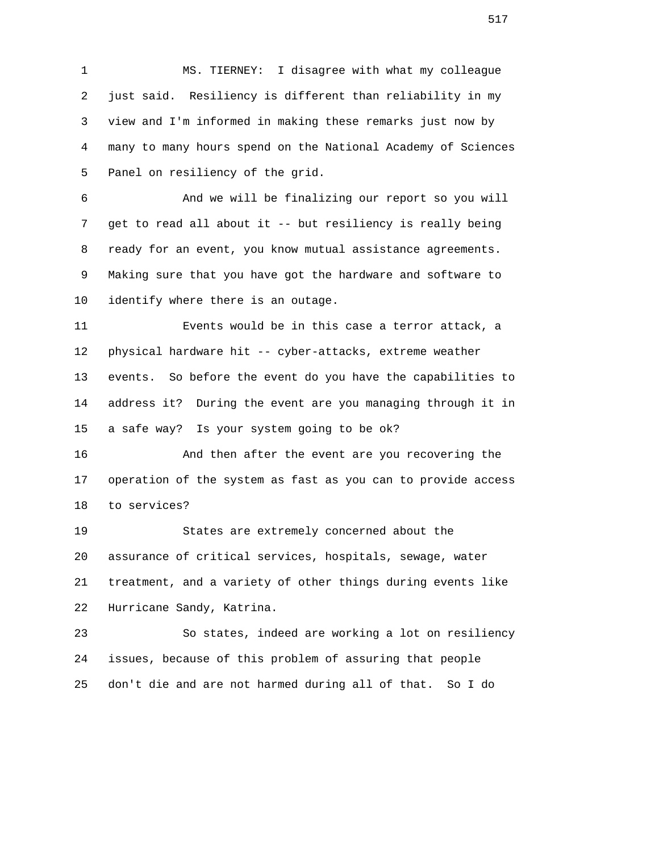1 MS. TIERNEY: I disagree with what my colleague 2 just said. Resiliency is different than reliability in my 3 view and I'm informed in making these remarks just now by 4 many to many hours spend on the National Academy of Sciences 5 Panel on resiliency of the grid.

 6 And we will be finalizing our report so you will 7 get to read all about it -- but resiliency is really being 8 ready for an event, you know mutual assistance agreements. 9 Making sure that you have got the hardware and software to 10 identify where there is an outage.

 11 Events would be in this case a terror attack, a 12 physical hardware hit -- cyber-attacks, extreme weather 13 events. So before the event do you have the capabilities to 14 address it? During the event are you managing through it in 15 a safe way? Is your system going to be ok?

 16 And then after the event are you recovering the 17 operation of the system as fast as you can to provide access 18 to services?

 19 States are extremely concerned about the 20 assurance of critical services, hospitals, sewage, water 21 treatment, and a variety of other things during events like 22 Hurricane Sandy, Katrina.

 23 So states, indeed are working a lot on resiliency 24 issues, because of this problem of assuring that people 25 don't die and are not harmed during all of that. So I do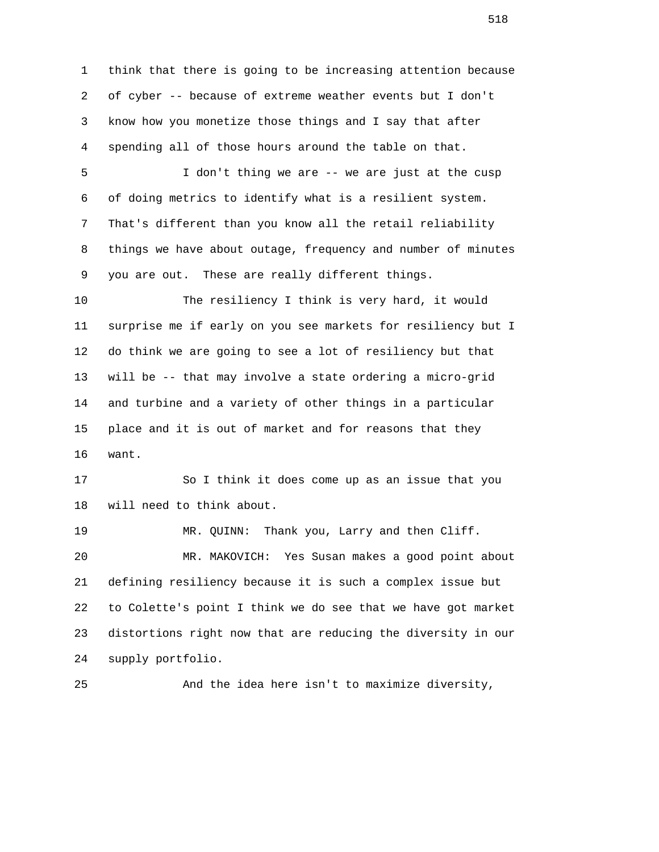1 think that there is going to be increasing attention because 2 of cyber -- because of extreme weather events but I don't 3 know how you monetize those things and I say that after 4 spending all of those hours around the table on that. 5 I don't thing we are -- we are just at the cusp 6 of doing metrics to identify what is a resilient system. 7 That's different than you know all the retail reliability 8 things we have about outage, frequency and number of minutes 9 you are out. These are really different things. 10 The resiliency I think is very hard, it would 11 surprise me if early on you see markets for resiliency but I 12 do think we are going to see a lot of resiliency but that 13 will be -- that may involve a state ordering a micro-grid 14 and turbine and a variety of other things in a particular 15 place and it is out of market and for reasons that they 16 want. 17 So I think it does come up as an issue that you 18 will need to think about. 19 MR. QUINN: Thank you, Larry and then Cliff. 20 MR. MAKOVICH: Yes Susan makes a good point about 21 defining resiliency because it is such a complex issue but 22 to Colette's point I think we do see that we have got market 23 distortions right now that are reducing the diversity in our 24 supply portfolio.

25 And the idea here isn't to maximize diversity,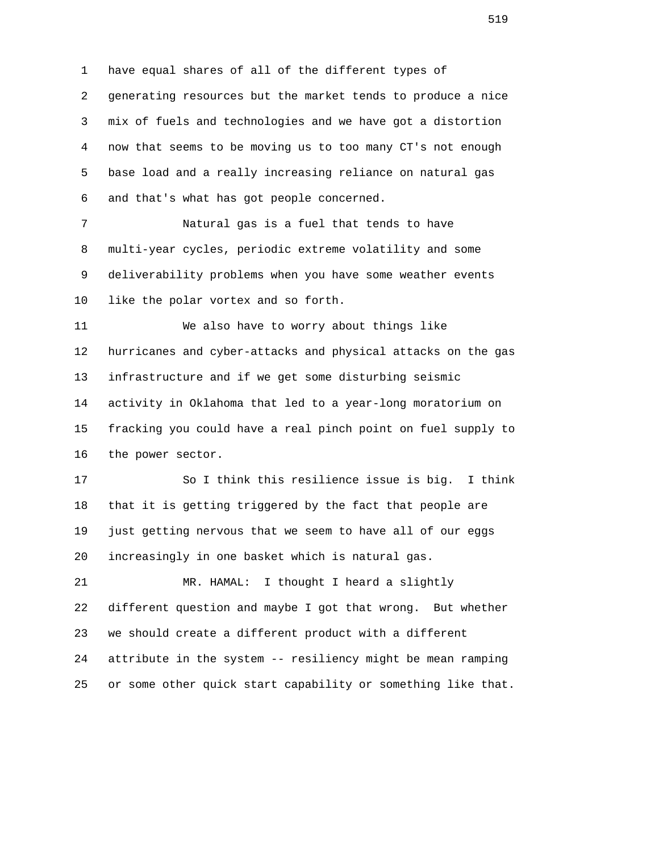1 have equal shares of all of the different types of 2 generating resources but the market tends to produce a nice 3 mix of fuels and technologies and we have got a distortion 4 now that seems to be moving us to too many CT's not enough 5 base load and a really increasing reliance on natural gas 6 and that's what has got people concerned.

 7 Natural gas is a fuel that tends to have 8 multi-year cycles, periodic extreme volatility and some 9 deliverability problems when you have some weather events 10 like the polar vortex and so forth.

 11 We also have to worry about things like 12 hurricanes and cyber-attacks and physical attacks on the gas 13 infrastructure and if we get some disturbing seismic 14 activity in Oklahoma that led to a year-long moratorium on 15 fracking you could have a real pinch point on fuel supply to 16 the power sector.

 17 So I think this resilience issue is big. I think 18 that it is getting triggered by the fact that people are 19 just getting nervous that we seem to have all of our eggs 20 increasingly in one basket which is natural gas.

 21 MR. HAMAL: I thought I heard a slightly 22 different question and maybe I got that wrong. But whether 23 we should create a different product with a different 24 attribute in the system -- resiliency might be mean ramping 25 or some other quick start capability or something like that.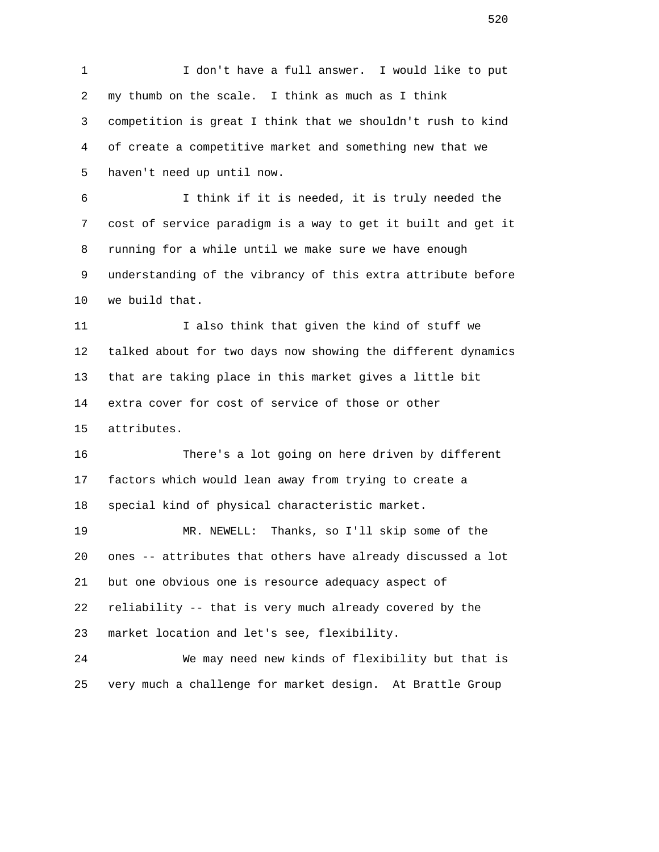1 I don't have a full answer. I would like to put 2 my thumb on the scale. I think as much as I think 3 competition is great I think that we shouldn't rush to kind 4 of create a competitive market and something new that we 5 haven't need up until now. 6 I think if it is needed, it is truly needed the 7 cost of service paradigm is a way to get it built and get it 8 running for a while until we make sure we have enough 9 understanding of the vibrancy of this extra attribute before 10 we build that. 11 I also think that given the kind of stuff we 12 talked about for two days now showing the different dynamics 13 that are taking place in this market gives a little bit 14 extra cover for cost of service of those or other 15 attributes. 16 There's a lot going on here driven by different 17 factors which would lean away from trying to create a 18 special kind of physical characteristic market. 19 MR. NEWELL: Thanks, so I'll skip some of the 20 ones -- attributes that others have already discussed a lot 21 but one obvious one is resource adequacy aspect of 22 reliability -- that is very much already covered by the 23 market location and let's see, flexibility. 24 We may need new kinds of flexibility but that is 25 very much a challenge for market design. At Brattle Group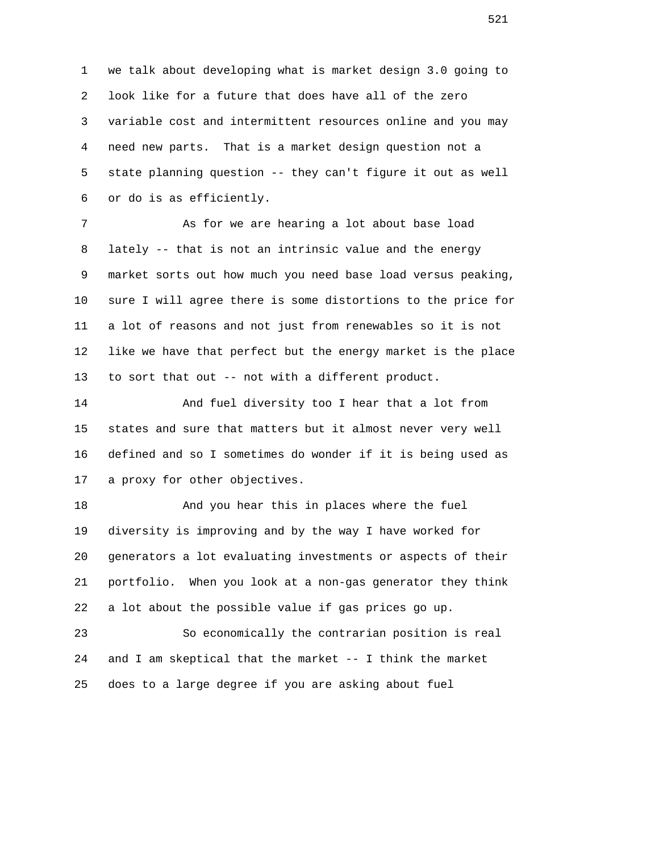1 we talk about developing what is market design 3.0 going to 2 look like for a future that does have all of the zero 3 variable cost and intermittent resources online and you may 4 need new parts. That is a market design question not a 5 state planning question -- they can't figure it out as well 6 or do is as efficiently.

7 As for we are hearing a lot about base load 8 lately -- that is not an intrinsic value and the energy 9 market sorts out how much you need base load versus peaking, 10 sure I will agree there is some distortions to the price for 11 a lot of reasons and not just from renewables so it is not 12 like we have that perfect but the energy market is the place 13 to sort that out -- not with a different product.

 14 And fuel diversity too I hear that a lot from 15 states and sure that matters but it almost never very well 16 defined and so I sometimes do wonder if it is being used as 17 a proxy for other objectives.

 18 And you hear this in places where the fuel 19 diversity is improving and by the way I have worked for 20 generators a lot evaluating investments or aspects of their 21 portfolio. When you look at a non-gas generator they think 22 a lot about the possible value if gas prices go up.

 23 So economically the contrarian position is real 24 and I am skeptical that the market -- I think the market 25 does to a large degree if you are asking about fuel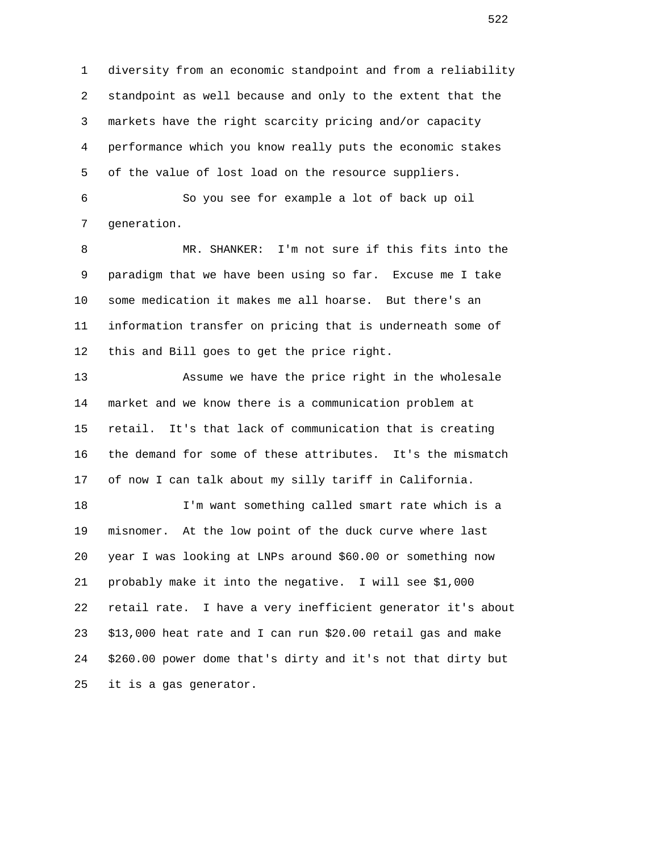1 diversity from an economic standpoint and from a reliability 2 standpoint as well because and only to the extent that the 3 markets have the right scarcity pricing and/or capacity 4 performance which you know really puts the economic stakes 5 of the value of lost load on the resource suppliers.

 6 So you see for example a lot of back up oil 7 generation.

 8 MR. SHANKER: I'm not sure if this fits into the 9 paradigm that we have been using so far. Excuse me I take 10 some medication it makes me all hoarse. But there's an 11 information transfer on pricing that is underneath some of 12 this and Bill goes to get the price right.

 13 Assume we have the price right in the wholesale 14 market and we know there is a communication problem at 15 retail. It's that lack of communication that is creating 16 the demand for some of these attributes. It's the mismatch 17 of now I can talk about my silly tariff in California.

 18 I'm want something called smart rate which is a 19 misnomer. At the low point of the duck curve where last 20 year I was looking at LNPs around \$60.00 or something now 21 probably make it into the negative. I will see \$1,000 22 retail rate. I have a very inefficient generator it's about 23 \$13,000 heat rate and I can run \$20.00 retail gas and make 24 \$260.00 power dome that's dirty and it's not that dirty but 25 it is a gas generator.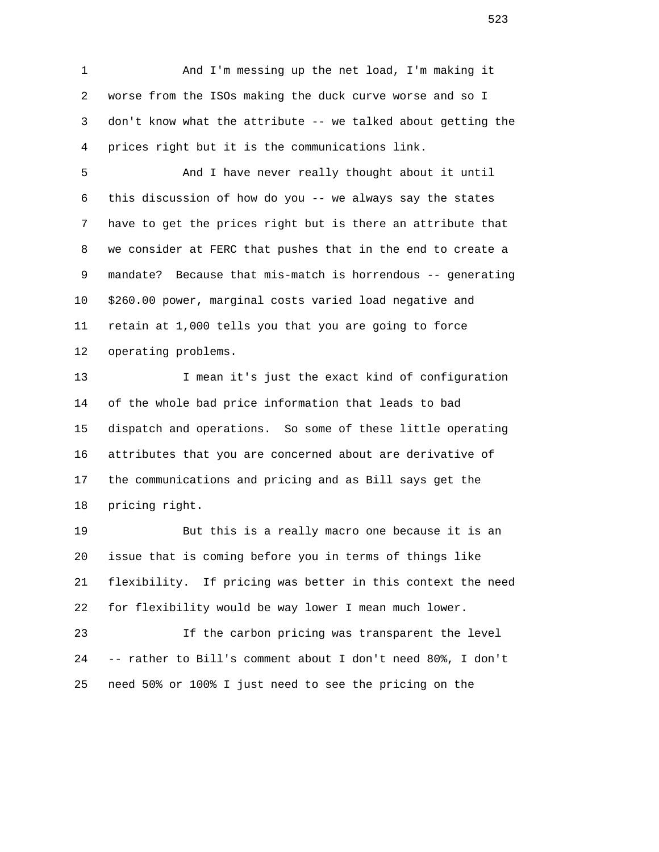1 And I'm messing up the net load, I'm making it 2 worse from the ISOs making the duck curve worse and so I 3 don't know what the attribute -- we talked about getting the 4 prices right but it is the communications link.

 5 And I have never really thought about it until 6 this discussion of how do you -- we always say the states 7 have to get the prices right but is there an attribute that 8 we consider at FERC that pushes that in the end to create a 9 mandate? Because that mis-match is horrendous -- generating 10 \$260.00 power, marginal costs varied load negative and 11 retain at 1,000 tells you that you are going to force 12 operating problems.

 13 I mean it's just the exact kind of configuration 14 of the whole bad price information that leads to bad 15 dispatch and operations. So some of these little operating 16 attributes that you are concerned about are derivative of 17 the communications and pricing and as Bill says get the 18 pricing right.

 19 But this is a really macro one because it is an 20 issue that is coming before you in terms of things like 21 flexibility. If pricing was better in this context the need 22 for flexibility would be way lower I mean much lower.

 23 If the carbon pricing was transparent the level 24 -- rather to Bill's comment about I don't need 80%, I don't 25 need 50% or 100% I just need to see the pricing on the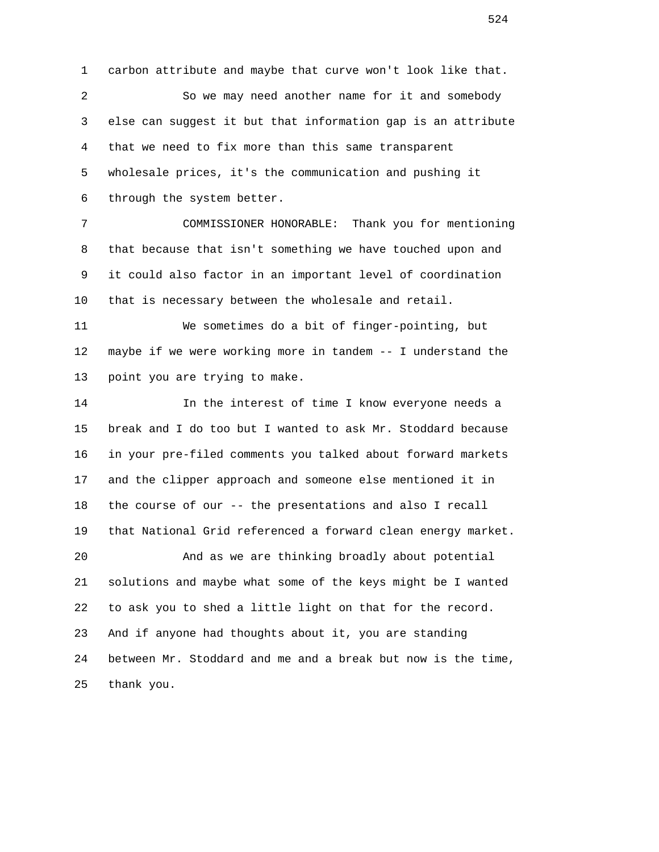1 carbon attribute and maybe that curve won't look like that. 2 So we may need another name for it and somebody 3 else can suggest it but that information gap is an attribute 4 that we need to fix more than this same transparent 5 wholesale prices, it's the communication and pushing it 6 through the system better. 7 COMMISSIONER HONORABLE: Thank you for mentioning 8 that because that isn't something we have touched upon and 9 it could also factor in an important level of coordination 10 that is necessary between the wholesale and retail. 11 We sometimes do a bit of finger-pointing, but 12 maybe if we were working more in tandem -- I understand the 13 point you are trying to make. 14 In the interest of time I know everyone needs a 15 break and I do too but I wanted to ask Mr. Stoddard because 16 in your pre-filed comments you talked about forward markets 17 and the clipper approach and someone else mentioned it in 18 the course of our -- the presentations and also I recall 19 that National Grid referenced a forward clean energy market. 20 And as we are thinking broadly about potential 21 solutions and maybe what some of the keys might be I wanted 22 to ask you to shed a little light on that for the record. 23 And if anyone had thoughts about it, you are standing 24 between Mr. Stoddard and me and a break but now is the time, 25 thank you.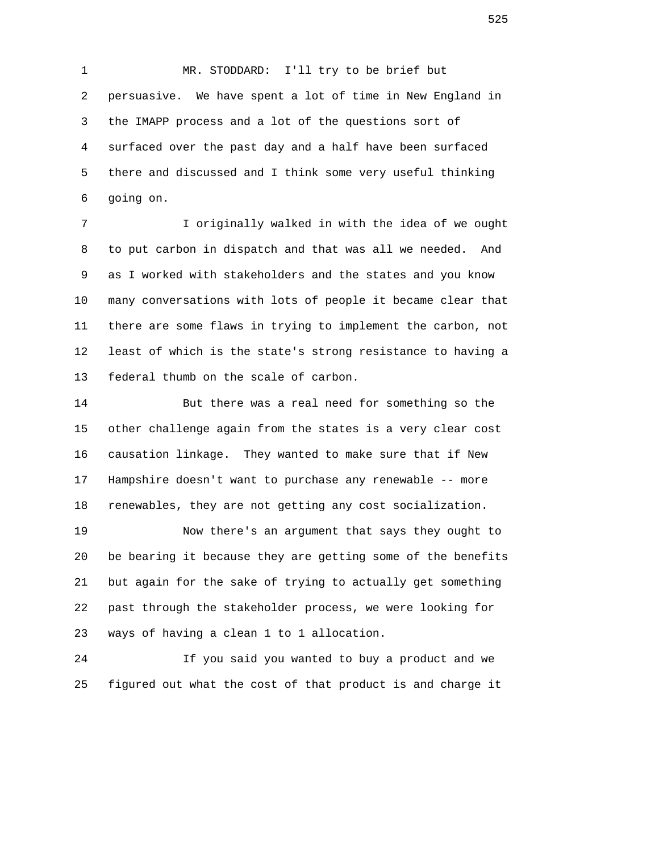1 MR. STODDARD: I'll try to be brief but 2 persuasive. We have spent a lot of time in New England in 3 the IMAPP process and a lot of the questions sort of 4 surfaced over the past day and a half have been surfaced 5 there and discussed and I think some very useful thinking 6 going on.

 7 I originally walked in with the idea of we ought 8 to put carbon in dispatch and that was all we needed. And 9 as I worked with stakeholders and the states and you know 10 many conversations with lots of people it became clear that 11 there are some flaws in trying to implement the carbon, not 12 least of which is the state's strong resistance to having a 13 federal thumb on the scale of carbon.

 14 But there was a real need for something so the 15 other challenge again from the states is a very clear cost 16 causation linkage. They wanted to make sure that if New 17 Hampshire doesn't want to purchase any renewable -- more 18 renewables, they are not getting any cost socialization.

 19 Now there's an argument that says they ought to 20 be bearing it because they are getting some of the benefits 21 but again for the sake of trying to actually get something 22 past through the stakeholder process, we were looking for 23 ways of having a clean 1 to 1 allocation.

 24 If you said you wanted to buy a product and we 25 figured out what the cost of that product is and charge it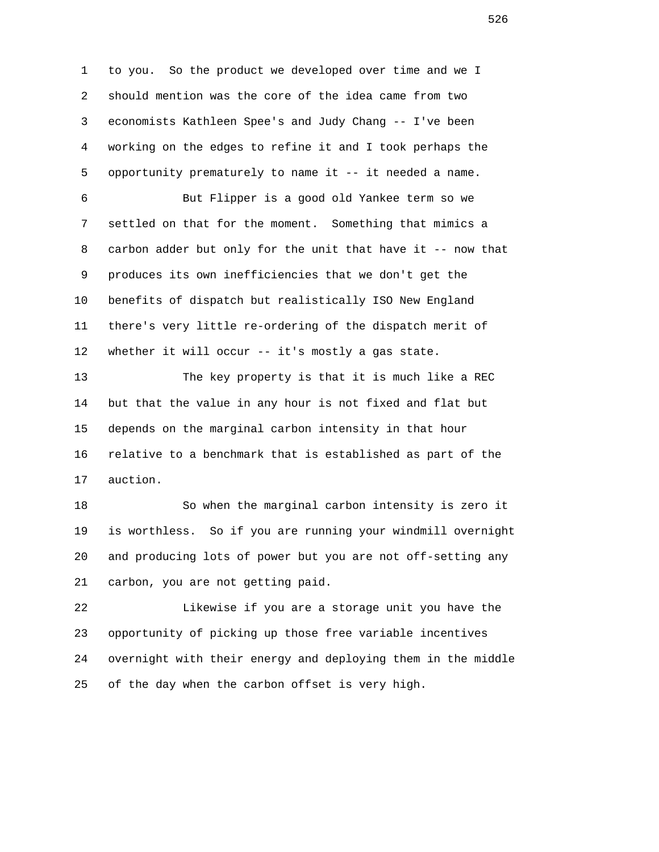1 to you. So the product we developed over time and we I 2 should mention was the core of the idea came from two 3 economists Kathleen Spee's and Judy Chang -- I've been 4 working on the edges to refine it and I took perhaps the 5 opportunity prematurely to name it -- it needed a name.

 6 But Flipper is a good old Yankee term so we 7 settled on that for the moment. Something that mimics a 8 carbon adder but only for the unit that have it -- now that 9 produces its own inefficiencies that we don't get the 10 benefits of dispatch but realistically ISO New England 11 there's very little re-ordering of the dispatch merit of 12 whether it will occur -- it's mostly a gas state.

 13 The key property is that it is much like a REC 14 but that the value in any hour is not fixed and flat but 15 depends on the marginal carbon intensity in that hour 16 relative to a benchmark that is established as part of the 17 auction.

 18 So when the marginal carbon intensity is zero it 19 is worthless. So if you are running your windmill overnight 20 and producing lots of power but you are not off-setting any 21 carbon, you are not getting paid.

 22 Likewise if you are a storage unit you have the 23 opportunity of picking up those free variable incentives 24 overnight with their energy and deploying them in the middle 25 of the day when the carbon offset is very high.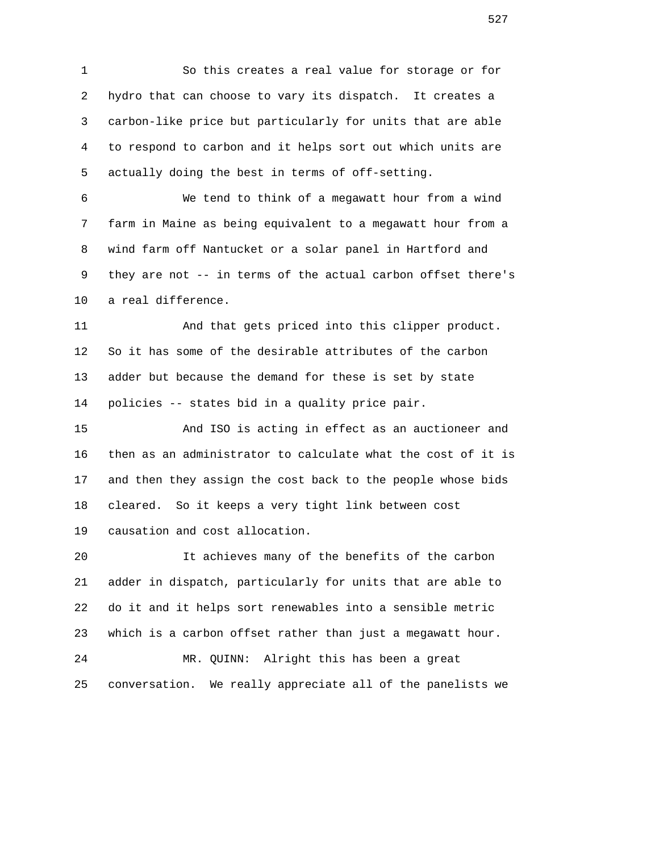1 So this creates a real value for storage or for 2 hydro that can choose to vary its dispatch. It creates a 3 carbon-like price but particularly for units that are able 4 to respond to carbon and it helps sort out which units are 5 actually doing the best in terms of off-setting.

 6 We tend to think of a megawatt hour from a wind 7 farm in Maine as being equivalent to a megawatt hour from a 8 wind farm off Nantucket or a solar panel in Hartford and 9 they are not -- in terms of the actual carbon offset there's 10 a real difference.

 11 And that gets priced into this clipper product. 12 So it has some of the desirable attributes of the carbon 13 adder but because the demand for these is set by state 14 policies -- states bid in a quality price pair.

 15 And ISO is acting in effect as an auctioneer and 16 then as an administrator to calculate what the cost of it is 17 and then they assign the cost back to the people whose bids 18 cleared. So it keeps a very tight link between cost 19 causation and cost allocation.

 20 It achieves many of the benefits of the carbon 21 adder in dispatch, particularly for units that are able to 22 do it and it helps sort renewables into a sensible metric 23 which is a carbon offset rather than just a megawatt hour. 24 MR. QUINN: Alright this has been a great 25 conversation. We really appreciate all of the panelists we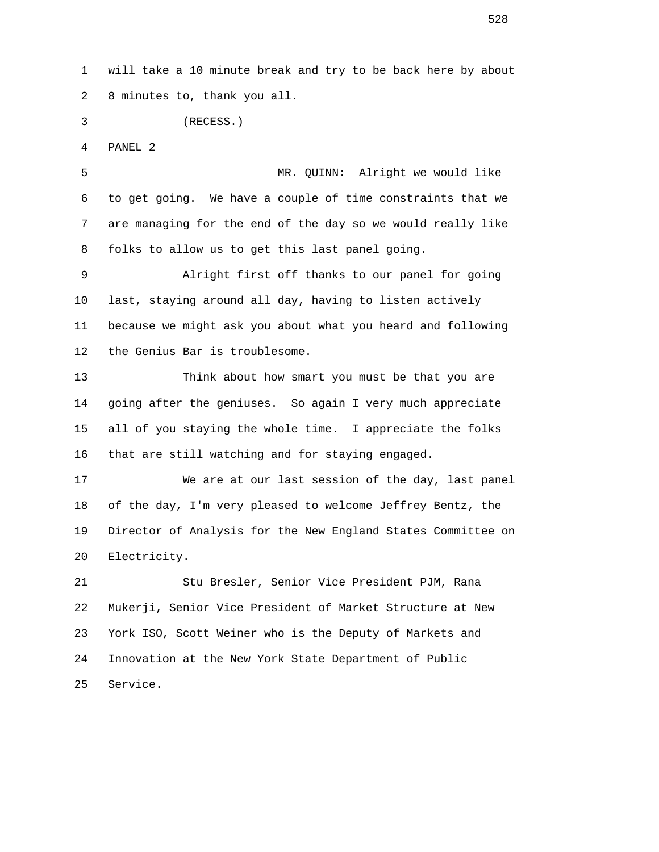1 will take a 10 minute break and try to be back here by about 2 8 minutes to, thank you all.

3 (RECESS.)

4 PANEL 2

 5 MR. QUINN: Alright we would like 6 to get going. We have a couple of time constraints that we 7 are managing for the end of the day so we would really like 8 folks to allow us to get this last panel going.

 9 Alright first off thanks to our panel for going 10 last, staying around all day, having to listen actively 11 because we might ask you about what you heard and following 12 the Genius Bar is troublesome.

 13 Think about how smart you must be that you are 14 going after the geniuses. So again I very much appreciate 15 all of you staying the whole time. I appreciate the folks 16 that are still watching and for staying engaged.

 17 We are at our last session of the day, last panel 18 of the day, I'm very pleased to welcome Jeffrey Bentz, the 19 Director of Analysis for the New England States Committee on 20 Electricity.

 21 Stu Bresler, Senior Vice President PJM, Rana 22 Mukerji, Senior Vice President of Market Structure at New 23 York ISO, Scott Weiner who is the Deputy of Markets and 24 Innovation at the New York State Department of Public 25 Service.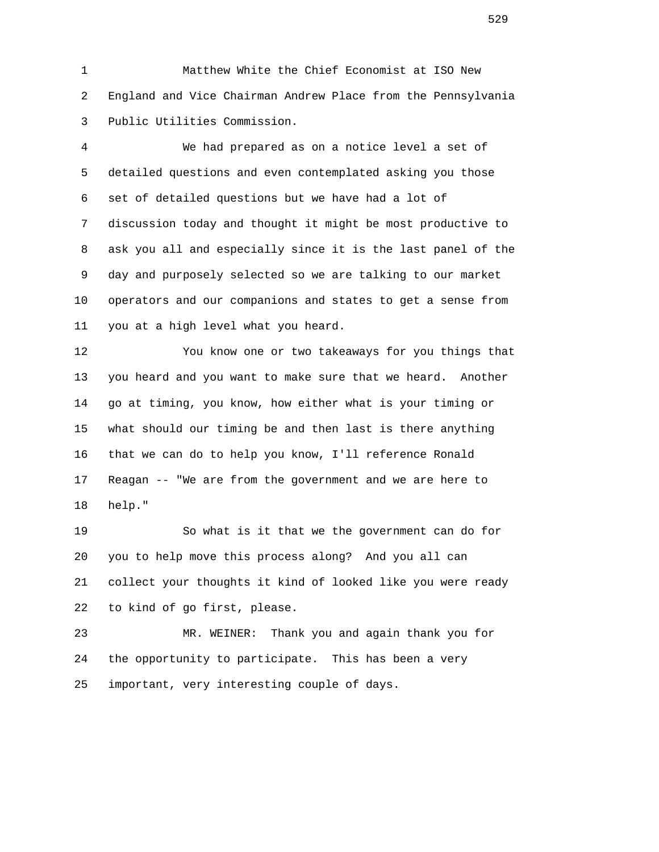1 Matthew White the Chief Economist at ISO New 2 England and Vice Chairman Andrew Place from the Pennsylvania 3 Public Utilities Commission.

 4 We had prepared as on a notice level a set of 5 detailed questions and even contemplated asking you those 6 set of detailed questions but we have had a lot of 7 discussion today and thought it might be most productive to 8 ask you all and especially since it is the last panel of the 9 day and purposely selected so we are talking to our market 10 operators and our companions and states to get a sense from 11 you at a high level what you heard.

 12 You know one or two takeaways for you things that 13 you heard and you want to make sure that we heard. Another 14 go at timing, you know, how either what is your timing or 15 what should our timing be and then last is there anything 16 that we can do to help you know, I'll reference Ronald 17 Reagan -- "We are from the government and we are here to 18 help."

 19 So what is it that we the government can do for 20 you to help move this process along? And you all can 21 collect your thoughts it kind of looked like you were ready 22 to kind of go first, please.

 23 MR. WEINER: Thank you and again thank you for 24 the opportunity to participate. This has been a very 25 important, very interesting couple of days.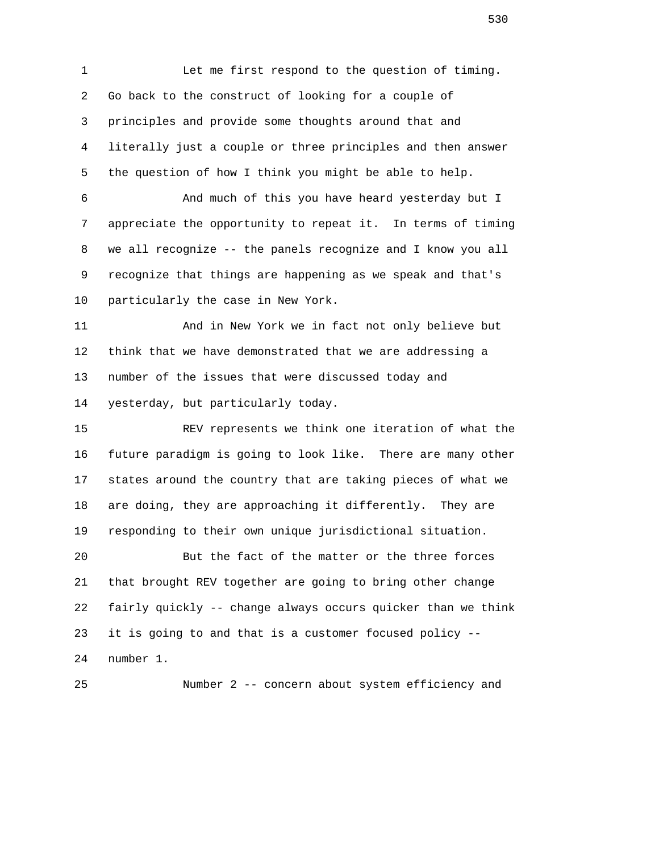1 Let me first respond to the question of timing. 2 Go back to the construct of looking for a couple of 3 principles and provide some thoughts around that and 4 literally just a couple or three principles and then answer 5 the question of how I think you might be able to help. 6 And much of this you have heard yesterday but I

 7 appreciate the opportunity to repeat it. In terms of timing 8 we all recognize -- the panels recognize and I know you all 9 recognize that things are happening as we speak and that's 10 particularly the case in New York.

 11 And in New York we in fact not only believe but 12 think that we have demonstrated that we are addressing a 13 number of the issues that were discussed today and 14 yesterday, but particularly today.

 15 REV represents we think one iteration of what the 16 future paradigm is going to look like. There are many other 17 states around the country that are taking pieces of what we 18 are doing, they are approaching it differently. They are 19 responding to their own unique jurisdictional situation.

 20 But the fact of the matter or the three forces 21 that brought REV together are going to bring other change 22 fairly quickly -- change always occurs quicker than we think 23 it is going to and that is a customer focused policy -- 24 number 1.

25 Number 2 -- concern about system efficiency and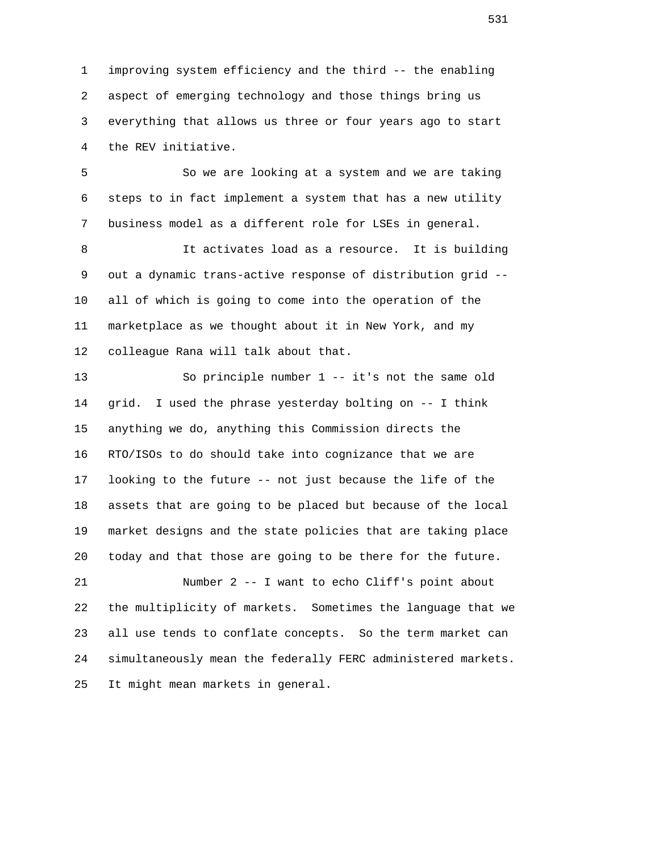1 improving system efficiency and the third -- the enabling 2 aspect of emerging technology and those things bring us 3 everything that allows us three or four years ago to start 4 the REV initiative.

 5 So we are looking at a system and we are taking 6 steps to in fact implement a system that has a new utility 7 business model as a different role for LSEs in general.

 8 It activates load as a resource. It is building 9 out a dynamic trans-active response of distribution grid -- 10 all of which is going to come into the operation of the 11 marketplace as we thought about it in New York, and my 12 colleague Rana will talk about that.

 13 So principle number 1 -- it's not the same old 14 grid. I used the phrase yesterday bolting on -- I think 15 anything we do, anything this Commission directs the 16 RTO/ISOs to do should take into cognizance that we are 17 looking to the future -- not just because the life of the 18 assets that are going to be placed but because of the local 19 market designs and the state policies that are taking place 20 today and that those are going to be there for the future.

 21 Number 2 -- I want to echo Cliff's point about 22 the multiplicity of markets. Sometimes the language that we 23 all use tends to conflate concepts. So the term market can 24 simultaneously mean the federally FERC administered markets. 25 It might mean markets in general.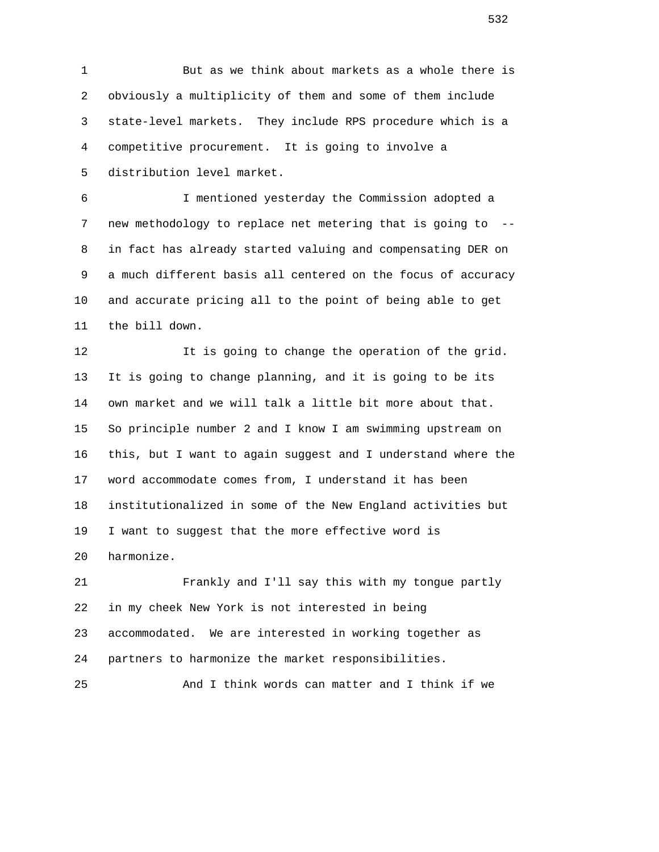1 But as we think about markets as a whole there is 2 obviously a multiplicity of them and some of them include 3 state-level markets. They include RPS procedure which is a 4 competitive procurement. It is going to involve a 5 distribution level market.

 6 I mentioned yesterday the Commission adopted a 7 new methodology to replace net metering that is going to -- 8 in fact has already started valuing and compensating DER on 9 a much different basis all centered on the focus of accuracy 10 and accurate pricing all to the point of being able to get 11 the bill down.

12 12 It is going to change the operation of the grid. 13 It is going to change planning, and it is going to be its 14 own market and we will talk a little bit more about that. 15 So principle number 2 and I know I am swimming upstream on 16 this, but I want to again suggest and I understand where the 17 word accommodate comes from, I understand it has been 18 institutionalized in some of the New England activities but 19 I want to suggest that the more effective word is 20 harmonize.

 21 Frankly and I'll say this with my tongue partly 22 in my cheek New York is not interested in being 23 accommodated. We are interested in working together as 24 partners to harmonize the market responsibilities.

25 And I think words can matter and I think if we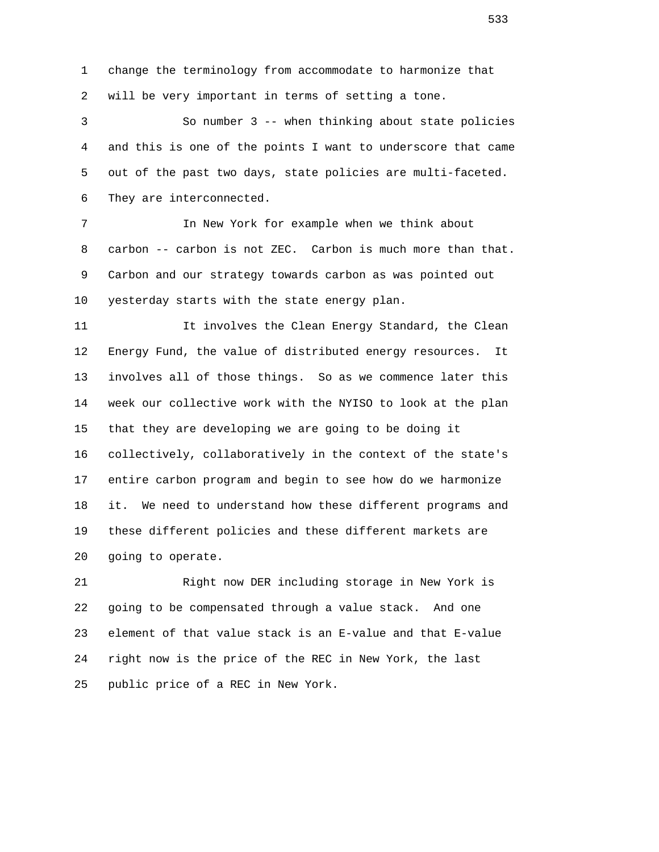1 change the terminology from accommodate to harmonize that 2 will be very important in terms of setting a tone.

 3 So number 3 -- when thinking about state policies 4 and this is one of the points I want to underscore that came 5 out of the past two days, state policies are multi-faceted. 6 They are interconnected.

 7 In New York for example when we think about 8 carbon -- carbon is not ZEC. Carbon is much more than that. 9 Carbon and our strategy towards carbon as was pointed out 10 yesterday starts with the state energy plan.

 11 It involves the Clean Energy Standard, the Clean 12 Energy Fund, the value of distributed energy resources. It 13 involves all of those things. So as we commence later this 14 week our collective work with the NYISO to look at the plan 15 that they are developing we are going to be doing it 16 collectively, collaboratively in the context of the state's 17 entire carbon program and begin to see how do we harmonize 18 it. We need to understand how these different programs and 19 these different policies and these different markets are 20 going to operate.

 21 Right now DER including storage in New York is 22 going to be compensated through a value stack. And one 23 element of that value stack is an E-value and that E-value 24 right now is the price of the REC in New York, the last 25 public price of a REC in New York.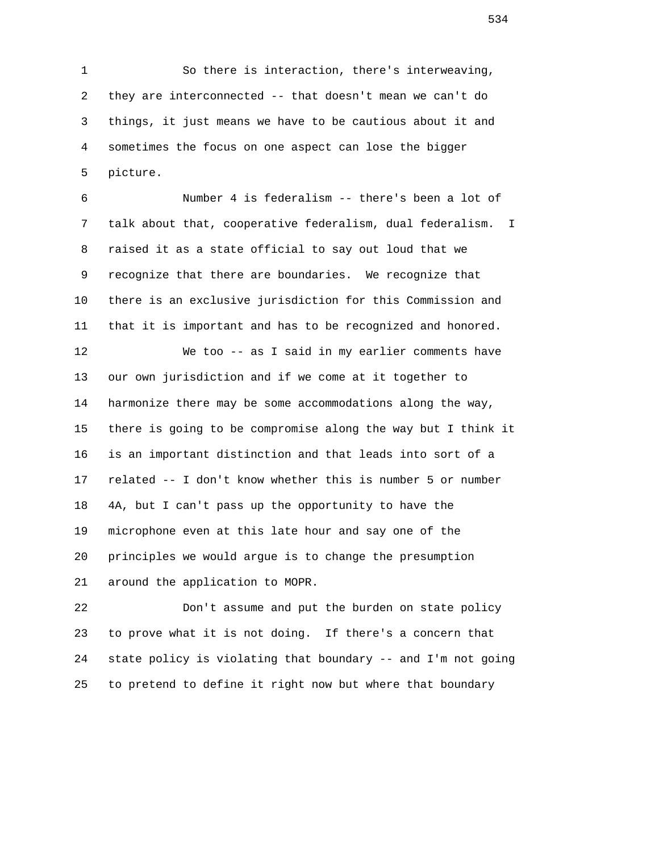1 So there is interaction, there's interweaving, 2 they are interconnected -- that doesn't mean we can't do 3 things, it just means we have to be cautious about it and 4 sometimes the focus on one aspect can lose the bigger 5 picture.

 6 Number 4 is federalism -- there's been a lot of 7 talk about that, cooperative federalism, dual federalism. I 8 raised it as a state official to say out loud that we 9 recognize that there are boundaries. We recognize that 10 there is an exclusive jurisdiction for this Commission and 11 that it is important and has to be recognized and honored. 12 We too -- as I said in my earlier comments have 13 our own jurisdiction and if we come at it together to 14 harmonize there may be some accommodations along the way, 15 there is going to be compromise along the way but I think it 16 is an important distinction and that leads into sort of a 17 related -- I don't know whether this is number 5 or number 18 4A, but I can't pass up the opportunity to have the 19 microphone even at this late hour and say one of the 20 principles we would argue is to change the presumption 21 around the application to MOPR.

 22 Don't assume and put the burden on state policy 23 to prove what it is not doing. If there's a concern that 24 state policy is violating that boundary -- and I'm not going 25 to pretend to define it right now but where that boundary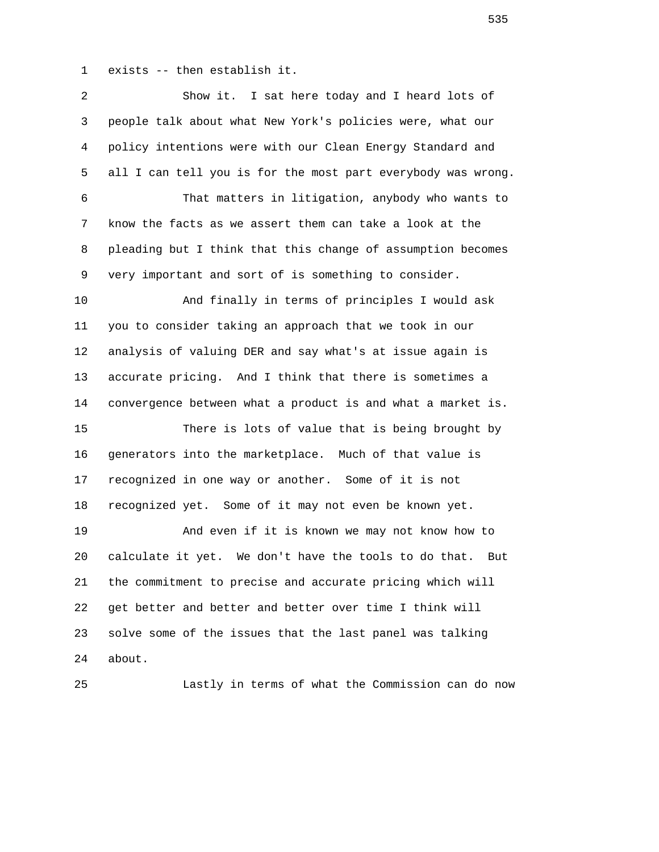1 exists -- then establish it.

| 2  | Show it. I sat here today and I heard lots of                |
|----|--------------------------------------------------------------|
| 3  | people talk about what New York's policies were, what our    |
| 4  | policy intentions were with our Clean Energy Standard and    |
| 5  | all I can tell you is for the most part everybody was wrong. |
| 6  | That matters in litigation, anybody who wants to             |
| 7  | know the facts as we assert them can take a look at the      |
| 8  | pleading but I think that this change of assumption becomes  |
| 9  | very important and sort of is something to consider.         |
| 10 | And finally in terms of principles I would ask               |
| 11 | you to consider taking an approach that we took in our       |
| 12 | analysis of valuing DER and say what's at issue again is     |
| 13 | accurate pricing. And I think that there is sometimes a      |
| 14 | convergence between what a product is and what a market is.  |
| 15 | There is lots of value that is being brought by              |
| 16 | generators into the marketplace. Much of that value is       |
| 17 | recognized in one way or another. Some of it is not          |
| 18 | recognized yet. Some of it may not even be known yet.        |
| 19 | And even if it is known we may not know how to               |
| 20 | calculate it yet. We don't have the tools to do that.<br>But |
| 21 | the commitment to precise and accurate pricing which will    |
| 22 | get better and better and better over time I think will      |
| 23 | solve some of the issues that the last panel was talking     |
| 24 | about.                                                       |
| 25 | Lastly in terms of what the Commission can do now            |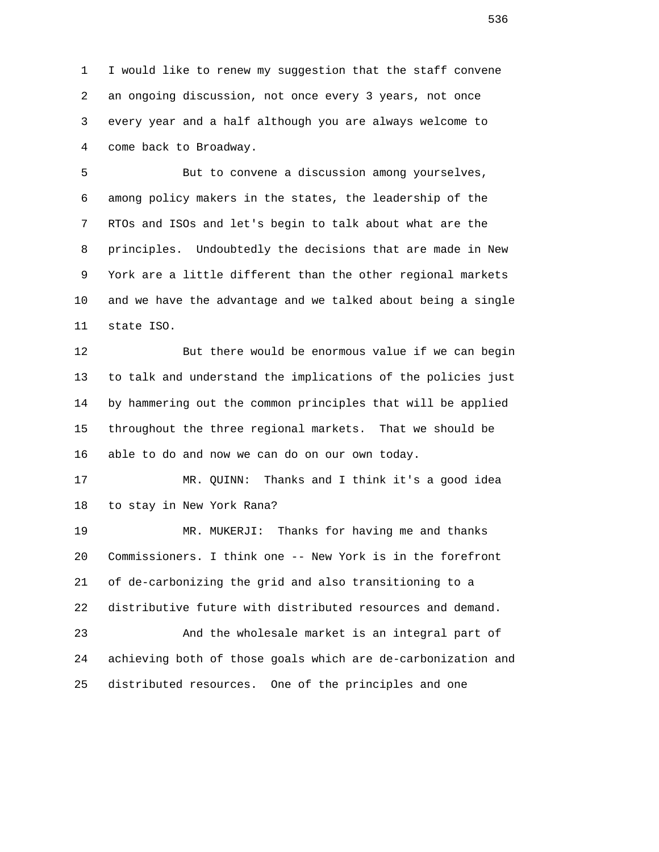1 I would like to renew my suggestion that the staff convene 2 an ongoing discussion, not once every 3 years, not once 3 every year and a half although you are always welcome to 4 come back to Broadway.

 5 But to convene a discussion among yourselves, 6 among policy makers in the states, the leadership of the 7 RTOs and ISOs and let's begin to talk about what are the 8 principles. Undoubtedly the decisions that are made in New 9 York are a little different than the other regional markets 10 and we have the advantage and we talked about being a single 11 state ISO.

 12 But there would be enormous value if we can begin 13 to talk and understand the implications of the policies just 14 by hammering out the common principles that will be applied 15 throughout the three regional markets. That we should be 16 able to do and now we can do on our own today.

 17 MR. QUINN: Thanks and I think it's a good idea 18 to stay in New York Rana?

 19 MR. MUKERJI: Thanks for having me and thanks 20 Commissioners. I think one -- New York is in the forefront 21 of de-carbonizing the grid and also transitioning to a 22 distributive future with distributed resources and demand. 23 And the wholesale market is an integral part of 24 achieving both of those goals which are de-carbonization and

25 distributed resources. One of the principles and one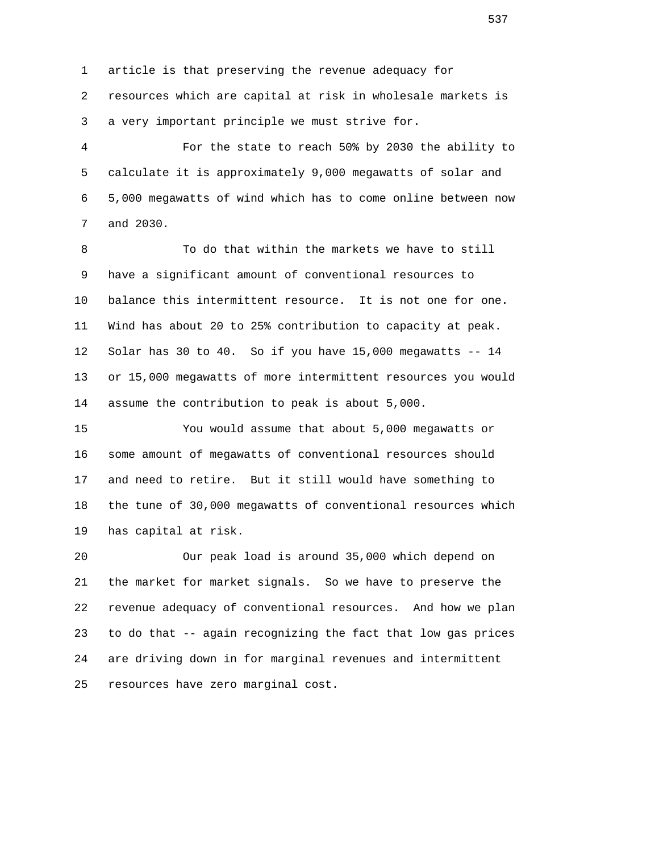1 article is that preserving the revenue adequacy for 2 resources which are capital at risk in wholesale markets is 3 a very important principle we must strive for.

 4 For the state to reach 50% by 2030 the ability to 5 calculate it is approximately 9,000 megawatts of solar and 6 5,000 megawatts of wind which has to come online between now 7 and 2030.

 8 To do that within the markets we have to still 9 have a significant amount of conventional resources to 10 balance this intermittent resource. It is not one for one. 11 Wind has about 20 to 25% contribution to capacity at peak. 12 Solar has 30 to 40. So if you have 15,000 megawatts -- 14 13 or 15,000 megawatts of more intermittent resources you would 14 assume the contribution to peak is about 5,000.

 15 You would assume that about 5,000 megawatts or 16 some amount of megawatts of conventional resources should 17 and need to retire. But it still would have something to 18 the tune of 30,000 megawatts of conventional resources which 19 has capital at risk.

 20 Our peak load is around 35,000 which depend on 21 the market for market signals. So we have to preserve the 22 revenue adequacy of conventional resources. And how we plan 23 to do that -- again recognizing the fact that low gas prices 24 are driving down in for marginal revenues and intermittent 25 resources have zero marginal cost.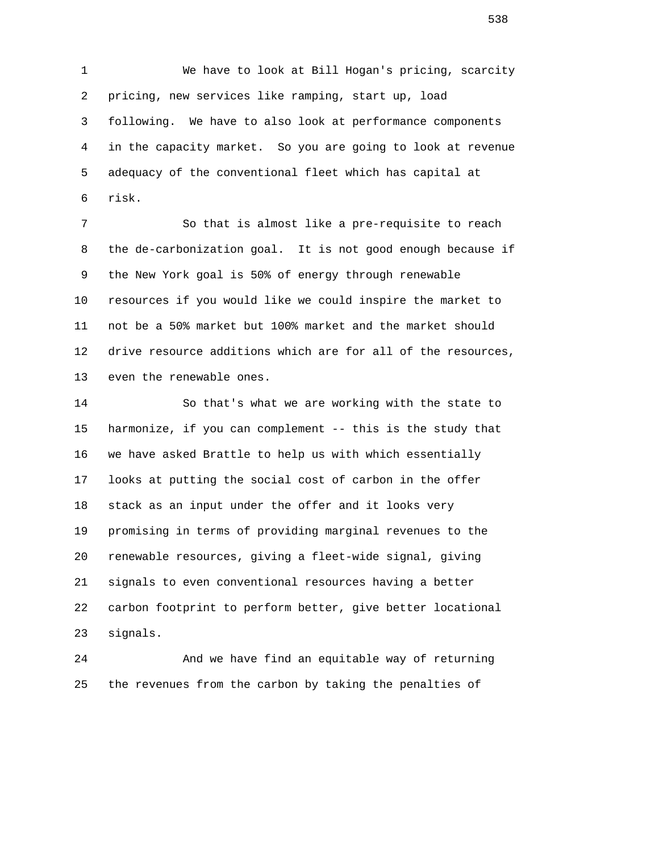1 We have to look at Bill Hogan's pricing, scarcity 2 pricing, new services like ramping, start up, load 3 following. We have to also look at performance components 4 in the capacity market. So you are going to look at revenue 5 adequacy of the conventional fleet which has capital at 6 risk.

 7 So that is almost like a pre-requisite to reach 8 the de-carbonization goal. It is not good enough because if 9 the New York goal is 50% of energy through renewable 10 resources if you would like we could inspire the market to 11 not be a 50% market but 100% market and the market should 12 drive resource additions which are for all of the resources, 13 even the renewable ones.

 14 So that's what we are working with the state to 15 harmonize, if you can complement -- this is the study that 16 we have asked Brattle to help us with which essentially 17 looks at putting the social cost of carbon in the offer 18 stack as an input under the offer and it looks very 19 promising in terms of providing marginal revenues to the 20 renewable resources, giving a fleet-wide signal, giving 21 signals to even conventional resources having a better 22 carbon footprint to perform better, give better locational 23 signals.

 24 And we have find an equitable way of returning 25 the revenues from the carbon by taking the penalties of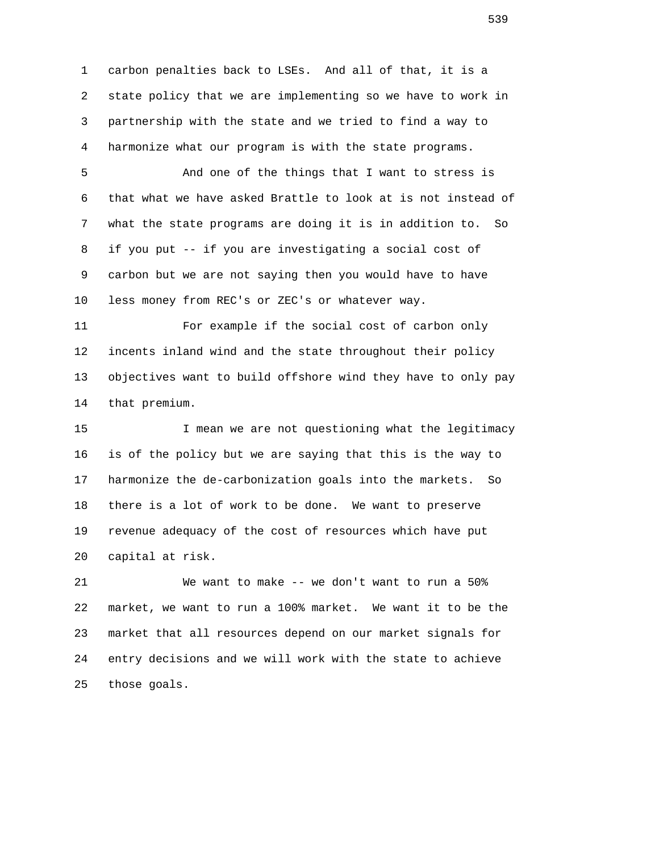1 carbon penalties back to LSEs. And all of that, it is a 2 state policy that we are implementing so we have to work in 3 partnership with the state and we tried to find a way to 4 harmonize what our program is with the state programs.

 5 And one of the things that I want to stress is 6 that what we have asked Brattle to look at is not instead of 7 what the state programs are doing it is in addition to. So 8 if you put -- if you are investigating a social cost of 9 carbon but we are not saying then you would have to have 10 less money from REC's or ZEC's or whatever way.

 11 For example if the social cost of carbon only 12 incents inland wind and the state throughout their policy 13 objectives want to build offshore wind they have to only pay 14 that premium.

15 15 I mean we are not questioning what the legitimacy 16 is of the policy but we are saying that this is the way to 17 harmonize the de-carbonization goals into the markets. So 18 there is a lot of work to be done. We want to preserve 19 revenue adequacy of the cost of resources which have put 20 capital at risk.

 21 We want to make -- we don't want to run a 50% 22 market, we want to run a 100% market. We want it to be the 23 market that all resources depend on our market signals for 24 entry decisions and we will work with the state to achieve 25 those goals.

 $\sim$  539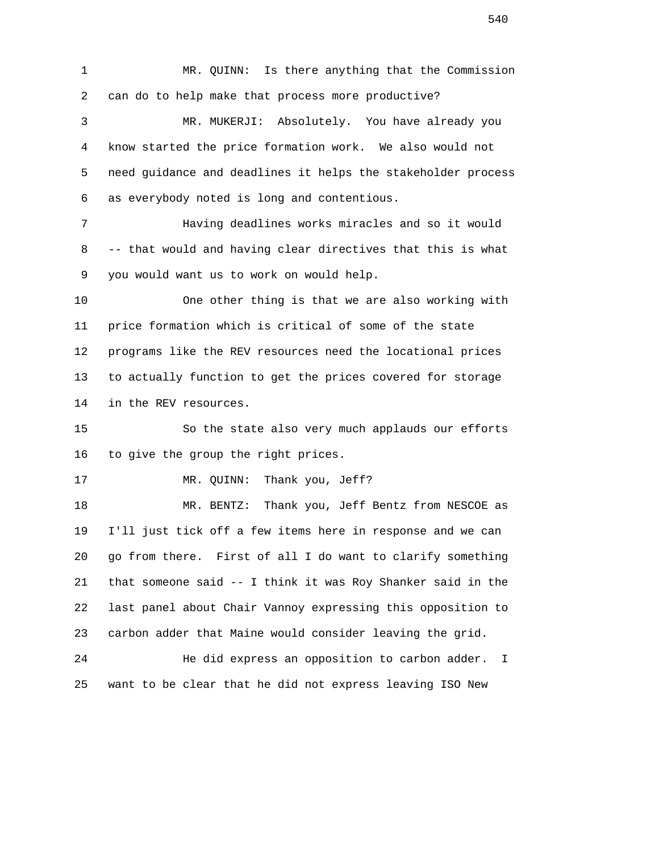1 MR. QUINN: Is there anything that the Commission 2 can do to help make that process more productive? 3 MR. MUKERJI: Absolutely. You have already you 4 know started the price formation work. We also would not 5 need guidance and deadlines it helps the stakeholder process 6 as everybody noted is long and contentious. 7 Having deadlines works miracles and so it would

 8 -- that would and having clear directives that this is what 9 you would want us to work on would help.

 10 One other thing is that we are also working with 11 price formation which is critical of some of the state 12 programs like the REV resources need the locational prices 13 to actually function to get the prices covered for storage 14 in the REV resources.

 15 So the state also very much applauds our efforts 16 to give the group the right prices.

17 MR. QUINN: Thank you, Jeff?

 18 MR. BENTZ: Thank you, Jeff Bentz from NESCOE as 19 I'll just tick off a few items here in response and we can 20 go from there. First of all I do want to clarify something 21 that someone said -- I think it was Roy Shanker said in the 22 last panel about Chair Vannoy expressing this opposition to 23 carbon adder that Maine would consider leaving the grid.

 24 He did express an opposition to carbon adder. I 25 want to be clear that he did not express leaving ISO New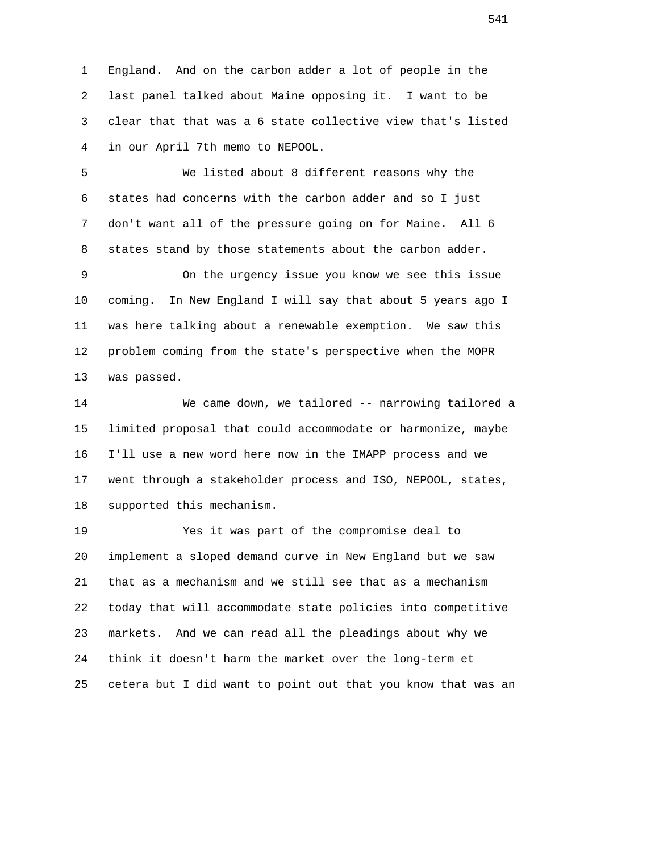1 England. And on the carbon adder a lot of people in the 2 last panel talked about Maine opposing it. I want to be 3 clear that that was a 6 state collective view that's listed 4 in our April 7th memo to NEPOOL.

 5 We listed about 8 different reasons why the 6 states had concerns with the carbon adder and so I just 7 don't want all of the pressure going on for Maine. All 6 8 states stand by those statements about the carbon adder.

 9 On the urgency issue you know we see this issue 10 coming. In New England I will say that about 5 years ago I 11 was here talking about a renewable exemption. We saw this 12 problem coming from the state's perspective when the MOPR 13 was passed.

 14 We came down, we tailored -- narrowing tailored a 15 limited proposal that could accommodate or harmonize, maybe 16 I'll use a new word here now in the IMAPP process and we 17 went through a stakeholder process and ISO, NEPOOL, states, 18 supported this mechanism.

 19 Yes it was part of the compromise deal to 20 implement a sloped demand curve in New England but we saw 21 that as a mechanism and we still see that as a mechanism 22 today that will accommodate state policies into competitive 23 markets. And we can read all the pleadings about why we 24 think it doesn't harm the market over the long-term et 25 cetera but I did want to point out that you know that was an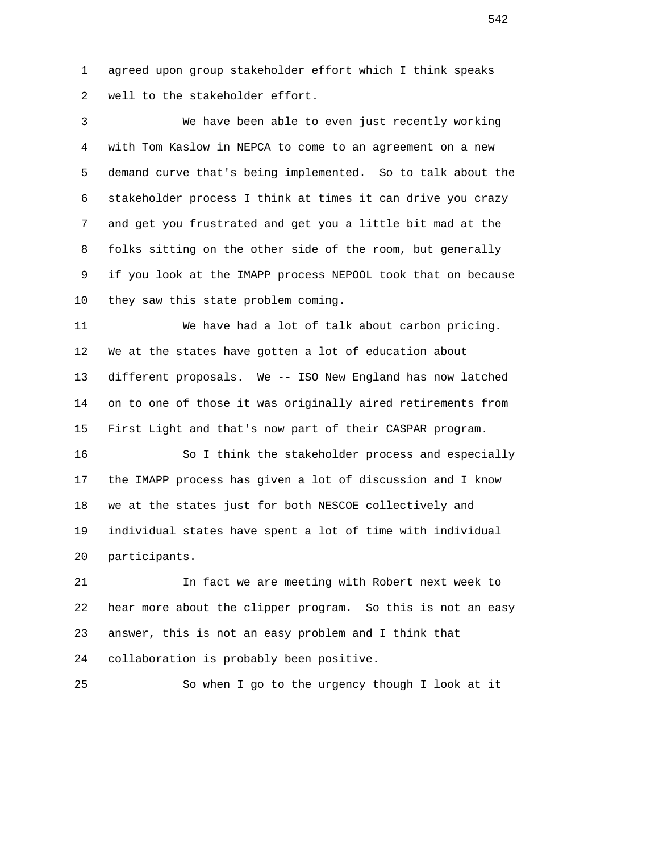1 agreed upon group stakeholder effort which I think speaks 2 well to the stakeholder effort.

 3 We have been able to even just recently working 4 with Tom Kaslow in NEPCA to come to an agreement on a new 5 demand curve that's being implemented. So to talk about the 6 stakeholder process I think at times it can drive you crazy 7 and get you frustrated and get you a little bit mad at the 8 folks sitting on the other side of the room, but generally 9 if you look at the IMAPP process NEPOOL took that on because 10 they saw this state problem coming.

 11 We have had a lot of talk about carbon pricing. 12 We at the states have gotten a lot of education about 13 different proposals. We -- ISO New England has now latched 14 on to one of those it was originally aired retirements from 15 First Light and that's now part of their CASPAR program.

 16 So I think the stakeholder process and especially 17 the IMAPP process has given a lot of discussion and I know 18 we at the states just for both NESCOE collectively and 19 individual states have spent a lot of time with individual 20 participants.

 21 In fact we are meeting with Robert next week to 22 hear more about the clipper program. So this is not an easy 23 answer, this is not an easy problem and I think that 24 collaboration is probably been positive.

25 So when I go to the urgency though I look at it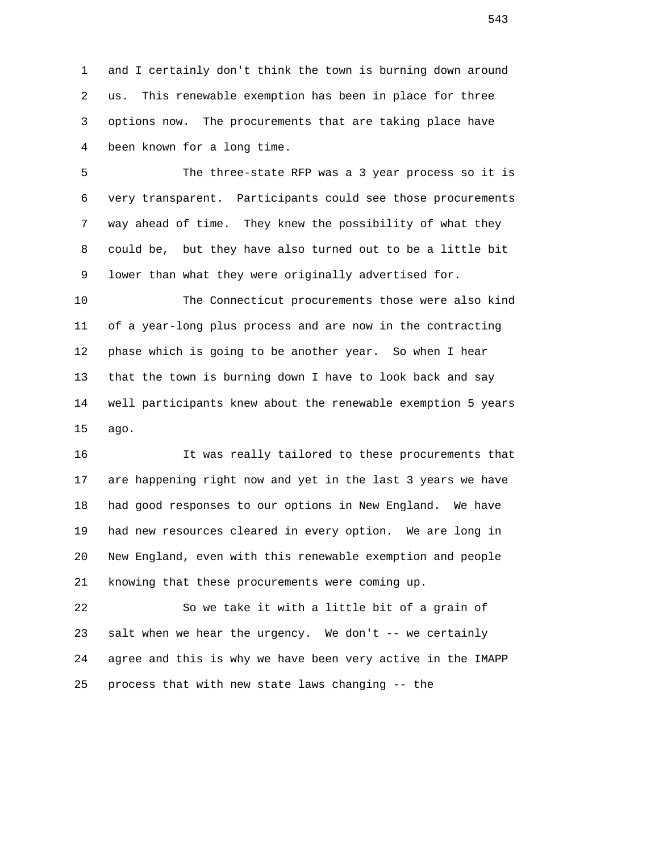1 and I certainly don't think the town is burning down around 2 us. This renewable exemption has been in place for three 3 options now. The procurements that are taking place have 4 been known for a long time.

 5 The three-state RFP was a 3 year process so it is 6 very transparent. Participants could see those procurements 7 way ahead of time. They knew the possibility of what they 8 could be, but they have also turned out to be a little bit 9 lower than what they were originally advertised for.

 10 The Connecticut procurements those were also kind 11 of a year-long plus process and are now in the contracting 12 phase which is going to be another year. So when I hear 13 that the town is burning down I have to look back and say 14 well participants knew about the renewable exemption 5 years 15 ago.

 16 It was really tailored to these procurements that 17 are happening right now and yet in the last 3 years we have 18 had good responses to our options in New England. We have 19 had new resources cleared in every option. We are long in 20 New England, even with this renewable exemption and people 21 knowing that these procurements were coming up.

 22 So we take it with a little bit of a grain of 23 salt when we hear the urgency. We don't -- we certainly 24 agree and this is why we have been very active in the IMAPP 25 process that with new state laws changing -- the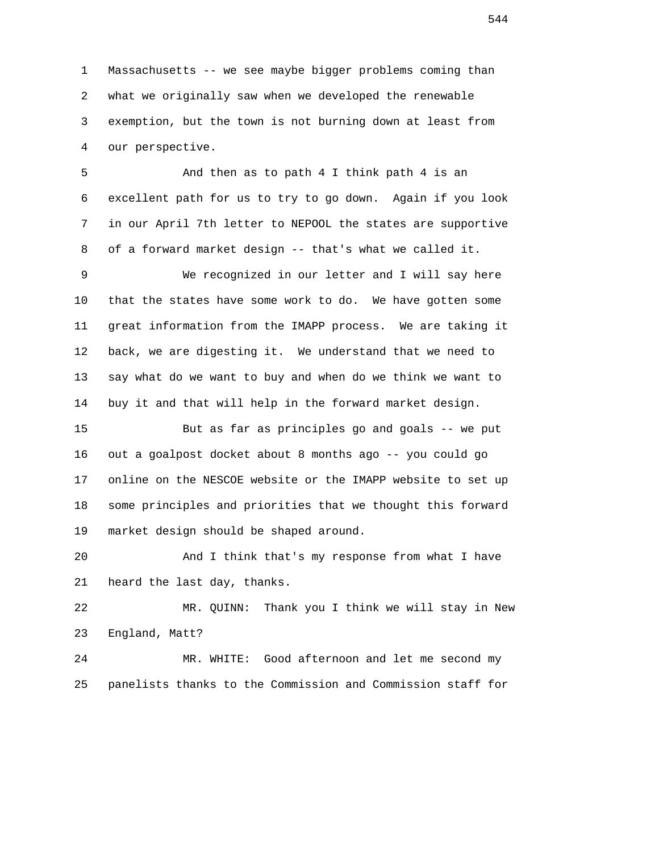1 Massachusetts -- we see maybe bigger problems coming than 2 what we originally saw when we developed the renewable 3 exemption, but the town is not burning down at least from 4 our perspective.

 5 And then as to path 4 I think path 4 is an 6 excellent path for us to try to go down. Again if you look 7 in our April 7th letter to NEPOOL the states are supportive 8 of a forward market design -- that's what we called it.

 9 We recognized in our letter and I will say here 10 that the states have some work to do. We have gotten some 11 great information from the IMAPP process. We are taking it 12 back, we are digesting it. We understand that we need to 13 say what do we want to buy and when do we think we want to 14 buy it and that will help in the forward market design.

 15 But as far as principles go and goals -- we put 16 out a goalpost docket about 8 months ago -- you could go 17 online on the NESCOE website or the IMAPP website to set up 18 some principles and priorities that we thought this forward 19 market design should be shaped around.

 20 And I think that's my response from what I have 21 heard the last day, thanks.

 22 MR. QUINN: Thank you I think we will stay in New 23 England, Matt?

 24 MR. WHITE: Good afternoon and let me second my 25 panelists thanks to the Commission and Commission staff for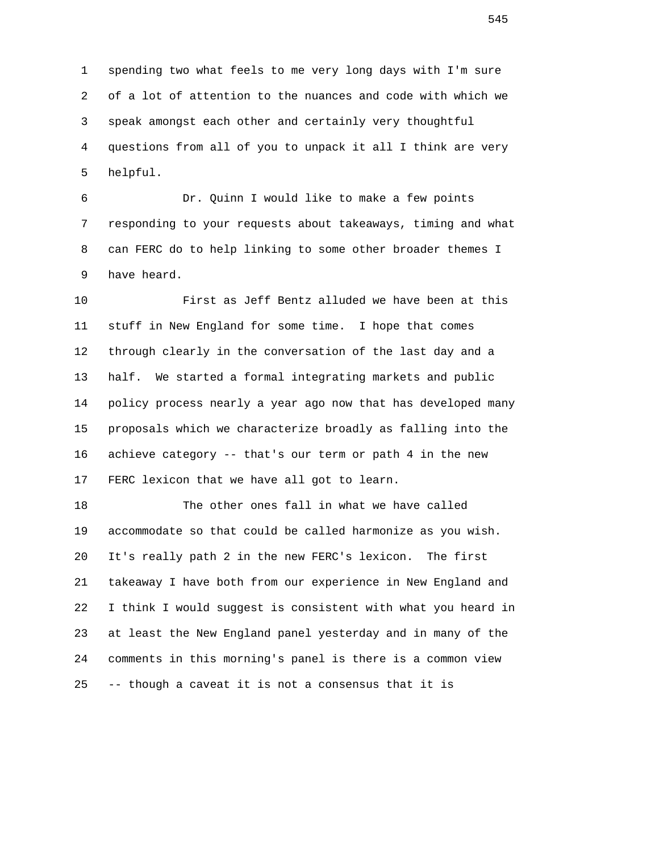1 spending two what feels to me very long days with I'm sure 2 of a lot of attention to the nuances and code with which we 3 speak amongst each other and certainly very thoughtful 4 questions from all of you to unpack it all I think are very 5 helpful.

 6 Dr. Quinn I would like to make a few points 7 responding to your requests about takeaways, timing and what 8 can FERC do to help linking to some other broader themes I 9 have heard.

 10 First as Jeff Bentz alluded we have been at this 11 stuff in New England for some time. I hope that comes 12 through clearly in the conversation of the last day and a 13 half. We started a formal integrating markets and public 14 policy process nearly a year ago now that has developed many 15 proposals which we characterize broadly as falling into the 16 achieve category -- that's our term or path 4 in the new 17 FERC lexicon that we have all got to learn.

 18 The other ones fall in what we have called 19 accommodate so that could be called harmonize as you wish. 20 It's really path 2 in the new FERC's lexicon. The first 21 takeaway I have both from our experience in New England and 22 I think I would suggest is consistent with what you heard in 23 at least the New England panel yesterday and in many of the 24 comments in this morning's panel is there is a common view 25 -- though a caveat it is not a consensus that it is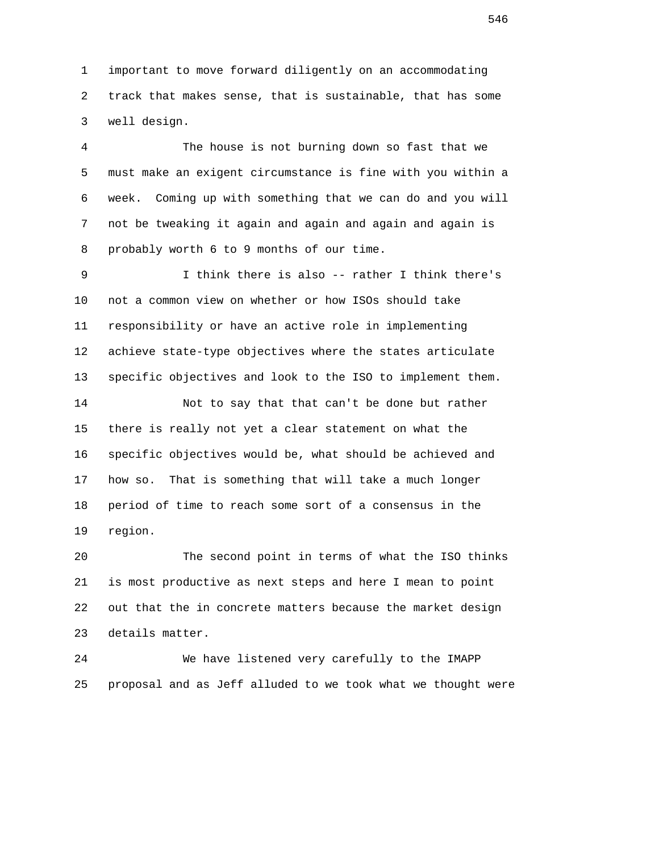1 important to move forward diligently on an accommodating 2 track that makes sense, that is sustainable, that has some 3 well design.

 4 The house is not burning down so fast that we 5 must make an exigent circumstance is fine with you within a 6 week. Coming up with something that we can do and you will 7 not be tweaking it again and again and again and again is 8 probably worth 6 to 9 months of our time.

 9 I think there is also -- rather I think there's 10 not a common view on whether or how ISOs should take 11 responsibility or have an active role in implementing 12 achieve state-type objectives where the states articulate 13 specific objectives and look to the ISO to implement them.

 14 Not to say that that can't be done but rather 15 there is really not yet a clear statement on what the 16 specific objectives would be, what should be achieved and 17 how so. That is something that will take a much longer 18 period of time to reach some sort of a consensus in the 19 region.

 20 The second point in terms of what the ISO thinks 21 is most productive as next steps and here I mean to point 22 out that the in concrete matters because the market design 23 details matter.

 24 We have listened very carefully to the IMAPP 25 proposal and as Jeff alluded to we took what we thought were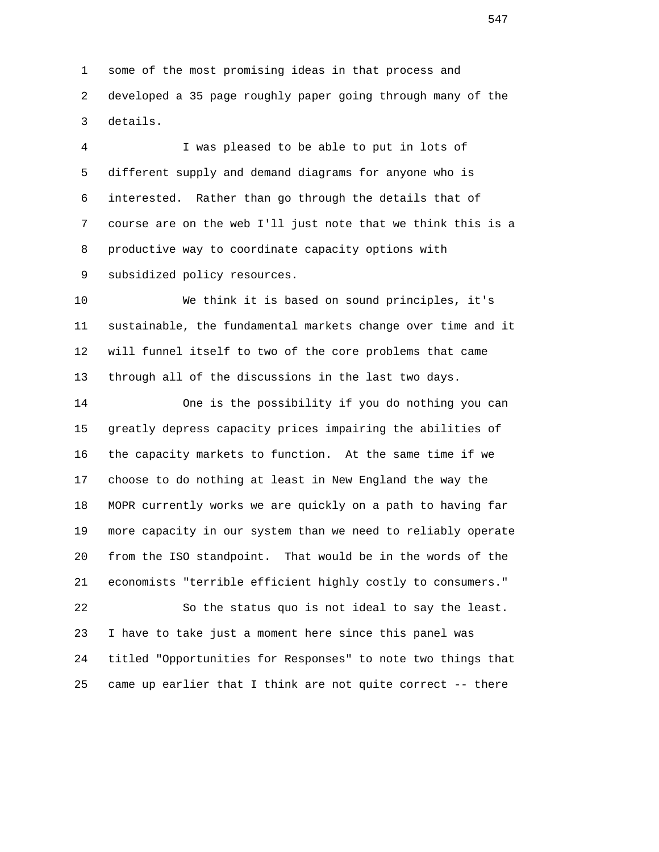1 some of the most promising ideas in that process and 2 developed a 35 page roughly paper going through many of the 3 details.

 4 I was pleased to be able to put in lots of 5 different supply and demand diagrams for anyone who is 6 interested. Rather than go through the details that of 7 course are on the web I'll just note that we think this is a 8 productive way to coordinate capacity options with 9 subsidized policy resources.

 10 We think it is based on sound principles, it's 11 sustainable, the fundamental markets change over time and it 12 will funnel itself to two of the core problems that came 13 through all of the discussions in the last two days.

 14 One is the possibility if you do nothing you can 15 greatly depress capacity prices impairing the abilities of 16 the capacity markets to function. At the same time if we 17 choose to do nothing at least in New England the way the 18 MOPR currently works we are quickly on a path to having far 19 more capacity in our system than we need to reliably operate 20 from the ISO standpoint. That would be in the words of the 21 economists "terrible efficient highly costly to consumers."

 22 So the status quo is not ideal to say the least. 23 I have to take just a moment here since this panel was 24 titled "Opportunities for Responses" to note two things that 25 came up earlier that I think are not quite correct -- there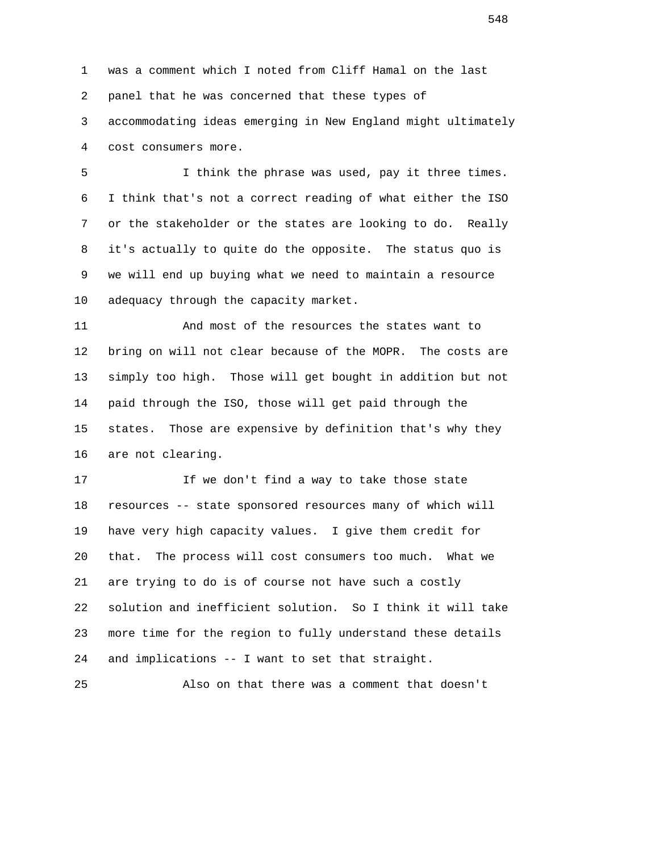1 was a comment which I noted from Cliff Hamal on the last 2 panel that he was concerned that these types of 3 accommodating ideas emerging in New England might ultimately 4 cost consumers more.

 5 I think the phrase was used, pay it three times. 6 I think that's not a correct reading of what either the ISO 7 or the stakeholder or the states are looking to do. Really 8 it's actually to quite do the opposite. The status quo is 9 we will end up buying what we need to maintain a resource 10 adequacy through the capacity market.

 11 And most of the resources the states want to 12 bring on will not clear because of the MOPR. The costs are 13 simply too high. Those will get bought in addition but not 14 paid through the ISO, those will get paid through the 15 states. Those are expensive by definition that's why they 16 are not clearing.

17 17 If we don't find a way to take those state 18 resources -- state sponsored resources many of which will 19 have very high capacity values. I give them credit for 20 that. The process will cost consumers too much. What we 21 are trying to do is of course not have such a costly 22 solution and inefficient solution. So I think it will take 23 more time for the region to fully understand these details 24 and implications -- I want to set that straight.

25 Also on that there was a comment that doesn't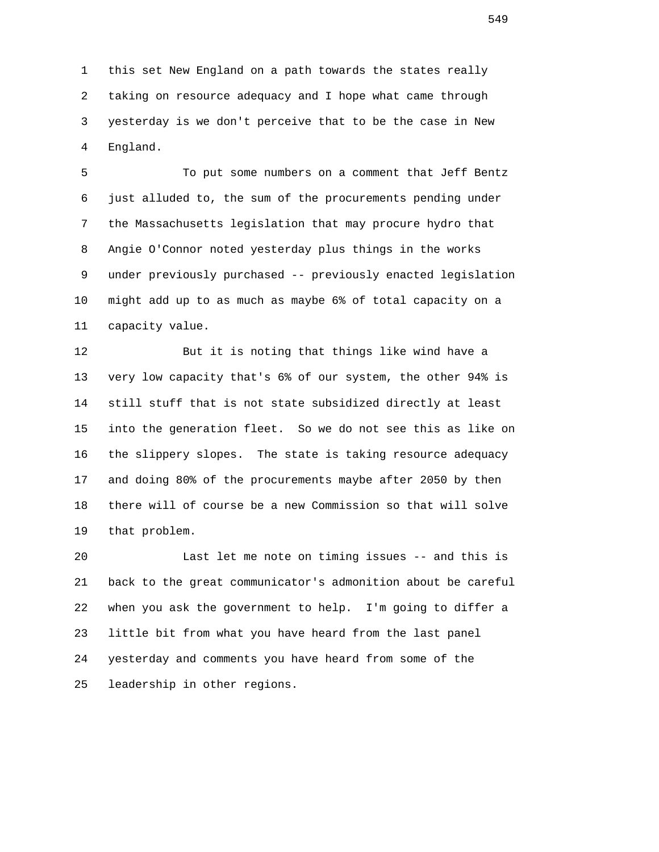1 this set New England on a path towards the states really 2 taking on resource adequacy and I hope what came through 3 yesterday is we don't perceive that to be the case in New 4 England.

 5 To put some numbers on a comment that Jeff Bentz 6 just alluded to, the sum of the procurements pending under 7 the Massachusetts legislation that may procure hydro that 8 Angie O'Connor noted yesterday plus things in the works 9 under previously purchased -- previously enacted legislation 10 might add up to as much as maybe 6% of total capacity on a 11 capacity value.

 12 But it is noting that things like wind have a 13 very low capacity that's 6% of our system, the other 94% is 14 still stuff that is not state subsidized directly at least 15 into the generation fleet. So we do not see this as like on 16 the slippery slopes. The state is taking resource adequacy 17 and doing 80% of the procurements maybe after 2050 by then 18 there will of course be a new Commission so that will solve 19 that problem.

 20 Last let me note on timing issues -- and this is 21 back to the great communicator's admonition about be careful 22 when you ask the government to help. I'm going to differ a 23 little bit from what you have heard from the last panel 24 yesterday and comments you have heard from some of the 25 leadership in other regions.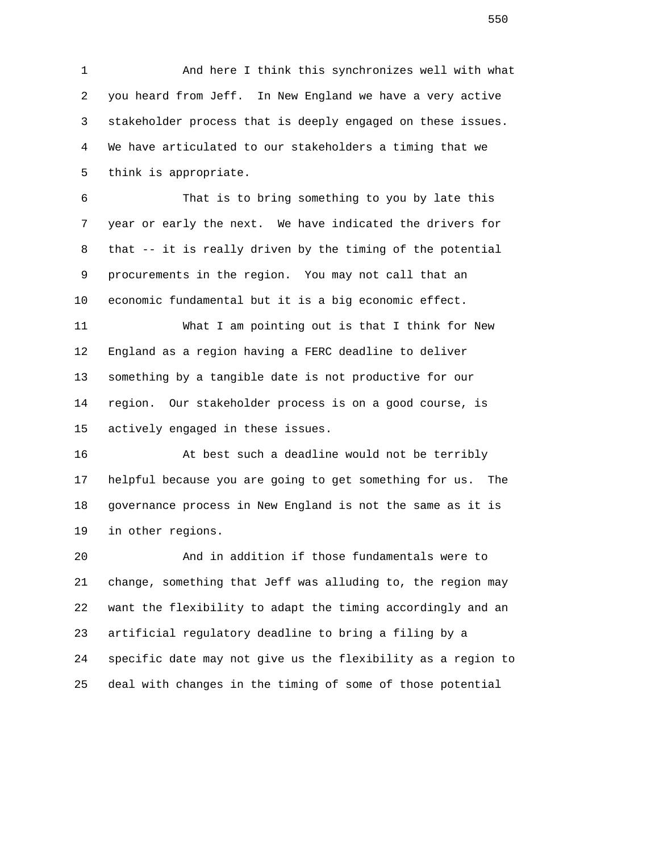1 And here I think this synchronizes well with what 2 you heard from Jeff. In New England we have a very active 3 stakeholder process that is deeply engaged on these issues. 4 We have articulated to our stakeholders a timing that we 5 think is appropriate.

 6 That is to bring something to you by late this 7 year or early the next. We have indicated the drivers for 8 that -- it is really driven by the timing of the potential 9 procurements in the region. You may not call that an 10 economic fundamental but it is a big economic effect.

 11 What I am pointing out is that I think for New 12 England as a region having a FERC deadline to deliver 13 something by a tangible date is not productive for our 14 region. Our stakeholder process is on a good course, is 15 actively engaged in these issues.

 16 At best such a deadline would not be terribly 17 helpful because you are going to get something for us. The 18 governance process in New England is not the same as it is 19 in other regions.

 20 And in addition if those fundamentals were to 21 change, something that Jeff was alluding to, the region may 22 want the flexibility to adapt the timing accordingly and an 23 artificial regulatory deadline to bring a filing by a 24 specific date may not give us the flexibility as a region to 25 deal with changes in the timing of some of those potential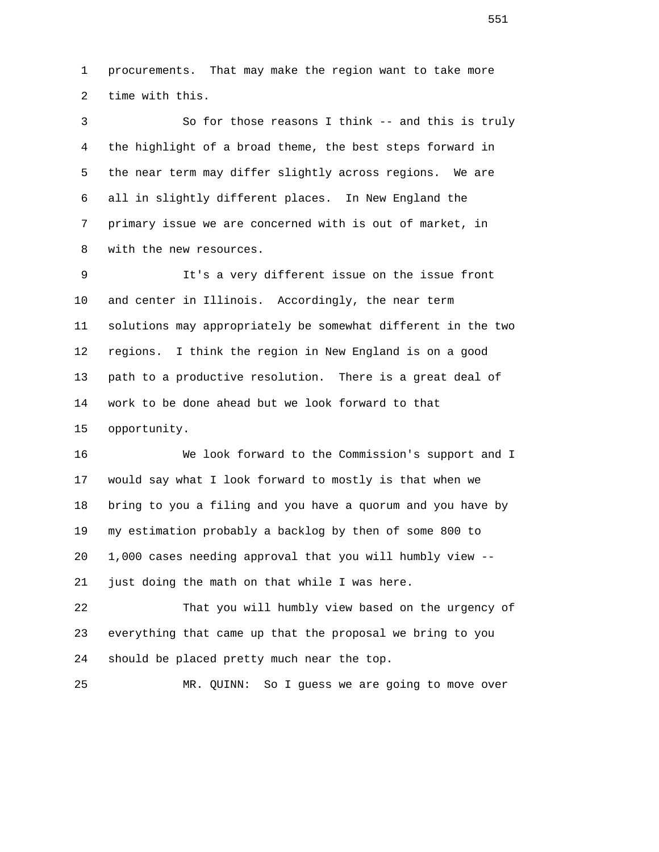1 procurements. That may make the region want to take more 2 time with this.

 3 So for those reasons I think -- and this is truly 4 the highlight of a broad theme, the best steps forward in 5 the near term may differ slightly across regions. We are 6 all in slightly different places. In New England the 7 primary issue we are concerned with is out of market, in 8 with the new resources.

 9 It's a very different issue on the issue front 10 and center in Illinois. Accordingly, the near term 11 solutions may appropriately be somewhat different in the two 12 regions. I think the region in New England is on a good 13 path to a productive resolution. There is a great deal of 14 work to be done ahead but we look forward to that 15 opportunity.

 16 We look forward to the Commission's support and I 17 would say what I look forward to mostly is that when we 18 bring to you a filing and you have a quorum and you have by 19 my estimation probably a backlog by then of some 800 to 20 1,000 cases needing approval that you will humbly view -- 21 just doing the math on that while I was here.

 22 That you will humbly view based on the urgency of 23 everything that came up that the proposal we bring to you 24 should be placed pretty much near the top.

25 MR. QUINN: So I guess we are going to move over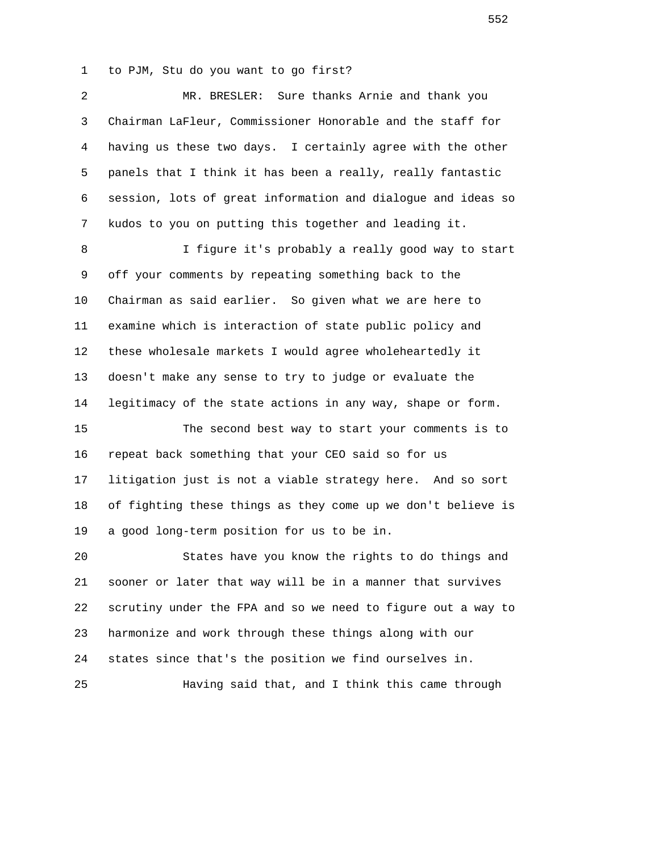1 to PJM, Stu do you want to go first?

| 2              | MR. BRESLER: Sure thanks Arnie and thank you                 |
|----------------|--------------------------------------------------------------|
| 3              | Chairman LaFleur, Commissioner Honorable and the staff for   |
| $\overline{4}$ | having us these two days. I certainly agree with the other   |
| 5              | panels that I think it has been a really, really fantastic   |
| 6              | session, lots of great information and dialogue and ideas so |
| 7              | kudos to you on putting this together and leading it.        |
| 8              | I figure it's probably a really good way to start            |
| 9              | off your comments by repeating something back to the         |
| 10             | Chairman as said earlier. So given what we are here to       |
| 11             | examine which is interaction of state public policy and      |
| 12             | these wholesale markets I would agree wholeheartedly it      |
| 13             | doesn't make any sense to try to judge or evaluate the       |
| 14             | legitimacy of the state actions in any way, shape or form.   |
| 15             | The second best way to start your comments is to             |
| 16             | repeat back something that your CEO said so for us           |
| 17             | litigation just is not a viable strategy here. And so sort   |
| 18             | of fighting these things as they come up we don't believe is |
| 19             | a good long-term position for us to be in.                   |
| 20             | States have you know the rights to do things and             |
| 21             | sooner or later that way will be in a manner that survives   |
| 22             | scrutiny under the FPA and so we need to figure out a way to |
| 23             | harmonize and work through these things along with our       |
| 24             | states since that's the position we find ourselves in.       |
| 25             | Having said that, and I think this came through              |
|                |                                                              |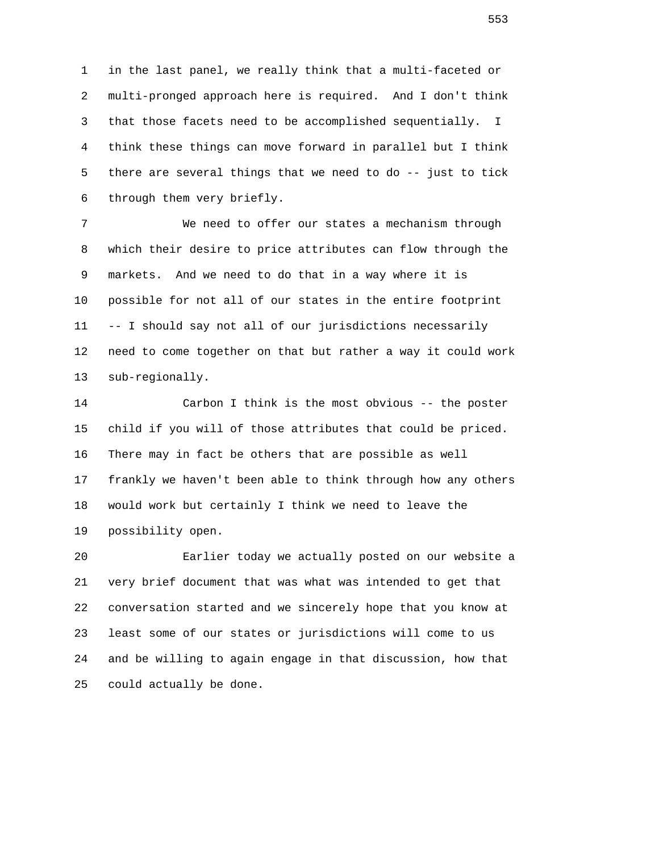1 in the last panel, we really think that a multi-faceted or 2 multi-pronged approach here is required. And I don't think 3 that those facets need to be accomplished sequentially. I 4 think these things can move forward in parallel but I think 5 there are several things that we need to do -- just to tick 6 through them very briefly.

 7 We need to offer our states a mechanism through 8 which their desire to price attributes can flow through the 9 markets. And we need to do that in a way where it is 10 possible for not all of our states in the entire footprint 11 -- I should say not all of our jurisdictions necessarily 12 need to come together on that but rather a way it could work 13 sub-regionally.

 14 Carbon I think is the most obvious -- the poster 15 child if you will of those attributes that could be priced. 16 There may in fact be others that are possible as well 17 frankly we haven't been able to think through how any others 18 would work but certainly I think we need to leave the 19 possibility open.

 20 Earlier today we actually posted on our website a 21 very brief document that was what was intended to get that 22 conversation started and we sincerely hope that you know at 23 least some of our states or jurisdictions will come to us 24 and be willing to again engage in that discussion, how that 25 could actually be done.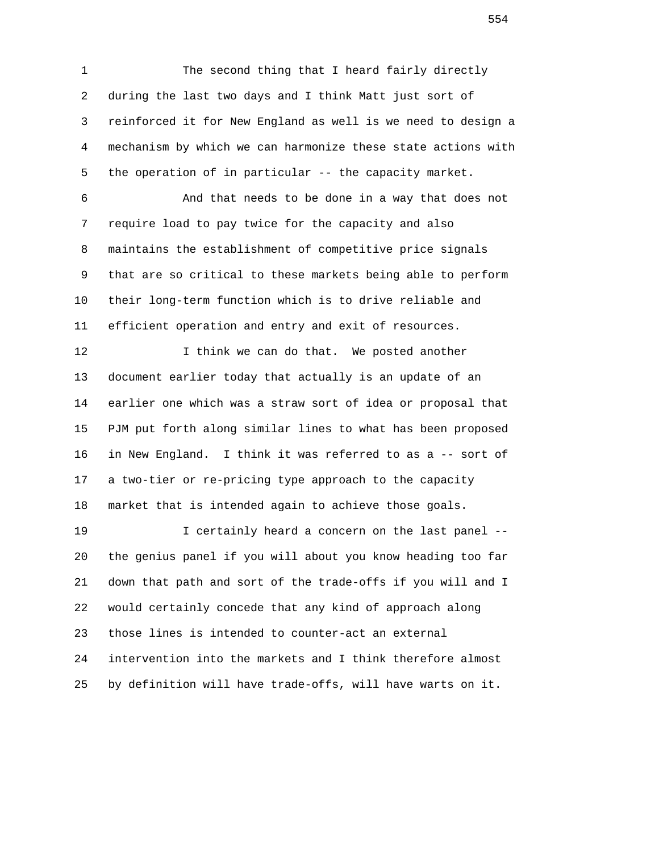1 The second thing that I heard fairly directly 2 during the last two days and I think Matt just sort of 3 reinforced it for New England as well is we need to design a 4 mechanism by which we can harmonize these state actions with 5 the operation of in particular -- the capacity market.

 6 And that needs to be done in a way that does not 7 require load to pay twice for the capacity and also 8 maintains the establishment of competitive price signals 9 that are so critical to these markets being able to perform 10 their long-term function which is to drive reliable and 11 efficient operation and entry and exit of resources.

12 12 I think we can do that. We posted another 13 document earlier today that actually is an update of an 14 earlier one which was a straw sort of idea or proposal that 15 PJM put forth along similar lines to what has been proposed 16 in New England. I think it was referred to as a -- sort of 17 a two-tier or re-pricing type approach to the capacity 18 market that is intended again to achieve those goals.

 19 I certainly heard a concern on the last panel -- 20 the genius panel if you will about you know heading too far 21 down that path and sort of the trade-offs if you will and I 22 would certainly concede that any kind of approach along 23 those lines is intended to counter-act an external 24 intervention into the markets and I think therefore almost 25 by definition will have trade-offs, will have warts on it.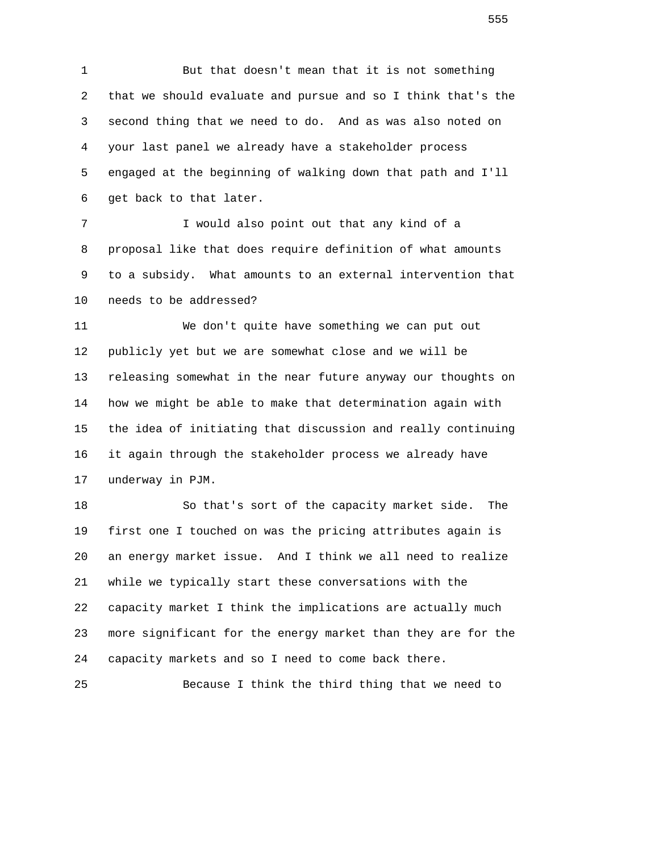1 But that doesn't mean that it is not something 2 that we should evaluate and pursue and so I think that's the 3 second thing that we need to do. And as was also noted on 4 your last panel we already have a stakeholder process 5 engaged at the beginning of walking down that path and I'll 6 get back to that later.

 7 I would also point out that any kind of a 8 proposal like that does require definition of what amounts 9 to a subsidy. What amounts to an external intervention that 10 needs to be addressed?

 11 We don't quite have something we can put out 12 publicly yet but we are somewhat close and we will be 13 releasing somewhat in the near future anyway our thoughts on 14 how we might be able to make that determination again with 15 the idea of initiating that discussion and really continuing 16 it again through the stakeholder process we already have 17 underway in PJM.

 18 So that's sort of the capacity market side. The 19 first one I touched on was the pricing attributes again is 20 an energy market issue. And I think we all need to realize 21 while we typically start these conversations with the 22 capacity market I think the implications are actually much 23 more significant for the energy market than they are for the 24 capacity markets and so I need to come back there.

25 Because I think the third thing that we need to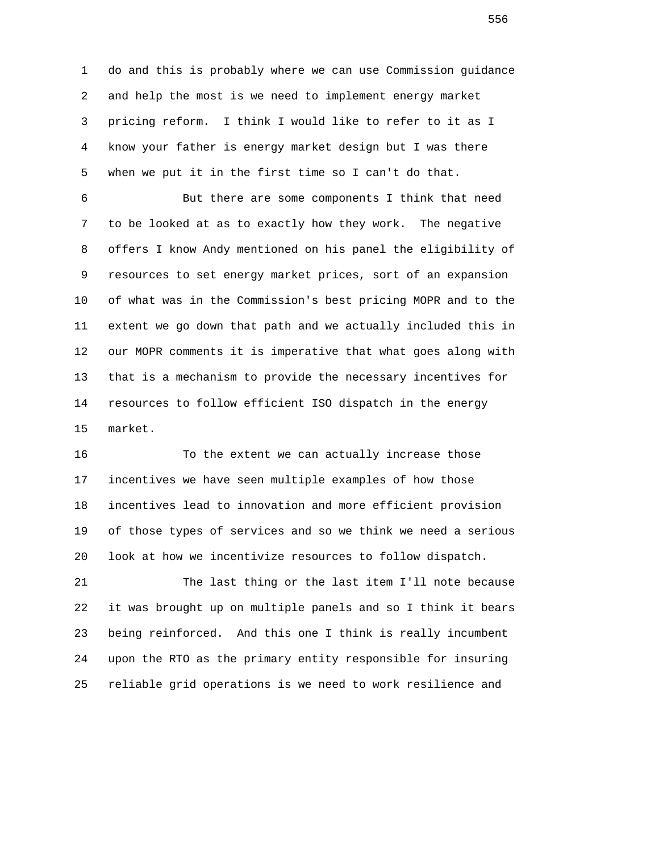1 do and this is probably where we can use Commission guidance 2 and help the most is we need to implement energy market 3 pricing reform. I think I would like to refer to it as I 4 know your father is energy market design but I was there 5 when we put it in the first time so I can't do that.

 6 But there are some components I think that need 7 to be looked at as to exactly how they work. The negative 8 offers I know Andy mentioned on his panel the eligibility of 9 resources to set energy market prices, sort of an expansion 10 of what was in the Commission's best pricing MOPR and to the 11 extent we go down that path and we actually included this in 12 our MOPR comments it is imperative that what goes along with 13 that is a mechanism to provide the necessary incentives for 14 resources to follow efficient ISO dispatch in the energy 15 market.

 16 To the extent we can actually increase those 17 incentives we have seen multiple examples of how those 18 incentives lead to innovation and more efficient provision 19 of those types of services and so we think we need a serious 20 look at how we incentivize resources to follow dispatch.

 21 The last thing or the last item I'll note because 22 it was brought up on multiple panels and so I think it bears 23 being reinforced. And this one I think is really incumbent 24 upon the RTO as the primary entity responsible for insuring 25 reliable grid operations is we need to work resilience and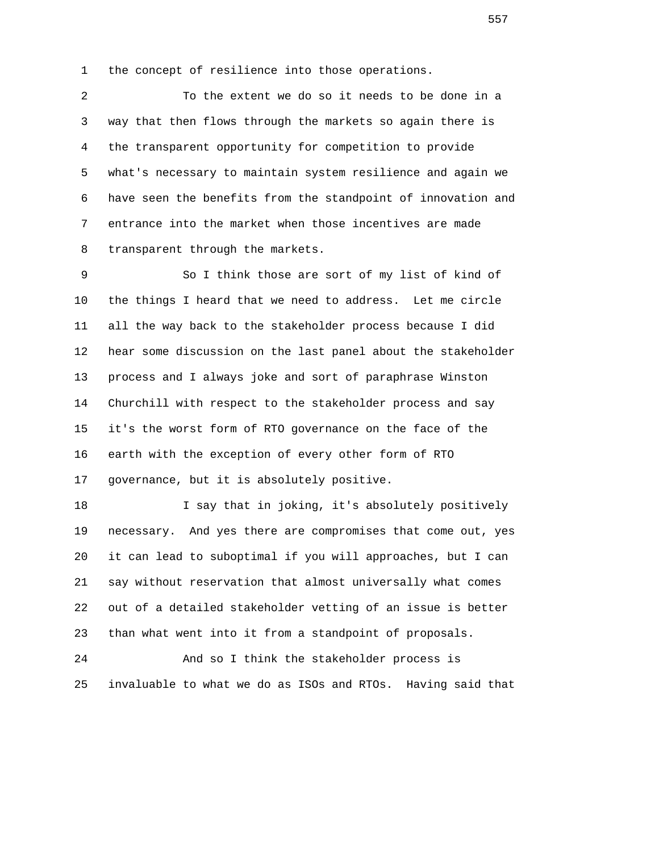1 the concept of resilience into those operations.

 2 To the extent we do so it needs to be done in a 3 way that then flows through the markets so again there is 4 the transparent opportunity for competition to provide 5 what's necessary to maintain system resilience and again we 6 have seen the benefits from the standpoint of innovation and 7 entrance into the market when those incentives are made 8 transparent through the markets.

 9 So I think those are sort of my list of kind of 10 the things I heard that we need to address. Let me circle 11 all the way back to the stakeholder process because I did 12 hear some discussion on the last panel about the stakeholder 13 process and I always joke and sort of paraphrase Winston 14 Churchill with respect to the stakeholder process and say 15 it's the worst form of RTO governance on the face of the 16 earth with the exception of every other form of RTO 17 governance, but it is absolutely positive.

 18 I say that in joking, it's absolutely positively 19 necessary. And yes there are compromises that come out, yes 20 it can lead to suboptimal if you will approaches, but I can 21 say without reservation that almost universally what comes 22 out of a detailed stakeholder vetting of an issue is better 23 than what went into it from a standpoint of proposals.

 24 And so I think the stakeholder process is 25 invaluable to what we do as ISOs and RTOs. Having said that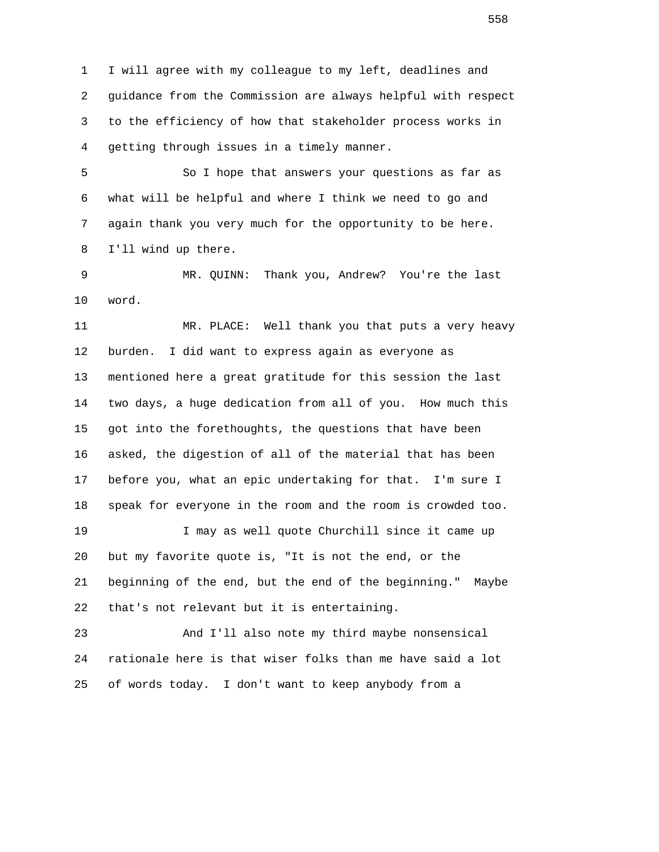1 I will agree with my colleague to my left, deadlines and 2 guidance from the Commission are always helpful with respect 3 to the efficiency of how that stakeholder process works in 4 getting through issues in a timely manner.

 5 So I hope that answers your questions as far as 6 what will be helpful and where I think we need to go and 7 again thank you very much for the opportunity to be here. 8 I'll wind up there.

 9 MR. QUINN: Thank you, Andrew? You're the last 10 word.

 11 MR. PLACE: Well thank you that puts a very heavy 12 burden. I did want to express again as everyone as 13 mentioned here a great gratitude for this session the last 14 two days, a huge dedication from all of you. How much this 15 got into the forethoughts, the questions that have been 16 asked, the digestion of all of the material that has been 17 before you, what an epic undertaking for that. I'm sure I 18 speak for everyone in the room and the room is crowded too. 19 I may as well quote Churchill since it came up 20 but my favorite quote is, "It is not the end, or the 21 beginning of the end, but the end of the beginning." Maybe 22 that's not relevant but it is entertaining.

 23 And I'll also note my third maybe nonsensical 24 rationale here is that wiser folks than me have said a lot 25 of words today. I don't want to keep anybody from a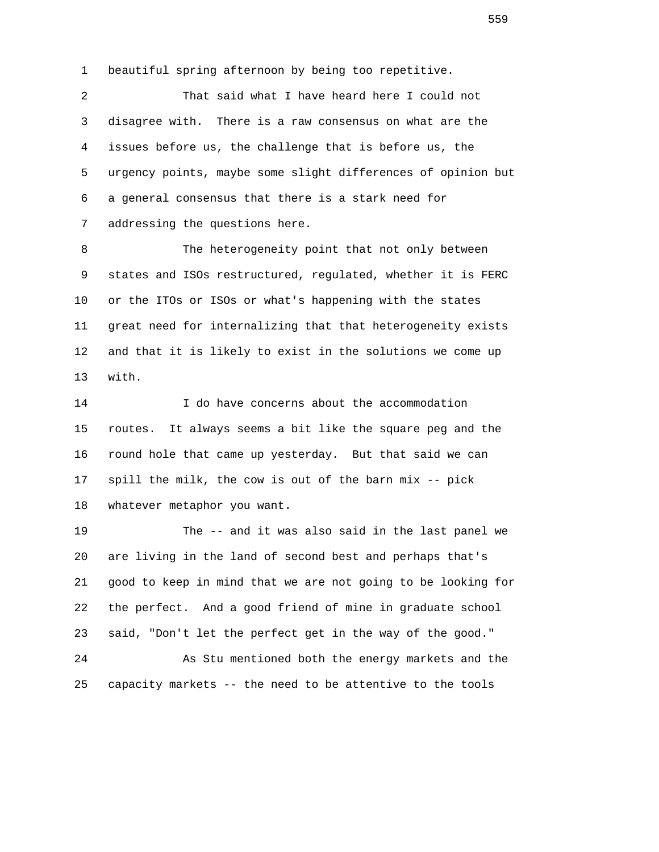1 beautiful spring afternoon by being too repetitive.

 2 That said what I have heard here I could not 3 disagree with. There is a raw consensus on what are the 4 issues before us, the challenge that is before us, the 5 urgency points, maybe some slight differences of opinion but 6 a general consensus that there is a stark need for 7 addressing the questions here.

 8 The heterogeneity point that not only between 9 states and ISOs restructured, regulated, whether it is FERC 10 or the ITOs or ISOs or what's happening with the states 11 great need for internalizing that that heterogeneity exists 12 and that it is likely to exist in the solutions we come up 13 with.

 14 I do have concerns about the accommodation 15 routes. It always seems a bit like the square peg and the 16 round hole that came up yesterday. But that said we can 17 spill the milk, the cow is out of the barn mix -- pick 18 whatever metaphor you want.

 19 The -- and it was also said in the last panel we 20 are living in the land of second best and perhaps that's 21 good to keep in mind that we are not going to be looking for 22 the perfect. And a good friend of mine in graduate school 23 said, "Don't let the perfect get in the way of the good." 24 As Stu mentioned both the energy markets and the

25 capacity markets -- the need to be attentive to the tools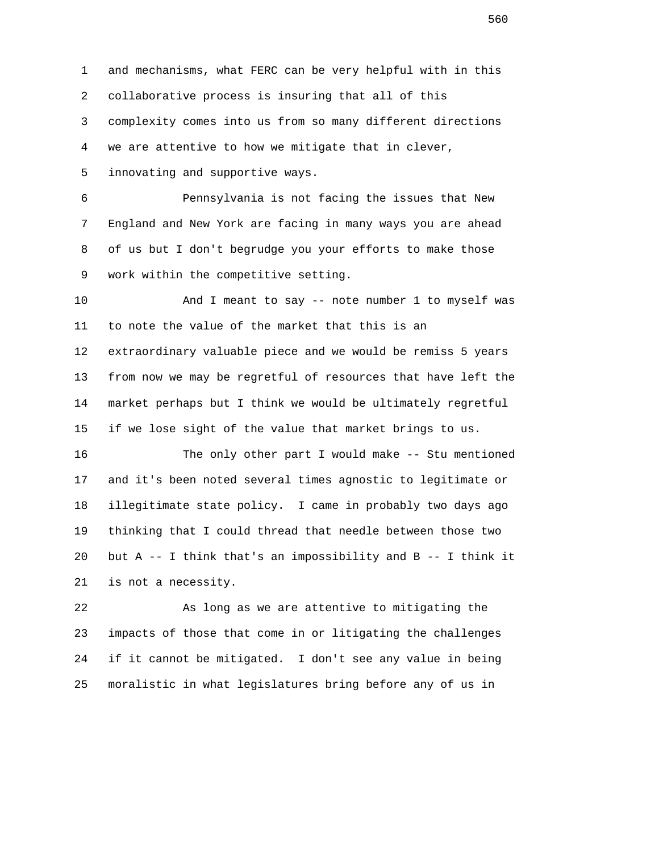1 and mechanisms, what FERC can be very helpful with in this 2 collaborative process is insuring that all of this 3 complexity comes into us from so many different directions 4 we are attentive to how we mitigate that in clever, 5 innovating and supportive ways.

 6 Pennsylvania is not facing the issues that New 7 England and New York are facing in many ways you are ahead 8 of us but I don't begrudge you your efforts to make those 9 work within the competitive setting.

 10 And I meant to say -- note number 1 to myself was 11 to note the value of the market that this is an 12 extraordinary valuable piece and we would be remiss 5 years 13 from now we may be regretful of resources that have left the 14 market perhaps but I think we would be ultimately regretful 15 if we lose sight of the value that market brings to us.

 16 The only other part I would make -- Stu mentioned 17 and it's been noted several times agnostic to legitimate or 18 illegitimate state policy. I came in probably two days ago 19 thinking that I could thread that needle between those two 20 but A -- I think that's an impossibility and B -- I think it 21 is not a necessity.

 22 As long as we are attentive to mitigating the 23 impacts of those that come in or litigating the challenges 24 if it cannot be mitigated. I don't see any value in being 25 moralistic in what legislatures bring before any of us in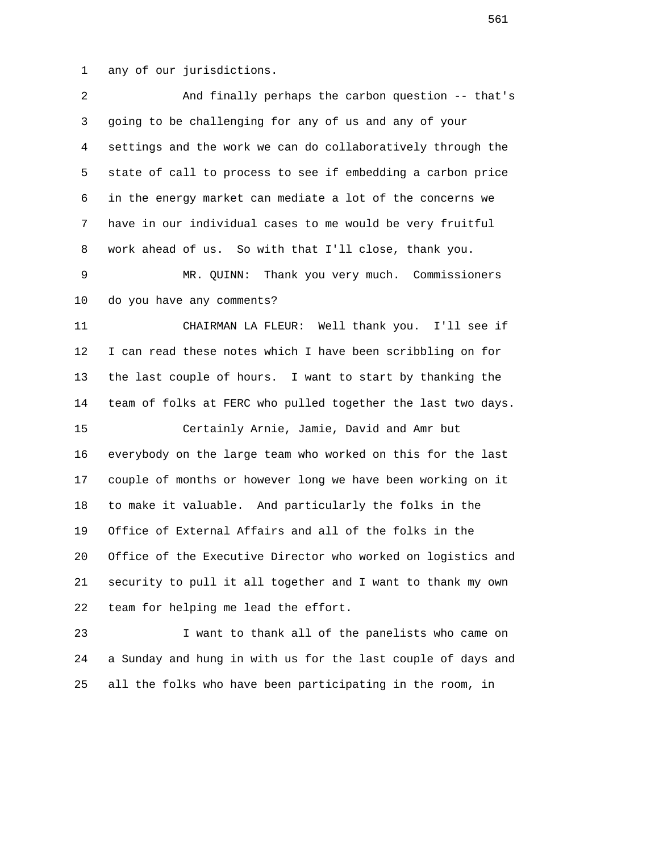1 any of our jurisdictions.

| 2      | And finally perhaps the carbon question -- that's                                                                                                                                                                             |
|--------|-------------------------------------------------------------------------------------------------------------------------------------------------------------------------------------------------------------------------------|
| 3      | going to be challenging for any of us and any of your                                                                                                                                                                         |
| 4      | settings and the work we can do collaboratively through the                                                                                                                                                                   |
| 5      | state of call to process to see if embedding a carbon price                                                                                                                                                                   |
| 6      | in the energy market can mediate a lot of the concerns we                                                                                                                                                                     |
| 7      | have in our individual cases to me would be very fruitful                                                                                                                                                                     |
| 8      | work ahead of us. So with that I'll close, thank you.                                                                                                                                                                         |
| 9      | MR. QUINN: Thank you very much. Commissioners                                                                                                                                                                                 |
| 10     | do you have any comments?                                                                                                                                                                                                     |
| 11     | CHAIRMAN LA FLEUR: Well thank you. I'll see if                                                                                                                                                                                |
| 12     | I can read these notes which I have been scribbling on for                                                                                                                                                                    |
| 13     | the last couple of hours. I want to start by thanking the                                                                                                                                                                     |
| 14     | team of folks at FERC who pulled together the last two days.                                                                                                                                                                  |
| 15     | Certainly Arnie, Jamie, David and Amr but                                                                                                                                                                                     |
| 16     | everybody on the large team who worked on this for the last                                                                                                                                                                   |
| 17     | couple of months or however long we have been working on it                                                                                                                                                                   |
| 18     | to make it valuable. And particularly the folks in the                                                                                                                                                                        |
| 19     | Office of External Affairs and all of the folks in the                                                                                                                                                                        |
| 20     | Office of the Executive Director who worked on logistics and                                                                                                                                                                  |
| 21     | security to pull it all together and I want to thank my own                                                                                                                                                                   |
| 22     | team for helping me lead the effort.                                                                                                                                                                                          |
| $\cap$ | The complete the definition of the complete state of the state of the state of the state of the state of the state of the state of the state of the state of the state of the state of the state of the state of the state of |

 23 I want to thank all of the panelists who came on 24 a Sunday and hung in with us for the last couple of days and 25 all the folks who have been participating in the room, in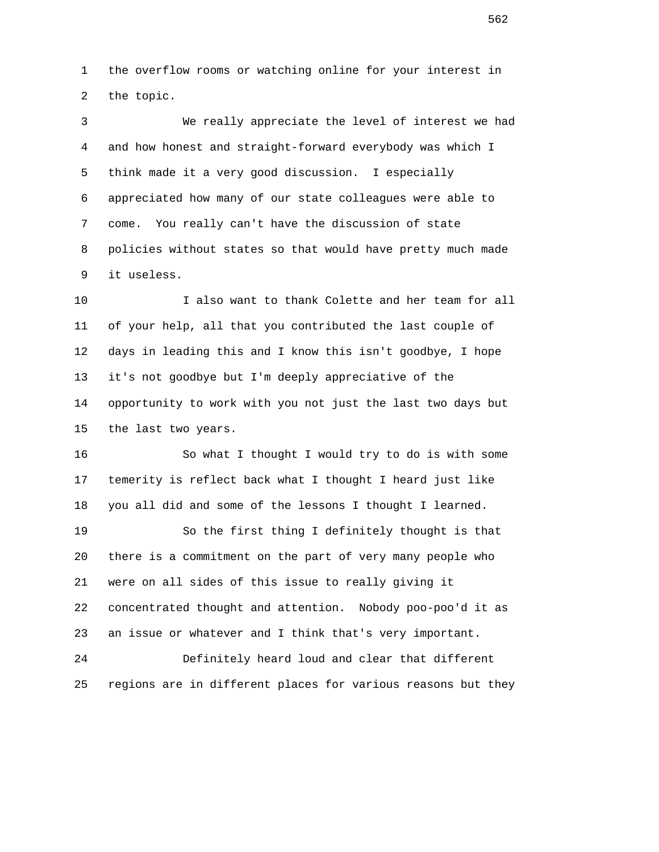1 the overflow rooms or watching online for your interest in 2 the topic.

 3 We really appreciate the level of interest we had 4 and how honest and straight-forward everybody was which I 5 think made it a very good discussion. I especially 6 appreciated how many of our state colleagues were able to 7 come. You really can't have the discussion of state 8 policies without states so that would have pretty much made 9 it useless.

 10 I also want to thank Colette and her team for all 11 of your help, all that you contributed the last couple of 12 days in leading this and I know this isn't goodbye, I hope 13 it's not goodbye but I'm deeply appreciative of the 14 opportunity to work with you not just the last two days but 15 the last two years.

 16 So what I thought I would try to do is with some 17 temerity is reflect back what I thought I heard just like 18 you all did and some of the lessons I thought I learned.

 19 So the first thing I definitely thought is that 20 there is a commitment on the part of very many people who 21 were on all sides of this issue to really giving it 22 concentrated thought and attention. Nobody poo-poo'd it as 23 an issue or whatever and I think that's very important.

 24 Definitely heard loud and clear that different 25 regions are in different places for various reasons but they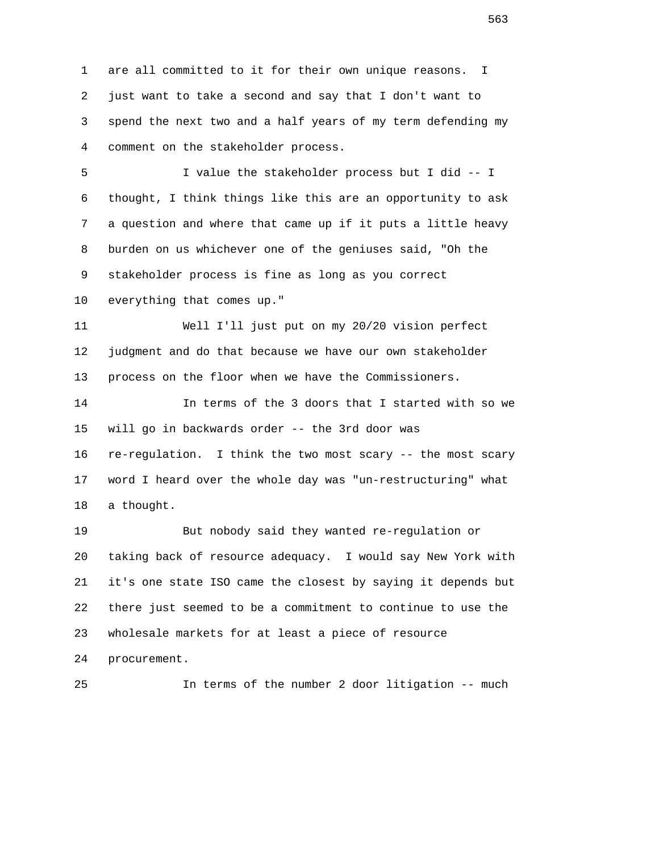1 are all committed to it for their own unique reasons. I 2 just want to take a second and say that I don't want to 3 spend the next two and a half years of my term defending my 4 comment on the stakeholder process.

 5 I value the stakeholder process but I did -- I 6 thought, I think things like this are an opportunity to ask 7 a question and where that came up if it puts a little heavy 8 burden on us whichever one of the geniuses said, "Oh the 9 stakeholder process is fine as long as you correct

10 everything that comes up."

 11 Well I'll just put on my 20/20 vision perfect 12 judgment and do that because we have our own stakeholder 13 process on the floor when we have the Commissioners.

 14 In terms of the 3 doors that I started with so we 15 will go in backwards order -- the 3rd door was 16 re-regulation. I think the two most scary -- the most scary 17 word I heard over the whole day was "un-restructuring" what 18 a thought.

 19 But nobody said they wanted re-regulation or 20 taking back of resource adequacy. I would say New York with 21 it's one state ISO came the closest by saying it depends but 22 there just seemed to be a commitment to continue to use the 23 wholesale markets for at least a piece of resource 24 procurement.

25 In terms of the number 2 door litigation -- much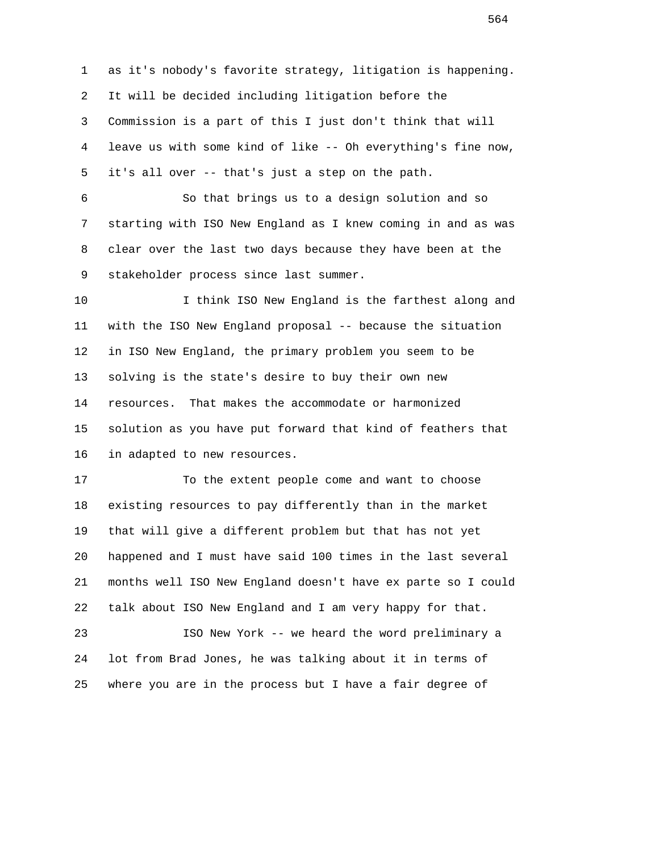1 as it's nobody's favorite strategy, litigation is happening. 2 It will be decided including litigation before the 3 Commission is a part of this I just don't think that will 4 leave us with some kind of like -- Oh everything's fine now, 5 it's all over -- that's just a step on the path.

 6 So that brings us to a design solution and so 7 starting with ISO New England as I knew coming in and as was 8 clear over the last two days because they have been at the 9 stakeholder process since last summer.

10 10 I think ISO New England is the farthest along and 11 with the ISO New England proposal -- because the situation 12 in ISO New England, the primary problem you seem to be 13 solving is the state's desire to buy their own new 14 resources. That makes the accommodate or harmonized 15 solution as you have put forward that kind of feathers that 16 in adapted to new resources.

 17 To the extent people come and want to choose 18 existing resources to pay differently than in the market 19 that will give a different problem but that has not yet 20 happened and I must have said 100 times in the last several 21 months well ISO New England doesn't have ex parte so I could 22 talk about ISO New England and I am very happy for that.

 23 ISO New York -- we heard the word preliminary a 24 lot from Brad Jones, he was talking about it in terms of 25 where you are in the process but I have a fair degree of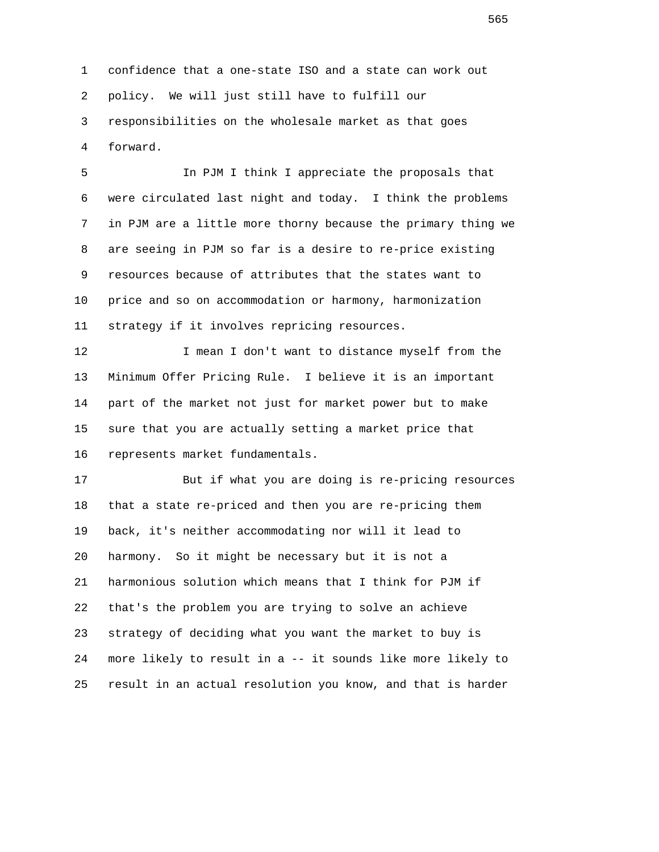1 confidence that a one-state ISO and a state can work out 2 policy. We will just still have to fulfill our 3 responsibilities on the wholesale market as that goes 4 forward.

 5 In PJM I think I appreciate the proposals that 6 were circulated last night and today. I think the problems 7 in PJM are a little more thorny because the primary thing we 8 are seeing in PJM so far is a desire to re-price existing 9 resources because of attributes that the states want to 10 price and so on accommodation or harmony, harmonization 11 strategy if it involves repricing resources.

 12 I mean I don't want to distance myself from the 13 Minimum Offer Pricing Rule. I believe it is an important 14 part of the market not just for market power but to make 15 sure that you are actually setting a market price that 16 represents market fundamentals.

 17 But if what you are doing is re-pricing resources 18 that a state re-priced and then you are re-pricing them 19 back, it's neither accommodating nor will it lead to 20 harmony. So it might be necessary but it is not a 21 harmonious solution which means that I think for PJM if 22 that's the problem you are trying to solve an achieve 23 strategy of deciding what you want the market to buy is 24 more likely to result in a -- it sounds like more likely to 25 result in an actual resolution you know, and that is harder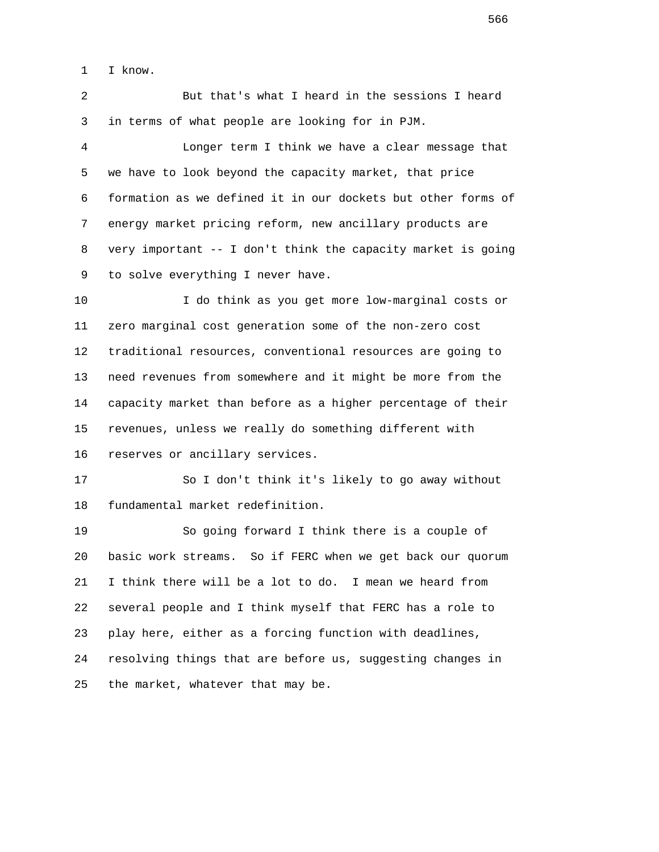1 I know.

 2 But that's what I heard in the sessions I heard 3 in terms of what people are looking for in PJM.

 4 Longer term I think we have a clear message that 5 we have to look beyond the capacity market, that price 6 formation as we defined it in our dockets but other forms of 7 energy market pricing reform, new ancillary products are 8 very important -- I don't think the capacity market is going 9 to solve everything I never have.

 10 I do think as you get more low-marginal costs or 11 zero marginal cost generation some of the non-zero cost 12 traditional resources, conventional resources are going to 13 need revenues from somewhere and it might be more from the 14 capacity market than before as a higher percentage of their 15 revenues, unless we really do something different with 16 reserves or ancillary services.

 17 So I don't think it's likely to go away without 18 fundamental market redefinition.

 19 So going forward I think there is a couple of 20 basic work streams. So if FERC when we get back our quorum 21 I think there will be a lot to do. I mean we heard from 22 several people and I think myself that FERC has a role to 23 play here, either as a forcing function with deadlines, 24 resolving things that are before us, suggesting changes in 25 the market, whatever that may be.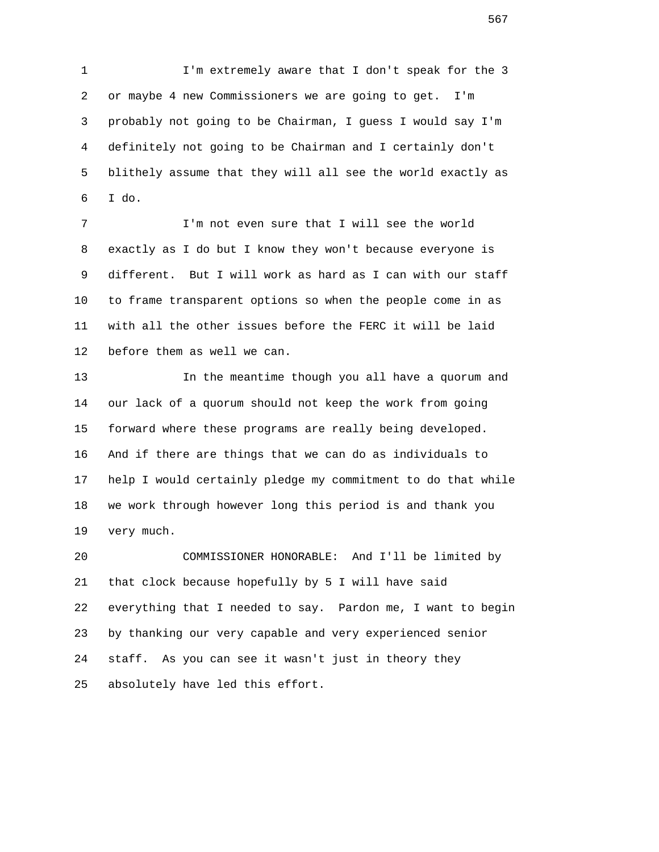1 I'm extremely aware that I don't speak for the 3 2 or maybe 4 new Commissioners we are going to get. I'm 3 probably not going to be Chairman, I guess I would say I'm 4 definitely not going to be Chairman and I certainly don't 5 blithely assume that they will all see the world exactly as 6 I do.

 7 I'm not even sure that I will see the world 8 exactly as I do but I know they won't because everyone is 9 different. But I will work as hard as I can with our staff 10 to frame transparent options so when the people come in as 11 with all the other issues before the FERC it will be laid 12 before them as well we can.

 13 In the meantime though you all have a quorum and 14 our lack of a quorum should not keep the work from going 15 forward where these programs are really being developed. 16 And if there are things that we can do as individuals to 17 help I would certainly pledge my commitment to do that while 18 we work through however long this period is and thank you 19 very much.

 20 COMMISSIONER HONORABLE: And I'll be limited by 21 that clock because hopefully by 5 I will have said 22 everything that I needed to say. Pardon me, I want to begin 23 by thanking our very capable and very experienced senior 24 staff. As you can see it wasn't just in theory they 25 absolutely have led this effort.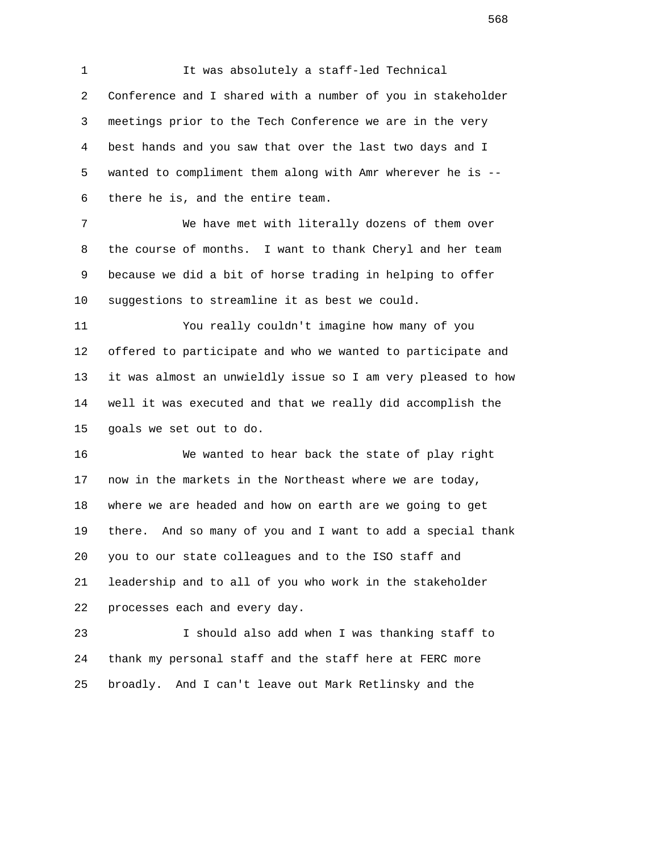1 It was absolutely a staff-led Technical 2 Conference and I shared with a number of you in stakeholder 3 meetings prior to the Tech Conference we are in the very 4 best hands and you saw that over the last two days and I 5 wanted to compliment them along with Amr wherever he is -- 6 there he is, and the entire team.

 7 We have met with literally dozens of them over 8 the course of months. I want to thank Cheryl and her team 9 because we did a bit of horse trading in helping to offer 10 suggestions to streamline it as best we could.

 11 You really couldn't imagine how many of you 12 offered to participate and who we wanted to participate and 13 it was almost an unwieldly issue so I am very pleased to how 14 well it was executed and that we really did accomplish the 15 goals we set out to do.

 16 We wanted to hear back the state of play right 17 now in the markets in the Northeast where we are today, 18 where we are headed and how on earth are we going to get 19 there. And so many of you and I want to add a special thank 20 you to our state colleagues and to the ISO staff and 21 leadership and to all of you who work in the stakeholder 22 processes each and every day.

 23 I should also add when I was thanking staff to 24 thank my personal staff and the staff here at FERC more 25 broadly. And I can't leave out Mark Retlinsky and the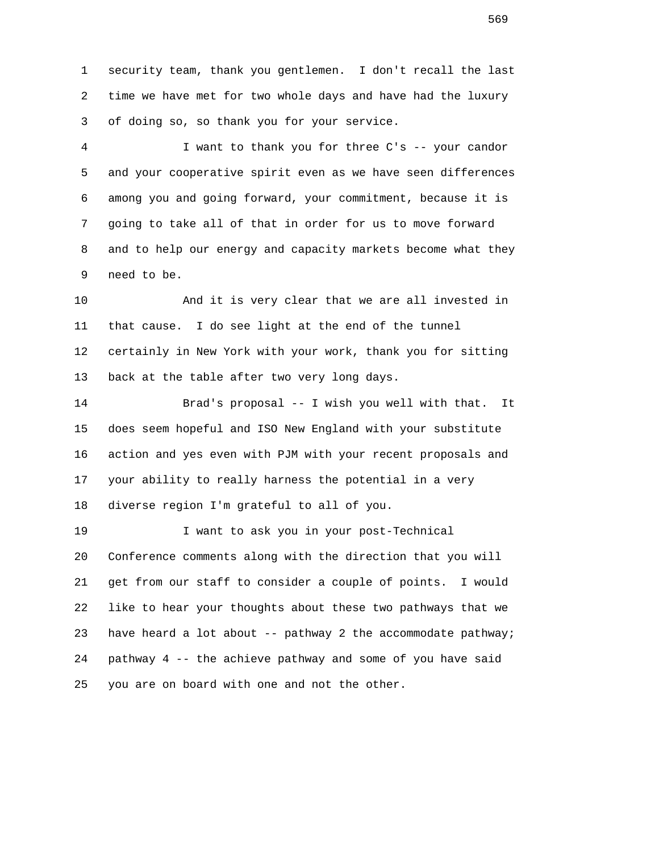1 security team, thank you gentlemen. I don't recall the last 2 time we have met for two whole days and have had the luxury 3 of doing so, so thank you for your service.

 4 I want to thank you for three C's -- your candor 5 and your cooperative spirit even as we have seen differences 6 among you and going forward, your commitment, because it is 7 going to take all of that in order for us to move forward 8 and to help our energy and capacity markets become what they 9 need to be.

 10 And it is very clear that we are all invested in 11 that cause. I do see light at the end of the tunnel 12 certainly in New York with your work, thank you for sitting 13 back at the table after two very long days.

 14 Brad's proposal -- I wish you well with that. It 15 does seem hopeful and ISO New England with your substitute 16 action and yes even with PJM with your recent proposals and 17 your ability to really harness the potential in a very 18 diverse region I'm grateful to all of you.

 19 I want to ask you in your post-Technical 20 Conference comments along with the direction that you will 21 get from our staff to consider a couple of points. I would 22 like to hear your thoughts about these two pathways that we 23 have heard a lot about -- pathway 2 the accommodate pathway; 24 pathway 4 -- the achieve pathway and some of you have said 25 you are on board with one and not the other.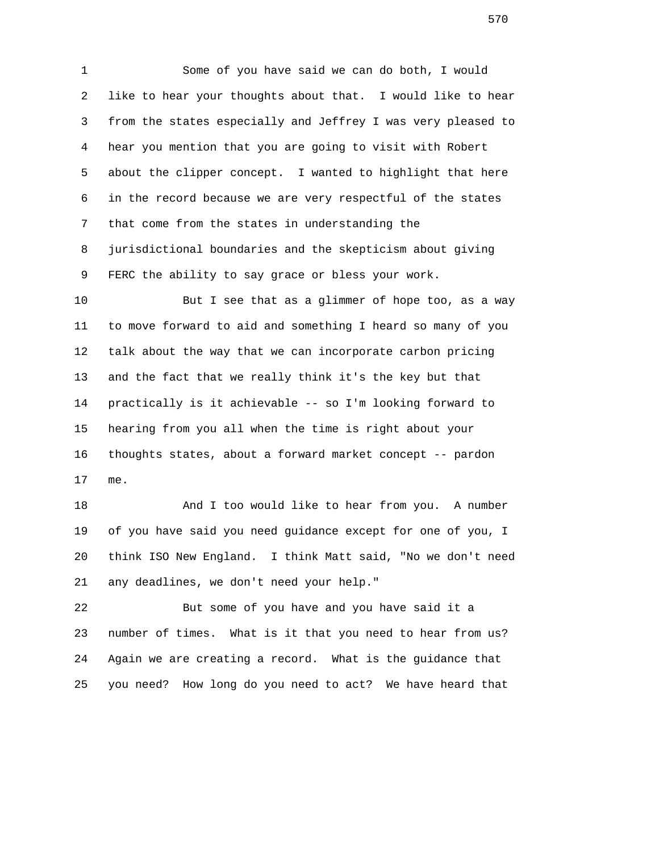1 Some of you have said we can do both, I would 2 like to hear your thoughts about that. I would like to hear 3 from the states especially and Jeffrey I was very pleased to 4 hear you mention that you are going to visit with Robert 5 about the clipper concept. I wanted to highlight that here 6 in the record because we are very respectful of the states 7 that come from the states in understanding the 8 jurisdictional boundaries and the skepticism about giving 9 FERC the ability to say grace or bless your work.

 10 But I see that as a glimmer of hope too, as a way 11 to move forward to aid and something I heard so many of you 12 talk about the way that we can incorporate carbon pricing 13 and the fact that we really think it's the key but that 14 practically is it achievable -- so I'm looking forward to 15 hearing from you all when the time is right about your 16 thoughts states, about a forward market concept -- pardon 17 me.

18 And I too would like to hear from you. A number 19 of you have said you need guidance except for one of you, I 20 think ISO New England. I think Matt said, "No we don't need 21 any deadlines, we don't need your help."

 22 But some of you have and you have said it a 23 number of times. What is it that you need to hear from us? 24 Again we are creating a record. What is the guidance that 25 you need? How long do you need to act? We have heard that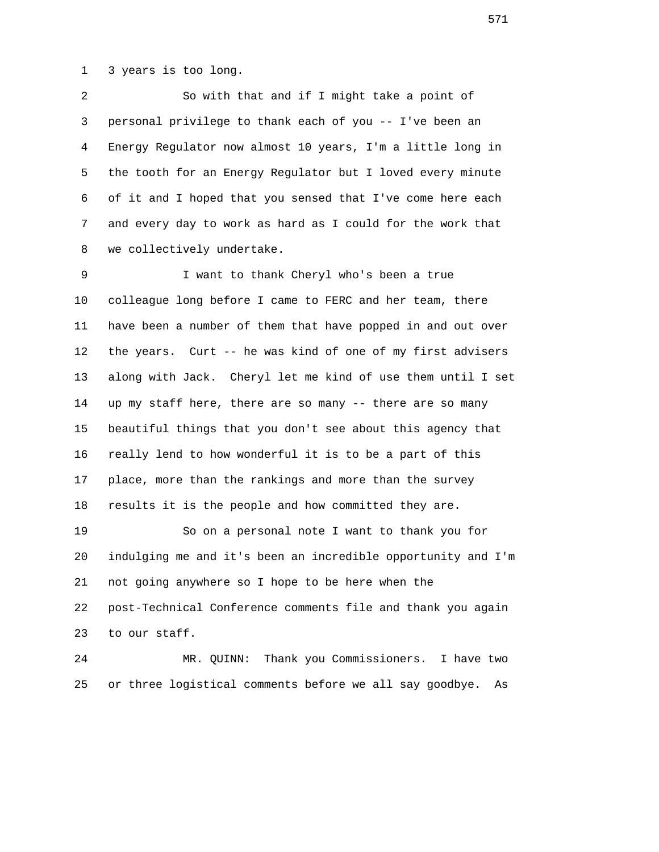1 3 years is too long.

 2 So with that and if I might take a point of 3 personal privilege to thank each of you -- I've been an 4 Energy Regulator now almost 10 years, I'm a little long in 5 the tooth for an Energy Regulator but I loved every minute 6 of it and I hoped that you sensed that I've come here each 7 and every day to work as hard as I could for the work that 8 we collectively undertake.

 9 I want to thank Cheryl who's been a true 10 colleague long before I came to FERC and her team, there 11 have been a number of them that have popped in and out over 12 the years. Curt -- he was kind of one of my first advisers 13 along with Jack. Cheryl let me kind of use them until I set 14 up my staff here, there are so many -- there are so many 15 beautiful things that you don't see about this agency that 16 really lend to how wonderful it is to be a part of this 17 place, more than the rankings and more than the survey 18 results it is the people and how committed they are.

 19 So on a personal note I want to thank you for 20 indulging me and it's been an incredible opportunity and I'm 21 not going anywhere so I hope to be here when the 22 post-Technical Conference comments file and thank you again 23 to our staff.

 24 MR. QUINN: Thank you Commissioners. I have two 25 or three logistical comments before we all say goodbye. As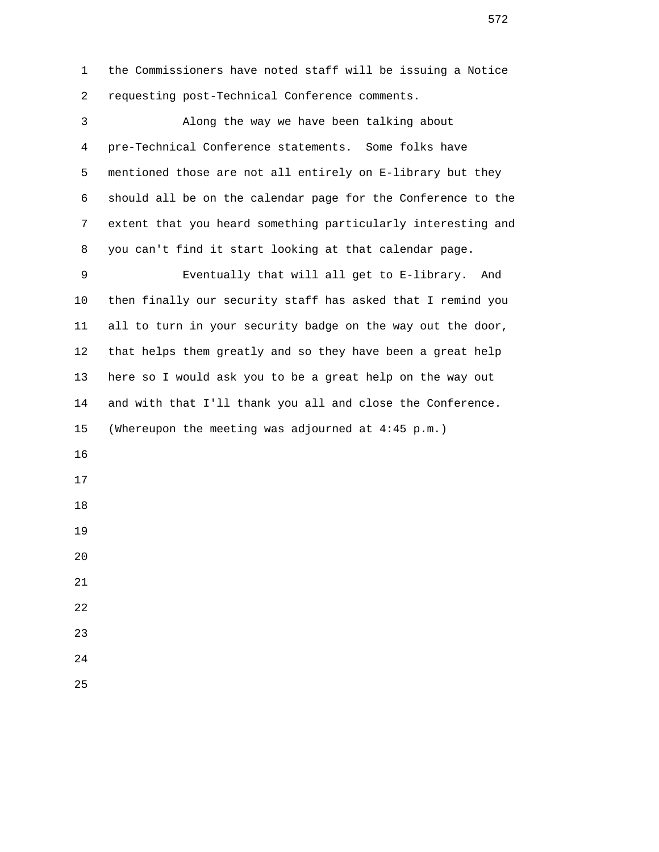1 the Commissioners have noted staff will be issuing a Notice 2 requesting post-Technical Conference comments. 3 Along the way we have been talking about 4 pre-Technical Conference statements. Some folks have 5 mentioned those are not all entirely on E-library but they 6 should all be on the calendar page for the Conference to the 7 extent that you heard something particularly interesting and 8 you can't find it start looking at that calendar page. 9 Eventually that will all get to E-library. And 10 then finally our security staff has asked that I remind you 11 all to turn in your security badge on the way out the door, 12 that helps them greatly and so they have been a great help 13 here so I would ask you to be a great help on the way out 14 and with that I'll thank you all and close the Conference. 15 (Whereupon the meeting was adjourned at 4:45 p.m.) 16 17 18 19 20 21 22 23 24 25